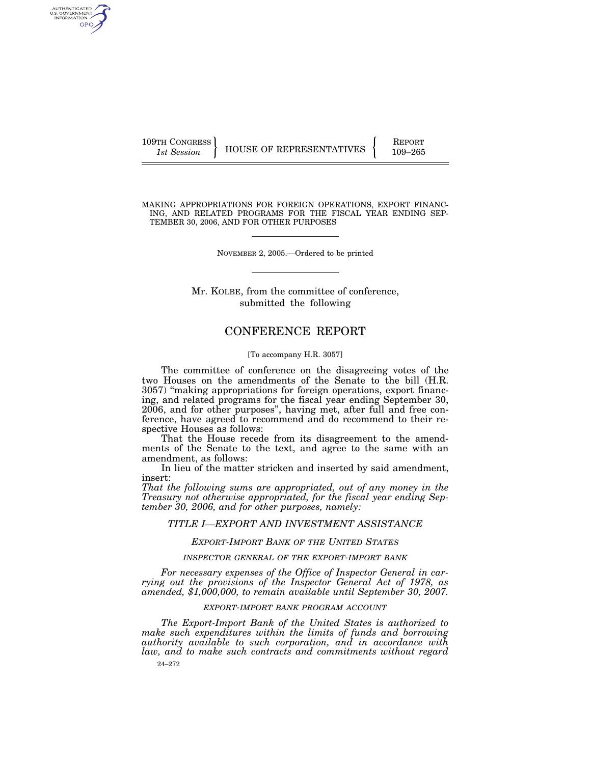109TH CONGRESS REPORT

AUTHENTICATED U.S. GOVERNMENT GPO

1st Session **HOUSE OF REPRESENTATIVES** 109-265

MAKING APPROPRIATIONS FOR FOREIGN OPERATIONS, EXPORT FINANC-ING, AND RELATED PROGRAMS FOR THE FISCAL YEAR ENDING SEP-TEMBER 30, 2006, AND FOR OTHER PURPOSES

NOVEMBER 2, 2005.—Ordered to be printed

Mr. KOLBE, from the committee of conference, submitted the following

# CONFERENCE REPORT

### [To accompany H.R. 3057]

The committee of conference on the disagreeing votes of the two Houses on the amendments of the Senate to the bill (H.R. 3057) ''making appropriations for foreign operations, export financing, and related programs for the fiscal year ending September 30, 2006, and for other purposes'', having met, after full and free conference, have agreed to recommend and do recommend to their respective Houses as follows:

That the House recede from its disagreement to the amendments of the Senate to the text, and agree to the same with an amendment, as follows:

In lieu of the matter stricken and inserted by said amendment, insert:

*That the following sums are appropriated, out of any money in the Treasury not otherwise appropriated, for the fiscal year ending September 30, 2006, and for other purposes, namely:* 

## *TITLE I—EXPORT AND INVESTMENT ASSISTANCE*

## *EXPORT-IMPORT BANK OF THE UNITED STATES*

## *INSPECTOR GENERAL OF THE EXPORT-IMPORT BANK*

*For necessary expenses of the Office of Inspector General in carrying out the provisions of the Inspector General Act of 1978, as amended, \$1,000,000, to remain available until September 30, 2007.* 

### *EXPORT-IMPORT BANK PROGRAM ACCOUNT*

24–272 *The Export-Import Bank of the United States is authorized to make such expenditures within the limits of funds and borrowing authority available to such corporation, and in accordance with law, and to make such contracts and commitments without regard*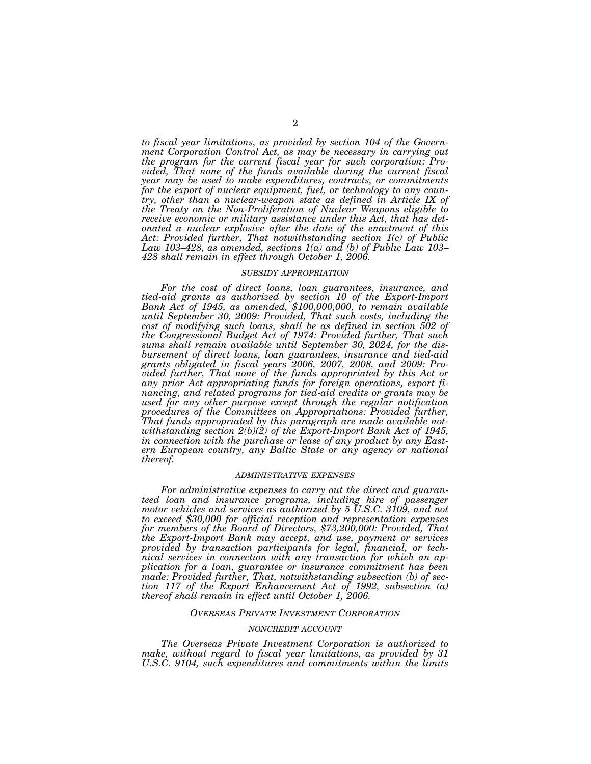*to fiscal year limitations, as provided by section 104 of the Government Corporation Control Act, as may be necessary in carrying out the program for the current fiscal year for such corporation: Provided, That none of the funds available during the current fiscal year may be used to make expenditures, contracts, or commitments for the export of nuclear equipment, fuel, or technology to any country, other than a nuclear-weapon state as defined in Article IX of the Treaty on the Non-Proliferation of Nuclear Weapons eligible to receive economic or military assistance under this Act, that has detonated a nuclear explosive after the date of the enactment of this Act: Provided further, That notwithstanding section 1(c) of Public Law 103–428, as amended, sections 1(a) and (b) of Public Law 103– 428 shall remain in effect through October 1, 2006.* 

#### *SUBSIDY APPROPRIATION*

*For the cost of direct loans, loan guarantees, insurance, and tied-aid grants as authorized by section 10 of the Export-Import Bank Act of 1945, as amended, \$100,000,000, to remain available until September 30, 2009: Provided, That such costs, including the cost of modifying such loans, shall be as defined in section 502 of the Congressional Budget Act of 1974: Provided further, That such sums shall remain available until September 30, 2024, for the disbursement of direct loans, loan guarantees, insurance and tied-aid grants obligated in fiscal years 2006, 2007, 2008, and 2009: Provided further, That none of the funds appropriated by this Act or any prior Act appropriating funds for foreign operations, export financing, and related programs for tied-aid credits or grants may be used for any other purpose except through the regular notification procedures of the Committees on Appropriations: Provided further, That funds appropriated by this paragraph are made available notwithstanding section 2(b)(2) of the Export-Import Bank Act of 1945, in connection with the purchase or lease of any product by any Eastern European country, any Baltic State or any agency or national thereof.* 

#### *ADMINISTRATIVE EXPENSES*

*For administrative expenses to carry out the direct and guaranteed loan and insurance programs, including hire of passenger motor vehicles and services as authorized by 5 U.S.C. 3109, and not to exceed \$30,000 for official reception and representation expenses for members of the Board of Directors, \$73,200,000: Provided, That the Export-Import Bank may accept, and use, payment or services provided by transaction participants for legal, financial, or technical services in connection with any transaction for which an application for a loan, guarantee or insurance commitment has been made: Provided further, That, notwithstanding subsection (b) of section 117 of the Export Enhancement Act of 1992, subsection (a) thereof shall remain in effect until October 1, 2006.* 

#### *OVERSEAS PRIVATE INVESTMENT CORPORATION*

#### *NONCREDIT ACCOUNT*

*The Overseas Private Investment Corporation is authorized to make, without regard to fiscal year limitations, as provided by 31 U.S.C. 9104, such expenditures and commitments within the limits*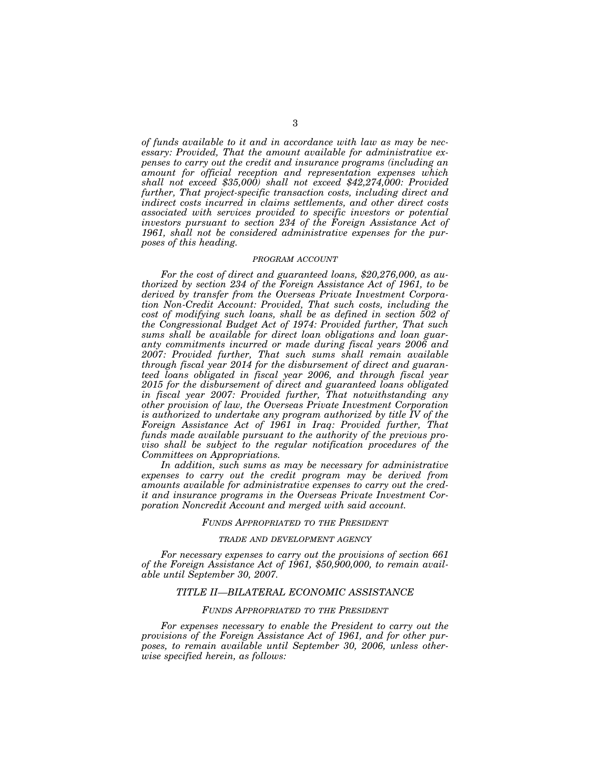*of funds available to it and in accordance with law as may be necessary: Provided, That the amount available for administrative expenses to carry out the credit and insurance programs (including an amount for official reception and representation expenses which shall not exceed \$35,000) shall not exceed \$42,274,000: Provided further, That project-specific transaction costs, including direct and indirect costs incurred in claims settlements, and other direct costs associated with services provided to specific investors or potential investors pursuant to section 234 of the Foreign Assistance Act of 1961, shall not be considered administrative expenses for the purposes of this heading.* 

### *PROGRAM ACCOUNT*

*For the cost of direct and guaranteed loans, \$20,276,000, as authorized by section 234 of the Foreign Assistance Act of 1961, to be derived by transfer from the Overseas Private Investment Corporation Non-Credit Account: Provided, That such costs, including the cost of modifying such loans, shall be as defined in section 502 of the Congressional Budget Act of 1974: Provided further, That such sums shall be available for direct loan obligations and loan guaranty commitments incurred or made during fiscal years 2006 and 2007: Provided further, That such sums shall remain available through fiscal year 2014 for the disbursement of direct and guaranteed loans obligated in fiscal year 2006, and through fiscal year 2015 for the disbursement of direct and guaranteed loans obligated in fiscal year 2007: Provided further, That notwithstanding any other provision of law, the Overseas Private Investment Corporation is authorized to undertake any program authorized by title IV of the Foreign Assistance Act of 1961 in Iraq: Provided further, That funds made available pursuant to the authority of the previous proviso shall be subject to the regular notification procedures of the Committees on Appropriations.* 

In addition, such sums as may be necessary for administrative *expenses to carry out the credit program may be derived from amounts available for administrative expenses to carry out the credit and insurance programs in the Overseas Private Investment Corporation Noncredit Account and merged with said account.* 

## *FUNDS APPROPRIATED TO THE PRESIDENT*

#### *TRADE AND DEVELOPMENT AGENCY*

*For necessary expenses to carry out the provisions of section 661 of the Foreign Assistance Act of 1961, \$50,900,000, to remain available until September 30, 2007.* 

## *TITLE II—BILATERAL ECONOMIC ASSISTANCE*

### *FUNDS APPROPRIATED TO THE PRESIDENT*

*For expenses necessary to enable the President to carry out the provisions of the Foreign Assistance Act of 1961, and for other purposes, to remain available until September 30, 2006, unless otherwise specified herein, as follows:*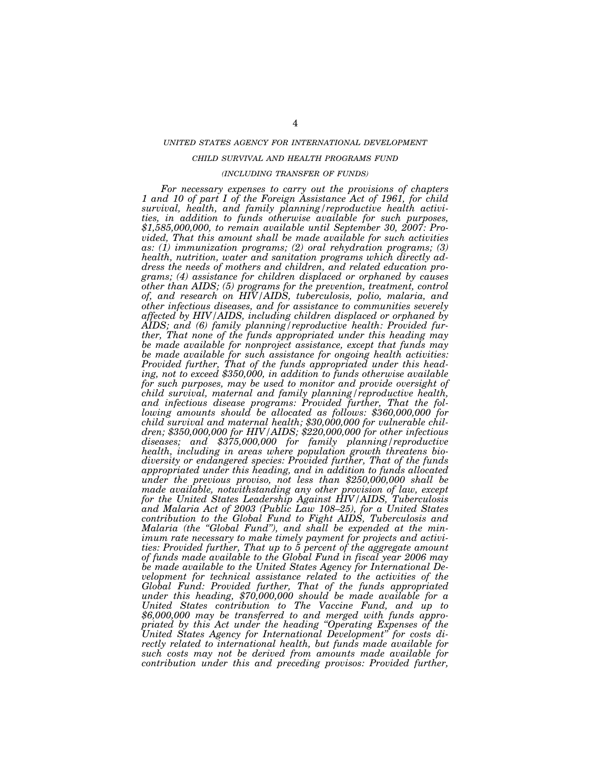### *UNITED STATES AGENCY FOR INTERNATIONAL DEVELOPMENT*

## *CHILD SURVIVAL AND HEALTH PROGRAMS FUND*

### *(INCLUDING TRANSFER OF FUNDS)*

*For necessary expenses to carry out the provisions of chapters 1 and 10 of part I of the Foreign Assistance Act of 1961, for child survival, health, and family planning/reproductive health activities, in addition to funds otherwise available for such purposes, \$1,585,000,000, to remain available until September 30, 2007: Provided, That this amount shall be made available for such activities as: (1) immunization programs; (2) oral rehydration programs; (3) health, nutrition, water and sanitation programs which directly address the needs of mothers and children, and related education programs; (4) assistance for children displaced or orphaned by causes other than AIDS; (5) programs for the prevention, treatment, control of, and research on HIV/AIDS, tuberculosis, polio, malaria, and other infectious diseases, and for assistance to communities severely affected by HIV/AIDS, including children displaced or orphaned by AIDS; and (6) family planning/reproductive health: Provided further, That none of the funds appropriated under this heading may be made available for nonproject assistance, except that funds may be made available for such assistance for ongoing health activities: Provided further, That of the funds appropriated under this heading, not to exceed \$350,000, in addition to funds otherwise available for such purposes, may be used to monitor and provide oversight of child survival, maternal and family planning/reproductive health, and infectious disease programs: Provided further, That the following amounts should be allocated as follows: \$360,000,000 for child survival and maternal health; \$30,000,000 for vulnerable children; \$350,000,000 for HIV/AIDS; \$220,000,000 for other infectious diseases; and \$375,000,000 for family planning/reproductive health, including in areas where population growth threatens biodiversity or endangered species: Provided further, That of the funds appropriated under this heading, and in addition to funds allocated under the previous proviso, not less than \$250,000,000 shall be made available, notwithstanding any other provision of law, except for the United States Leadership Against HIV/AIDS, Tuberculosis and Malaria Act of 2003 (Public Law 108–25), for a United States contribution to the Global Fund to Fight AIDS, Tuberculosis and Malaria (the ''Global Fund''), and shall be expended at the minimum rate necessary to make timely payment for projects and activities: Provided further, That up to 5 percent of the aggregate amount of funds made available to the Global Fund in fiscal year 2006 may be made available to the United States Agency for International Development for technical assistance related to the activities of the Global Fund: Provided further, That of the funds appropriated under this heading, \$70,000,000 should be made available for a United States contribution to The Vaccine Fund, and up to \$6,000,000 may be transferred to and merged with funds appropriated by this Act under the heading ''Operating Expenses of the United States Agency for International Development'' for costs directly related to international health, but funds made available for such costs may not be derived from amounts made available for contribution under this and preceding provisos: Provided further,*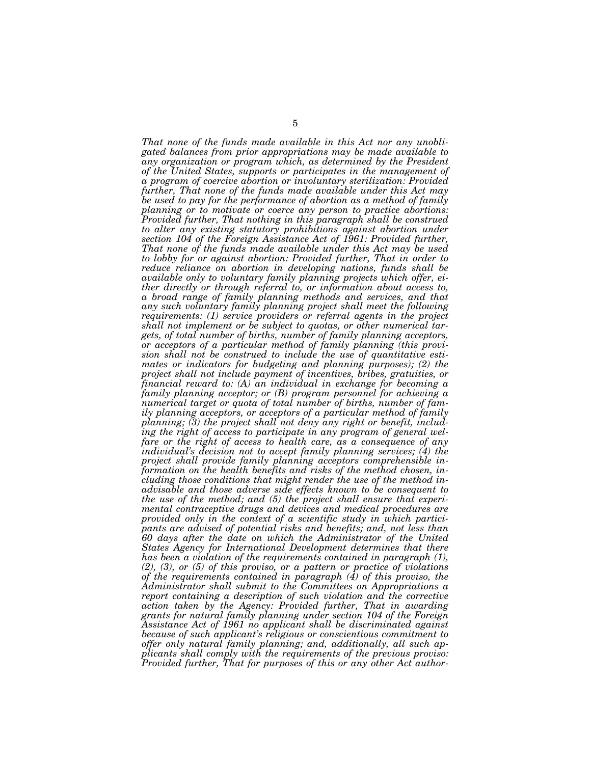*That none of the funds made available in this Act nor any unobligated balances from prior appropriations may be made available to any organization or program which, as determined by the President of the United States, supports or participates in the management of a program of coercive abortion or involuntary sterilization: Provided further, That none of the funds made available under this Act may be used to pay for the performance of abortion as a method of family planning or to motivate or coerce any person to practice abortions: Provided further, That nothing in this paragraph shall be construed*  to alter any existing statutory prohibitions against abortion under *section 104 of the Foreign Assistance Act of 1961: Provided further, That none of the funds made available under this Act may be used to lobby for or against abortion: Provided further, That in order to reduce reliance on abortion in developing nations, funds shall be available only to voluntary family planning projects which offer, either directly or through referral to, or information about access to, a broad range of family planning methods and services, and that any such voluntary family planning project shall meet the following requirements: (1) service providers or referral agents in the project shall not implement or be subject to quotas, or other numerical targets, of total number of births, number of family planning acceptors, or acceptors of a particular method of family planning (this provision shall not be construed to include the use of quantitative estimates or indicators for budgeting and planning purposes); (2) the project shall not include payment of incentives, bribes, gratuities, or financial reward to: (A) an individual in exchange for becoming a family planning acceptor; or (B) program personnel for achieving a numerical target or quota of total number of births, number of family planning acceptors, or acceptors of a particular method of family planning; (3) the project shall not deny any right or benefit, including the right of access to participate in any program of general welfare or the right of access to health care, as a consequence of any individual's decision not to accept family planning services; (4) the project shall provide family planning acceptors comprehensible information on the health benefits and risks of the method chosen, including those conditions that might render the use of the method inadvisable and those adverse side effects known to be consequent to the use of the method; and (5) the project shall ensure that experimental contraceptive drugs and devices and medical procedures are provided only in the context of a scientific study in which participants are advised of potential risks and benefits; and, not less than 60 days after the date on which the Administrator of the United States Agency for International Development determines that there has been a violation of the requirements contained in paragraph (1), (2), (3), or (5) of this proviso, or a pattern or practice of violations of the requirements contained in paragraph (4) of this proviso, the Administrator shall submit to the Committees on Appropriations a report containing a description of such violation and the corrective action taken by the Agency: Provided further, That in awarding grants for natural family planning under section 104 of the Foreign Assistance Act of 1961 no applicant shall be discriminated against because of such applicant's religious or conscientious commitment to offer only natural family planning; and, additionally, all such applicants shall comply with the requirements of the previous proviso: Provided further, That for purposes of this or any other Act author-*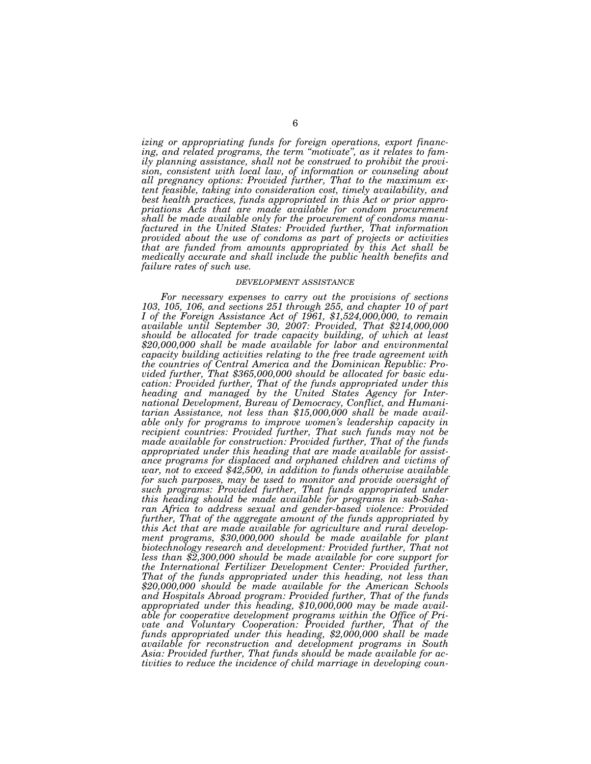*izing or appropriating funds for foreign operations, export financing, and related programs, the term ''motivate'', as it relates to family planning assistance, shall not be construed to prohibit the provision, consistent with local law, of information or counseling about all pregnancy options: Provided further, That to the maximum extent feasible, taking into consideration cost, timely availability, and best health practices, funds appropriated in this Act or prior appropriations Acts that are made available for condom procurement shall be made available only for the procurement of condoms manufactured in the United States: Provided further, That information provided about the use of condoms as part of projects or activities that are funded from amounts appropriated by this Act shall be medically accurate and shall include the public health benefits and failure rates of such use.* 

#### *DEVELOPMENT ASSISTANCE*

*For necessary expenses to carry out the provisions of sections 103, 105, 106, and sections 251 through 255, and chapter 10 of part I of the Foreign Assistance Act of 1961, \$1,524,000,000, to remain available until September 30, 2007: Provided, That \$214,000,000 should be allocated for trade capacity building, of which at least \$20,000,000 shall be made available for labor and environmental capacity building activities relating to the free trade agreement with the countries of Central America and the Dominican Republic: Provided further, That \$365,000,000 should be allocated for basic education: Provided further, That of the funds appropriated under this heading and managed by the United States Agency for International Development, Bureau of Democracy, Conflict, and Humanitarian Assistance, not less than \$15,000,000 shall be made available only for programs to improve women's leadership capacity in recipient countries: Provided further, That such funds may not be made available for construction: Provided further, That of the funds appropriated under this heading that are made available for assistance programs for displaced and orphaned children and victims of war, not to exceed \$42,500, in addition to funds otherwise available for such purposes, may be used to monitor and provide oversight of*  such programs: Provided further, That funds appropriated under *this heading should be made available for programs in sub-Saharan Africa to address sexual and gender-based violence: Provided further, That of the aggregate amount of the funds appropriated by this Act that are made available for agriculture and rural development programs, \$30,000,000 should be made available for plant biotechnology research and development: Provided further, That not less than \$2,300,000 should be made available for core support for the International Fertilizer Development Center: Provided further, That of the funds appropriated under this heading, not less than \$20,000,000 should be made available for the American Schools and Hospitals Abroad program: Provided further, That of the funds appropriated under this heading, \$10,000,000 may be made available for cooperative development programs within the Office of Private and Voluntary Cooperation: Provided further, That of the funds appropriated under this heading, \$2,000,000 shall be made available for reconstruction and development programs in South Asia: Provided further, That funds should be made available for activities to reduce the incidence of child marriage in developing coun-*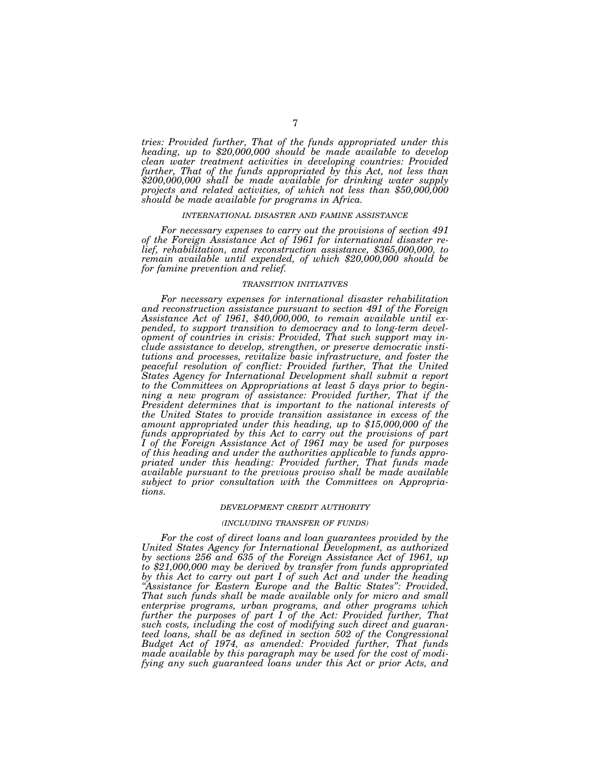*tries: Provided further, That of the funds appropriated under this heading, up to \$20,000,000 should be made available to develop clean water treatment activities in developing countries: Provided further, That of the funds appropriated by this Act, not less than \$200,000,000 shall be made available for drinking water supply projects and related activities, of which not less than \$50,000,000 should be made available for programs in Africa.* 

#### *INTERNATIONAL DISASTER AND FAMINE ASSISTANCE*

*For necessary expenses to carry out the provisions of section 491 of the Foreign Assistance Act of 1961 for international disaster relief, rehabilitation, and reconstruction assistance, \$365,000,000, to remain available until expended, of which \$20,000,000 should be for famine prevention and relief.* 

#### *TRANSITION INITIATIVES*

*For necessary expenses for international disaster rehabilitation and reconstruction assistance pursuant to section 491 of the Foreign Assistance Act of 1961, \$40,000,000, to remain available until expended, to support transition to democracy and to long-term development of countries in crisis: Provided, That such support may include assistance to develop, strengthen, or preserve democratic institutions and processes, revitalize basic infrastructure, and foster the peaceful resolution of conflict: Provided further, That the United States Agency for International Development shall submit a report to the Committees on Appropriations at least 5 days prior to beginning a new program of assistance: Provided further, That if the President determines that is important to the national interests of the United States to provide transition assistance in excess of the amount appropriated under this heading, up to \$15,000,000 of the funds appropriated by this Act to carry out the provisions of part I of the Foreign Assistance Act of 1961 may be used for purposes of this heading and under the authorities applicable to funds appropriated under this heading: Provided further, That funds made available pursuant to the previous proviso shall be made available subject to prior consultation with the Committees on Appropriations.* 

#### *DEVELOPMENT CREDIT AUTHORITY*

#### *(INCLUDING TRANSFER OF FUNDS)*

*For the cost of direct loans and loan guarantees provided by the United States Agency for International Development, as authorized by sections 256 and 635 of the Foreign Assistance Act of 1961, up to \$21,000,000 may be derived by transfer from funds appropriated by this Act to carry out part I of such Act and under the heading ''Assistance for Eastern Europe and the Baltic States'': Provided, That such funds shall be made available only for micro and small enterprise programs, urban programs, and other programs which further the purposes of part I of the Act: Provided further, That such costs, including the cost of modifying such direct and guaranteed loans, shall be as defined in section 502 of the Congressional Budget Act of 1974, as amended: Provided further, That funds made available by this paragraph may be used for the cost of modifying any such guaranteed loans under this Act or prior Acts, and*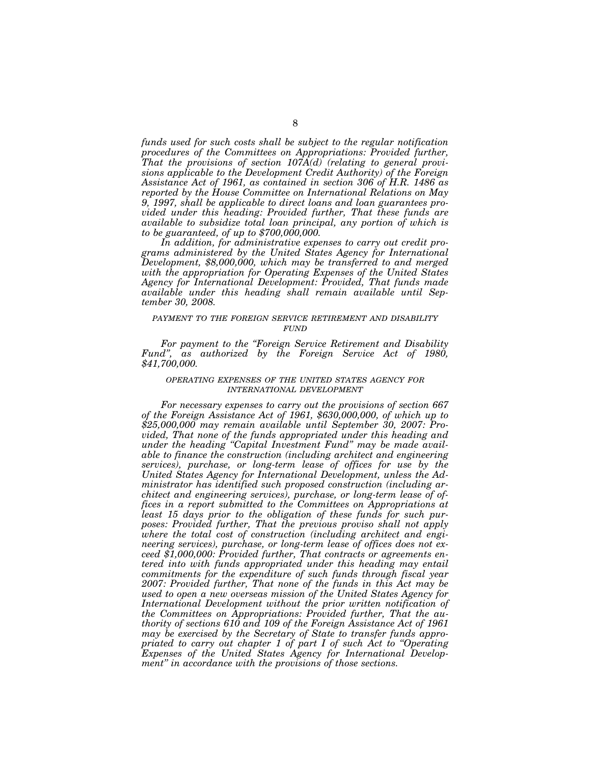*funds used for such costs shall be subject to the regular notification procedures of the Committees on Appropriations: Provided further, That the provisions of section 107A(d) (relating to general provisions applicable to the Development Credit Authority) of the Foreign Assistance Act of 1961, as contained in section 306 of H.R. 1486 as reported by the House Committee on International Relations on May 9, 1997, shall be applicable to direct loans and loan guarantees provided under this heading: Provided further, That these funds are available to subsidize total loan principal, any portion of which is to be guaranteed, of up to \$700,000,000.* 

*In addition, for administrative expenses to carry out credit programs administered by the United States Agency for International Development, \$8,000,000, which may be transferred to and merged with the appropriation for Operating Expenses of the United States Agency for International Development: Provided, That funds made available under this heading shall remain available until September 30, 2008.* 

## *PAYMENT TO THE FOREIGN SERVICE RETIREMENT AND DISABILITY FUND*

*For payment to the ''Foreign Service Retirement and Disability Fund'', as authorized by the Foreign Service Act of 1980, \$41,700,000.* 

### *OPERATING EXPENSES OF THE UNITED STATES AGENCY FOR INTERNATIONAL DEVELOPMENT*

*For necessary expenses to carry out the provisions of section 667 of the Foreign Assistance Act of 1961, \$630,000,000, of which up to \$25,000,000 may remain available until September 30, 2007: Provided, That none of the funds appropriated under this heading and under the heading ''Capital Investment Fund'' may be made available to finance the construction (including architect and engineering services), purchase, or long-term lease of offices for use by the United States Agency for International Development, unless the Administrator has identified such proposed construction (including architect and engineering services), purchase, or long-term lease of offices in a report submitted to the Committees on Appropriations at least 15 days prior to the obligation of these funds for such purposes: Provided further, That the previous proviso shall not apply where the total cost of construction (including architect and engineering services), purchase, or long-term lease of offices does not exceed \$1,000,000: Provided further, That contracts or agreements entered into with funds appropriated under this heading may entail commitments for the expenditure of such funds through fiscal year 2007: Provided further, That none of the funds in this Act may be used to open a new overseas mission of the United States Agency for International Development without the prior written notification of the Committees on Appropriations: Provided further, That the authority of sections 610 and 109 of the Foreign Assistance Act of 1961 may be exercised by the Secretary of State to transfer funds appropriated to carry out chapter 1 of part I of such Act to ''Operating Expenses of the United States Agency for International Development'' in accordance with the provisions of those sections.*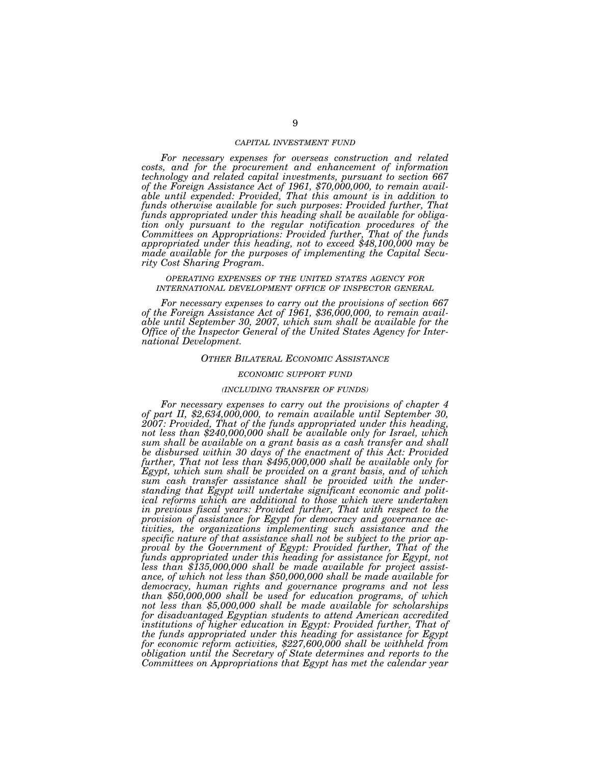### *CAPITAL INVESTMENT FUND*

*For necessary expenses for overseas construction and related costs, and for the procurement and enhancement of information technology and related capital investments, pursuant to section 667 of the Foreign Assistance Act of 1961, \$70,000,000, to remain available until expended: Provided, That this amount is in addition to funds otherwise available for such purposes: Provided further, That funds appropriated under this heading shall be available for obligation only pursuant to the regular notification procedures of the Committees on Appropriations: Provided further, That of the funds appropriated under this heading, not to exceed \$48,100,000 may be made available for the purposes of implementing the Capital Security Cost Sharing Program.* 

## *OPERATING EXPENSES OF THE UNITED STATES AGENCY FOR INTERNATIONAL DEVELOPMENT OFFICE OF INSPECTOR GENERAL*

*For necessary expenses to carry out the provisions of section 667 of the Foreign Assistance Act of 1961, \$36,000,000, to remain available until September 30, 2007, which sum shall be available for the Office of the Inspector General of the United States Agency for International Development.* 

#### *OTHER BILATERAL ECONOMIC ASSISTANCE*

### *ECONOMIC SUPPORT FUND*

### *(INCLUDING TRANSFER OF FUNDS)*

*For necessary expenses to carry out the provisions of chapter 4 of part II, \$2,634,000,000, to remain available until September 30, 2007: Provided, That of the funds appropriated under this heading, not less than \$240,000,000 shall be available only for Israel, which sum shall be available on a grant basis as a cash transfer and shall be disbursed within 30 days of the enactment of this Act: Provided further, That not less than \$495,000,000 shall be available only for Egypt, which sum shall be provided on a grant basis, and of which sum cash transfer assistance shall be provided with the understanding that Egypt will undertake significant economic and political reforms which are additional to those which were undertaken in previous fiscal years: Provided further, That with respect to the provision of assistance for Egypt for democracy and governance activities, the organizations implementing such assistance and the specific nature of that assistance shall not be subject to the prior approval by the Government of Egypt: Provided further, That of the funds appropriated under this heading for assistance for Egypt, not less than \$135,000,000 shall be made available for project assistance, of which not less than \$50,000,000 shall be made available for democracy, human rights and governance programs and not less than \$50,000,000 shall be used for education programs, of which not less than \$5,000,000 shall be made available for scholarships for disadvantaged Egyptian students to attend American accredited*  institutions of higher education in Egypt: Provided further, That of *the funds appropriated under this heading for assistance for Egypt for economic reform activities, \$227,600,000 shall be withheld from obligation until the Secretary of State determines and reports to the Committees on Appropriations that Egypt has met the calendar year*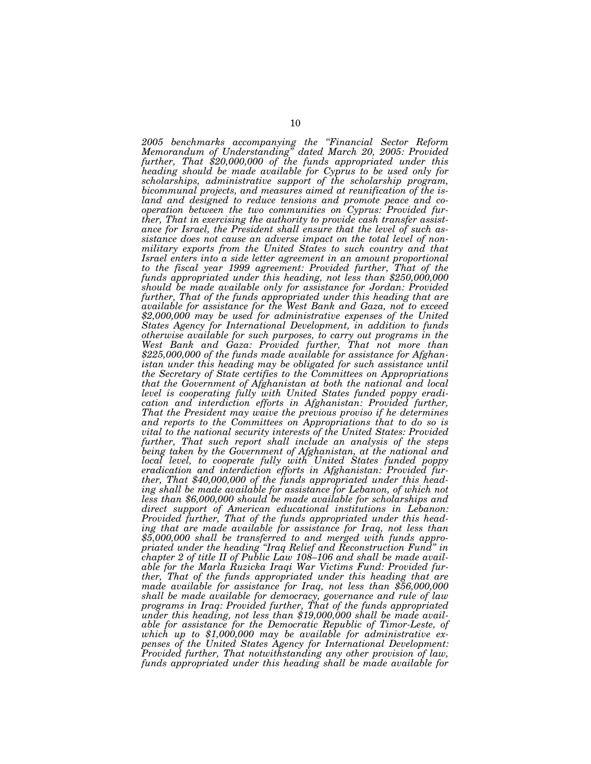*2005 benchmarks accompanying the ''Financial Sector Reform Memorandum of Understanding'' dated March 20, 2005: Provided further, That \$20,000,000 of the funds appropriated under this heading should be made available for Cyprus to be used only for scholarships, administrative support of the scholarship program, bicommunal projects, and measures aimed at reunification of the island and designed to reduce tensions and promote peace and cooperation between the two communities on Cyprus: Provided further, That in exercising the authority to provide cash transfer assistance for Israel, the President shall ensure that the level of such assistance does not cause an adverse impact on the total level of nonmilitary exports from the United States to such country and that Israel enters into a side letter agreement in an amount proportional to the fiscal year 1999 agreement: Provided further, That of the funds appropriated under this heading, not less than \$250,000,000 should be made available only for assistance for Jordan: Provided*  further, That of the funds appropriated under this heading that are *available for assistance for the West Bank and Gaza, not to exceed \$2,000,000 may be used for administrative expenses of the United States Agency for International Development, in addition to funds otherwise available for such purposes, to carry out programs in the West Bank and Gaza: Provided further, That not more than \$225,000,000 of the funds made available for assistance for Afghanistan under this heading may be obligated for such assistance until the Secretary of State certifies to the Committees on Appropriations that the Government of Afghanistan at both the national and local level is cooperating fully with United States funded poppy eradication and interdiction efforts in Afghanistan: Provided further, That the President may waive the previous proviso if he determines and reports to the Committees on Appropriations that to do so is vital to the national security interests of the United States: Provided further, That such report shall include an analysis of the steps being taken by the Government of Afghanistan, at the national and local level, to cooperate fully with United States funded poppy eradication and interdiction efforts in Afghanistan: Provided further, That \$40,000,000 of the funds appropriated under this head*ing shall be made available for assistance for Lebanon, of which not *less than \$6,000,000 should be made available for scholarships and direct support of American educational institutions in Lebanon: Provided further, That of the funds appropriated under this heading that are made available for assistance for Iraq, not less than \$5,000,000 shall be transferred to and merged with funds appropriated under the heading ''Iraq Relief and Reconstruction Fund'' in chapter 2 of title II of Public Law 108–106 and shall be made available for the Marla Ruzicka Iraqi War Victims Fund: Provided further, That of the funds appropriated under this heading that are made available for assistance for Iraq, not less than \$56,000,000 shall be made available for democracy, governance and rule of law programs in Iraq: Provided further, That of the funds appropriated*  under this heading, not less than \$19,000,000 shall be made avail*able for assistance for the Democratic Republic of Timor-Leste, of which up to \$1,000,000 may be available for administrative expenses of the United States Agency for International Development: Provided further, That notwithstanding any other provision of law, funds appropriated under this heading shall be made available for*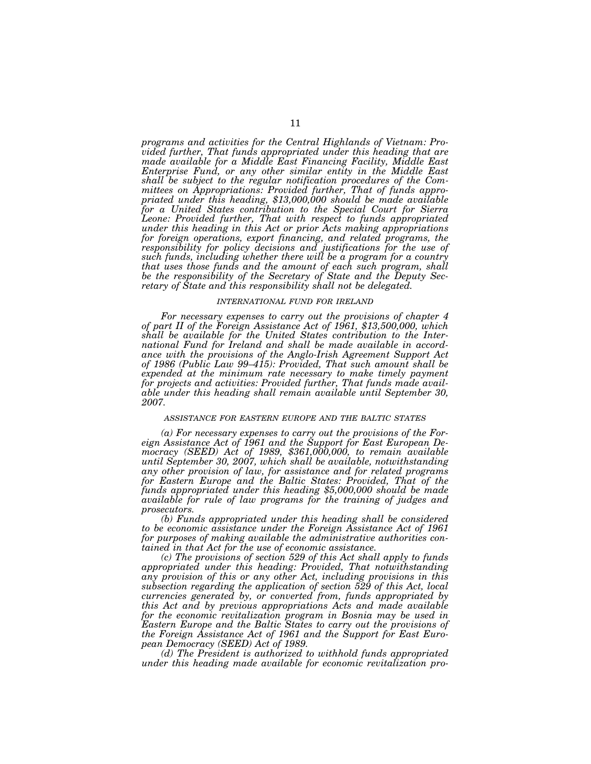*programs and activities for the Central Highlands of Vietnam: Provided further, That funds appropriated under this heading that are made available for a Middle East Financing Facility, Middle East Enterprise Fund, or any other similar entity in the Middle East shall be subject to the regular notification procedures of the Committees on Appropriations: Provided further, That of funds appropriated under this heading, \$13,000,000 should be made available for a United States contribution to the Special Court for Sierra*  Leone: Provided further, That with respect to funds appropriated *under this heading in this Act or prior Acts making appropriations for foreign operations, export financing, and related programs, the responsibility for policy decisions and justifications for the use of such funds, including whether there will be a program for a country that uses those funds and the amount of each such program, shall be the responsibility of the Secretary of State and the Deputy Secretary of State and this responsibility shall not be delegated.* 

### *INTERNATIONAL FUND FOR IRELAND*

*For necessary expenses to carry out the provisions of chapter 4 of part II of the Foreign Assistance Act of 1961, \$13,500,000, which shall be available for the United States contribution to the International Fund for Ireland and shall be made available in accordance with the provisions of the Anglo-Irish Agreement Support Act of 1986 (Public Law 99–415): Provided, That such amount shall be expended at the minimum rate necessary to make timely payment for projects and activities: Provided further, That funds made available under this heading shall remain available until September 30, 2007.* 

### *ASSISTANCE FOR EASTERN EUROPE AND THE BALTIC STATES*

*(a) For necessary expenses to carry out the provisions of the Foreign Assistance Act of 1961 and the Support for East European Democracy (SEED) Act of 1989, \$361,000,000, to remain available until September 30, 2007, which shall be available, notwithstanding any other provision of law, for assistance and for related programs for Eastern Europe and the Baltic States: Provided, That of the funds appropriated under this heading \$5,000,000 should be made available for rule of law programs for the training of judges and prosecutors.* 

*(b) Funds appropriated under this heading shall be considered to be economic assistance under the Foreign Assistance Act of 1961 for purposes of making available the administrative authorities contained in that Act for the use of economic assistance.* 

*(c) The provisions of section 529 of this Act shall apply to funds appropriated under this heading: Provided, That notwithstanding any provision of this or any other Act, including provisions in this subsection regarding the application of section 529 of this Act, local currencies generated by, or converted from, funds appropriated by this Act and by previous appropriations Acts and made available for the economic revitalization program in Bosnia may be used in Eastern Europe and the Baltic States to carry out the provisions of the Foreign Assistance Act of 1961 and the Support for East European Democracy (SEED) Act of 1989.* 

*(d) The President is authorized to withhold funds appropriated under this heading made available for economic revitalization pro-*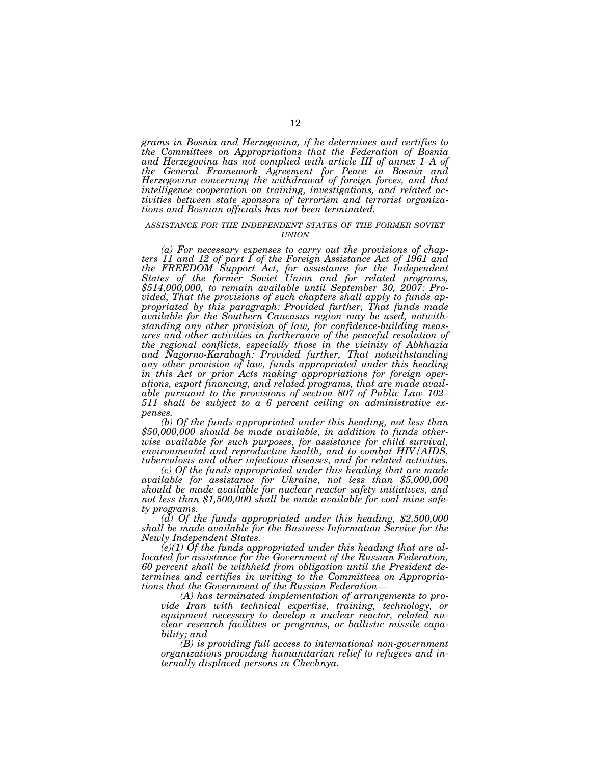*grams in Bosnia and Herzegovina, if he determines and certifies to the Committees on Appropriations that the Federation of Bosnia and Herzegovina has not complied with article III of annex 1–A of the General Framework Agreement for Peace in Bosnia and Herzegovina concerning the withdrawal of foreign forces, and that intelligence cooperation on training, investigations, and related activities between state sponsors of terrorism and terrorist organizations and Bosnian officials has not been terminated.* 

### *ASSISTANCE FOR THE INDEPENDENT STATES OF THE FORMER SOVIET UNION*

*(a) For necessary expenses to carry out the provisions of chapters 11 and 12 of part I of the Foreign Assistance Act of 1961 and the FREEDOM Support Act, for assistance for the Independent States of the former Soviet Union and for related programs, \$514,000,000, to remain available until September 30, 2007: Provided, That the provisions of such chapters shall apply to funds appropriated by this paragraph: Provided further, That funds made available for the Southern Caucasus region may be used, notwithstanding any other provision of law, for confidence-building measures and other activities in furtherance of the peaceful resolution of the regional conflicts, especially those in the vicinity of Abkhazia and Nagorno-Karabagh: Provided further, That notwithstanding any other provision of law, funds appropriated under this heading in this Act or prior Acts making appropriations for foreign operations, export financing, and related programs, that are made available pursuant to the provisions of section 807 of Public Law 102– 511 shall be subject to a 6 percent ceiling on administrative expenses.* 

*(b) Of the funds appropriated under this heading, not less than \$50,000,000 should be made available, in addition to funds otherwise available for such purposes, for assistance for child survival, environmental and reproductive health, and to combat HIV/AIDS, tuberculosis and other infectious diseases, and for related activities.* 

*(c) Of the funds appropriated under this heading that are made available for assistance for Ukraine, not less than \$5,000,000 should be made available for nuclear reactor safety initiatives, and not less than \$1,500,000 shall be made available for coal mine safe-*

*(d)* Of the funds appropriated under this heading, \$2,500,000 *shall be made available for the Business Information Service for the Newly Independent States.* 

*(e)(1) Of the funds appropriated under this heading that are allocated for assistance for the Government of the Russian Federation, 60 percent shall be withheld from obligation until the President determines and certifies in writing to the Committees on Appropriations that the Government of the Russian Federation—*

*(A) has terminated implementation of arrangements to provide Iran with technical expertise, training, technology, or equipment necessary to develop a nuclear reactor, related nuclear research facilities or programs, or ballistic missile capability; and* 

*(B) is providing full access to international non-government organizations providing humanitarian relief to refugees and internally displaced persons in Chechnya.*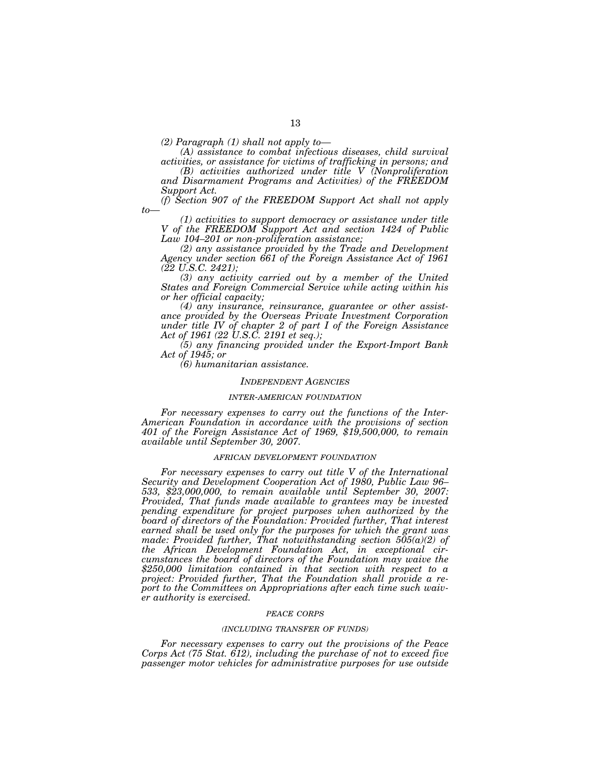*(2) Paragraph (1) shall not apply to— (A) assistance to combat infectious diseases, child survival activities, or assistance for victims of trafficking in persons; and* 

*(B) activities authorized under title V (Nonproliferation and Disarmament Programs and Activities) of the FREEDOM Support Act.* 

*(f) Section 907 of the FREEDOM Support Act shall not apply* 

*to— (1) activities to support democracy or assistance under title V of the FREEDOM Support Act and section 1424 of Public Law 104–201 or non-proliferation assistance;* 

*(2) any assistance provided by the Trade and Development Agency under section 661 of the Foreign Assistance Act of 1961 (22 U.S.C. 2421);* 

*(3) any activity carried out by a member of the United States and Foreign Commercial Service while acting within his or her official capacity;* 

*(4) any insurance, reinsurance, guarantee or other assistance provided by the Overseas Private Investment Corporation under title IV of chapter 2 of part I of the Foreign Assistance Act of 1961 (22 U.S.C. 2191 et seq.);* 

*(5) any financing provided under the Export-Import Bank Act of 1945; or* 

*(6) humanitarian assistance.* 

#### *INDEPENDENT AGENCIES*

## *INTER-AMERICAN FOUNDATION*

*For necessary expenses to carry out the functions of the Inter-American Foundation in accordance with the provisions of section 401 of the Foreign Assistance Act of 1969, \$19,500,000, to remain available until September 30, 2007.* 

#### *AFRICAN DEVELOPMENT FOUNDATION*

*For necessary expenses to carry out title V of the International Security and Development Cooperation Act of 1980, Public Law 96– 533, \$23,000,000, to remain available until September 30, 2007: Provided, That funds made available to grantees may be invested pending expenditure for project purposes when authorized by the board of directors of the Foundation: Provided further, That interest earned shall be used only for the purposes for which the grant was made: Provided further, That notwithstanding section 505(a)(2) of the African Development Foundation Act, in exceptional circumstances the board of directors of the Foundation may waive the \$250,000 limitation contained in that section with respect to a project: Provided further, That the Foundation shall provide a report to the Committees on Appropriations after each time such waiver authority is exercised.* 

#### *PEACE CORPS*

#### *(INCLUDING TRANSFER OF FUNDS)*

*For necessary expenses to carry out the provisions of the Peace Corps Act (75 Stat. 612), including the purchase of not to exceed five passenger motor vehicles for administrative purposes for use outside*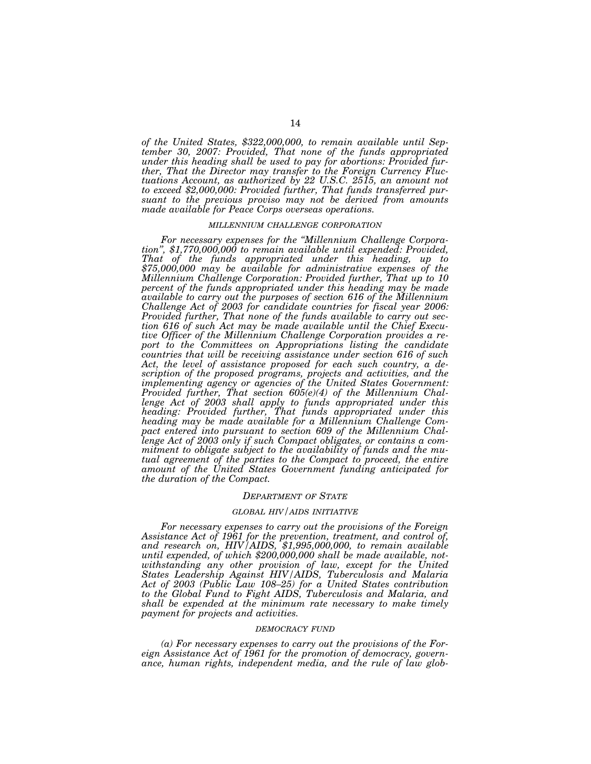*of the United States, \$322,000,000, to remain available until September 30, 2007: Provided, That none of the funds appropriated under this heading shall be used to pay for abortions: Provided further, That the Director may transfer to the Foreign Currency Fluctuations Account, as authorized by 22 U.S.C. 2515, an amount not to exceed \$2,000,000: Provided further, That funds transferred pursuant to the previous proviso may not be derived from amounts made available for Peace Corps overseas operations.* 

#### *MILLENNIUM CHALLENGE CORPORATION*

*For necessary expenses for the ''Millennium Challenge Corporation'', \$1,770,000,000 to remain available until expended: Provided, That of the funds appropriated under this heading, up to \$75,000,000 may be available for administrative expenses of the Millennium Challenge Corporation: Provided further, That up to 10 percent of the funds appropriated under this heading may be made available to carry out the purposes of section 616 of the Millennium Challenge Act of 2003 for candidate countries for fiscal year 2006: Provided further, That none of the funds available to carry out section 616 of such Act may be made available until the Chief Executive Officer of the Millennium Challenge Corporation provides a report to the Committees on Appropriations listing the candidate countries that will be receiving assistance under section 616 of such Act, the level of assistance proposed for each such country, a description of the proposed programs, projects and activities, and the implementing agency or agencies of the United States Government: Provided further, That section 605(e)(4) of the Millennium Challenge Act of 2003 shall apply to funds appropriated under this heading: Provided further, That funds appropriated under this heading may be made available for a Millennium Challenge Compact entered into pursuant to section 609 of the Millennium Challenge Act of 2003 only if such Compact obligates, or contains a commitment to obligate subject to the availability of funds and the mutual agreement of the parties to the Compact to proceed, the entire amount of the United States Government funding anticipated for the duration of the Compact.* 

#### *DEPARTMENT OF STATE*

#### *GLOBAL HIV/AIDS INITIATIVE*

*For necessary expenses to carry out the provisions of the Foreign Assistance Act of 1961 for the prevention, treatment, and control of, and research on, HIV/AIDS, \$1,995,000,000, to remain available until expended, of which \$200,000,000 shall be made available, notwithstanding any other provision of law, except for the United States Leadership Against HIV/AIDS, Tuberculosis and Malaria Act of 2003 (Public Law 108–25) for a United States contribution to the Global Fund to Fight AIDS, Tuberculosis and Malaria, and shall be expended at the minimum rate necessary to make timely payment for projects and activities.* 

#### *DEMOCRACY FUND*

*(a) For necessary expenses to carry out the provisions of the Foreign Assistance Act of 1961 for the promotion of democracy, governance, human rights, independent media, and the rule of law glob-*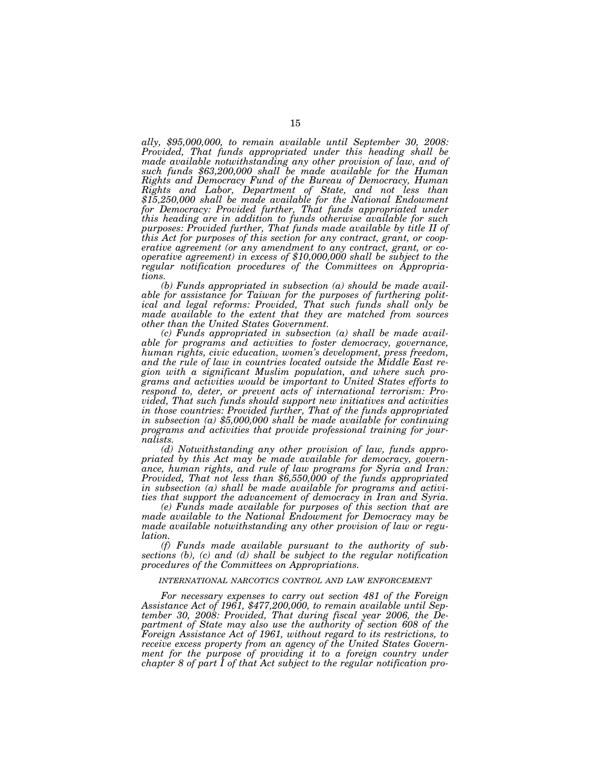*ally, \$95,000,000, to remain available until September 30, 2008: Provided, That funds appropriated under this heading shall be made available notwithstanding any other provision of law, and of such funds \$63,200,000 shall be made available for the Human Rights and Democracy Fund of the Bureau of Democracy, Human Rights and Labor, Department of State, and not less than \$15,250,000 shall be made available for the National Endowment for Democracy: Provided further, That funds appropriated under this heading are in addition to funds otherwise available for such purposes: Provided further, That funds made available by title II of this Act for purposes of this section for any contract, grant, or cooperative agreement (or any amendment to any contract, grant, or cooperative agreement) in excess of \$10,000,000 shall be subject to the regular notification procedures of the Committees on Appropriations.* 

*(b) Funds appropriated in subsection (a) should be made available for assistance for Taiwan for the purposes of furthering political and legal reforms: Provided, That such funds shall only be made available to the extent that they are matched from sources other than the United States Government.* 

*(c) Funds appropriated in subsection (a) shall be made available for programs and activities to foster democracy, governance, human rights, civic education, women's development, press freedom, and the rule of law in countries located outside the Middle East region with a significant Muslim population, and where such programs and activities would be important to United States efforts to respond to, deter, or prevent acts of international terrorism: Provided, That such funds should support new initiatives and activities in those countries: Provided further, That of the funds appropriated in subsection (a) \$5,000,000 shall be made available for continuing programs and activities that provide professional training for journalists.* 

*(d) Notwithstanding any other provision of law, funds appropriated by this Act may be made available for democracy, governance, human rights, and rule of law programs for Syria and Iran: Provided, That not less than \$6,550,000 of the funds appropriated in subsection (a) shall be made available for programs and activities that support the advancement of democracy in Iran and Syria.* 

*(e) Funds made available for purposes of this section that are made available to the National Endowment for Democracy may be made available notwithstanding any other provision of law or regulation.* 

*(f) Funds made available pursuant to the authority of subsections (b), (c) and (d) shall be subject to the regular notification procedures of the Committees on Appropriations.* 

### *INTERNATIONAL NARCOTICS CONTROL AND LAW ENFORCEMENT*

*For necessary expenses to carry out section 481 of the Foreign Assistance Act of 1961, \$477,200,000, to remain available until September 30, 2008: Provided, That during fiscal year 2006, the De*partment of State may also use the authority of section 608 of the *Foreign Assistance Act of 1961, without regard to its restrictions, to receive excess property from an agency of the United States Government for the purpose of providing it to a foreign country under chapter 8 of part I of that Act subject to the regular notification pro-*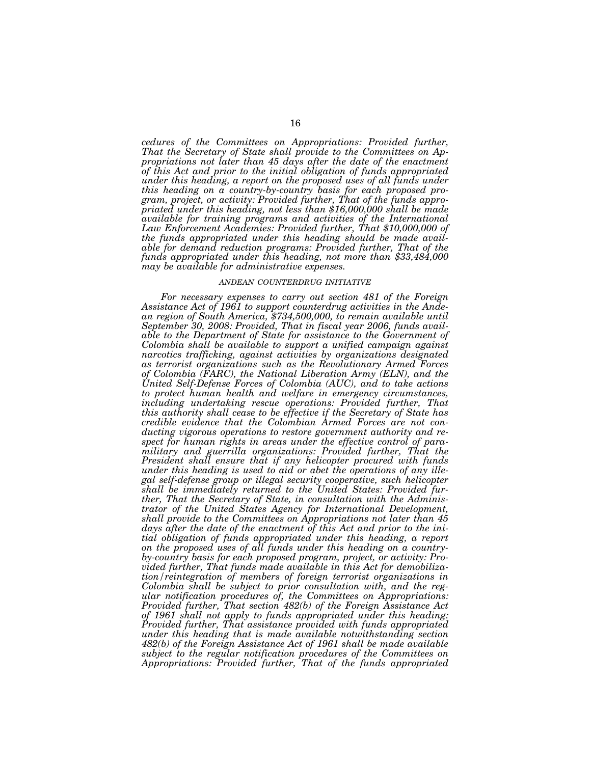*cedures of the Committees on Appropriations: Provided further, That the Secretary of State shall provide to the Committees on Appropriations not later than 45 days after the date of the enactment of this Act and prior to the initial obligation of funds appropriated under this heading, a report on the proposed uses of all funds under this heading on a country-by-country basis for each proposed program, project, or activity: Provided further, That of the funds appropriated under this heading, not less than \$16,000,000 shall be made available for training programs and activities of the International Law Enforcement Academies: Provided further, That \$10,000,000 of the funds appropriated under this heading should be made available for demand reduction programs: Provided further, That of the funds appropriated under this heading, not more than \$33,484,000 may be available for administrative expenses.* 

#### *ANDEAN COUNTERDRUG INITIATIVE*

*For necessary expenses to carry out section 481 of the Foreign Assistance Act of 1961 to support counterdrug activities in the Andean region of South America, \$734,500,000, to remain available until September 30, 2008: Provided, That in fiscal year 2006, funds available to the Department of State for assistance to the Government of Colombia shall be available to support a unified campaign against narcotics trafficking, against activities by organizations designated as terrorist organizations such as the Revolutionary Armed Forces of Colombia (FARC), the National Liberation Army (ELN), and the United Self-Defense Forces of Colombia (AUC), and to take actions to protect human health and welfare in emergency circumstances, including undertaking rescue operations: Provided further, That this authority shall cease to be effective if the Secretary of State has credible evidence that the Colombian Armed Forces are not conducting vigorous operations to restore government authority and respect for human rights in areas under the effective control of paramilitary and guerrilla organizations: Provided further, That the President shall ensure that if any helicopter procured with funds under this heading is used to aid or abet the operations of any illegal self-defense group or illegal security cooperative, such helicopter shall be immediately returned to the United States: Provided further, That the Secretary of State, in consultation with the Administrator of the United States Agency for International Development, shall provide to the Committees on Appropriations not later than 45 days after the date of the enactment of this Act and prior to the initial obligation of funds appropriated under this heading, a report on the proposed uses of all funds under this heading on a countryby-country basis for each proposed program, project, or activity: Provided further, That funds made available in this Act for demobilization/reintegration of members of foreign terrorist organizations in Colombia shall be subject to prior consultation with, and the regular notification procedures of, the Committees on Appropriations: Provided further, That section 482(b) of the Foreign Assistance Act of 1961 shall not apply to funds appropriated under this heading: Provided further, That assistance provided with funds appropriated under this heading that is made available notwithstanding section 482(b) of the Foreign Assistance Act of 1961 shall be made available subject to the regular notification procedures of the Committees on Appropriations: Provided further, That of the funds appropriated*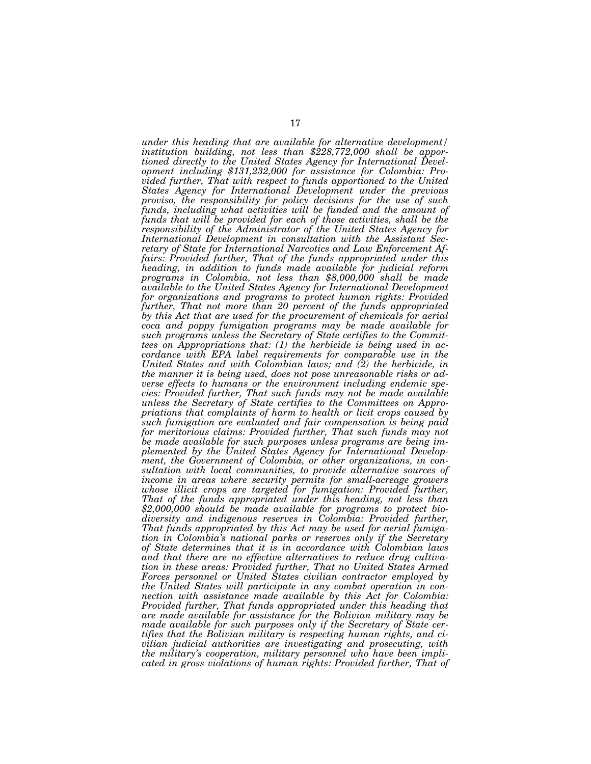*under this heading that are available for alternative development/ institution building, not less than \$228,772,000 shall be apportioned directly to the United States Agency for International Development including \$131,232,000 for assistance for Colombia: Provided further, That with respect to funds apportioned to the United States Agency for International Development under the previous proviso, the responsibility for policy decisions for the use of such*  funds, including what activities will be funded and the amount of *funds that will be provided for each of those activities, shall be the responsibility of the Administrator of the United States Agency for International Development in consultation with the Assistant Secretary of State for International Narcotics and Law Enforcement Affairs: Provided further, That of the funds appropriated under this heading, in addition to funds made available for judicial reform programs in Colombia, not less than \$8,000,000 shall be made available to the United States Agency for International Development for organizations and programs to protect human rights: Provided further, That not more than 20 percent of the funds appropriated by this Act that are used for the procurement of chemicals for aerial coca and poppy fumigation programs may be made available for such programs unless the Secretary of State certifies to the Committees on Appropriations that: (1) the herbicide is being used in accordance with EPA label requirements for comparable use in the United States and with Colombian laws; and (2) the herbicide, in the manner it is being used, does not pose unreasonable risks or adverse effects to humans or the environment including endemic species: Provided further, That such funds may not be made available unless the Secretary of State certifies to the Committees on Appropriations that complaints of harm to health or licit crops caused by such fumigation are evaluated and fair compensation is being paid for meritorious claims: Provided further, That such funds may not be made available for such purposes unless programs are being implemented by the United States Agency for International Development, the Government of Colombia, or other organizations, in consultation with local communities, to provide alternative sources of income in areas where security permits for small-acreage growers*  whose illicit crops are targeted for fumigation: Provided further, *That of the funds appropriated under this heading, not less than \$2,000,000 should be made available for programs to protect biodiversity and indigenous reserves in Colombia: Provided further, That funds appropriated by this Act may be used for aerial fumigation in Colombia's national parks or reserves only if the Secretary of State determines that it is in accordance with Colombian laws and that there are no effective alternatives to reduce drug cultivation in these areas: Provided further, That no United States Armed Forces personnel or United States civilian contractor employed by the United States will participate in any combat operation in connection with assistance made available by this Act for Colombia: Provided further, That funds appropriated under this heading that are made available for assistance for the Bolivian military may be made available for such purposes only if the Secretary of State certifies that the Bolivian military is respecting human rights, and civilian judicial authorities are investigating and prosecuting, with the military's cooperation, military personnel who have been implicated in gross violations of human rights: Provided further, That of*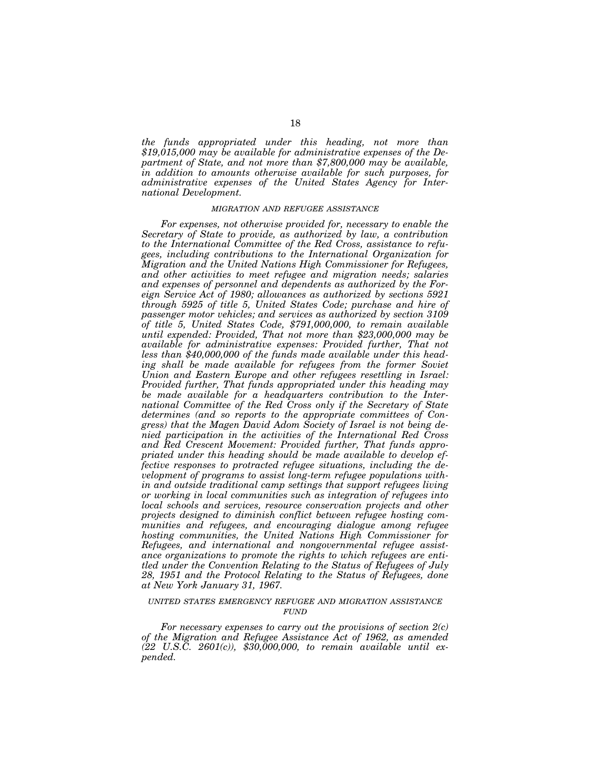*the funds appropriated under this heading, not more than \$19,015,000 may be available for administrative expenses of the Department of State, and not more than \$7,800,000 may be available, in addition to amounts otherwise available for such purposes, for administrative expenses of the United States Agency for International Development.* 

### *MIGRATION AND REFUGEE ASSISTANCE*

*For expenses, not otherwise provided for, necessary to enable the Secretary of State to provide, as authorized by law, a contribution to the International Committee of the Red Cross, assistance to refugees, including contributions to the International Organization for Migration and the United Nations High Commissioner for Refugees,*  and other activities to meet refugee and migration needs; salaries *and expenses of personnel and dependents as authorized by the Foreign Service Act of 1980; allowances as authorized by sections 5921 through 5925 of title 5, United States Code; purchase and hire of passenger motor vehicles; and services as authorized by section 3109 of title 5, United States Code, \$791,000,000, to remain available until expended: Provided, That not more than \$23,000,000 may be available for administrative expenses: Provided further, That not less than \$40,000,000 of the funds made available under this heading shall be made available for refugees from the former Soviet Union and Eastern Europe and other refugees resettling in Israel: Provided further, That funds appropriated under this heading may be made available for a headquarters contribution to the International Committee of the Red Cross only if the Secretary of State determines (and so reports to the appropriate committees of Congress) that the Magen David Adom Society of Israel is not being denied participation in the activities of the International Red Cross and Red Crescent Movement: Provided further, That funds appropriated under this heading should be made available to develop effective responses to protracted refugee situations, including the development of programs to assist long-term refugee populations within and outside traditional camp settings that support refugees living or working in local communities such as integration of refugees into local schools and services, resource conservation projects and other projects designed to diminish conflict between refugee hosting communities and refugees, and encouraging dialogue among refugee hosting communities, the United Nations High Commissioner for Refugees, and international and nongovernmental refugee assistance organizations to promote the rights to which refugees are entitled under the Convention Relating to the Status of Refugees of July 28, 1951 and the Protocol Relating to the Status of Refugees, done at New York January 31, 1967.* 

## *UNITED STATES EMERGENCY REFUGEE AND MIGRATION ASSISTANCE FUND*

*For necessary expenses to carry out the provisions of section 2(c) of the Migration and Refugee Assistance Act of 1962, as amended (22 U.S.C. 2601(c)), \$30,000,000, to remain available until expended.*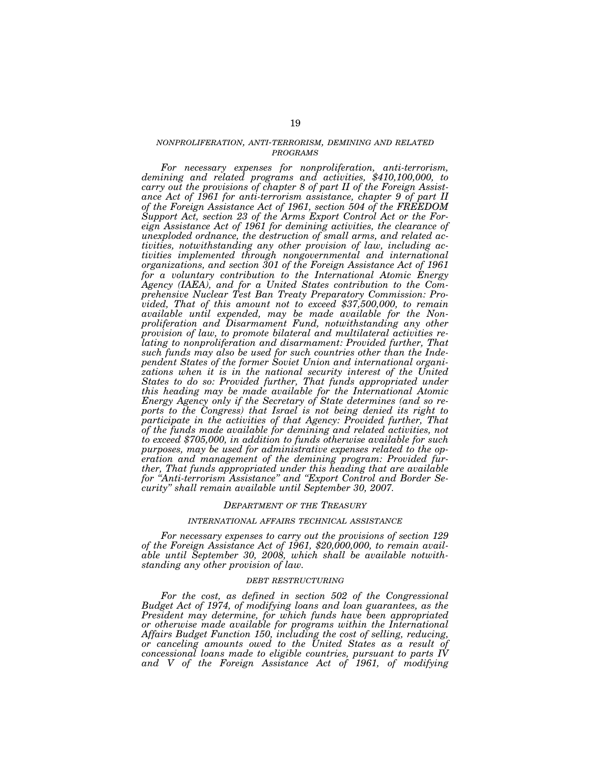## *NONPROLIFERATION, ANTI-TERRORISM, DEMINING AND RELATED PROGRAMS*

*For necessary expenses for nonproliferation, anti-terrorism, demining and related programs and activities, \$410,100,000, to carry out the provisions of chapter 8 of part II of the Foreign Assistance Act of 1961 for anti-terrorism assistance, chapter 9 of part II of the Foreign Assistance Act of 1961, section 504 of the FREEDOM Support Act, section 23 of the Arms Export Control Act or the Foreign Assistance Act of 1961 for demining activities, the clearance of unexploded ordnance, the destruction of small arms, and related activities, notwithstanding any other provision of law, including activities implemented through nongovernmental and international organizations, and section 301 of the Foreign Assistance Act of 1961 for a voluntary contribution to the International Atomic Energy Agency (IAEA), and for a United States contribution to the Comprehensive Nuclear Test Ban Treaty Preparatory Commission: Provided, That of this amount not to exceed \$37,500,000, to remain available until expended, may be made available for the Nonproliferation and Disarmament Fund, notwithstanding any other provision of law, to promote bilateral and multilateral activities relating to nonproliferation and disarmament: Provided further, That such funds may also be used for such countries other than the Independent States of the former Soviet Union and international organi*zations when it is in the national security interest of the United *States to do so: Provided further, That funds appropriated under this heading may be made available for the International Atomic Energy Agency only if the Secretary of State determines (and so reports to the Congress) that Israel is not being denied its right to*  participate in the activities of that Agency: Provided further, That *of the funds made available for demining and related activities, not to exceed \$705,000, in addition to funds otherwise available for such purposes, may be used for administrative expenses related to the operation and management of the demining program: Provided further, That funds appropriated under this heading that are available for ''Anti-terrorism Assistance'' and ''Export Control and Border Security'' shall remain available until September 30, 2007.* 

#### *DEPARTMENT OF THE TREASURY*

#### *INTERNATIONAL AFFAIRS TECHNICAL ASSISTANCE*

*For necessary expenses to carry out the provisions of section 129 of the Foreign Assistance Act of 1961, \$20,000,000, to remain available until September 30, 2008, which shall be available notwithstanding any other provision of law.* 

#### *DEBT RESTRUCTURING*

*For the cost, as defined in section 502 of the Congressional Budget Act of 1974, of modifying loans and loan guarantees, as the President may determine, for which funds have been appropriated or otherwise made available for programs within the International Affairs Budget Function 150, including the cost of selling, reducing, or canceling amounts owed to the United States as a result of concessional loans made to eligible countries, pursuant to parts IV and V of the Foreign Assistance Act of 1961, of modifying*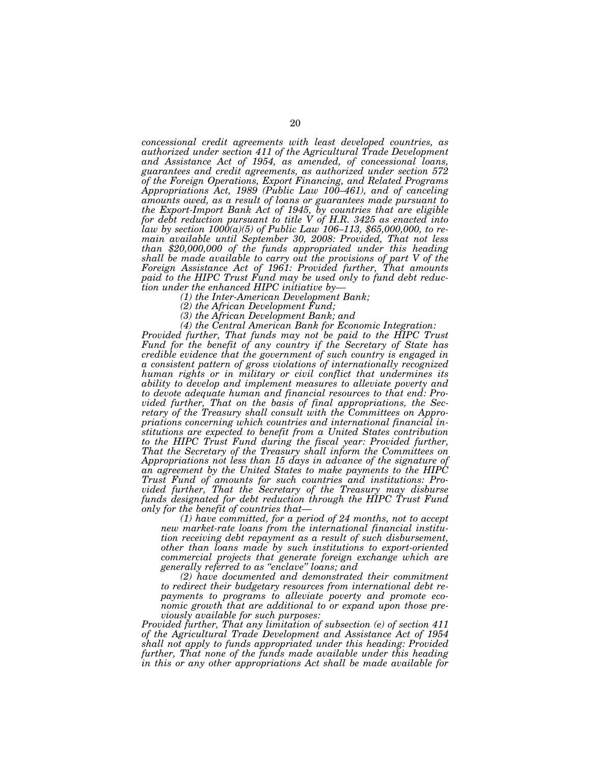*concessional credit agreements with least developed countries, as authorized under section 411 of the Agricultural Trade Development and Assistance Act of 1954, as amended, of concessional loans, guarantees and credit agreements, as authorized under section 572 of the Foreign Operations, Export Financing, and Related Programs Appropriations Act, 1989 (Public Law 100–461), and of canceling amounts owed, as a result of loans or guarantees made pursuant to the Export-Import Bank Act of 1945, by countries that are eligible for debt reduction pursuant to title V of H.R. 3425 as enacted into law by section 1000(a)(5) of Public Law 106–113, \$65,000,000, to remain available until September 30, 2008: Provided, That not less than \$20,000,000 of the funds appropriated under this heading shall be made available to carry out the provisions of part V of the Foreign Assistance Act of 1961: Provided further, That amounts paid to the HIPC Trust Fund may be used only to fund debt reduction under the enhanced HIPC initiative by— (1) the Inter-American Development Bank;* 

*(2) the African Development Fund;* 

*(3) the African Development Bank; and* 

*(4) the Central American Bank for Economic Integration:* 

*Provided further, That funds may not be paid to the HIPC Trust Fund for the benefit of any country if the Secretary of State has credible evidence that the government of such country is engaged in a consistent pattern of gross violations of internationally recognized human rights or in military or civil conflict that undermines its ability to develop and implement measures to alleviate poverty and to devote adequate human and financial resources to that end: Provided further, That on the basis of final appropriations, the Secretary of the Treasury shall consult with the Committees on Appropriations concerning which countries and international financial institutions are expected to benefit from a United States contribution to the HIPC Trust Fund during the fiscal year: Provided further, That the Secretary of the Treasury shall inform the Committees on*  Appropriations not less than 15 days in advance of the signature of *an agreement by the United States to make payments to the HIPC Trust Fund of amounts for such countries and institutions: Provided further, That the Secretary of the Treasury may disburse funds designated for debt reduction through the HIPC Trust Fund only for the benefit of countries that—*

*(1) have committed, for a period of 24 months, not to accept new market-rate loans from the international financial institution receiving debt repayment as a result of such disbursement, other than loans made by such institutions to export-oriented commercial projects that generate foreign exchange which are generally referred to as ''enclave'' loans; and* 

*(2) have documented and demonstrated their commitment to redirect their budgetary resources from international debt repayments to programs to alleviate poverty and promote economic growth that are additional to or expand upon those previously available for such purposes:* 

*Provided further, That any limitation of subsection (e) of section 411 of the Agricultural Trade Development and Assistance Act of 1954 shall not apply to funds appropriated under this heading: Provided further, That none of the funds made available under this heading in this or any other appropriations Act shall be made available for*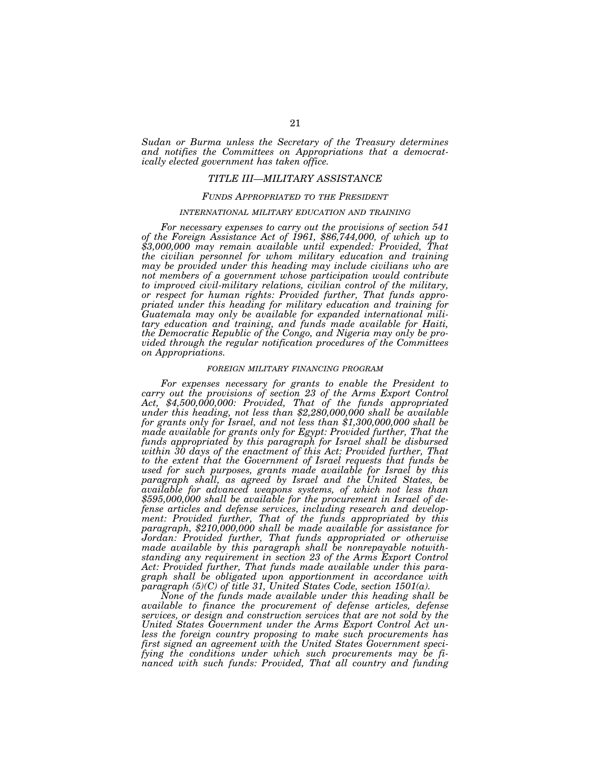*Sudan or Burma unless the Secretary of the Treasury determines and notifies the Committees on Appropriations that a democratically elected government has taken office.* 

### *TITLE III—MILITARY ASSISTANCE*

## *FUNDS APPROPRIATED TO THE PRESIDENT*

### *INTERNATIONAL MILITARY EDUCATION AND TRAINING*

*For necessary expenses to carry out the provisions of section 541 of the Foreign Assistance Act of 1961, \$86,744,000, of which up to \$3,000,000 may remain available until expended: Provided, That the civilian personnel for whom military education and training may be provided under this heading may include civilians who are not members of a government whose participation would contribute to improved civil-military relations, civilian control of the military, or respect for human rights: Provided further, That funds appropriated under this heading for military education and training for Guatemala may only be available for expanded international military education and training, and funds made available for Haiti, the Democratic Republic of the Congo, and Nigeria may only be provided through the regular notification procedures of the Committees on Appropriations.* 

#### *FOREIGN MILITARY FINANCING PROGRAM*

For expenses necessary for grants to enable the President to *carry out the provisions of section 23 of the Arms Export Control Act, \$4,500,000,000: Provided, That of the funds appropriated under this heading, not less than \$2,280,000,000 shall be available for grants only for Israel, and not less than \$1,300,000,000 shall be made available for grants only for Egypt: Provided further, That the funds appropriated by this paragraph for Israel shall be disbursed within 30 days of the enactment of this Act: Provided further, That to the extent that the Government of Israel requests that funds be used for such purposes, grants made available for Israel by this paragraph shall, as agreed by Israel and the United States, be available for advanced weapons systems, of which not less than*  \$595,000,000 shall be available for the procurement in Israel of de*fense articles and defense services, including research and development: Provided further, That of the funds appropriated by this paragraph, \$210,000,000 shall be made available for assistance for Jordan: Provided further, That funds appropriated or otherwise made available by this paragraph shall be nonrepayable notwithstanding any requirement in section 23 of the Arms Export Control Act: Provided further, That funds made available under this paragraph shall be obligated upon apportionment in accordance with paragraph (5)(C) of title 31, United States Code, section 1501(a).* 

*None of the funds made available under this heading shall be available to finance the procurement of defense articles, defense services, or design and construction services that are not sold by the United States Government under the Arms Export Control Act unless the foreign country proposing to make such procurements has first signed an agreement with the United States Government specifying the conditions under which such procurements may be financed with such funds: Provided, That all country and funding*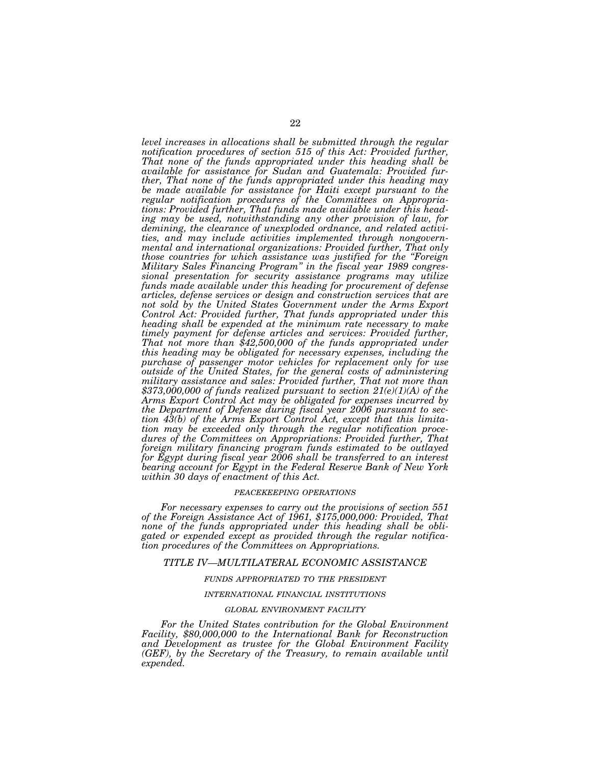*level increases in allocations shall be submitted through the regular notification procedures of section 515 of this Act: Provided further, That none of the funds appropriated under this heading shall be available for assistance for Sudan and Guatemala: Provided further, That none of the funds appropriated under this heading may be made available for assistance for Haiti except pursuant to the regular notification procedures of the Committees on Appropriations: Provided further, That funds made available under this heading may be used, notwithstanding any other provision of law, for demining, the clearance of unexploded ordnance, and related activities, and may include activities implemented through nongovernmental and international organizations: Provided further, That only those countries for which assistance was justified for the ''Foreign Military Sales Financing Program'' in the fiscal year 1989 congressional presentation for security assistance programs may utilize funds made available under this heading for procurement of defense articles, defense services or design and construction services that are not sold by the United States Government under the Arms Export Control Act: Provided further, That funds appropriated under this heading shall be expended at the minimum rate necessary to make timely payment for defense articles and services: Provided further,*  That not more than \$42,500,000 of the funds appropriated under *this heading may be obligated for necessary expenses, including the purchase of passenger motor vehicles for replacement only for use outside of the United States, for the general costs of administering military assistance and sales: Provided further, That not more than \$373,000,000 of funds realized pursuant to section 21(e)(1)(A) of the Arms Export Control Act may be obligated for expenses incurred by the Department of Defense during fiscal year 2006 pursuant to section 43(b) of the Arms Export Control Act, except that this limitation may be exceeded only through the regular notification procedures of the Committees on Appropriations: Provided further, That foreign military financing program funds estimated to be outlayed for Egypt during fiscal year 2006 shall be transferred to an interest bearing account for Egypt in the Federal Reserve Bank of New York within 30 days of enactment of this Act.* 

### *PEACEKEEPING OPERATIONS*

*For necessary expenses to carry out the provisions of section 551 of the Foreign Assistance Act of 1961, \$175,000,000: Provided, That none of the funds appropriated under this heading shall be obligated or expended except as provided through the regular notification procedures of the Committees on Appropriations.* 

### *TITLE IV—MULTILATERAL ECONOMIC ASSISTANCE*

## *FUNDS APPROPRIATED TO THE PRESIDENT*

### *INTERNATIONAL FINANCIAL INSTITUTIONS*

### *GLOBAL ENVIRONMENT FACILITY*

*For the United States contribution for the Global Environment Facility, \$80,000,000 to the International Bank for Reconstruction and Development as trustee for the Global Environment Facility (GEF), by the Secretary of the Treasury, to remain available until expended.*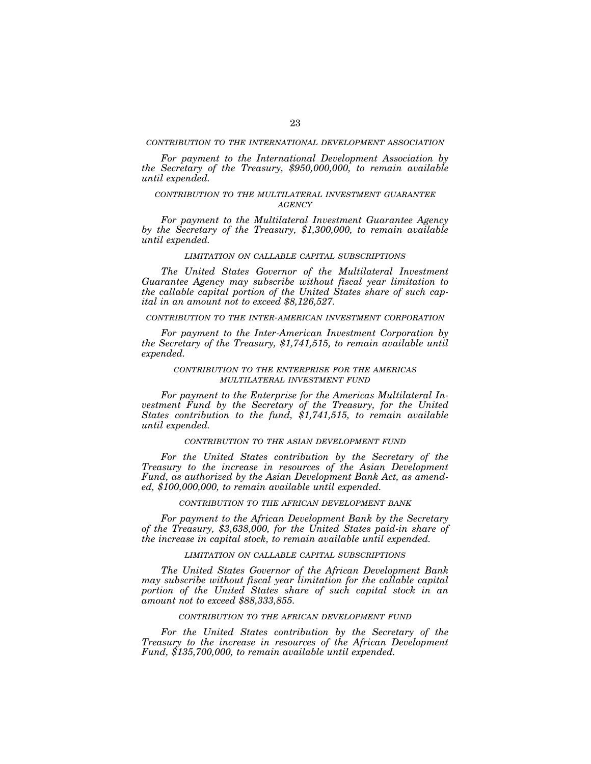### *CONTRIBUTION TO THE INTERNATIONAL DEVELOPMENT ASSOCIATION*

*For payment to the International Development Association by the Secretary of the Treasury, \$950,000,000, to remain available until expended.* 

## *CONTRIBUTION TO THE MULTILATERAL INVESTMENT GUARANTEE AGENCY*

*For payment to the Multilateral Investment Guarantee Agency by the Secretary of the Treasury, \$1,300,000, to remain available until expended.* 

#### *LIMITATION ON CALLABLE CAPITAL SUBSCRIPTIONS*

*The United States Governor of the Multilateral Investment Guarantee Agency may subscribe without fiscal year limitation to the callable capital portion of the United States share of such capital in an amount not to exceed \$8,126,527.* 

### *CONTRIBUTION TO THE INTER-AMERICAN INVESTMENT CORPORATION*

*For payment to the Inter-American Investment Corporation by the Secretary of the Treasury, \$1,741,515, to remain available until expended.* 

### *CONTRIBUTION TO THE ENTERPRISE FOR THE AMERICAS MULTILATERAL INVESTMENT FUND*

*For payment to the Enterprise for the Americas Multilateral Investment Fund by the Secretary of the Treasury, for the United States contribution to the fund, \$1,741,515, to remain available until expended.* 

### *CONTRIBUTION TO THE ASIAN DEVELOPMENT FUND*

*For the United States contribution by the Secretary of the Treasury to the increase in resources of the Asian Development Fund, as authorized by the Asian Development Bank Act, as amended, \$100,000,000, to remain available until expended.* 

## *CONTRIBUTION TO THE AFRICAN DEVELOPMENT BANK*

*For payment to the African Development Bank by the Secretary of the Treasury, \$3,638,000, for the United States paid-in share of the increase in capital stock, to remain available until expended.* 

### *LIMITATION ON CALLABLE CAPITAL SUBSCRIPTIONS*

*The United States Governor of the African Development Bank may subscribe without fiscal year limitation for the callable capital portion of the United States share of such capital stock in an amount not to exceed \$88,333,855.* 

### *CONTRIBUTION TO THE AFRICAN DEVELOPMENT FUND*

*For the United States contribution by the Secretary of the Treasury to the increase in resources of the African Development Fund, \$135,700,000, to remain available until expended.*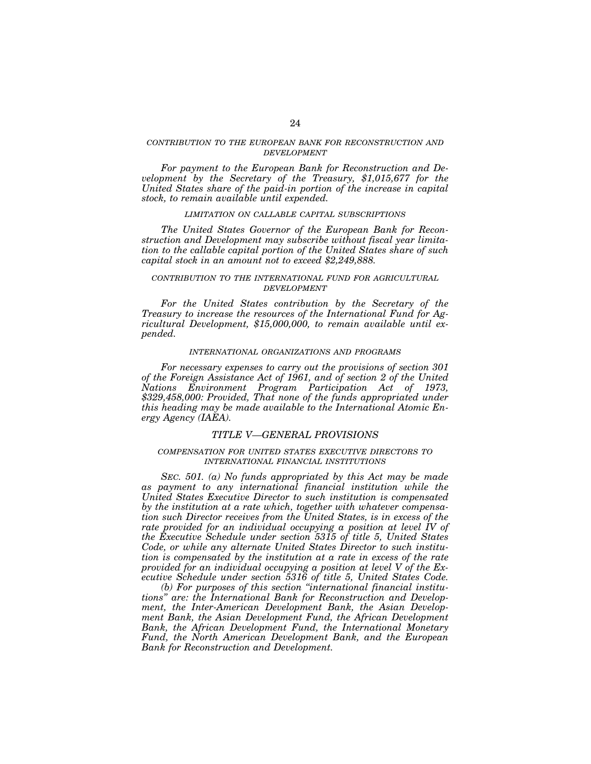## *CONTRIBUTION TO THE EUROPEAN BANK FOR RECONSTRUCTION AND DEVELOPMENT*

*For payment to the European Bank for Reconstruction and Development by the Secretary of the Treasury, \$1,015,677 for the United States share of the paid-in portion of the increase in capital stock, to remain available until expended.* 

## *LIMITATION ON CALLABLE CAPITAL SUBSCRIPTIONS*

*The United States Governor of the European Bank for Reconstruction and Development may subscribe without fiscal year limitation to the callable capital portion of the United States share of such capital stock in an amount not to exceed \$2,249,888.* 

## *CONTRIBUTION TO THE INTERNATIONAL FUND FOR AGRICULTURAL DEVELOPMENT*

*For the United States contribution by the Secretary of the Treasury to increase the resources of the International Fund for Agricultural Development, \$15,000,000, to remain available until expended.* 

#### *INTERNATIONAL ORGANIZATIONS AND PROGRAMS*

*For necessary expenses to carry out the provisions of section 301 of the Foreign Assistance Act of 1961, and of section 2 of the United Nations Environment Program Participation Act of 1973, \$329,458,000: Provided, That none of the funds appropriated under this heading may be made available to the International Atomic Energy Agency (IAEA).* 

## *TITLE V—GENERAL PROVISIONS*

## *COMPENSATION FOR UNITED STATES EXECUTIVE DIRECTORS TO INTERNATIONAL FINANCIAL INSTITUTIONS*

*SEC. 501. (a) No funds appropriated by this Act may be made*  as payment to any international financial institution while the *United States Executive Director to such institution is compensated by the institution at a rate which, together with whatever compensation such Director receives from the United States, is in excess of the rate provided for an individual occupying a position at level IV of the Executive Schedule under section 5315 of title 5, United States Code, or while any alternate United States Director to such institution is compensated by the institution at a rate in excess of the rate provided for an individual occupying a position at level V of the Executive Schedule under section 5316 of title 5, United States Code.* 

*(b) For purposes of this section ''international financial institutions'' are: the International Bank for Reconstruction and Development, the Inter-American Development Bank, the Asian Development Bank, the Asian Development Fund, the African Development Bank, the African Development Fund, the International Monetary Fund, the North American Development Bank, and the European Bank for Reconstruction and Development.*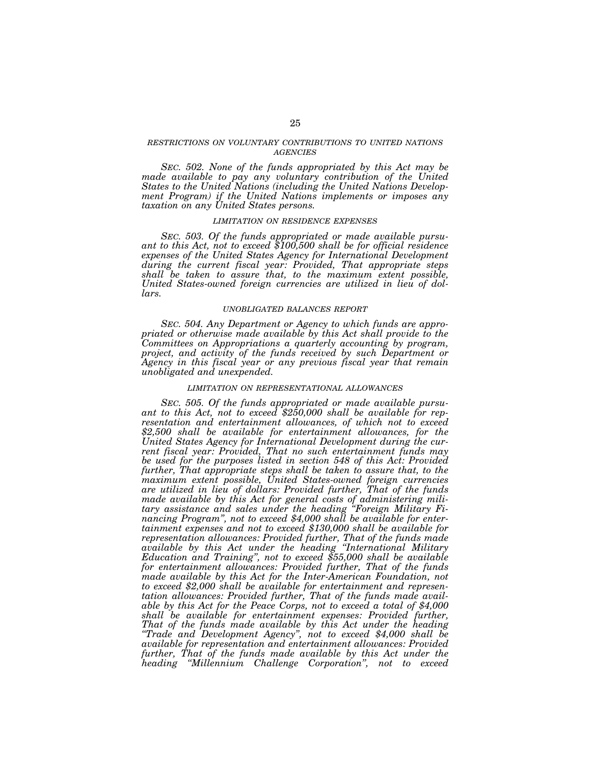## *RESTRICTIONS ON VOLUNTARY CONTRIBUTIONS TO UNITED NATIONS AGENCIES*

*SEC. 502. None of the funds appropriated by this Act may be made available to pay any voluntary contribution of the United States to the United Nations (including the United Nations Development Program) if the United Nations implements or imposes any taxation on any United States persons.* 

### *LIMITATION ON RESIDENCE EXPENSES*

*SEC. 503. Of the funds appropriated or made available pursu- ant to this Act, not to exceed \$100,500 shall be for official residence expenses of the United States Agency for International Development during the current fiscal year: Provided, That appropriate steps shall be taken to assure that, to the maximum extent possible, United States-owned foreign currencies are utilized in lieu of dollars.* 

### *UNOBLIGATED BALANCES REPORT*

*SEC. 504. Any Department or Agency to which funds are appropriated or otherwise made available by this Act shall provide to the Committees on Appropriations a quarterly accounting by program, project, and activity of the funds received by such Department or Agency in this fiscal year or any previous fiscal year that remain unobligated and unexpended.* 

### *LIMITATION ON REPRESENTATIONAL ALLOWANCES*

*SEC. 505. Of the funds appropriated or made available pursu- ant to this Act, not to exceed \$250,000 shall be available for representation and entertainment allowances, of which not to exceed \$2,500 shall be available for entertainment allowances, for the United States Agency for International Development during the current fiscal year: Provided, That no such entertainment funds may be used for the purposes listed in section 548 of this Act: Provided further, That appropriate steps shall be taken to assure that, to the maximum extent possible, United States-owned foreign currencies are utilized in lieu of dollars: Provided further, That of the funds made available by this Act for general costs of administering military assistance and sales under the heading ''Foreign Military Financing Program'', not to exceed \$4,000 shall be available for entertainment expenses and not to exceed \$130,000 shall be available for representation allowances: Provided further, That of the funds made available by this Act under the heading ''International Military Education and Training'', not to exceed \$55,000 shall be available for entertainment allowances: Provided further, That of the funds made available by this Act for the Inter-American Foundation, not to exceed \$2,000 shall be available for entertainment and representation allowances: Provided further, That of the funds made available by this Act for the Peace Corps, not to exceed a total of \$4,000 shall be available for entertainment expenses: Provided further, That of the funds made available by this Act under the heading ''Trade and Development Agency'', not to exceed \$4,000 shall be available for representation and entertainment allowances: Provided further, That of the funds made available by this Act under the heading ''Millennium Challenge Corporation'', not to exceed*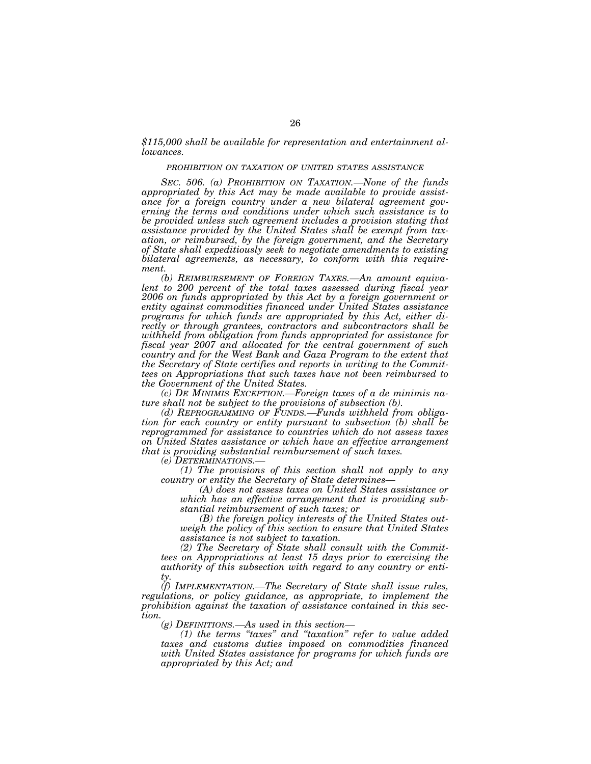*\$115,000 shall be available for representation and entertainment allowances.* 

### *PROHIBITION ON TAXATION OF UNITED STATES ASSISTANCE*

*SEC. 506. (a) PROHIBITION ON TAXATION.—None of the funds appropriated by this Act may be made available to provide assistance for a foreign country under a new bilateral agreement governing the terms and conditions under which such assistance is to be provided unless such agreement includes a provision stating that assistance provided by the United States shall be exempt from taxation, or reimbursed, by the foreign government, and the Secretary of State shall expeditiously seek to negotiate amendments to existing bilateral agreements, as necessary, to conform with this requirement.* 

*(b) REIMBURSEMENT OF FOREIGN TAXES.—An amount equivalent to 200 percent of the total taxes assessed during fiscal year 2006 on funds appropriated by this Act by a foreign government or entity against commodities financed under United States assistance programs for which funds are appropriated by this Act, either directly or through grantees, contractors and subcontractors shall be withheld from obligation from funds appropriated for assistance for fiscal year 2007 and allocated for the central government of such country and for the West Bank and Gaza Program to the extent that the Secretary of State certifies and reports in writing to the Committees on Appropriations that such taxes have not been reimbursed to the Government of the United States.* 

*(c) DE MINIMIS EXCEPTION.—Foreign taxes of a de minimis nature shall not be subject to the provisions of subsection (b).* 

*(d) REPROGRAMMING OF FUNDS.—Funds withheld from obligation for each country or entity pursuant to subsection (b) shall be reprogrammed for assistance to countries which do not assess taxes on United States assistance or which have an effective arrangement that is providing substantial reimbursement of such taxes.* 

*(e) DETERMINATIONS.—*

*(1) The provisions of this section shall not apply to any country or entity the Secretary of State determines—*

*(A) does not assess taxes on United States assistance or which has an effective arrangement that is providing substantial reimbursement of such taxes; or* 

*(B) the foreign policy interests of the United States outweigh the policy of this section to ensure that United States assistance is not subject to taxation.* 

*(2) The Secretary of State shall consult with the Committees on Appropriations at least 15 days prior to exercising the authority of this subsection with regard to any country or entity.* 

*(f) IMPLEMENTATION.—The Secretary of State shall issue rules, regulations, or policy guidance, as appropriate, to implement the prohibition against the taxation of assistance contained in this section.* 

*(g) DEFINITIONS.—As used in this section—*

*(1) the terms ''taxes'' and ''taxation'' refer to value added taxes and customs duties imposed on commodities financed with United States assistance for programs for which funds are appropriated by this Act; and*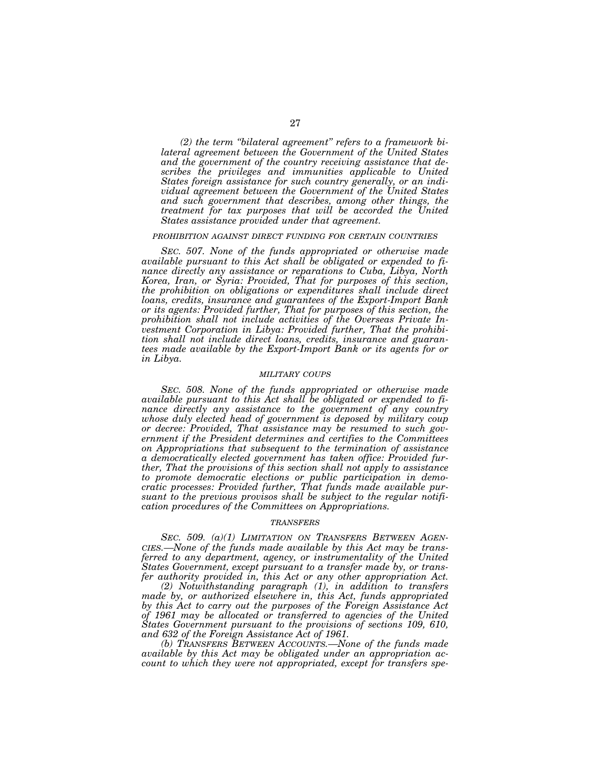*(2) the term ''bilateral agreement'' refers to a framework bilateral agreement between the Government of the United States and the government of the country receiving assistance that describes the privileges and immunities applicable to United States foreign assistance for such country generally, or an individual agreement between the Government of the United States and such government that describes, among other things, the treatment for tax purposes that will be accorded the United States assistance provided under that agreement.* 

#### *PROHIBITION AGAINST DIRECT FUNDING FOR CERTAIN COUNTRIES*

*SEC. 507. None of the funds appropriated or otherwise made available pursuant to this Act shall be obligated or expended to finance directly any assistance or reparations to Cuba, Libya, North Korea, Iran, or Syria: Provided, That for purposes of this section, the prohibition on obligations or expenditures shall include direct loans, credits, insurance and guarantees of the Export-Import Bank or its agents: Provided further, That for purposes of this section, the prohibition shall not include activities of the Overseas Private Investment Corporation in Libya: Provided further, That the prohibition shall not include direct loans, credits, insurance and guarantees made available by the Export-Import Bank or its agents for or in Libya.* 

### *MILITARY COUPS*

*SEC. 508. None of the funds appropriated or otherwise made available pursuant to this Act shall be obligated or expended to finance directly any assistance to the government of any country whose duly elected head of government is deposed by military coup or decree: Provided, That assistance may be resumed to such government if the President determines and certifies to the Committees on Appropriations that subsequent to the termination of assistance a democratically elected government has taken office: Provided further, That the provisions of this section shall not apply to assistance to promote democratic elections or public participation in democratic processes: Provided further, That funds made available pursuant to the previous provisos shall be subject to the regular notification procedures of the Committees on Appropriations.* 

#### *TRANSFERS*

*SEC. 509. (a)(1) LIMITATION ON TRANSFERS BETWEEN AGEN-CIES.—None of the funds made available by this Act may be transferred to any department, agency, or instrumentality of the United States Government, except pursuant to a transfer made by, or transfer authority provided in, this Act or any other appropriation Act.* 

*(2) Notwithstanding paragraph (1), in addition to transfers made by, or authorized elsewhere in, this Act, funds appropriated by this Act to carry out the purposes of the Foreign Assistance Act of 1961 may be allocated or transferred to agencies of the United States Government pursuant to the provisions of sections 109, 610, and 632 of the Foreign Assistance Act of 1961.* 

*(b) TRANSFERS BETWEEN ACCOUNTS.—None of the funds made available by this Act may be obligated under an appropriation account to which they were not appropriated, except for transfers spe-*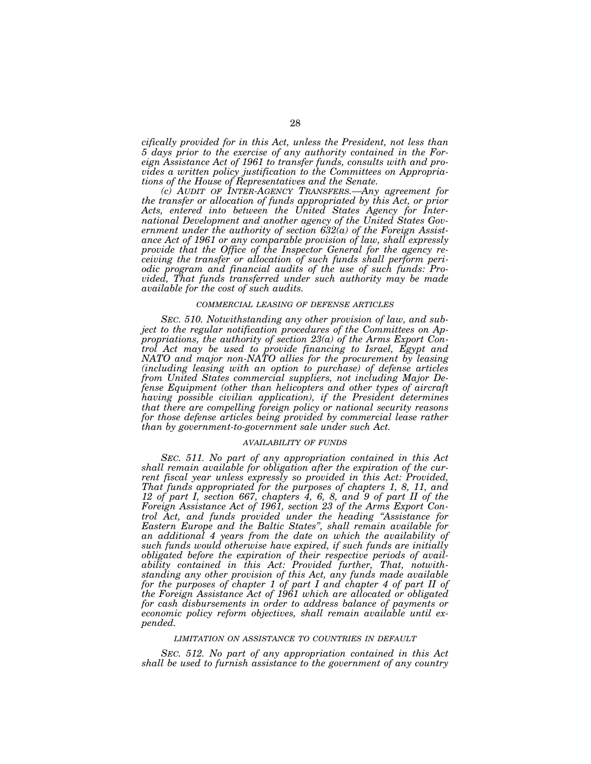*cifically provided for in this Act, unless the President, not less than 5 days prior to the exercise of any authority contained in the Foreign Assistance Act of 1961 to transfer funds, consults with and provides a written policy justification to the Committees on Appropriations of the House of Representatives and the Senate.* 

*(c) AUDIT OF INTER-AGENCY TRANSFERS.—Any agreement for the transfer or allocation of funds appropriated by this Act, or prior Acts, entered into between the United States Agency for International Development and another agency of the United States Government under the authority of section 632(a) of the Foreign Assistance Act of 1961 or any comparable provision of law, shall expressly provide that the Office of the Inspector General for the agency receiving the transfer or allocation of such funds shall perform periodic program and financial audits of the use of such funds: Provided, That funds transferred under such authority may be made available for the cost of such audits.* 

#### *COMMERCIAL LEASING OF DEFENSE ARTICLES*

*SEC. 510. Notwithstanding any other provision of law, and subject to the regular notification procedures of the Committees on Appropriations, the authority of section 23(a) of the Arms Export Control Act may be used to provide financing to Israel, Egypt and NATO and major non-NATO allies for the procurement by leasing (including leasing with an option to purchase) of defense articles from United States commercial suppliers, not including Major Defense Equipment (other than helicopters and other types of aircraft having possible civilian application), if the President determines that there are compelling foreign policy or national security reasons for those defense articles being provided by commercial lease rather than by government-to-government sale under such Act.* 

#### *AVAILABILITY OF FUNDS*

*SEC. 511. No part of any appropriation contained in this Act shall remain available for obligation after the expiration of the current fiscal year unless expressly so provided in this Act: Provided, That funds appropriated for the purposes of chapters 1, 8, 11, and 12 of part I, section 667, chapters 4, 6, 8, and 9 of part II of the Foreign Assistance Act of 1961, section 23 of the Arms Export Control Act, and funds provided under the heading ''Assistance for Eastern Europe and the Baltic States'', shall remain available for an additional 4 years from the date on which the availability of such funds would otherwise have expired, if such funds are initially obligated before the expiration of their respective periods of availability contained in this Act: Provided further, That, notwithstanding any other provision of this Act, any funds made available for the purposes of chapter 1 of part I and chapter 4 of part II of the Foreign Assistance Act of 1961 which are allocated or obligated for cash disbursements in order to address balance of payments or economic policy reform objectives, shall remain available until expended.* 

#### *LIMITATION ON ASSISTANCE TO COUNTRIES IN DEFAULT*

*SEC. 512. No part of any appropriation contained in this Act shall be used to furnish assistance to the government of any country*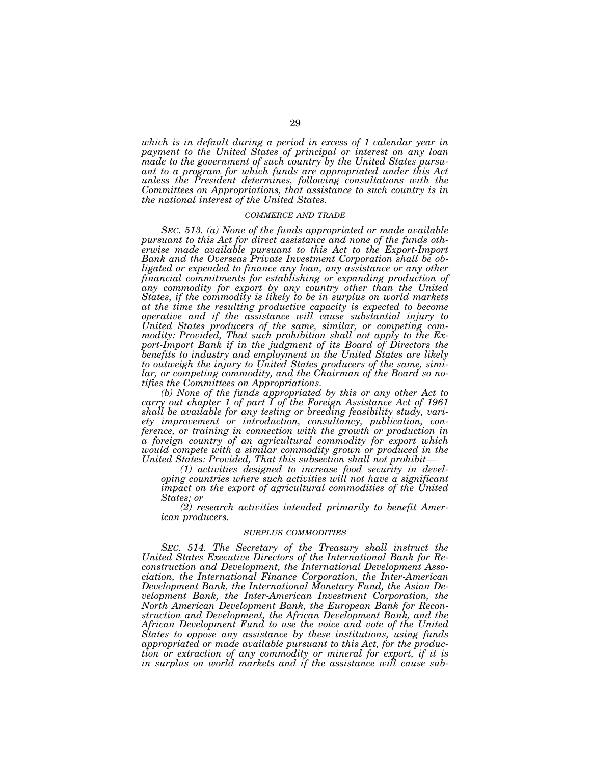*which is in default during a period in excess of 1 calendar year in payment to the United States of principal or interest on any loan made to the government of such country by the United States pursuant to a program for which funds are appropriated under this Act unless the President determines, following consultations with the Committees on Appropriations, that assistance to such country is in the national interest of the United States.* 

#### *COMMERCE AND TRADE*

*SEC. 513. (a) None of the funds appropriated or made available pursuant to this Act for direct assistance and none of the funds otherwise made available pursuant to this Act to the Export-Import Bank and the Overseas Private Investment Corporation shall be obligated or expended to finance any loan, any assistance or any other financial commitments for establishing or expanding production of*  any commodity for export by any country other than the United *States, if the commodity is likely to be in surplus on world markets at the time the resulting productive capacity is expected to become operative and if the assistance will cause substantial injury to United States producers of the same, similar, or competing commodity: Provided, That such prohibition shall not apply to the Export-Import Bank if in the judgment of its Board of Directors the benefits to industry and employment in the United States are likely to outweigh the injury to United States producers of the same, similar, or competing commodity, and the Chairman of the Board so notifies the Committees on Appropriations.* 

*(b) None of the funds appropriated by this or any other Act to carry out chapter 1 of part I of the Foreign Assistance Act of 1961 shall be available for any testing or breeding feasibility study, variety improvement or introduction, consultancy, publication, conference, or training in connection with the growth or production in a foreign country of an agricultural commodity for export which would compete with a similar commodity grown or produced in the United States: Provided, That this subsection shall not prohibit— (1) activities designed to increase food security in devel-*

*oping countries where such activities will not have a significant impact on the export of agricultural commodities of the United States; or* 

*(2) research activities intended primarily to benefit American producers.* 

#### *SURPLUS COMMODITIES*

*SEC. 514. The Secretary of the Treasury shall instruct the United States Executive Directors of the International Bank for Reconstruction and Development, the International Development Association, the International Finance Corporation, the Inter-American Development Bank, the International Monetary Fund, the Asian Development Bank, the Inter-American Investment Corporation, the North American Development Bank, the European Bank for Reconstruction and Development, the African Development Bank, and the African Development Fund to use the voice and vote of the United States to oppose any assistance by these institutions, using funds appropriated or made available pursuant to this Act, for the production or extraction of any commodity or mineral for export, if it is in surplus on world markets and if the assistance will cause sub-*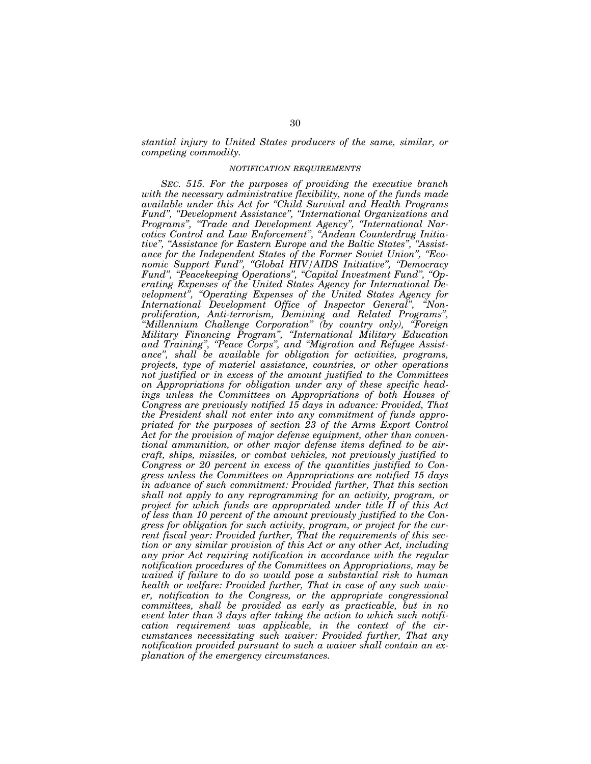*stantial injury to United States producers of the same, similar, or competing commodity.* 

### *NOTIFICATION REQUIREMENTS*

*SEC. 515. For the purposes of providing the executive branch with the necessary administrative flexibility, none of the funds made available under this Act for ''Child Survival and Health Programs Fund'', ''Development Assistance'', ''International Organizations and Programs'', ''Trade and Development Agency'', ''International Narcotics Control and Law Enforcement'', ''Andean Counterdrug Initiative'', ''Assistance for Eastern Europe and the Baltic States'', ''Assistance for the Independent States of the Former Soviet Union'', ''Economic Support Fund'', ''Global HIV/AIDS Initiative'', ''Democracy Fund'', ''Peacekeeping Operations'', ''Capital Investment Fund'', ''Operating Expenses of the United States Agency for International Development'', ''Operating Expenses of the United States Agency for International Development Office of Inspector General'', ''Nonproliferation, Anti-terrorism, Demining and Related Programs'', ''Millennium Challenge Corporation'' (by country only), ''Foreign Military Financing Program'', ''International Military Education and Training'', ''Peace Corps'', and ''Migration and Refugee Assistance'', shall be available for obligation for activities, programs, projects, type of materiel assistance, countries, or other operations not justified or in excess of the amount justified to the Committees on Appropriations for obligation under any of these specific headings unless the Committees on Appropriations of both Houses of Congress are previously notified 15 days in advance: Provided, That the President shall not enter into any commitment of funds appropriated for the purposes of section 23 of the Arms Export Control Act for the provision of major defense equipment, other than conventional ammunition, or other major defense items defined to be aircraft, ships, missiles, or combat vehicles, not previously justified to Congress or 20 percent in excess of the quantities justified to Congress unless the Committees on Appropriations are notified 15 days in advance of such commitment: Provided further, That this section shall not apply to any reprogramming for an activity, program, or project for which funds are appropriated under title II of this Act of less than 10 percent of the amount previously justified to the Congress for obligation for such activity, program, or project for the current fiscal year: Provided further, That the requirements of this section or any similar provision of this Act or any other Act, including any prior Act requiring notification in accordance with the regular notification procedures of the Committees on Appropriations, may be waived if failure to do so would pose a substantial risk to human health or welfare: Provided further, That in case of any such waiver, notification to the Congress, or the appropriate congressional committees, shall be provided as early as practicable, but in no event later than 3 days after taking the action to which such notification requirement was applicable, in the context of the circumstances necessitating such waiver: Provided further, That any notification provided pursuant to such a waiver shall contain an explanation of the emergency circumstances.*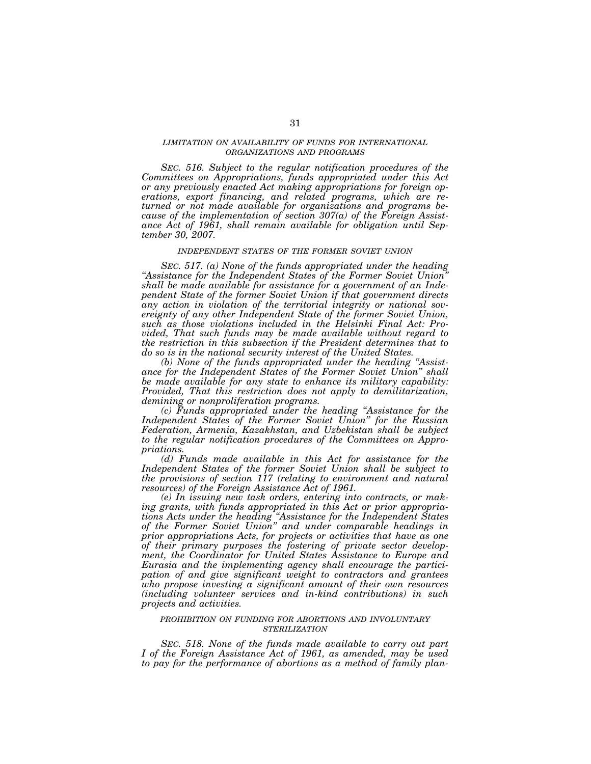### *LIMITATION ON AVAILABILITY OF FUNDS FOR INTERNATIONAL ORGANIZATIONS AND PROGRAMS*

*SEC. 516. Subject to the regular notification procedures of the Committees on Appropriations, funds appropriated under this Act or any previously enacted Act making appropriations for foreign operations, export financing, and related programs, which are returned or not made available for organizations and programs because of the implementation of section 307(a) of the Foreign Assistance Act of 1961, shall remain available for obligation until September 30, 2007.* 

#### *INDEPENDENT STATES OF THE FORMER SOVIET UNION*

*SEC. 517. (a) None of the funds appropriated under the heading ''Assistance for the Independent States of the Former Soviet Union'' shall be made available for assistance for a government of an Independent State of the former Soviet Union if that government directs any action in violation of the territorial integrity or national sovereignty of any other Independent State of the former Soviet Union, such as those violations included in the Helsinki Final Act: Provided, That such funds may be made available without regard to the restriction in this subsection if the President determines that to do so is in the national security interest of the United States.* 

*(b) None of the funds appropriated under the heading ''Assistance for the Independent States of the Former Soviet Union'' shall be made available for any state to enhance its military capability: Provided, That this restriction does not apply to demilitarization, demining or nonproliferation programs.* 

*(c) Funds appropriated under the heading ''Assistance for the Independent States of the Former Soviet Union'' for the Russian Federation, Armenia, Kazakhstan, and Uzbekistan shall be subject to the regular notification procedures of the Committees on Appropriations.* 

*(d) Funds made available in this Act for assistance for the Independent States of the former Soviet Union shall be subject to the provisions of section 117 (relating to environment and natural resources) of the Foreign Assistance Act of 1961.* 

*(e) In issuing new task orders, entering into contracts, or making grants, with funds appropriated in this Act or prior appropriations Acts under the heading ''Assistance for the Independent States of the Former Soviet Union'' and under comparable headings in prior appropriations Acts, for projects or activities that have as one of their primary purposes the fostering of private sector development, the Coordinator for United States Assistance to Europe and Eurasia and the implementing agency shall encourage the participation of and give significant weight to contractors and grantees who propose investing a significant amount of their own resources (including volunteer services and in-kind contributions) in such projects and activities.* 

## *PROHIBITION ON FUNDING FOR ABORTIONS AND INVOLUNTARY STERILIZATION*

*SEC. 518. None of the funds made available to carry out part I of the Foreign Assistance Act of 1961, as amended, may be used to pay for the performance of abortions as a method of family plan-*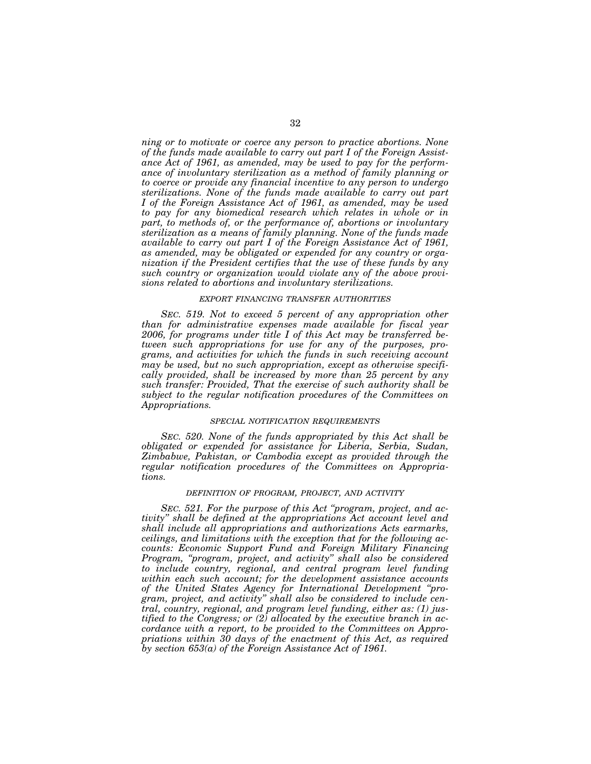*ning or to motivate or coerce any person to practice abortions. None of the funds made available to carry out part I of the Foreign Assistance Act of 1961, as amended, may be used to pay for the performance of involuntary sterilization as a method of family planning or to coerce or provide any financial incentive to any person to undergo sterilizations. None of the funds made available to carry out part I of the Foreign Assistance Act of 1961, as amended, may be used to pay for any biomedical research which relates in whole or in part, to methods of, or the performance of, abortions or involuntary sterilization as a means of family planning. None of the funds made available to carry out part I of the Foreign Assistance Act of 1961, as amended, may be obligated or expended for any country or organization if the President certifies that the use of these funds by any such country or organization would violate any of the above provisions related to abortions and involuntary sterilizations.* 

### *EXPORT FINANCING TRANSFER AUTHORITIES*

*SEC. 519. Not to exceed 5 percent of any appropriation other than for administrative expenses made available for fiscal year 2006, for programs under title I of this Act may be transferred between such appropriations for use for any of the purposes, programs, and activities for which the funds in such receiving account may be used, but no such appropriation, except as otherwise specifically provided, shall be increased by more than 25 percent by any such transfer: Provided, That the exercise of such authority shall be subject to the regular notification procedures of the Committees on Appropriations.* 

## *SPECIAL NOTIFICATION REQUIREMENTS*

*SEC. 520. None of the funds appropriated by this Act shall be obligated or expended for assistance for Liberia, Serbia, Sudan, Zimbabwe, Pakistan, or Cambodia except as provided through the regular notification procedures of the Committees on Appropriations.* 

### *DEFINITION OF PROGRAM, PROJECT, AND ACTIVITY*

*SEC. 521. For the purpose of this Act ''program, project, and activity'' shall be defined at the appropriations Act account level and shall include all appropriations and authorizations Acts earmarks, ceilings, and limitations with the exception that for the following accounts: Economic Support Fund and Foreign Military Financing Program, ''program, project, and activity'' shall also be considered to include country, regional, and central program level funding within each such account; for the development assistance accounts of the United States Agency for International Development ''program, project, and activity'' shall also be considered to include central, country, regional, and program level funding, either as: (1) justified to the Congress; or (2) allocated by the executive branch in accordance with a report, to be provided to the Committees on Appropriations within 30 days of the enactment of this Act, as required by section 653(a) of the Foreign Assistance Act of 1961.*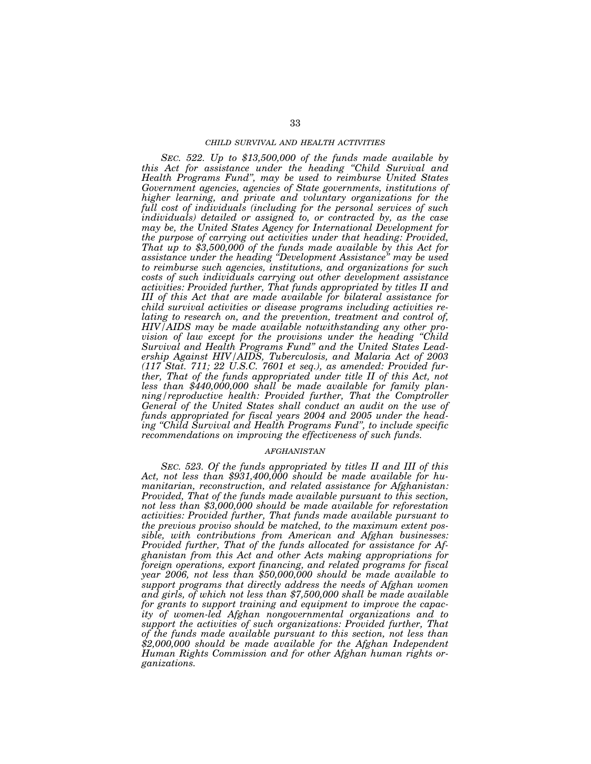### *CHILD SURVIVAL AND HEALTH ACTIVITIES*

*SEC. 522. Up to \$13,500,000 of the funds made available by this Act for assistance under the heading ''Child Survival and Health Programs Fund'', may be used to reimburse United States Government agencies, agencies of State governments, institutions of higher learning, and private and voluntary organizations for the full cost of individuals (including for the personal services of such individuals) detailed or assigned to, or contracted by, as the case may be, the United States Agency for International Development for the purpose of carrying out activities under that heading: Provided, That up to \$3,500,000 of the funds made available by this Act for assistance under the heading ''Development Assistance'' may be used to reimburse such agencies, institutions, and organizations for such costs of such individuals carrying out other development assistance activities: Provided further, That funds appropriated by titles II and III of this Act that are made available for bilateral assistance for child survival activities or disease programs including activities relating to research on, and the prevention, treatment and control of, HIV/AIDS may be made available notwithstanding any other provision of law except for the provisions under the heading ''Child Survival and Health Programs Fund'' and the United States Leadership Against HIV/AIDS, Tuberculosis, and Malaria Act of 2003 (117 Stat. 711; 22 U.S.C. 7601 et seq.), as amended: Provided further, That of the funds appropriated under title II of this Act, not less than \$440,000,000 shall be made available for family planning/reproductive health: Provided further, That the Comptroller General of the United States shall conduct an audit on the use of funds appropriated for fiscal years 2004 and 2005 under the heading ''Child Survival and Health Programs Fund'', to include specific recommendations on improving the effectiveness of such funds.* 

## *AFGHANISTAN*

*SEC. 523. Of the funds appropriated by titles II and III of this*  Act, not less than \$931,400,000 should be made available for hu*manitarian, reconstruction, and related assistance for Afghanistan: Provided, That of the funds made available pursuant to this section, not less than \$3,000,000 should be made available for reforestation activities: Provided further, That funds made available pursuant to the previous proviso should be matched, to the maximum extent possible, with contributions from American and Afghan businesses: Provided further, That of the funds allocated for assistance for Afghanistan from this Act and other Acts making appropriations for foreign operations, export financing, and related programs for fiscal year 2006, not less than \$50,000,000 should be made available to support programs that directly address the needs of Afghan women and girls, of which not less than \$7,500,000 shall be made available for grants to support training and equipment to improve the capacity of women-led Afghan nongovernmental organizations and to support the activities of such organizations: Provided further, That of the funds made available pursuant to this section, not less than \$2,000,000 should be made available for the Afghan Independent Human Rights Commission and for other Afghan human rights organizations.*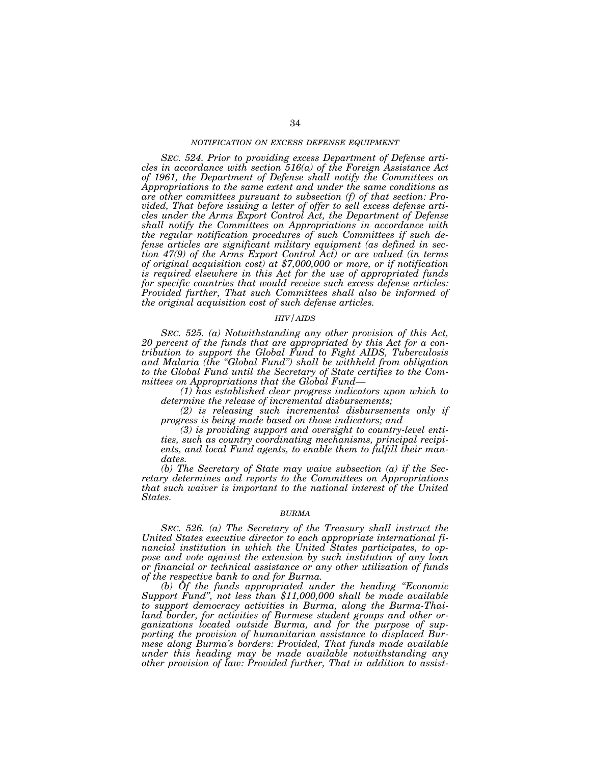### *NOTIFICATION ON EXCESS DEFENSE EQUIPMENT*

*SEC. 524. Prior to providing excess Department of Defense articles in accordance with section 516(a) of the Foreign Assistance Act of 1961, the Department of Defense shall notify the Committees on Appropriations to the same extent and under the same conditions as are other committees pursuant to subsection (f) of that section: Provided, That before issuing a letter of offer to sell excess defense articles under the Arms Export Control Act, the Department of Defense shall notify the Committees on Appropriations in accordance with the regular notification procedures of such Committees if such defense articles are significant military equipment (as defined in section 47(9) of the Arms Export Control Act) or are valued (in terms of original acquisition cost) at \$7,000,000 or more, or if notification is required elsewhere in this Act for the use of appropriated funds for specific countries that would receive such excess defense articles: Provided further, That such Committees shall also be informed of the original acquisition cost of such defense articles.* 

## *HIV/AIDS*

*SEC. 525. (a) Notwithstanding any other provision of this Act, 20 percent of the funds that are appropriated by this Act for a contribution to support the Global Fund to Fight AIDS, Tuberculosis and Malaria (the ''Global Fund'') shall be withheld from obligation to the Global Fund until the Secretary of State certifies to the Committees on Appropriations that the Global Fund—*

*(1) has established clear progress indicators upon which to determine the release of incremental disbursements;* 

*(2) is releasing such incremental disbursements only if progress is being made based on those indicators; and* 

*(3) is providing support and oversight to country-level entities, such as country coordinating mechanisms, principal recipients, and local Fund agents, to enable them to fulfill their mandates.* 

*(b) The Secretary of State may waive subsection (a) if the Secretary determines and reports to the Committees on Appropriations that such waiver is important to the national interest of the United States.* 

### *BURMA*

*SEC. 526. (a) The Secretary of the Treasury shall instruct the United States executive director to each appropriate international financial institution in which the United States participates, to oppose and vote against the extension by such institution of any loan or financial or technical assistance or any other utilization of funds of the respective bank to and for Burma.* 

*(b) Of the funds appropriated under the heading ''Economic Support Fund'', not less than \$11,000,000 shall be made available to support democracy activities in Burma, along the Burma-Thailand border, for activities of Burmese student groups and other organizations located outside Burma, and for the purpose of supporting the provision of humanitarian assistance to displaced Burmese along Burma's borders: Provided, That funds made available under this heading may be made available notwithstanding any other provision of law: Provided further, That in addition to assist-*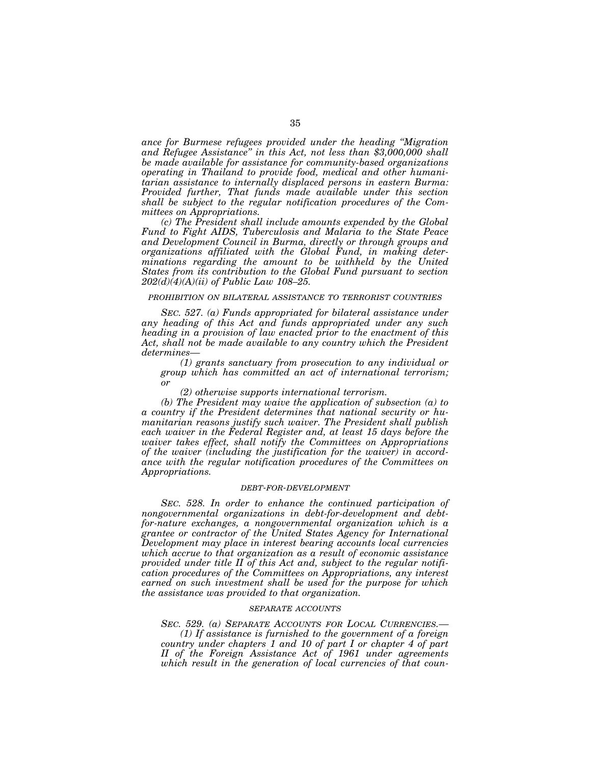*ance for Burmese refugees provided under the heading ''Migration and Refugee Assistance'' in this Act, not less than \$3,000,000 shall be made available for assistance for community-based organizations operating in Thailand to provide food, medical and other humanitarian assistance to internally displaced persons in eastern Burma: Provided further, That funds made available under this section shall be subject to the regular notification procedures of the Committees on Appropriations.* 

*(c) The President shall include amounts expended by the Global Fund to Fight AIDS, Tuberculosis and Malaria to the State Peace and Development Council in Burma, directly or through groups and organizations affiliated with the Global Fund, in making deter*minations regarding the amount to be withheld by the United *States from its contribution to the Global Fund pursuant to section 202(d)(4)(A)(ii) of Public Law 108–25.* 

### *PROHIBITION ON BILATERAL ASSISTANCE TO TERRORIST COUNTRIES*

*SEC. 527. (a) Funds appropriated for bilateral assistance under any heading of this Act and funds appropriated under any such heading in a provision of law enacted prior to the enactment of this*  Act, shall not be made available to any country which the President *determines—*

*(1) grants sanctuary from prosecution to any individual or group which has committed an act of international terrorism; or* 

*(2) otherwise supports international terrorism.* 

*(b) The President may waive the application of subsection (a) to a country if the President determines that national security or humanitarian reasons justify such waiver. The President shall publish each waiver in the Federal Register and, at least 15 days before the waiver takes effect, shall notify the Committees on Appropriations of the waiver (including the justification for the waiver) in accordance with the regular notification procedures of the Committees on Appropriations.* 

### *DEBT-FOR-DEVELOPMENT*

*SEC. 528. In order to enhance the continued participation of nongovernmental organizations in debt-for-development and debtfor-nature exchanges, a nongovernmental organization which is a grantee or contractor of the United States Agency for International Development may place in interest bearing accounts local currencies which accrue to that organization as a result of economic assistance provided under title II of this Act and, subject to the regular notification procedures of the Committees on Appropriations, any interest earned on such investment shall be used for the purpose for which the assistance was provided to that organization.* 

### *SEPARATE ACCOUNTS*

*SEC. 529. (a) SEPARATE ACCOUNTS FOR LOCAL CURRENCIES.— (1) If assistance is furnished to the government of a foreign country under chapters 1 and 10 of part I or chapter 4 of part II of the Foreign Assistance Act of 1961 under agreements which result in the generation of local currencies of that coun-*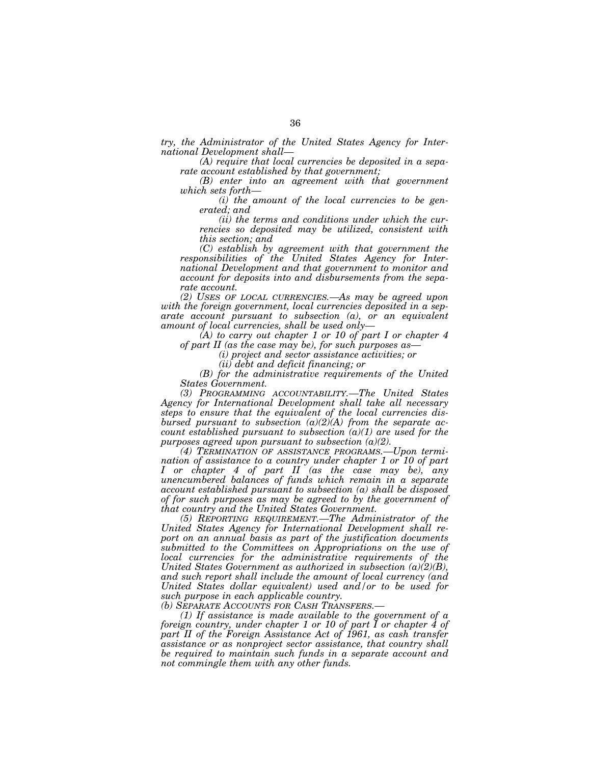*try, the Administrator of the United States Agency for Inter-*

*(A) require that local currencies be deposited in a separate account established by that government;* 

*(B) enter into an agreement with that government which sets forth— (i) the amount of the local currencies to be gen-*

*erated; and* 

*(ii) the terms and conditions under which the currencies so deposited may be utilized, consistent with this section; and* 

*(C) establish by agreement with that government the responsibilities of the United States Agency for International Development and that government to monitor and account for deposits into and disbursements from the separate account.* 

*(2) USES OF LOCAL CURRENCIES.—As may be agreed upon with the foreign government, local currencies deposited in a separate account pursuant to subsection (a), or an equivalent amount of local currencies, shall be used only—*

*(A) to carry out chapter 1 or 10 of part I or chapter 4 of part II (as the case may be), for such purposes as—*

*(i) project and sector assistance activities; or* 

*(ii) debt and deficit financing; or* 

*(B) for the administrative requirements of the United States Government.* 

*(3) PROGRAMMING ACCOUNTABILITY.—The United States Agency for International Development shall take all necessary steps to ensure that the equivalent of the local currencies disbursed pursuant to subsection (a)(2)(A) from the separate account established pursuant to subsection (a)(1) are used for the purposes agreed upon pursuant to subsection (a)(2).* 

*(4) TERMINATION OF ASSISTANCE PROGRAMS.—Upon termination of assistance to a country under chapter 1 or 10 of part I or chapter 4 of part II (as the case may be), any unencumbered balances of funds which remain in a separate account established pursuant to subsection (a) shall be disposed of for such purposes as may be agreed to by the government of that country and the United States Government.* 

*(5) REPORTING REQUIREMENT.—The Administrator of the United States Agency for International Development shall report on an annual basis as part of the justification documents submitted to the Committees on Appropriations on the use of local currencies for the administrative requirements of the United States Government as authorized in subsection (a)(2)(B), and such report shall include the amount of local currency (and United States dollar equivalent) used and/or to be used for such purpose in each applicable country.* 

*(b) SEPARATE ACCOUNTS FOR CASH TRANSFERS.— (1) If assistance is made available to the government of a foreign country, under chapter 1 or 10 of part I or chapter 4 of part II of the Foreign Assistance Act of 1961, as cash transfer assistance or as nonproject sector assistance, that country shall be required to maintain such funds in a separate account and not commingle them with any other funds.*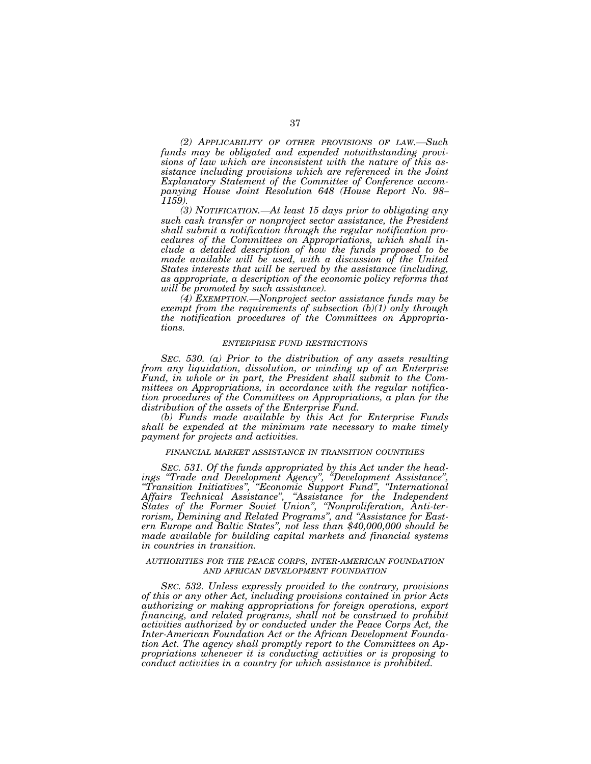*(2) APPLICABILITY OF OTHER PROVISIONS OF LAW.—Such funds may be obligated and expended notwithstanding provisions of law which are inconsistent with the nature of this assistance including provisions which are referenced in the Joint Explanatory Statement of the Committee of Conference accompanying House Joint Resolution 648 (House Report No. 98– 1159).* 

*(3) NOTIFICATION.—At least 15 days prior to obligating any such cash transfer or nonproject sector assistance, the President shall submit a notification through the regular notification procedures of the Committees on Appropriations, which shall include a detailed description of how the funds proposed to be made available will be used, with a discussion of the United States interests that will be served by the assistance (including, as appropriate, a description of the economic policy reforms that will be promoted by such assistance).* 

*(4) EXEMPTION.—Nonproject sector assistance funds may be exempt from the requirements of subsection (b)(1) only through the notification procedures of the Committees on Appropriations.* 

## *ENTERPRISE FUND RESTRICTIONS*

*SEC. 530. (a) Prior to the distribution of any assets resulting from any liquidation, dissolution, or winding up of an Enterprise Fund, in whole or in part, the President shall submit to the Committees on Appropriations, in accordance with the regular notification procedures of the Committees on Appropriations, a plan for the distribution of the assets of the Enterprise Fund.* 

*(b) Funds made available by this Act for Enterprise Funds shall be expended at the minimum rate necessary to make timely payment for projects and activities.* 

# *FINANCIAL MARKET ASSISTANCE IN TRANSITION COUNTRIES*

*SEC. 531. Of the funds appropriated by this Act under the headings ''Trade and Development Agency'', ''Development Assistance'', ''Transition Initiatives'', ''Economic Support Fund'', ''International Affairs Technical Assistance'', ''Assistance for the Independent States of the Former Soviet Union'', ''Nonproliferation, Anti-terrorism, Demining and Related Programs'', and ''Assistance for Eastern Europe and Baltic States'', not less than \$40,000,000 should be made available for building capital markets and financial systems in countries in transition.* 

## *AUTHORITIES FOR THE PEACE CORPS, INTER-AMERICAN FOUNDATION AND AFRICAN DEVELOPMENT FOUNDATION*

*SEC. 532. Unless expressly provided to the contrary, provisions of this or any other Act, including provisions contained in prior Acts authorizing or making appropriations for foreign operations, export financing, and related programs, shall not be construed to prohibit activities authorized by or conducted under the Peace Corps Act, the Inter-American Foundation Act or the African Development Foundation Act. The agency shall promptly report to the Committees on Appropriations whenever it is conducting activities or is proposing to conduct activities in a country for which assistance is prohibited.*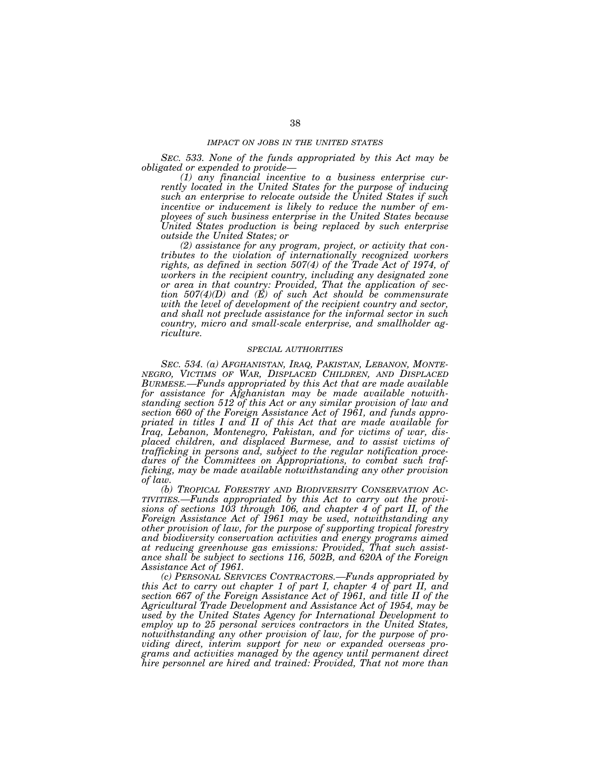## *IMPACT ON JOBS IN THE UNITED STATES*

*SEC. 533. None of the funds appropriated by this Act may be obligated or expended to provide—*

*(1) any financial incentive to a business enterprise currently located in the United States for the purpose of inducing such an enterprise to relocate outside the United States if such incentive or inducement is likely to reduce the number of employees of such business enterprise in the United States because United States production is being replaced by such enterprise outside the United States; or* 

*(2) assistance for any program, project, or activity that contributes to the violation of internationally recognized workers*  rights, as defined in section 507(4) of the Trade Act of 1974, of *workers in the recipient country, including any designated zone or area in that country: Provided, That the application of section 507(4)(D) and (E) of such Act should be commensurate with the level of development of the recipient country and sector, and shall not preclude assistance for the informal sector in such country, micro and small-scale enterprise, and smallholder agriculture.* 

## *SPECIAL AUTHORITIES*

*SEC. 534. (a) AFGHANISTAN, IRAQ, PAKISTAN, LEBANON, MONTE-NEGRO, VICTIMS OF WAR, DISPLACED CHILDREN, AND DISPLACED BURMESE.—Funds appropriated by this Act that are made available for assistance for Afghanistan may be made available notwithstanding section 512 of this Act or any similar provision of law and section 660 of the Foreign Assistance Act of 1961, and funds appropriated in titles I and II of this Act that are made available for Iraq, Lebanon, Montenegro, Pakistan, and for victims of war, displaced children, and displaced Burmese, and to assist victims of trafficking in persons and, subject to the regular notification procedures of the Committees on Appropriations, to combat such trafficking, may be made available notwithstanding any other provision of law.* 

*(b) TROPICAL FORESTRY AND BIODIVERSITY CONSERVATION AC-TIVITIES.—Funds appropriated by this Act to carry out the provisions of sections 103 through 106, and chapter 4 of part II, of the Foreign Assistance Act of 1961 may be used, notwithstanding any other provision of law, for the purpose of supporting tropical forestry and biodiversity conservation activities and energy programs aimed at reducing greenhouse gas emissions: Provided, That such assistance shall be subject to sections 116, 502B, and 620A of the Foreign Assistance Act of 1961.* 

*(c) PERSONAL SERVICES CONTRACTORS.—Funds appropriated by this Act to carry out chapter 1 of part I, chapter 4 of part II, and section 667 of the Foreign Assistance Act of 1961, and title II of the Agricultural Trade Development and Assistance Act of 1954, may be used by the United States Agency for International Development to employ up to 25 personal services contractors in the United States, notwithstanding any other provision of law, for the purpose of providing direct, interim support for new or expanded overseas programs and activities managed by the agency until permanent direct hire personnel are hired and trained: Provided, That not more than*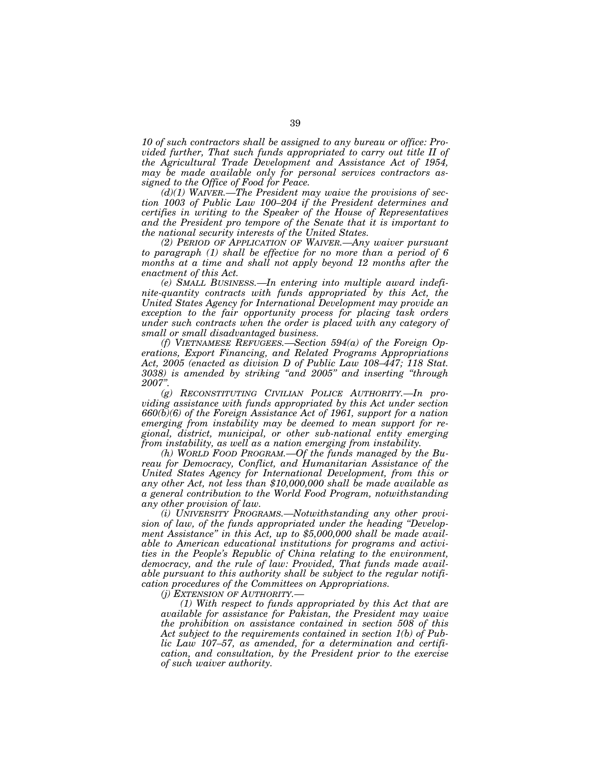*10 of such contractors shall be assigned to any bureau or office: Provided further, That such funds appropriated to carry out title II of the Agricultural Trade Development and Assistance Act of 1954, may be made available only for personal services contractors assigned to the Office of Food for Peace.* 

*(d)(1) WAIVER.—The President may waive the provisions of section 1003 of Public Law 100–204 if the President determines and certifies in writing to the Speaker of the House of Representatives and the President pro tempore of the Senate that it is important to the national security interests of the United States.* 

*(2) PERIOD OF APPLICATION OF WAIVER.—Any waiver pursuant to paragraph (1) shall be effective for no more than a period of 6*  months at a time and shall not apply beyond 12 months after the *enactment of this Act.* 

*(e) SMALL BUSINESS.—In entering into multiple award indefinite-quantity contracts with funds appropriated by this Act, the United States Agency for International Development may provide an exception to the fair opportunity process for placing task orders under such contracts when the order is placed with any category of small or small disadvantaged business.* 

*(f) VIETNAMESE REFUGEES.—Section 594(a) of the Foreign Operations, Export Financing, and Related Programs Appropriations Act, 2005 (enacted as division D of Public Law 108–447; 118 Stat. 3038) is amended by striking ''and 2005'' and inserting ''through 2007''.* 

*(g) RECONSTITUTING CIVILIAN POLICE AUTHORITY.—In providing assistance with funds appropriated by this Act under section 660(b)(6) of the Foreign Assistance Act of 1961, support for a nation emerging from instability may be deemed to mean support for regional, district, municipal, or other sub-national entity emerging from instability, as well as a nation emerging from instability.* 

*(h) WORLD FOOD PROGRAM.—Of the funds managed by the Bureau for Democracy, Conflict, and Humanitarian Assistance of the United States Agency for International Development, from this or any other Act, not less than \$10,000,000 shall be made available as a general contribution to the World Food Program, notwithstanding any other provision of law.* 

*(i) UNIVERSITY PROGRAMS.—Notwithstanding any other provision of law, of the funds appropriated under the heading ''Development Assistance'' in this Act, up to \$5,000,000 shall be made available to American educational institutions for programs and activities in the People's Republic of China relating to the environment, democracy, and the rule of law: Provided, That funds made available pursuant to this authority shall be subject to the regular notification procedures of the Committees on Appropriations.* 

*(j) EXTENSION OF AUTHORITY.—*

*(1) With respect to funds appropriated by this Act that are available for assistance for Pakistan, the President may waive the prohibition on assistance contained in section 508 of this Act subject to the requirements contained in section 1(b) of Public Law 107–57, as amended, for a determination and certification, and consultation, by the President prior to the exercise of such waiver authority.*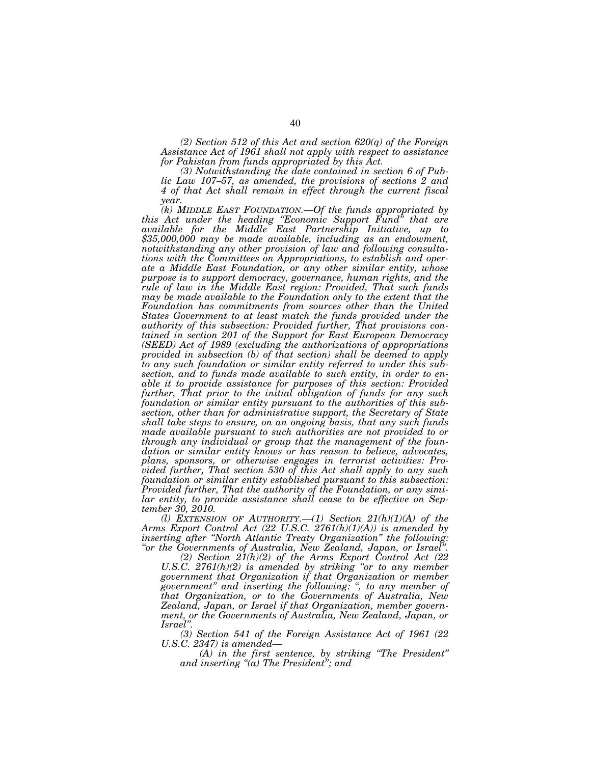*(2) Section 512 of this Act and section 620(q) of the Foreign Assistance Act of 1961 shall not apply with respect to assistance for Pakistan from funds appropriated by this Act.* 

*(3) Notwithstanding the date contained in section 6 of Public Law 107–57, as amended, the provisions of sections 2 and 4 of that Act shall remain in effect through the current fiscal year.* 

*(k) MIDDLE EAST FOUNDATION.—Of the funds appropriated by this Act under the heading ''Economic Support Fund'' that are available for the Middle East Partnership Initiative, up to \$35,000,000 may be made available, including as an endowment, notwithstanding any other provision of law and following consultations with the Committees on Appropriations, to establish and operate a Middle East Foundation, or any other similar entity, whose purpose is to support democracy, governance, human rights, and the rule of law in the Middle East region: Provided, That such funds may be made available to the Foundation only to the extent that the Foundation has commitments from sources other than the United States Government to at least match the funds provided under the authority of this subsection: Provided further, That provisions contained in section 201 of the Support for East European Democracy (SEED) Act of 1989 (excluding the authorizations of appropriations provided in subsection (b) of that section) shall be deemed to apply to any such foundation or similar entity referred to under this subsection, and to funds made available to such entity, in order to enable it to provide assistance for purposes of this section: Provided further, That prior to the initial obligation of funds for any such foundation or similar entity pursuant to the authorities of this subsection, other than for administrative support, the Secretary of State shall take steps to ensure, on an ongoing basis, that any such funds made available pursuant to such authorities are not provided to or through any individual or group that the management of the foundation or similar entity knows or has reason to believe, advocates, plans, sponsors, or otherwise engages in terrorist activities: Provided further, That section 530 of this Act shall apply to any such foundation or similar entity established pursuant to this subsection: Provided further, That the authority of the Foundation, or any similar entity, to provide assistance shall cease to be effective on September 30, 2010.* 

*(l) EXTENSION OF AUTHORITY.—(1) Section 21(h)(1)(A) of the Arms Export Control Act (22 U.S.C. 2761(h)(1)(A)) is amended by inserting after ''North Atlantic Treaty Organization'' the following: ''or the Governments of Australia, New Zealand, Japan, or Israel''.* 

*(2) Section 21(h)(2) of the Arms Export Control Act (22 U.S.C. 2761(h)(2) is amended by striking ''or to any member government that Organization if that Organization or member government'' and inserting the following: '', to any member of that Organization, or to the Governments of Australia, New Zealand, Japan, or Israel if that Organization, member government, or the Governments of Australia, New Zealand, Japan, or* 

*(3) Section 541 of the Foreign Assistance Act of 1961 (22)* 

*U.S.C. 2347) is amended— (A) in the first sentence, by striking ''The President'' and inserting ''(a) The President''; and*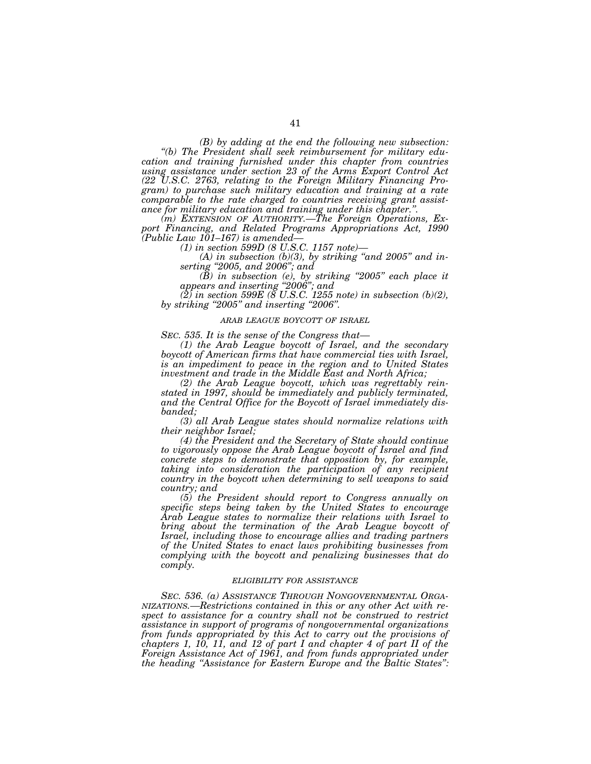*(B) by adding at the end the following new subsection: ''(b) The President shall seek reimbursement for military education and training furnished under this chapter from countries using assistance under section 23 of the Arms Export Control Act (22 U.S.C. 2763, relating to the Foreign Military Financing Program) to purchase such military education and training at a rate comparable to the rate charged to countries receiving grant assistance for military education and training under this chapter.''. (m) EXTENSION OF AUTHORITY.—The Foreign Operations, Ex-*

*port Financing, and Related Programs Appropriations Act, 1990 (Public Law 101–167) is amended— (1) in section 599D (8 U.S.C. 1157 note)— (A) in subsection (b)(3), by striking ''and 2005'' and in-*

*serting ''2005, and 2006''; and* 

*(B) in subsection (e), by striking ''2005'' each place it appears and inserting ''2006''; and* 

*(2) in section 599E (8 U.S.C. 1255 note) in subsection (b)(2), by striking ''2005'' and inserting ''2006''.* 

## *ARAB LEAGUE BOYCOTT OF ISRAEL*

*SEC. 535. It is the sense of the Congress that— (1) the Arab League boycott of Israel, and the secondary boycott of American firms that have commercial ties with Israel, is an impediment to peace in the region and to United States investment and trade in the Middle East and North Africa;* 

*(2) the Arab League boycott, which was regrettably reinstated in 1997, should be immediately and publicly terminated, and the Central Office for the Boycott of Israel immediately disbanded;* 

*(3) all Arab League states should normalize relations with their neighbor Israel;* 

*(4) the President and the Secretary of State should continue to vigorously oppose the Arab League boycott of Israel and find concrete steps to demonstrate that opposition by, for example, taking into consideration the participation of any recipient country in the boycott when determining to sell weapons to said country; and* 

*(5) the President should report to Congress annually on specific steps being taken by the United States to encourage Arab League states to normalize their relations with Israel to bring about the termination of the Arab League boycott of Israel, including those to encourage allies and trading partners of the United States to enact laws prohibiting businesses from complying with the boycott and penalizing businesses that do comply.* 

### *ELIGIBILITY FOR ASSISTANCE*

*SEC. 536. (a) ASSISTANCE THROUGH NONGOVERNMENTAL ORGA-NIZATIONS.—Restrictions contained in this or any other Act with respect to assistance for a country shall not be construed to restrict assistance in support of programs of nongovernmental organizations from funds appropriated by this Act to carry out the provisions of chapters 1, 10, 11, and 12 of part I and chapter 4 of part II of the Foreign Assistance Act of 1961, and from funds appropriated under the heading ''Assistance for Eastern Europe and the Baltic States'':*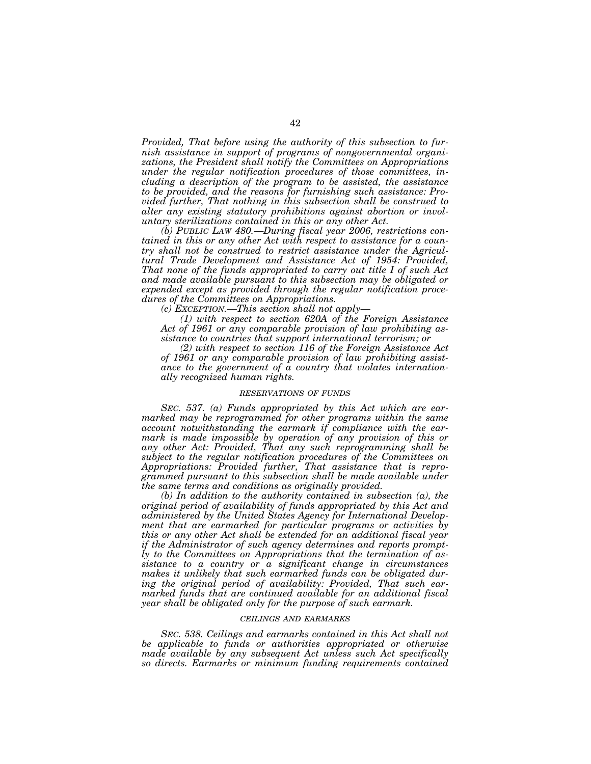*Provided, That before using the authority of this subsection to furnish assistance in support of programs of nongovernmental organizations, the President shall notify the Committees on Appropriations under the regular notification procedures of those committees, including a description of the program to be assisted, the assistance to be provided, and the reasons for furnishing such assistance: Provided further, That nothing in this subsection shall be construed to alter any existing statutory prohibitions against abortion or involuntary sterilizations contained in this or any other Act.* 

*(b) PUBLIC LAW 480.—During fiscal year 2006, restrictions contained in this or any other Act with respect to assistance for a country shall not be construed to restrict assistance under the Agricultural Trade Development and Assistance Act of 1954: Provided, That none of the funds appropriated to carry out title I of such Act and made available pursuant to this subsection may be obligated or expended except as provided through the regular notification procedures of the Committees on Appropriations.* 

*(c) EXCEPTION.—This section shall not apply—*

*(1) with respect to section 620A of the Foreign Assistance Act of 1961 or any comparable provision of law prohibiting assistance to countries that support international terrorism; or* 

*(2) with respect to section 116 of the Foreign Assistance Act of 1961 or any comparable provision of law prohibiting assistance to the government of a country that violates internationally recognized human rights.* 

# *RESERVATIONS OF FUNDS*

*SEC. 537. (a) Funds appropriated by this Act which are earmarked may be reprogrammed for other programs within the same account notwithstanding the earmark if compliance with the earmark is made impossible by operation of any provision of this or any other Act: Provided, That any such reprogramming shall be subject to the regular notification procedures of the Committees on Appropriations: Provided further, That assistance that is reprogrammed pursuant to this subsection shall be made available under the same terms and conditions as originally provided.* 

*(b) In addition to the authority contained in subsection (a), the original period of availability of funds appropriated by this Act and administered by the United States Agency for International Development that are earmarked for particular programs or activities by this or any other Act shall be extended for an additional fiscal year if the Administrator of such agency determines and reports promptly to the Committees on Appropriations that the termination of assistance to a country or a significant change in circumstances makes it unlikely that such earmarked funds can be obligated during the original period of availability: Provided, That such earmarked funds that are continued available for an additional fiscal year shall be obligated only for the purpose of such earmark.* 

### *CEILINGS AND EARMARKS*

*SEC. 538. Ceilings and earmarks contained in this Act shall not be applicable to funds or authorities appropriated or otherwise made available by any subsequent Act unless such Act specifically so directs. Earmarks or minimum funding requirements contained*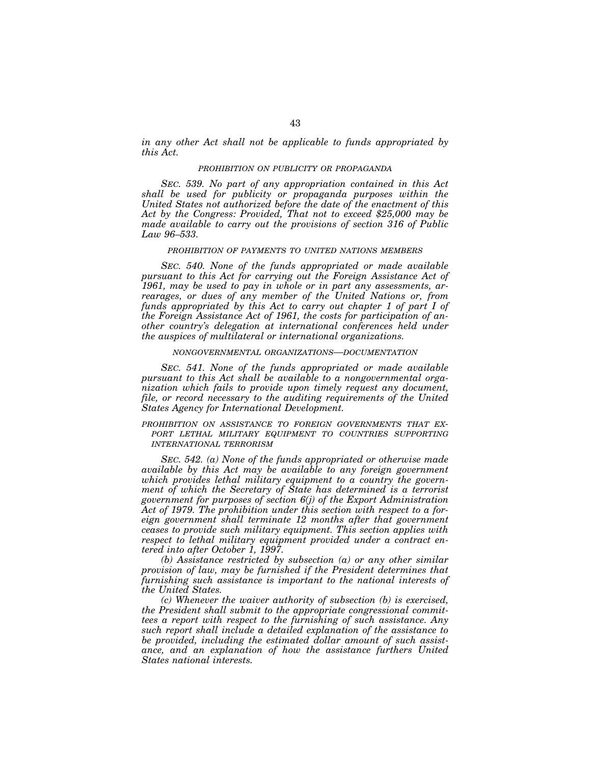*in any other Act shall not be applicable to funds appropriated by this Act.* 

## *PROHIBITION ON PUBLICITY OR PROPAGANDA*

*SEC. 539. No part of any appropriation contained in this Act shall be used for publicity or propaganda purposes within the United States not authorized before the date of the enactment of this Act by the Congress: Provided, That not to exceed \$25,000 may be made available to carry out the provisions of section 316 of Public Law 96–533.* 

# *PROHIBITION OF PAYMENTS TO UNITED NATIONS MEMBERS*

*SEC. 540. None of the funds appropriated or made available pursuant to this Act for carrying out the Foreign Assistance Act of 1961, may be used to pay in whole or in part any assessments, arrearages, or dues of any member of the United Nations or, from funds appropriated by this Act to carry out chapter 1 of part I of the Foreign Assistance Act of 1961, the costs for participation of another country's delegation at international conferences held under the auspices of multilateral or international organizations.* 

## *NONGOVERNMENTAL ORGANIZATIONS—DOCUMENTATION*

*SEC. 541. None of the funds appropriated or made available pursuant to this Act shall be available to a nongovernmental organization which fails to provide upon timely request any document,*  file, or record necessary to the auditing requirements of the United *States Agency for International Development.* 

# *PROHIBITION ON ASSISTANCE TO FOREIGN GOVERNMENTS THAT EX-PORT LETHAL MILITARY EQUIPMENT TO COUNTRIES SUPPORTING INTERNATIONAL TERRORISM*

*SEC. 542. (a) None of the funds appropriated or otherwise made available by this Act may be available to any foreign government which provides lethal military equipment to a country the government of which the Secretary of State has determined is a terrorist government for purposes of section 6(j) of the Export Administration Act of 1979. The prohibition under this section with respect to a foreign government shall terminate 12 months after that government ceases to provide such military equipment. This section applies with respect to lethal military equipment provided under a contract entered into after October 1, 1997.* 

*(b) Assistance restricted by subsection (a) or any other similar provision of law, may be furnished if the President determines that furnishing such assistance is important to the national interests of the United States.* 

*(c) Whenever the waiver authority of subsection (b) is exercised, the President shall submit to the appropriate congressional committees a report with respect to the furnishing of such assistance. Any such report shall include a detailed explanation of the assistance to be provided, including the estimated dollar amount of such assistance, and an explanation of how the assistance furthers United States national interests.*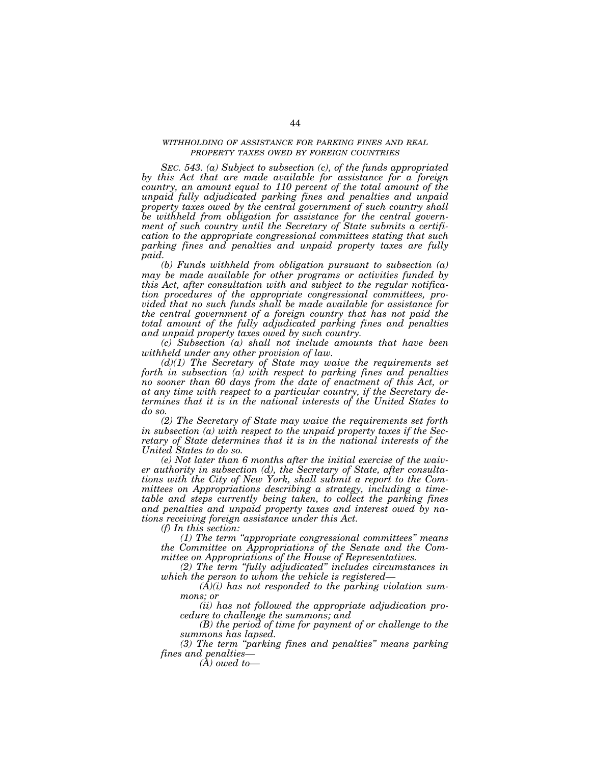# *WITHHOLDING OF ASSISTANCE FOR PARKING FINES AND REAL PROPERTY TAXES OWED BY FOREIGN COUNTRIES*

*SEC. 543. (a) Subject to subsection (c), of the funds appropriated by this Act that are made available for assistance for a foreign country, an amount equal to 110 percent of the total amount of the unpaid fully adjudicated parking fines and penalties and unpaid property taxes owed by the central government of such country shall be withheld from obligation for assistance for the central government of such country until the Secretary of State submits a certification to the appropriate congressional committees stating that such parking fines and penalties and unpaid property taxes are fully paid.* 

*(b) Funds withheld from obligation pursuant to subsection (a) may be made available for other programs or activities funded by this Act, after consultation with and subject to the regular notification procedures of the appropriate congressional committees, provided that no such funds shall be made available for assistance for the central government of a foreign country that has not paid the total amount of the fully adjudicated parking fines and penalties and unpaid property taxes owed by such country.* 

*(c) Subsection (a) shall not include amounts that have been withheld under any other provision of law.* 

*(d)(1) The Secretary of State may waive the requirements set forth in subsection (a) with respect to parking fines and penalties no sooner than 60 days from the date of enactment of this Act, or at any time with respect to a particular country, if the Secretary determines that it is in the national interests of the United States to do so.* 

*(2) The Secretary of State may waive the requirements set forth in subsection (a) with respect to the unpaid property taxes if the Secretary of State determines that it is in the national interests of the United States to do so.* 

*(e) Not later than 6 months after the initial exercise of the waiver authority in subsection (d), the Secretary of State, after consultations with the City of New York, shall submit a report to the Committees on Appropriations describing a strategy, including a timetable and steps currently being taken, to collect the parking fines and penalties and unpaid property taxes and interest owed by nations receiving foreign assistance under this Act.* 

*(f) In this section:* 

*(1) The term ''appropriate congressional committees'' means the Committee on Appropriations of the Senate and the Committee on Appropriations of the House of Representatives.* 

*(2) The term ''fully adjudicated'' includes circumstances in which the person to whom the vehicle is registered—*

*(A)(i) has not responded to the parking violation summons; or* 

*(ii) has not followed the appropriate adjudication procedure to challenge the summons; and* 

*(B) the period of time for payment of or challenge to the summons has lapsed.* 

*(3) The term ''parking fines and penalties'' means parking fines and penalties—*

*(A) owed to—*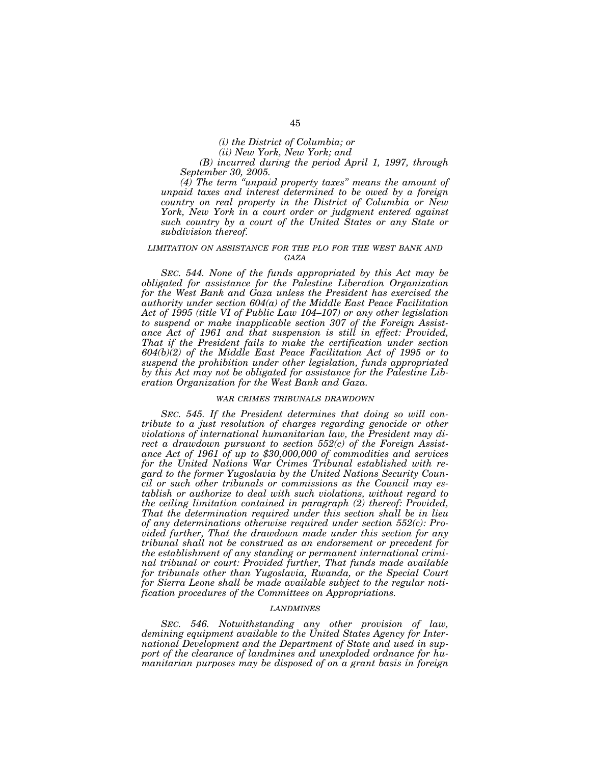*(ii) New York, New York; and* 

*(B) incurred during the period April 1, 1997, through September 30, 2005.* 

*(4) The term ''unpaid property taxes'' means the amount of unpaid taxes and interest determined to be owed by a foreign country on real property in the District of Columbia or New York, New York in a court order or judgment entered against such country by a court of the United States or any State or subdivision thereof.* 

# *LIMITATION ON ASSISTANCE FOR THE PLO FOR THE WEST BANK AND GAZA*

*SEC. 544. None of the funds appropriated by this Act may be obligated for assistance for the Palestine Liberation Organization for the West Bank and Gaza unless the President has exercised the authority under section 604(a) of the Middle East Peace Facilitation Act of 1995 (title VI of Public Law 104–107) or any other legislation to suspend or make inapplicable section 307 of the Foreign Assistance Act of 1961 and that suspension is still in effect: Provided, That if the President fails to make the certification under section 604(b)(2) of the Middle East Peace Facilitation Act of 1995 or to suspend the prohibition under other legislation, funds appropriated by this Act may not be obligated for assistance for the Palestine Liberation Organization for the West Bank and Gaza.* 

# *WAR CRIMES TRIBUNALS DRAWDOWN*

*SEC. 545. If the President determines that doing so will contribute to a just resolution of charges regarding genocide or other violations of international humanitarian law, the President may direct a drawdown pursuant to section 552(c) of the Foreign Assistance Act of 1961 of up to \$30,000,000 of commodities and services for the United Nations War Crimes Tribunal established with regard to the former Yugoslavia by the United Nations Security Council or such other tribunals or commissions as the Council may establish or authorize to deal with such violations, without regard to the ceiling limitation contained in paragraph (2) thereof: Provided, That the determination required under this section shall be in lieu of any determinations otherwise required under section 552(c): Provided further, That the drawdown made under this section for any tribunal shall not be construed as an endorsement or precedent for the establishment of any standing or permanent international criminal tribunal or court: Provided further, That funds made available for tribunals other than Yugoslavia, Rwanda, or the Special Court for Sierra Leone shall be made available subject to the regular notification procedures of the Committees on Appropriations.* 

## *LANDMINES*

*SEC. 546. Notwithstanding any other provision of law, demining equipment available to the United States Agency for International Development and the Department of State and used in support of the clearance of landmines and unexploded ordnance for humanitarian purposes may be disposed of on a grant basis in foreign*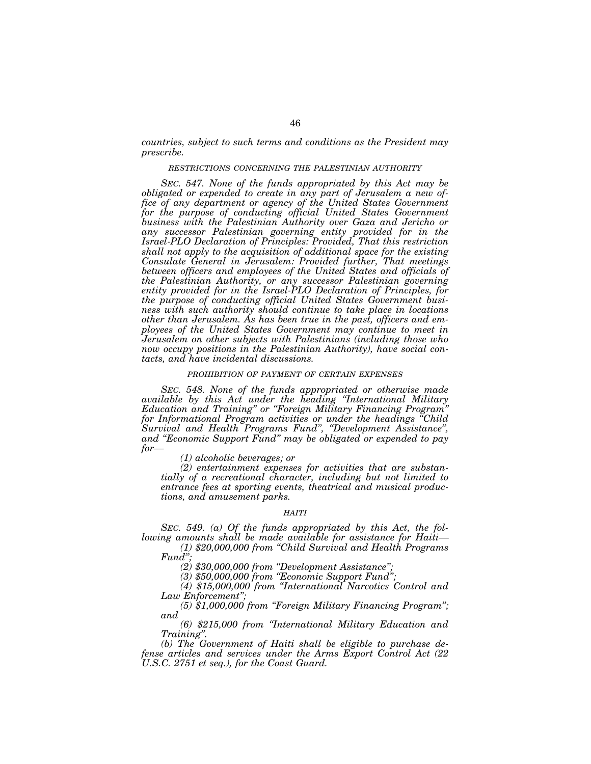*countries, subject to such terms and conditions as the President may prescribe.* 

#### *RESTRICTIONS CONCERNING THE PALESTINIAN AUTHORITY*

*SEC. 547. None of the funds appropriated by this Act may be obligated or expended to create in any part of Jerusalem a new office of any department or agency of the United States Government for the purpose of conducting official United States Government business with the Palestinian Authority over Gaza and Jericho or any successor Palestinian governing entity provided for in the Israel-PLO Declaration of Principles: Provided, That this restriction shall not apply to the acquisition of additional space for the existing Consulate General in Jerusalem: Provided further, That meetings between officers and employees of the United States and officials of the Palestinian Authority, or any successor Palestinian governing entity provided for in the Israel-PLO Declaration of Principles, for the purpose of conducting official United States Government business with such authority should continue to take place in locations other than Jerusalem. As has been true in the past, officers and employees of the United States Government may continue to meet in Jerusalem on other subjects with Palestinians (including those who now occupy positions in the Palestinian Authority), have social contacts, and have incidental discussions.* 

# *PROHIBITION OF PAYMENT OF CERTAIN EXPENSES*

*SEC. 548. None of the funds appropriated or otherwise made available by this Act under the heading ''International Military Education and Training'' or ''Foreign Military Financing Program'' for Informational Program activities or under the headings ''Child Survival and Health Programs Fund'', ''Development Assistance'', and ''Economic Support Fund'' may be obligated or expended to pay for—*

*(1) alcoholic beverages; or* 

*(2) entertainment expenses for activities that are substantially of a recreational character, including but not limited to entrance fees at sporting events, theatrical and musical productions, and amusement parks.* 

#### *HAITI*

*SEC. 549. (a) Of the funds appropriated by this Act, the following amounts shall be made available for assistance for Haiti— (1) \$20,000,000 from ''Child Survival and Health Programs* 

*Fund'';* 

*(2) \$30,000,000 from ''Development Assistance'';* 

*(3) \$50,000,000 from ''Economic Support Fund'';* 

*(4) \$15,000,000 from ''International Narcotics Control and Law Enforcement'';* 

*(5) \$1,000,000 from ''Foreign Military Financing Program''; and* 

*(6) \$215,000 from ''International Military Education and Training''.* 

*(b) The Government of Haiti shall be eligible to purchase defense articles and services under the Arms Export Control Act (22 U.S.C. 2751 et seq.), for the Coast Guard.*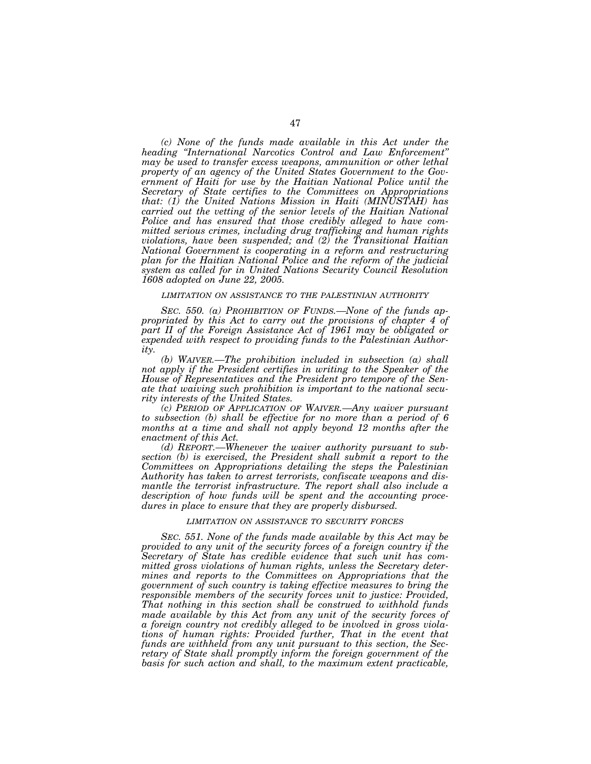*(c) None of the funds made available in this Act under the heading ''International Narcotics Control and Law Enforcement'' may be used to transfer excess weapons, ammunition or other lethal property of an agency of the United States Government to the Gov*ernment of Haiti for use by the Haitian National Police until the *Secretary of State certifies to the Committees on Appropriations that: (1) the United Nations Mission in Haiti (MINUSTAH) has carried out the vetting of the senior levels of the Haitian National Police and has ensured that those credibly alleged to have committed serious crimes, including drug trafficking and human rights violations, have been suspended; and (2) the Transitional Haitian National Government is cooperating in a reform and restructuring plan for the Haitian National Police and the reform of the judicial system as called for in United Nations Security Council Resolution 1608 adopted on June 22, 2005.* 

## *LIMITATION ON ASSISTANCE TO THE PALESTINIAN AUTHORITY*

*SEC. 550. (a) PROHIBITION OF FUNDS.—None of the funds appropriated by this Act to carry out the provisions of chapter 4 of part II of the Foreign Assistance Act of 1961 may be obligated or expended with respect to providing funds to the Palestinian Authority.* 

*(b) WAIVER.—The prohibition included in subsection (a) shall not apply if the President certifies in writing to the Speaker of the House of Representatives and the President pro tempore of the Senate that waiving such prohibition is important to the national security interests of the United States.* 

*(c) PERIOD OF APPLICATION OF WAIVER.—Any waiver pursuant to subsection (b) shall be effective for no more than a period of 6*  months at a time and shall not apply beyond 12 months after the *enactment of this Act.* 

*(d) REPORT.—Whenever the waiver authority pursuant to subsection (b) is exercised, the President shall submit a report to the Committees on Appropriations detailing the steps the Palestinian Authority has taken to arrest terrorists, confiscate weapons and dismantle the terrorist infrastructure. The report shall also include a description of how funds will be spent and the accounting procedures in place to ensure that they are properly disbursed.* 

#### *LIMITATION ON ASSISTANCE TO SECURITY FORCES*

*SEC. 551. None of the funds made available by this Act may be provided to any unit of the security forces of a foreign country if the Secretary of State has credible evidence that such unit has committed gross violations of human rights, unless the Secretary determines and reports to the Committees on Appropriations that the government of such country is taking effective measures to bring the responsible members of the security forces unit to justice: Provided, That nothing in this section shall be construed to withhold funds made available by this Act from any unit of the security forces of a foreign country not credibly alleged to be involved in gross violations of human rights: Provided further, That in the event that funds are withheld from any unit pursuant to this section, the Secretary of State shall promptly inform the foreign government of the basis for such action and shall, to the maximum extent practicable,*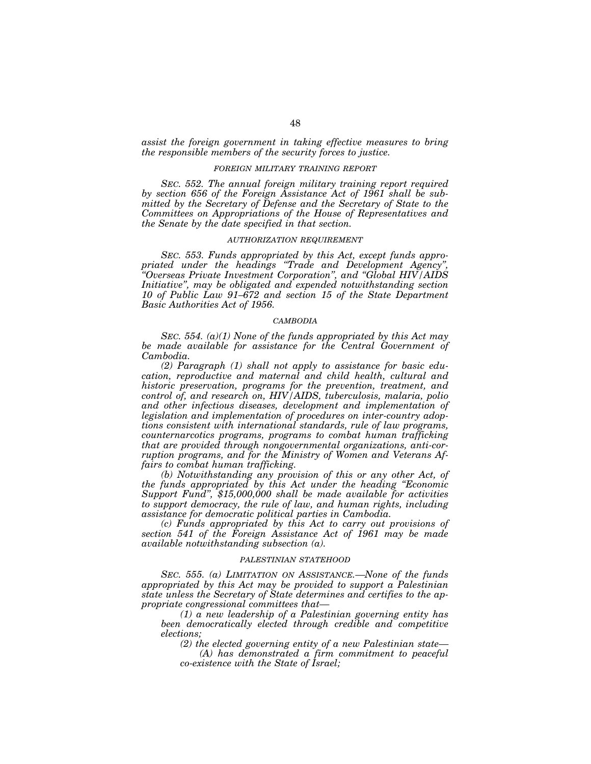*assist the foreign government in taking effective measures to bring the responsible members of the security forces to justice.* 

# *FOREIGN MILITARY TRAINING REPORT*

*SEC. 552. The annual foreign military training report required by section 656 of the Foreign Assistance Act of 1961 shall be submitted by the Secretary of Defense and the Secretary of State to the Committees on Appropriations of the House of Representatives and the Senate by the date specified in that section.* 

## *AUTHORIZATION REQUIREMENT*

*SEC. 553. Funds appropriated by this Act, except funds appropriated under the headings ''Trade and Development Agency'', ''Overseas Private Investment Corporation'', and ''Global HIV/AIDS Initiative'', may be obligated and expended notwithstanding section 10 of Public Law 91–672 and section 15 of the State Department Basic Authorities Act of 1956.* 

### *CAMBODIA*

*SEC. 554. (a)(1) None of the funds appropriated by this Act may be made available for assistance for the Central Government of Cambodia.* 

*(2) Paragraph (1) shall not apply to assistance for basic education, reproductive and maternal and child health, cultural and historic preservation, programs for the prevention, treatment, and control of, and research on, HIV/AIDS, tuberculosis, malaria, polio and other infectious diseases, development and implementation of legislation and implementation of procedures on inter-country adoptions consistent with international standards, rule of law programs, counternarcotics programs, programs to combat human trafficking that are provided through nongovernmental organizations, anti-corruption programs, and for the Ministry of Women and Veterans Affairs to combat human trafficking.* 

*(b) Notwithstanding any provision of this or any other Act, of the funds appropriated by this Act under the heading ''Economic*  Support Fund", \$15,000,000 shall be made available for activities *to support democracy, the rule of law, and human rights, including assistance for democratic political parties in Cambodia.* 

*(c) Funds appropriated by this Act to carry out provisions of section 541 of the Foreign Assistance Act of 1961 may be made available notwithstanding subsection (a).* 

#### *PALESTINIAN STATEHOOD*

*SEC. 555. (a) LIMITATION ON ASSISTANCE.—None of the funds appropriated by this Act may be provided to support a Palestinian state unless the Secretary of State determines and certifies to the appropriate congressional committees that—*

*(1) a new leadership of a Palestinian governing entity has been democratically elected through credible and competitive elections;* 

*(2) the elected governing entity of a new Palestinian state— (A) has demonstrated a firm commitment to peaceful co-existence with the State of Israel;*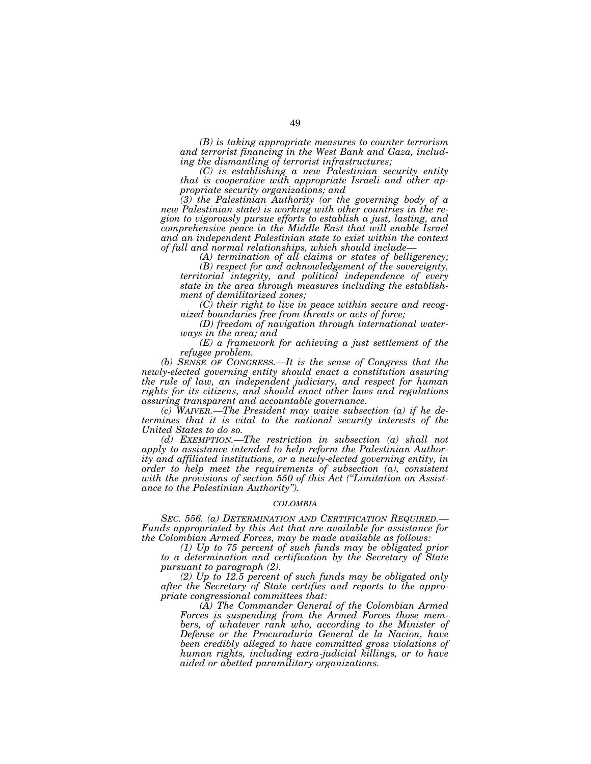*(B) is taking appropriate measures to counter terrorism and terrorist financing in the West Bank and Gaza, including the dismantling of terrorist infrastructures;* 

*(C) is establishing a new Palestinian security entity that is cooperative with appropriate Israeli and other appropriate security organizations; and* 

*(3) the Palestinian Authority (or the governing body of a new Palestinian state) is working with other countries in the region to vigorously pursue efforts to establish a just, lasting, and comprehensive peace in the Middle East that will enable Israel and an independent Palestinian state to exist within the context of full and normal relationships, which should include— (A) termination of all claims or states of belligerency;* 

*(B) respect for and acknowledgement of the sovereignty, territorial integrity, and political independence of every state in the area through measures including the establishment of demilitarized zones;* 

*(C) their right to live in peace within secure and recognized boundaries free from threats or acts of force;* 

*(D) freedom of navigation through international waterways in the area; and* 

*(E) a framework for achieving a just settlement of the refugee problem.* 

*(b) SENSE OF CONGRESS.—It is the sense of Congress that the newly-elected governing entity should enact a constitution assuring the rule of law, an independent judiciary, and respect for human rights for its citizens, and should enact other laws and regulations assuring transparent and accountable governance.* 

*(c) WAIVER.—The President may waive subsection (a) if he determines that it is vital to the national security interests of the United States to do so.* 

*(d) EXEMPTION.—The restriction in subsection (a) shall not apply to assistance intended to help reform the Palestinian Authority and affiliated institutions, or a newly-elected governing entity, in order to help meet the requirements of subsection (a), consistent with the provisions of section 550 of this Act (''Limitation on Assistance to the Palestinian Authority'').* 

## *COLOMBIA*

*SEC. 556. (a) DETERMINATION AND CERTIFICATION REQUIRED.— Funds appropriated by this Act that are available for assistance for the Colombian Armed Forces, may be made available as follows:* 

*(1) Up to 75 percent of such funds may be obligated prior to a determination and certification by the Secretary of State pursuant to paragraph (2).* 

*(2) Up to 12.5 percent of such funds may be obligated only after the Secretary of State certifies and reports to the appropriate congressional committees that:* 

*(A) The Commander General of the Colombian Armed Forces is suspending from the Armed Forces those members, of whatever rank who, according to the Minister of Defense or the Procuraduria General de la Nacion, have been credibly alleged to have committed gross violations of human rights, including extra-judicial killings, or to have aided or abetted paramilitary organizations.*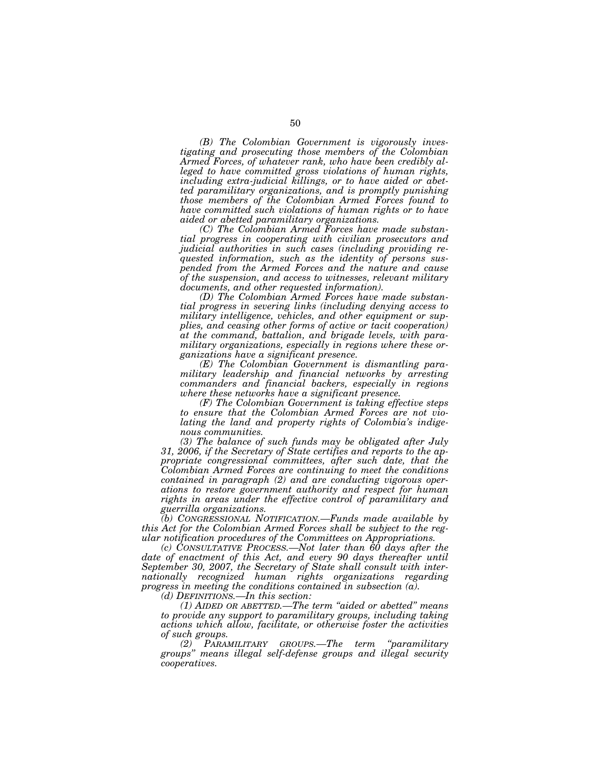*(B) The Colombian Government is vigorously investigating and prosecuting those members of the Colombian Armed Forces, of whatever rank, who have been credibly alleged to have committed gross violations of human rights, including extra-judicial killings, or to have aided or abetted paramilitary organizations, and is promptly punishing those members of the Colombian Armed Forces found to have committed such violations of human rights or to have aided or abetted paramilitary organizations.* 

*(C) The Colombian Armed Forces have made substantial progress in cooperating with civilian prosecutors and judicial authorities in such cases (including providing requested information, such as the identity of persons suspended from the Armed Forces and the nature and cause of the suspension, and access to witnesses, relevant military documents, and other requested information).* 

*(D) The Colombian Armed Forces have made substantial progress in severing links (including denying access to military intelligence, vehicles, and other equipment or supplies, and ceasing other forms of active or tacit cooperation) at the command, battalion, and brigade levels, with paramilitary organizations, especially in regions where these organizations have a significant presence.* 

*(E) The Colombian Government is dismantling paramilitary leadership and financial networks by arresting commanders and financial backers, especially in regions where these networks have a significant presence.* 

*(F) The Colombian Government is taking effective steps to ensure that the Colombian Armed Forces are not violating the land and property rights of Colombia's indigenous communities.* 

*(3) The balance of such funds may be obligated after July 31, 2006, if the Secretary of State certifies and reports to the appropriate congressional committees, after such date, that the Colombian Armed Forces are continuing to meet the conditions contained in paragraph (2) and are conducting vigorous operations to restore government authority and respect for human rights in areas under the effective control of paramilitary and guerrilla organizations.* 

*(b) CONGRESSIONAL NOTIFICATION.—Funds made available by this Act for the Colombian Armed Forces shall be subject to the regular notification procedures of the Committees on Appropriations.* 

*(c) CONSULTATIVE PROCESS.—Not later than 60 days after the date of enactment of this Act, and every 90 days thereafter until September 30, 2007, the Secretary of State shall consult with internationally recognized human rights organizations regarding progress in meeting the conditions contained in subsection (a).* 

*(d) DEFINITIONS.—In this section:* 

*(1) AIDED OR ABETTED.—The term ''aided or abetted'' means to provide any support to paramilitary groups, including taking actions which allow, facilitate, or otherwise foster the activities of such groups.* 

*(2) PARAMILITARY GROUPS.—The term ''paramilitary groups'' means illegal self-defense groups and illegal security cooperatives.*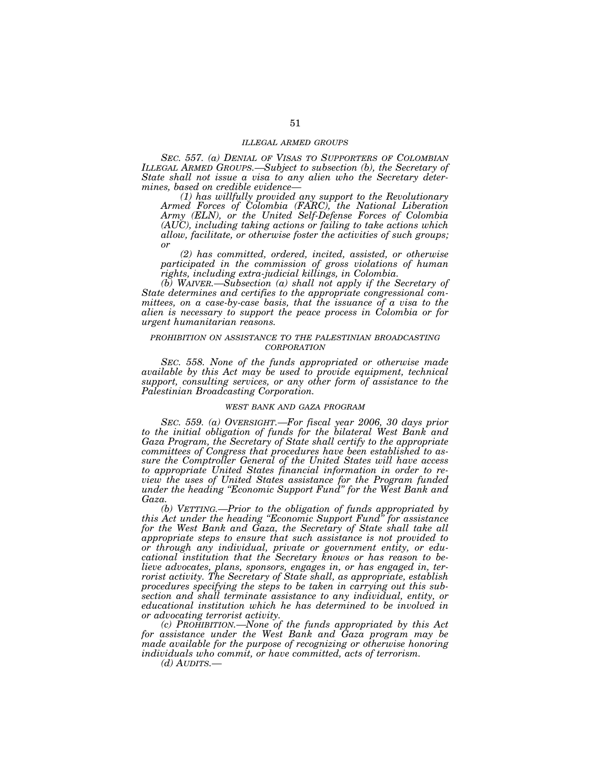## *ILLEGAL ARMED GROUPS*

*SEC. 557. (a) DENIAL OF VISAS TO SUPPORTERS OF COLOMBIAN ILLEGAL ARMED GROUPS.—Subject to subsection (b), the Secretary of State shall not issue a visa to any alien who the Secretary determines, based on credible evidence—*

*(1) has willfully provided any support to the Revolutionary Armed Forces of Colombia (FARC), the National Liberation Army (ELN), or the United Self-Defense Forces of Colombia (AUC), including taking actions or failing to take actions which allow, facilitate, or otherwise foster the activities of such groups; or* 

*(2) has committed, ordered, incited, assisted, or otherwise participated in the commission of gross violations of human rights, including extra-judicial killings, in Colombia.* 

*(b) WAIVER.—Subsection (a) shall not apply if the Secretary of State determines and certifies to the appropriate congressional committees, on a case-by-case basis, that the issuance of a visa to the alien is necessary to support the peace process in Colombia or for urgent humanitarian reasons.* 

# *PROHIBITION ON ASSISTANCE TO THE PALESTINIAN BROADCASTING CORPORATION*

*SEC. 558. None of the funds appropriated or otherwise made available by this Act may be used to provide equipment, technical support, consulting services, or any other form of assistance to the Palestinian Broadcasting Corporation.* 

## *WEST BANK AND GAZA PROGRAM*

*SEC. 559. (a) OVERSIGHT.—For fiscal year 2006, 30 days prior to the initial obligation of funds for the bilateral West Bank and Gaza Program, the Secretary of State shall certify to the appropriate committees of Congress that procedures have been established to assure the Comptroller General of the United States will have access to appropriate United States financial information in order to review the uses of United States assistance for the Program funded under the heading ''Economic Support Fund'' for the West Bank and Gaza.* 

*(b) VETTING.—Prior to the obligation of funds appropriated by this Act under the heading ''Economic Support Fund'' for assistance for the West Bank and Gaza, the Secretary of State shall take all appropriate steps to ensure that such assistance is not provided to or through any individual, private or government entity, or educational institution that the Secretary knows or has reason to believe advocates, plans, sponsors, engages in, or has engaged in, terrorist activity. The Secretary of State shall, as appropriate, establish procedures specifying the steps to be taken in carrying out this subsection and shall terminate assistance to any individual, entity, or educational institution which he has determined to be involved in or advocating terrorist activity.* 

*(c) PROHIBITION.—None of the funds appropriated by this Act for assistance under the West Bank and Gaza program may be made available for the purpose of recognizing or otherwise honoring individuals who commit, or have committed, acts of terrorism.* 

*(d) AUDITS.—*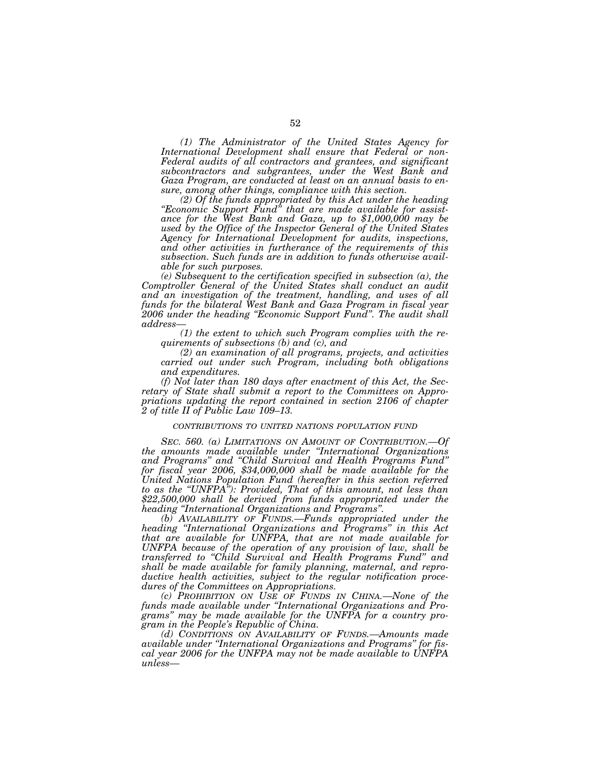*(1) The Administrator of the United States Agency for International Development shall ensure that Federal or non-Federal audits of all contractors and grantees, and significant subcontractors and subgrantees, under the West Bank and Gaza Program, are conducted at least on an annual basis to ensure, among other things, compliance with this section.* 

*(2) Of the funds appropriated by this Act under the heading ''Economic Support Fund'' that are made available for assist- ance for the West Bank and Gaza, up to \$1,000,000 may be used by the Office of the Inspector General of the United States Agency for International Development for audits, inspections, and other activities in furtherance of the requirements of this subsection. Such funds are in addition to funds otherwise available for such purposes.* 

*(e) Subsequent to the certification specified in subsection (a), the Comptroller General of the United States shall conduct an audit and an investigation of the treatment, handling, and uses of all funds for the bilateral West Bank and Gaza Program in fiscal year 2006 under the heading ''Economic Support Fund''. The audit shall address—*

*(1) the extent to which such Program complies with the requirements of subsections (b) and (c), and* 

*(2) an examination of all programs, projects, and activities carried out under such Program, including both obligations and expenditures.* 

*(f) Not later than 180 days after enactment of this Act, the Secretary of State shall submit a report to the Committees on Appropriations updating the report contained in section 2106 of chapter 2 of title II of Public Law 109–13.* 

## *CONTRIBUTIONS TO UNITED NATIONS POPULATION FUND*

*SEC. 560. (a) LIMITATIONS ON AMOUNT OF CONTRIBUTION.—Of the amounts made available under ''International Organizations and Programs'' and ''Child Survival and Health Programs Fund'' for fiscal year 2006, \$34,000,000 shall be made available for the United Nations Population Fund (hereafter in this section referred to as the ''UNFPA''): Provided, That of this amount, not less than \$22,500,000 shall be derived from funds appropriated under the heading ''International Organizations and Programs''.* 

*(b) AVAILABILITY OF FUNDS.—Funds appropriated under the heading ''International Organizations and Programs'' in this Act that are available for UNFPA, that are not made available for UNFPA because of the operation of any provision of law, shall be transferred to ''Child Survival and Health Programs Fund'' and shall be made available for family planning, maternal, and reproductive health activities, subject to the regular notification procedures of the Committees on Appropriations.* 

*(c) PROHIBITION ON USE OF FUNDS IN CHINA.—None of the funds made available under ''International Organizations and Programs'' may be made available for the UNFPA for a country program in the People's Republic of China.* 

*(d) CONDITIONS ON AVAILABILITY OF FUNDS.—Amounts made available under ''International Organizations and Programs'' for fiscal year 2006 for the UNFPA may not be made available to UNFPA unless—*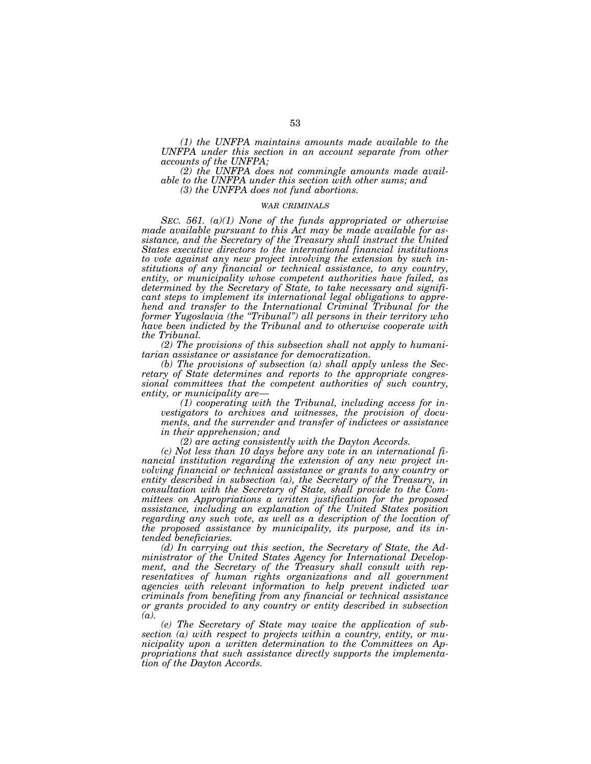*(1) the UNFPA maintains amounts made available to the UNFPA under this section in an account separate from other accounts of the UNFPA;* 

*(2) the UNFPA does not commingle amounts made available to the UNFPA under this section with other sums; and* 

*(3) the UNFPA does not fund abortions.* 

# *WAR CRIMINALS*

*SEC. 561. (a)(1) None of the funds appropriated or otherwise made available pursuant to this Act may be made available for assistance, and the Secretary of the Treasury shall instruct the United States executive directors to the international financial institutions to vote against any new project involving the extension by such institutions of any financial or technical assistance, to any country, entity, or municipality whose competent authorities have failed, as determined by the Secretary of State, to take necessary and significant steps to implement its international legal obligations to apprehend and transfer to the International Criminal Tribunal for the former Yugoslavia (the ''Tribunal'') all persons in their territory who have been indicted by the Tribunal and to otherwise cooperate with the Tribunal.* 

*(2) The provisions of this subsection shall not apply to humanitarian assistance or assistance for democratization.* 

*(b) The provisions of subsection (a) shall apply unless the Secretary of State determines and reports to the appropriate congressional committees that the competent authorities of such country, entity, or municipality are—*

*(1) cooperating with the Tribunal, including access for investigators to archives and witnesses, the provision of documents, and the surrender and transfer of indictees or assistance in their apprehension; and* 

*(2) are acting consistently with the Dayton Accords.* 

*(c) Not less than 10 days before any vote in an international financial institution regarding the extension of any new project involving financial or technical assistance or grants to any country or entity described in subsection (a), the Secretary of the Treasury, in consultation with the Secretary of State, shall provide to the Committees on Appropriations a written justification for the proposed assistance, including an explanation of the United States position regarding any such vote, as well as a description of the location of the proposed assistance by municipality, its purpose, and its intended beneficiaries.* 

*(d) In carrying out this section, the Secretary of State, the Administrator of the United States Agency for International Development, and the Secretary of the Treasury shall consult with representatives of human rights organizations and all government agencies with relevant information to help prevent indicted war criminals from benefiting from any financial or technical assistance or grants provided to any country or entity described in subsection (a).* 

*(e) The Secretary of State may waive the application of subsection (a) with respect to projects within a country, entity, or municipality upon a written determination to the Committees on Appropriations that such assistance directly supports the implementation of the Dayton Accords.*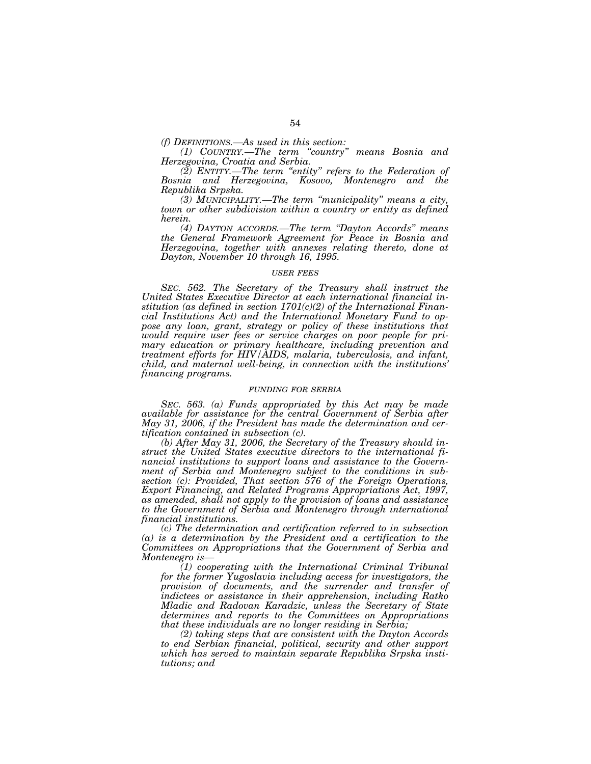*(f) DEFINITIONS.—As used in this section:* 

*(1) COUNTRY.—The term ''country'' means Bosnia and Herzegovina, Croatia and Serbia.* 

*(2) ENTITY.—The term ''entity'' refers to the Federation of Bosnia and Herzegovina, Kosovo, Montenegro and the Republika Srpska.* 

*(3) MUNICIPALITY.—The term ''municipality'' means a city, town or other subdivision within a country or entity as defined herein.* 

*(4) DAYTON ACCORDS.—The term ''Dayton Accords'' means the General Framework Agreement for Peace in Bosnia and Herzegovina, together with annexes relating thereto, done at Dayton, November 10 through 16, 1995.* 

#### *USER FEES*

*SEC. 562. The Secretary of the Treasury shall instruct the United States Executive Director at each international financial institution (as defined in section 1701(c)(2) of the International Financial Institutions Act) and the International Monetary Fund to oppose any loan, grant, strategy or policy of these institutions that would require user fees or service charges on poor people for primary education or primary healthcare, including prevention and treatment efforts for HIV/AIDS, malaria, tuberculosis, and infant, child, and maternal well-being, in connection with the institutions' financing programs.* 

#### *FUNDING FOR SERBIA*

*SEC. 563. (a) Funds appropriated by this Act may be made available for assistance for the central Government of Serbia after May 31, 2006, if the President has made the determination and certification contained in subsection (c).* 

*(b) After May 31, 2006, the Secretary of the Treasury should instruct the United States executive directors to the international financial institutions to support loans and assistance to the Government of Serbia and Montenegro subject to the conditions in subsection (c): Provided, That section 576 of the Foreign Operations, Export Financing, and Related Programs Appropriations Act, 1997, as amended, shall not apply to the provision of loans and assistance to the Government of Serbia and Montenegro through international financial institutions.* 

*(c) The determination and certification referred to in subsection (a) is a determination by the President and a certification to the Committees on Appropriations that the Government of Serbia and Montenegro is—*

*(1) cooperating with the International Criminal Tribunal for the former Yugoslavia including access for investigators, the provision of documents, and the surrender and transfer of indictees or assistance in their apprehension, including Ratko Mladic and Radovan Karadzic, unless the Secretary of State determines and reports to the Committees on Appropriations that these individuals are no longer residing in Serbia;* 

*(2) taking steps that are consistent with the Dayton Accords to end Serbian financial, political, security and other support which has served to maintain separate Republika Srpska institutions; and*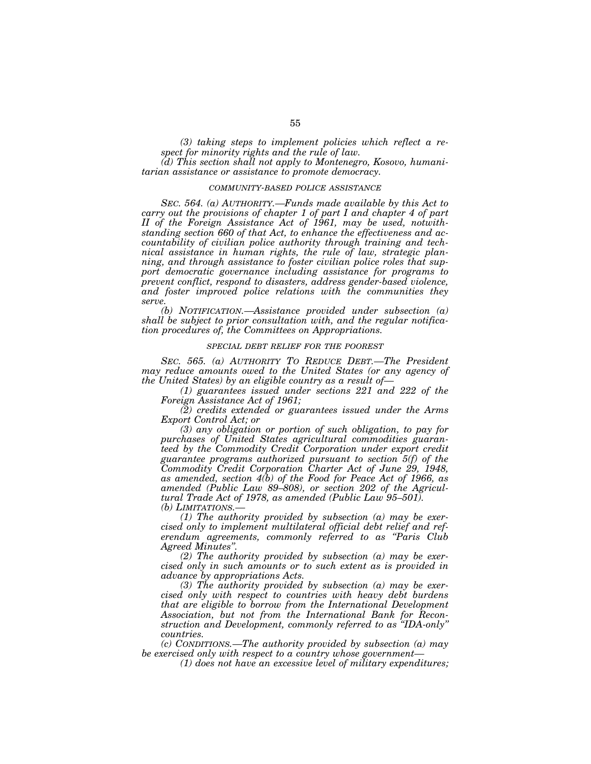*(3) taking steps to implement policies which reflect a respect for minority rights and the rule of law.* 

*(d) This section shall not apply to Montenegro, Kosovo, humanitarian assistance or assistance to promote democracy.* 

#### *COMMUNITY-BASED POLICE ASSISTANCE*

*SEC. 564. (a) AUTHORITY.—Funds made available by this Act to carry out the provisions of chapter 1 of part I and chapter 4 of part II of the Foreign Assistance Act of 1961, may be used, notwithstanding section 660 of that Act, to enhance the effectiveness and accountability of civilian police authority through training and technical assistance in human rights, the rule of law, strategic planning, and through assistance to foster civilian police roles that support democratic governance including assistance for programs to prevent conflict, respond to disasters, address gender-based violence, and foster improved police relations with the communities they serve.* 

*(b) NOTIFICATION.—Assistance provided under subsection (a) shall be subject to prior consultation with, and the regular notification procedures of, the Committees on Appropriations.* 

#### *SPECIAL DEBT RELIEF FOR THE POOREST*

*SEC. 565. (a) AUTHORITY TO REDUCE DEBT.—The President may reduce amounts owed to the United States (or any agency of the United States) by an eligible country as a result of—*

*(1) guarantees issued under sections 221 and 222 of the Foreign Assistance Act of 1961;* 

*(2) credits extended or guarantees issued under the Arms Export Control Act; or* 

*(3) any obligation or portion of such obligation, to pay for purchases of United States agricultural commodities guaranteed by the Commodity Credit Corporation under export credit guarantee programs authorized pursuant to section 5(f) of the Commodity Credit Corporation Charter Act of June 29, 1948, as amended, section 4(b) of the Food for Peace Act of 1966, as amended (Public Law 89–808), or section 202 of the Agricultural Trade Act of 1978, as amended (Public Law 95–501). (b)* LIMITATIONS.

*(1) The authority provided by subsection (a) may be exercised only to implement multilateral official debt relief and referendum agreements, commonly referred to as ''Paris Club Agreed Minutes''.* 

*(2) The authority provided by subsection (a) may be exercised only in such amounts or to such extent as is provided in advance by appropriations Acts.* 

*(3) The authority provided by subsection (a) may be exercised only with respect to countries with heavy debt burdens that are eligible to borrow from the International Development Association, but not from the International Bank for Reconstruction and Development, commonly referred to as ''IDA-only'' countries.* 

*(c) CONDITIONS.—The authority provided by subsection (a) may be exercised only with respect to a country whose government—*

*(1) does not have an excessive level of military expenditures;*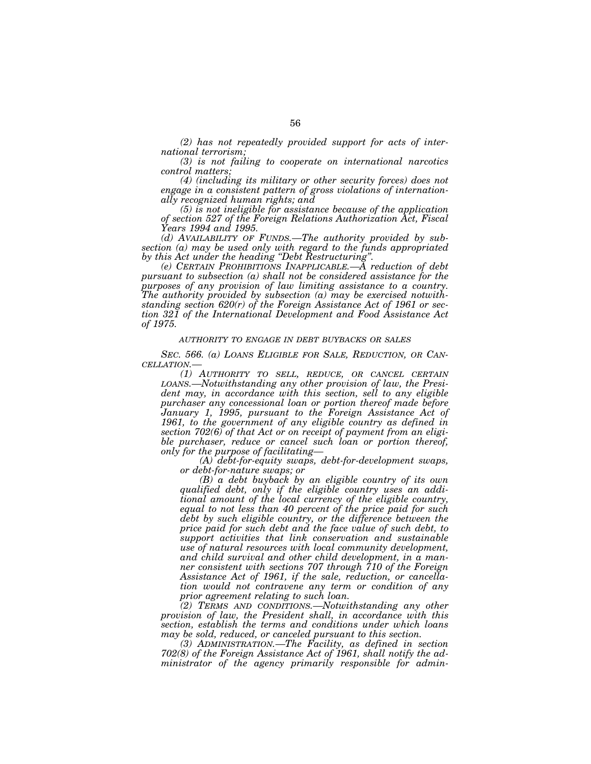*(2) has not repeatedly provided support for acts of international terrorism;* 

*(3) is not failing to cooperate on international narcotics control matters;* 

*(4) (including its military or other security forces) does not engage in a consistent pattern of gross violations of internationally recognized human rights; and* 

*(5) is not ineligible for assistance because of the application of section 527 of the Foreign Relations Authorization Act, Fiscal Years 1994 and 1995.* 

*(d) AVAILABILITY OF FUNDS.—The authority provided by subsection (a) may be used only with regard to the funds appropriated* 

*by this Act under the heading ''Debt Restructuring''. (e) CERTAIN PROHIBITIONS INAPPLICABLE.—A reduction of debt pursuant to subsection (a) shall not be considered assistance for the purposes of any provision of law limiting assistance to a country. The authority provided by subsection (a) may be exercised notwithstanding section 620(r) of the Foreign Assistance Act of 1961 or section 321 of the International Development and Food Assistance Act of 1975.* 

# *AUTHORITY TO ENGAGE IN DEBT BUYBACKS OR SALES*

*SEC. 566. (a) LOANS ELIGIBLE FOR SALE, REDUCTION, OR CAN- CELLATION.— (1) AUTHORITY TO SELL, REDUCE, OR CANCEL CERTAIN*

*LOANS.—Notwithstanding any other provision of law, the President may, in accordance with this section, sell to any eligible purchaser any concessional loan or portion thereof made before January 1, 1995, pursuant to the Foreign Assistance Act of* 1961, to the government of any eligible country as defined in *section 702(6) of that Act or on receipt of payment from an eligible purchaser, reduce or cancel such loan or portion thereof,* 

*only for the purpose of facilitating— (A) debt-for-equity swaps, debt-for-development swaps, or debt-for-nature swaps; or* 

*(B) a debt buyback by an eligible country of its own qualified debt, only if the eligible country uses an additional amount of the local currency of the eligible country, equal to not less than 40 percent of the price paid for such debt by such eligible country, or the difference between the price paid for such debt and the face value of such debt, to support activities that link conservation and sustainable use of natural resources with local community development, and child survival and other child development, in a manner consistent with sections 707 through 710 of the Foreign Assistance Act of 1961, if the sale, reduction, or cancellation would not contravene any term or condition of any prior agreement relating to such loan.* 

*(2) TERMS AND CONDITIONS.—Notwithstanding any other provision of law, the President shall, in accordance with this section, establish the terms and conditions under which loans may be sold, reduced, or canceled pursuant to this section.* 

*(3) ADMINISTRATION.—The Facility, as defined in section 702(8) of the Foreign Assistance Act of 1961, shall notify the administrator of the agency primarily responsible for admin-*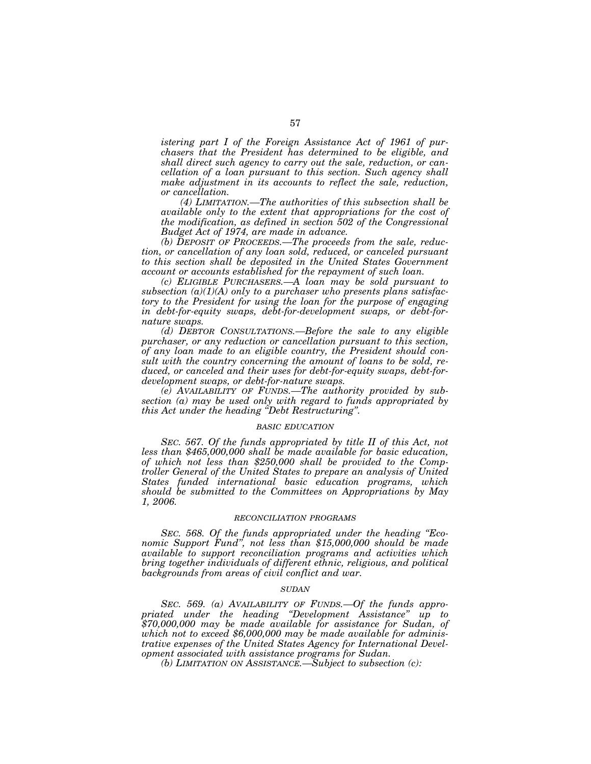*istering part I of the Foreign Assistance Act of 1961 of purchasers that the President has determined to be eligible, and shall direct such agency to carry out the sale, reduction, or cancellation of a loan pursuant to this section. Such agency shall make adjustment in its accounts to reflect the sale, reduction, or cancellation.* 

*(4) LIMITATION.—The authorities of this subsection shall be available only to the extent that appropriations for the cost of the modification, as defined in section 502 of the Congressional Budget Act of 1974, are made in advance.* 

*(b) DEPOSIT OF PROCEEDS.—The proceeds from the sale, reduction, or cancellation of any loan sold, reduced, or canceled pursuant to this section shall be deposited in the United States Government account or accounts established for the repayment of such loan.* 

*(c) ELIGIBLE PURCHASERS.—A loan may be sold pursuant to subsection (a)(1)(A) only to a purchaser who presents plans satisfactory to the President for using the loan for the purpose of engaging in debt-for-equity swaps, debt-for-development swaps, or debt-fornature swaps.* 

*(d) DEBTOR CONSULTATIONS.—Before the sale to any eligible purchaser, or any reduction or cancellation pursuant to this section, of any loan made to an eligible country, the President should consult with the country concerning the amount of loans to be sold, reduced, or canceled and their uses for debt-for-equity swaps, debt-fordevelopment swaps, or debt-for-nature swaps.* 

*(e) AVAILABILITY OF FUNDS.—The authority provided by subsection (a) may be used only with regard to funds appropriated by this Act under the heading ''Debt Restructuring''.* 

#### *BASIC EDUCATION*

*SEC. 567. Of the funds appropriated by title II of this Act, not less than \$465,000,000 shall be made available for basic education, of which not less than \$250,000 shall be provided to the Comptroller General of the United States to prepare an analysis of United States funded international basic education programs, which should be submitted to the Committees on Appropriations by May 1, 2006.* 

#### *RECONCILIATION PROGRAMS*

*SEC. 568. Of the funds appropriated under the heading ''Economic Support Fund'', not less than \$15,000,000 should be made available to support reconciliation programs and activities which bring together individuals of different ethnic, religious, and political backgrounds from areas of civil conflict and war.* 

## *SUDAN*

*SEC. 569. (a) AVAILABILITY OF FUNDS.—Of the funds appropriated under the heading ''Development Assistance'' up to \$70,000,000 may be made available for assistance for Sudan, of which not to exceed \$6,000,000 may be made available for administrative expenses of the United States Agency for International Development associated with assistance programs for Sudan.* 

*(b) LIMITATION ON ASSISTANCE.—Subject to subsection (c):*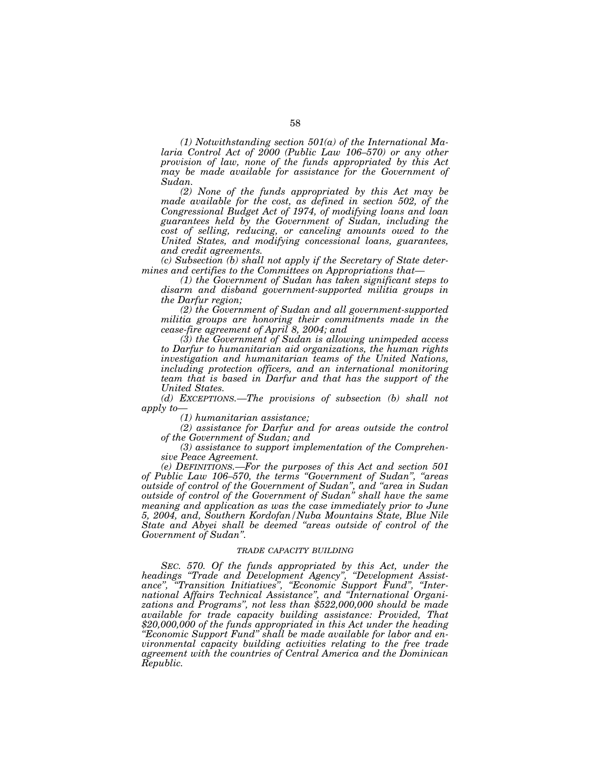*(1) Notwithstanding section 501(a) of the International Malaria Control Act of 2000 (Public Law 106–570) or any other provision of law, none of the funds appropriated by this Act may be made available for assistance for the Government of Sudan.* 

*(2) None of the funds appropriated by this Act may be*  made available for the cost, as defined in section 502, of the *Congressional Budget Act of 1974, of modifying loans and loan guarantees held by the Government of Sudan, including the cost of selling, reducing, or canceling amounts owed to the United States, and modifying concessional loans, guarantees, and credit agreements.* 

*(c) Subsection (b) shall not apply if the Secretary of State determines and certifies to the Committees on Appropriations that—*

*(1) the Government of Sudan has taken significant steps to disarm and disband government-supported militia groups in the Darfur region;* 

*(2) the Government of Sudan and all government-supported militia groups are honoring their commitments made in the cease-fire agreement of April 8, 2004; and* 

*(3) the Government of Sudan is allowing unimpeded access to Darfur to humanitarian aid organizations, the human rights investigation and humanitarian teams of the United Nations, including protection officers, and an international monitoring team that is based in Darfur and that has the support of the United States.* 

*(d) EXCEPTIONS.—The provisions of subsection (b) shall not apply to—*

*(1) humanitarian assistance;* 

*(2) assistance for Darfur and for areas outside the control of the Government of Sudan; and* 

*(3) assistance to support implementation of the Comprehensive Peace Agreement.* 

*(e) DEFINITIONS.—For the purposes of this Act and section 501 of Public Law 106–570, the terms ''Government of Sudan'', ''areas outside of control of the Government of Sudan'', and ''area in Sudan outside of control of the Government of Sudan'' shall have the same meaning and application as was the case immediately prior to June 5, 2004, and, Southern Kordofan/Nuba Mountains State, Blue Nile State and Abyei shall be deemed ''areas outside of control of the Government of Sudan''.* 

## *TRADE CAPACITY BUILDING*

*SEC. 570. Of the funds appropriated by this Act, under the headings ''Trade and Development Agency'', ''Development Assistance'', ''Transition Initiatives'', ''Economic Support Fund'', ''International Affairs Technical Assistance'', and ''International Organizations and Programs'', not less than \$522,000,000 should be made available for trade capacity building assistance: Provided, That \$20,000,000 of the funds appropriated in this Act under the heading ''Economic Support Fund'' shall be made available for labor and environmental capacity building activities relating to the free trade agreement with the countries of Central America and the Dominican Republic.*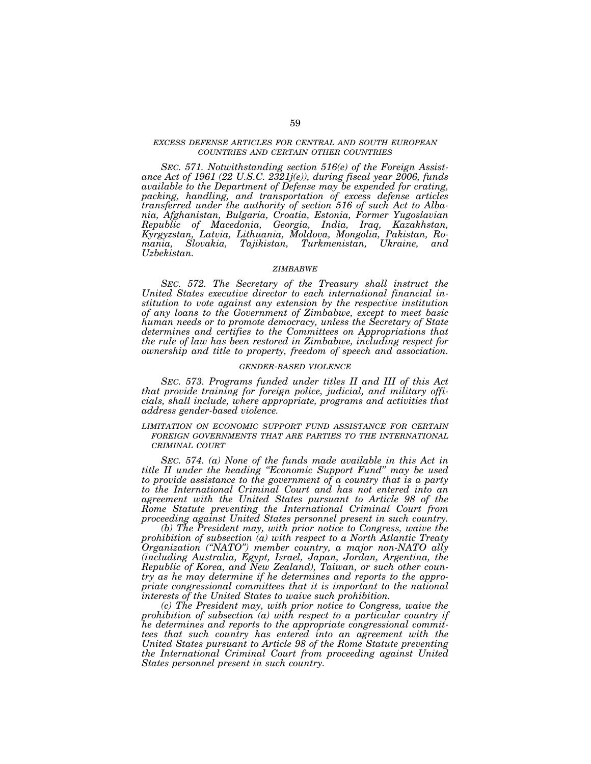# *EXCESS DEFENSE ARTICLES FOR CENTRAL AND SOUTH EUROPEAN COUNTRIES AND CERTAIN OTHER COUNTRIES*

*SEC. 571. Notwithstanding section 516(e) of the Foreign Assistance Act of 1961 (22 U.S.C. 2321j(e)), during fiscal year 2006, funds available to the Department of Defense may be expended for crating, packing, handling, and transportation of excess defense articles transferred under the authority of section 516 of such Act to Albania, Afghanistan, Bulgaria, Croatia, Estonia, Former Yugoslavian Republic of Macedonia, Georgia, India, Iraq, Kazakhstan, Kyrgyzstan, Latvia, Lithuania, Moldova, Mongolia, Pakistan, Romania, Slovakia, Tajikistan, Turkmenistan, Ukraine, and Uzbekistan.* 

# *ZIMBABWE*

*SEC. 572. The Secretary of the Treasury shall instruct the United States executive director to each international financial institution to vote against any extension by the respective institution of any loans to the Government of Zimbabwe, except to meet basic human needs or to promote democracy, unless the Secretary of State determines and certifies to the Committees on Appropriations that the rule of law has been restored in Zimbabwe, including respect for ownership and title to property, freedom of speech and association.* 

# *GENDER-BASED VIOLENCE*

*SEC. 573. Programs funded under titles II and III of this Act that provide training for foreign police, judicial, and military officials, shall include, where appropriate, programs and activities that address gender-based violence.* 

*LIMITATION ON ECONOMIC SUPPORT FUND ASSISTANCE FOR CERTAIN FOREIGN GOVERNMENTS THAT ARE PARTIES TO THE INTERNATIONAL CRIMINAL COURT*

*SEC. 574. (a) None of the funds made available in this Act in title II under the heading ''Economic Support Fund'' may be used to provide assistance to the government of a country that is a party to the International Criminal Court and has not entered into an agreement with the United States pursuant to Article 98 of the Rome Statute preventing the International Criminal Court from proceeding against United States personnel present in such country.* 

*(b) The President may, with prior notice to Congress, waive the prohibition of subsection (a) with respect to a North Atlantic Treaty Organization (''NATO'') member country, a major non-NATO ally (including Australia, Egypt, Israel, Japan, Jordan, Argentina, the Republic of Korea, and New Zealand), Taiwan, or such other country as he may determine if he determines and reports to the appropriate congressional committees that it is important to the national interests of the United States to waive such prohibition.* 

*(c) The President may, with prior notice to Congress, waive the prohibition of subsection (a) with respect to a particular country if he determines and reports to the appropriate congressional committees that such country has entered into an agreement with the United States pursuant to Article 98 of the Rome Statute preventing the International Criminal Court from proceeding against United States personnel present in such country.*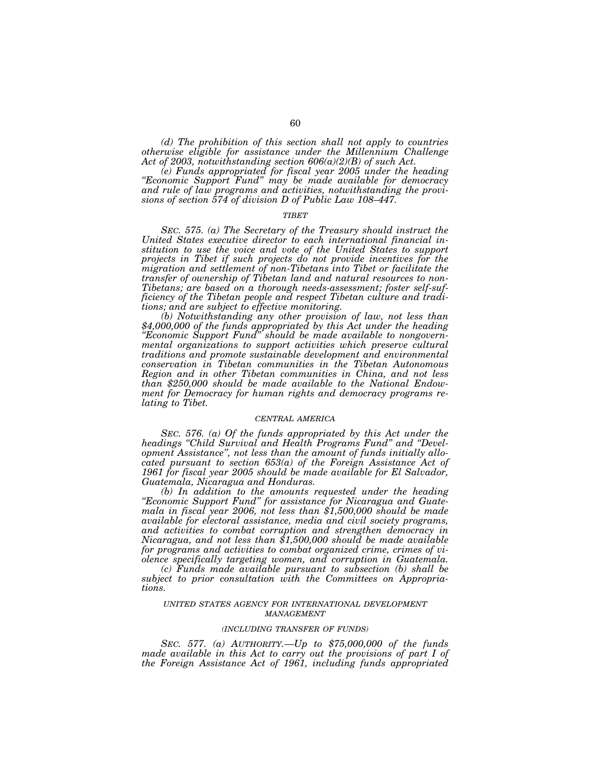*(d) The prohibition of this section shall not apply to countries otherwise eligible for assistance under the Millennium Challenge Act of 2003, notwithstanding section 606(a)(2)(B) of such Act.* 

*(e) Funds appropriated for fiscal year 2005 under the heading ''Economic Support Fund'' may be made available for democracy and rule of law programs and activities, notwithstanding the provisions of section 574 of division D of Public Law 108–447.* 

#### *TIBET*

*SEC. 575. (a) The Secretary of the Treasury should instruct the United States executive director to each international financial institution to use the voice and vote of the United States to support projects in Tibet if such projects do not provide incentives for the migration and settlement of non-Tibetans into Tibet or facilitate the transfer of ownership of Tibetan land and natural resources to non-Tibetans; are based on a thorough needs-assessment; foster self-sufficiency of the Tibetan people and respect Tibetan culture and tradi-*

*tions; and are subject to effective monitoring. (b) Notwithstanding any other provision of law, not less than \$4,000,000 of the funds appropriated by this Act under the heading ''Economic Support Fund'' should be made available to nongovernmental organizations to support activities which preserve cultural traditions and promote sustainable development and environmental conservation in Tibetan communities in the Tibetan Autonomous Region and in other Tibetan communities in China, and not less than \$250,000 should be made available to the National Endowment for Democracy for human rights and democracy programs relating to Tibet.* 

### *CENTRAL AMERICA*

*SEC. 576. (a) Of the funds appropriated by this Act under the headings ''Child Survival and Health Programs Fund'' and ''Development Assistance'', not less than the amount of funds initially allocated pursuant to section 653(a) of the Foreign Assistance Act of 1961 for fiscal year 2005 should be made available for El Salvador, Guatemala, Nicaragua and Honduras.* 

*(b) In addition to the amounts requested under the heading ''Economic Support Fund'' for assistance for Nicaragua and Guatemala in fiscal year 2006, not less than \$1,500,000 should be made available for electoral assistance, media and civil society programs, and activities to combat corruption and strengthen democracy in Nicaragua, and not less than \$1,500,000 should be made available for programs and activities to combat organized crime, crimes of violence specifically targeting women, and corruption in Guatemala.* 

*(c) Funds made available pursuant to subsection (b) shall be subject to prior consultation with the Committees on Appropriations.* 

## *UNITED STATES AGENCY FOR INTERNATIONAL DEVELOPMENT MANAGEMENT*

#### *(INCLUDING TRANSFER OF FUNDS)*

*SEC. 577. (a) AUTHORITY.—Up to \$75,000,000 of the funds made available in this Act to carry out the provisions of part I of the Foreign Assistance Act of 1961, including funds appropriated*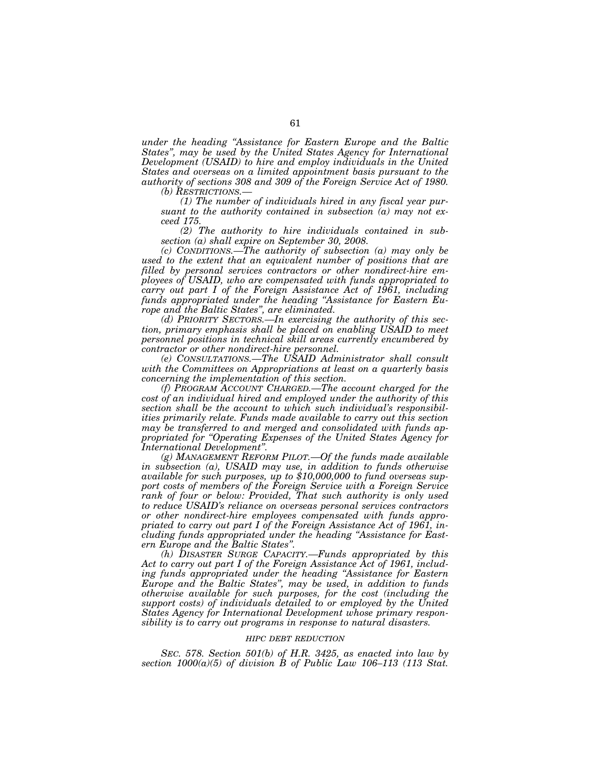*under the heading ''Assistance for Eastern Europe and the Baltic States'', may be used by the United States Agency for International Development (USAID) to hire and employ individuals in the United States and overseas on a limited appointment basis pursuant to the authority of sections 308 and 309 of the Foreign Service Act of 1980.* 

*(b) RESTRICTIONS.—*

*(1) The number of individuals hired in any fiscal year pursuant to the authority contained in subsection (a) may not exceed 175.* 

*(2) The authority to hire individuals contained in subsection (a) shall expire on September 30, 2008.* 

*(c) CONDITIONS.—The authority of subsection (a) may only be used to the extent that an equivalent number of positions that are filled by personal services contractors or other nondirect-hire employees of USAID, who are compensated with funds appropriated to carry out part I of the Foreign Assistance Act of 1961, including funds appropriated under the heading ''Assistance for Eastern Europe and the Baltic States'', are eliminated.* 

*(d) PRIORITY SECTORS.—In exercising the authority of this section, primary emphasis shall be placed on enabling USAID to meet personnel positions in technical skill areas currently encumbered by contractor or other nondirect-hire personnel.* 

*(e) CONSULTATIONS.—The USAID Administrator shall consult with the Committees on Appropriations at least on a quarterly basis concerning the implementation of this section.* 

*(f) PROGRAM ACCOUNT CHARGED.—The account charged for the cost of an individual hired and employed under the authority of this section shall be the account to which such individual's responsibilities primarily relate. Funds made available to carry out this section may be transferred to and merged and consolidated with funds appropriated for ''Operating Expenses of the United States Agency for International Development''.* 

*(g) MANAGEMENT REFORM PILOT.—Of the funds made available in subsection (a), USAID may use, in addition to funds otherwise available for such purposes, up to \$10,000,000 to fund overseas support costs of members of the Foreign Service with a Foreign Service rank of four or below: Provided, That such authority is only used to reduce USAID's reliance on overseas personal services contractors or other nondirect-hire employees compensated with funds appropriated to carry out part I of the Foreign Assistance Act of 1961, including funds appropriated under the heading ''Assistance for Eastern Europe and the Baltic States''.* 

*(h) DISASTER SURGE CAPACITY.—Funds appropriated by this Act to carry out part I of the Foreign Assistance Act of 1961, including funds appropriated under the heading ''Assistance for Eastern Europe and the Baltic States'', may be used, in addition to funds otherwise available for such purposes, for the cost (including the support costs) of individuals detailed to or employed by the United States Agency for International Development whose primary responsibility is to carry out programs in response to natural disasters.* 

#### *HIPC DEBT REDUCTION*

*SEC. 578. Section 501(b) of H.R. 3425, as enacted into law by section 1000(a)(5) of division B of Public Law 106–113 (113 Stat.*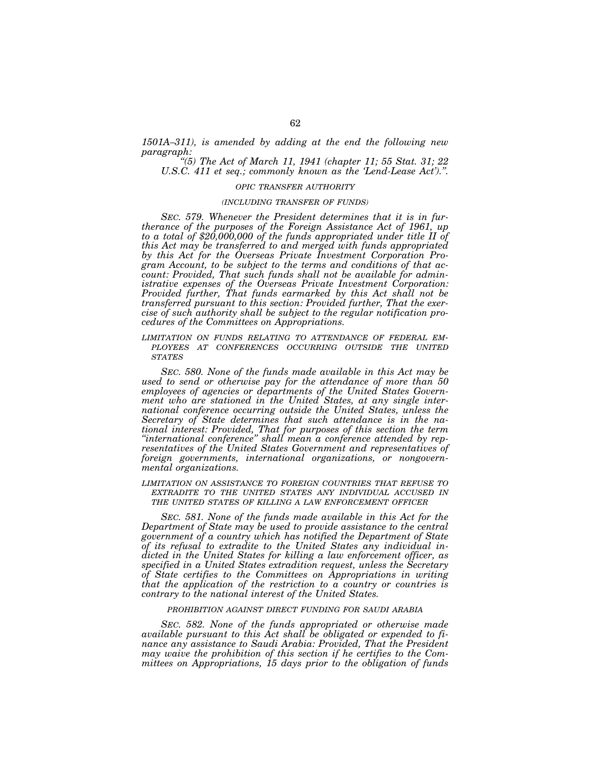*1501A–311), is amended by adding at the end the following new paragraph: ''(5) The Act of March 11, 1941 (chapter 11; 55 Stat. 31; 22* 

*U.S.C. 411 et seq.; commonly known as the 'Lend-Lease Act').''.* 

# *OPIC TRANSFER AUTHORITY*

# *(INCLUDING TRANSFER OF FUNDS)*

*SEC. 579. Whenever the President determines that it is in furtherance of the purposes of the Foreign Assistance Act of 1961, up to a total of \$20,000,000 of the funds appropriated under title II of this Act may be transferred to and merged with funds appropriated by this Act for the Overseas Private Investment Corporation Program Account, to be subject to the terms and conditions of that account: Provided, That such funds shall not be available for administrative expenses of the Overseas Private Investment Corporation: Provided further, That funds earmarked by this Act shall not be transferred pursuant to this section: Provided further, That the exercise of such authority shall be subject to the regular notification procedures of the Committees on Appropriations.* 

## *LIMITATION ON FUNDS RELATING TO ATTENDANCE OF FEDERAL EM- PLOYEES AT CONFERENCES OCCURRING OUTSIDE THE UNITED STATES*

*SEC. 580. None of the funds made available in this Act may be used to send or otherwise pay for the attendance of more than 50 employees of agencies or departments of the United States Government who are stationed in the United States, at any single international conference occurring outside the United States, unless the Secretary of State determines that such attendance is in the national interest: Provided, That for purposes of this section the term ''international conference'' shall mean a conference attended by representatives of the United States Government and representatives of foreign governments, international organizations, or nongovernmental organizations.* 

*LIMITATION ON ASSISTANCE TO FOREIGN COUNTRIES THAT REFUSE TO EXTRADITE TO THE UNITED STATES ANY INDIVIDUAL ACCUSED IN THE UNITED STATES OF KILLING A LAW ENFORCEMENT OFFICER*

*SEC. 581. None of the funds made available in this Act for the Department of State may be used to provide assistance to the central government of a country which has notified the Department of State of its refusal to extradite to the United States any individual indicted in the United States for killing a law enforcement officer, as specified in a United States extradition request, unless the Secretary of State certifies to the Committees on Appropriations in writing that the application of the restriction to a country or countries is contrary to the national interest of the United States.* 

# *PROHIBITION AGAINST DIRECT FUNDING FOR SAUDI ARABIA*

*SEC. 582. None of the funds appropriated or otherwise made available pursuant to this Act shall be obligated or expended to finance any assistance to Saudi Arabia: Provided, That the President may waive the prohibition of this section if he certifies to the Committees on Appropriations, 15 days prior to the obligation of funds*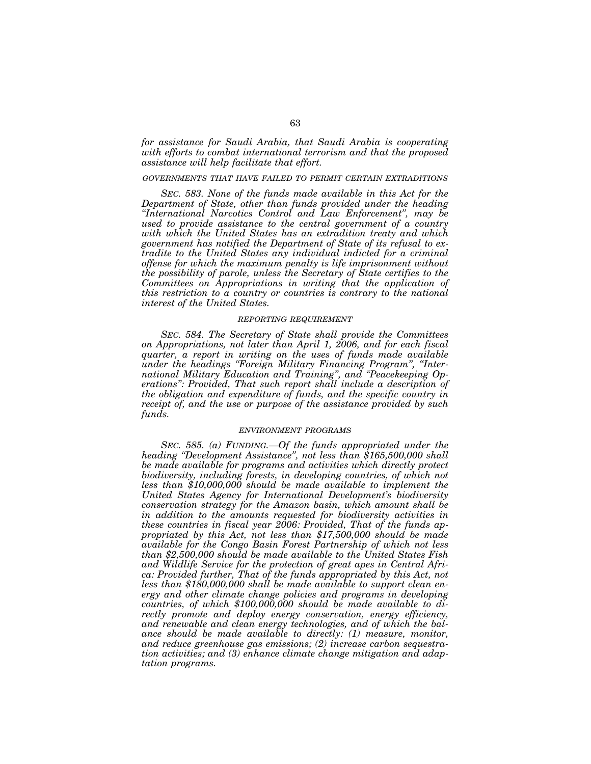*for assistance for Saudi Arabia, that Saudi Arabia is cooperating with efforts to combat international terrorism and that the proposed assistance will help facilitate that effort.* 

## *GOVERNMENTS THAT HAVE FAILED TO PERMIT CERTAIN EXTRADITIONS*

*SEC. 583. None of the funds made available in this Act for the Department of State, other than funds provided under the heading ''International Narcotics Control and Law Enforcement'', may be used to provide assistance to the central government of a country with which the United States has an extradition treaty and which government has notified the Department of State of its refusal to extradite to the United States any individual indicted for a criminal offense for which the maximum penalty is life imprisonment without the possibility of parole, unless the Secretary of State certifies to the Committees on Appropriations in writing that the application of this restriction to a country or countries is contrary to the national interest of the United States.* 

## *REPORTING REQUIREMENT*

*SEC. 584. The Secretary of State shall provide the Committees on Appropriations, not later than April 1, 2006, and for each fiscal quarter, a report in writing on the uses of funds made available under the headings ''Foreign Military Financing Program'', ''International Military Education and Training'', and ''Peacekeeping Operations'': Provided, That such report shall include a description of the obligation and expenditure of funds, and the specific country in receipt of, and the use or purpose of the assistance provided by such funds.* 

### *ENVIRONMENT PROGRAMS*

*SEC. 585. (a) FUNDING.—Of the funds appropriated under the heading ''Development Assistance'', not less than \$165,500,000 shall be made available for programs and activities which directly protect biodiversity, including forests, in developing countries, of which not less than \$10,000,000 should be made available to implement the United States Agency for International Development's biodiversity conservation strategy for the Amazon basin, which amount shall be in addition to the amounts requested for biodiversity activities in these countries in fiscal year 2006: Provided, That of the funds appropriated by this Act, not less than \$17,500,000 should be made available for the Congo Basin Forest Partnership of which not less than \$2,500,000 should be made available to the United States Fish and Wildlife Service for the protection of great apes in Central Africa: Provided further, That of the funds appropriated by this Act, not less than \$180,000,000 shall be made available to support clean energy and other climate change policies and programs in developing countries, of which \$100,000,000 should be made available to directly promote and deploy energy conservation, energy efficiency, and renewable and clean energy technologies, and of which the balance should be made available to directly: (1) measure, monitor, and reduce greenhouse gas emissions; (2) increase carbon sequestration activities; and (3) enhance climate change mitigation and adaptation programs.*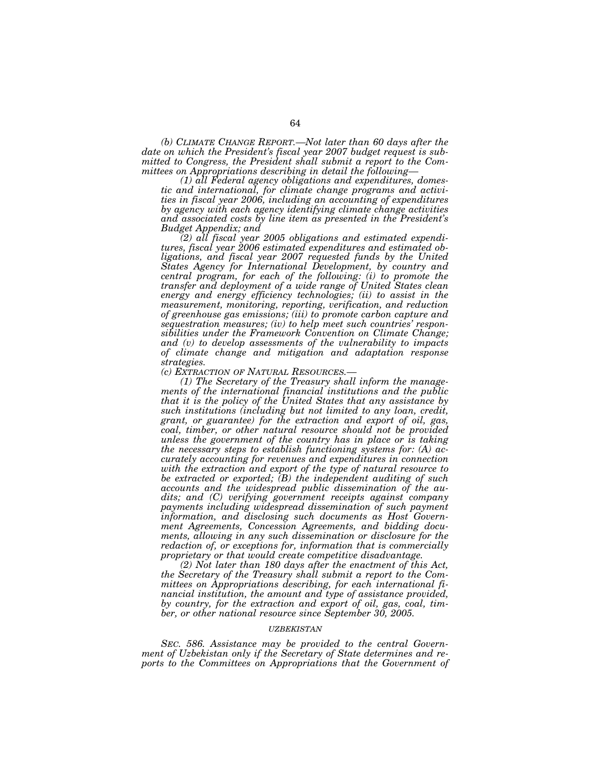*(b) CLIMATE CHANGE REPORT.—Not later than 60 days after the date on which the President's fiscal year 2007 budget request is submitted to Congress, the President shall submit a report to the Committees on Appropriations describing in detail the following— (1) all Federal agency obligations and expenditures, domes-*

*tic and international, for climate change programs and activities in fiscal year 2006, including an accounting of expenditures by agency with each agency identifying climate change activities and associated costs by line item as presented in the President's Budget Appendix; and* 

*(2) all fiscal year 2005 obligations and estimated expenditures, fiscal year 2006 estimated expenditures and estimated obligations, and fiscal year 2007 requested funds by the United States Agency for International Development, by country and central program, for each of the following: (i) to promote the transfer and deployment of a wide range of United States clean energy and energy efficiency technologies; (ii) to assist in the measurement, monitoring, reporting, verification, and reduction of greenhouse gas emissions; (iii) to promote carbon capture and sequestration measures; (iv) to help meet such countries' responsibilities under the Framework Convention on Climate Change; and (v) to develop assessments of the vulnerability to impacts of climate change and mitigation and adaptation response strategies.* 

*(c) EXTRACTION OF NATURAL RESOURCES.—*

*(1) The Secretary of the Treasury shall inform the managements of the international financial institutions and the public that it is the policy of the United States that any assistance by such institutions (including but not limited to any loan, credit, grant, or guarantee) for the extraction and export of oil, gas, coal, timber, or other natural resource should not be provided unless the government of the country has in place or is taking the necessary steps to establish functioning systems for: (A) accurately accounting for revenues and expenditures in connection with the extraction and export of the type of natural resource to be extracted or exported; (B) the independent auditing of such accounts and the widespread public dissemination of the audits; and (C) verifying government receipts against company payments including widespread dissemination of such payment information, and disclosing such documents as Host Government Agreements, Concession Agreements, and bidding documents, allowing in any such dissemination or disclosure for the redaction of, or exceptions for, information that is commercially proprietary or that would create competitive disadvantage.* 

*(2) Not later than 180 days after the enactment of this Act, the Secretary of the Treasury shall submit a report to the Committees on Appropriations describing, for each international financial institution, the amount and type of assistance provided, by country, for the extraction and export of oil, gas, coal, timber, or other national resource since September 30, 2005.* 

### *UZBEKISTAN*

*SEC. 586. Assistance may be provided to the central Government of Uzbekistan only if the Secretary of State determines and reports to the Committees on Appropriations that the Government of*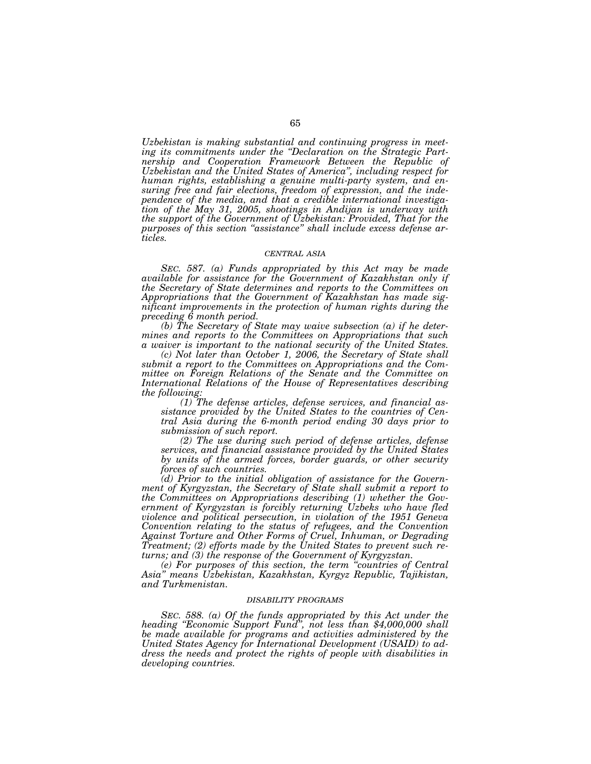*Uzbekistan is making substantial and continuing progress in meeting its commitments under the ''Declaration on the Strategic Partnership and Cooperation Framework Between the Republic of Uzbekistan and the United States of America'', including respect for human rights, establishing a genuine multi-party system, and ensuring free and fair elections, freedom of expression, and the independence of the media, and that a credible international investigation of the May 31, 2005, shootings in Andijan is underway with the support of the Government of Uzbekistan: Provided, That for the purposes of this section ''assistance'' shall include excess defense articles.* 

## *CENTRAL ASIA*

*SEC. 587. (a) Funds appropriated by this Act may be made available for assistance for the Government of Kazakhstan only if the Secretary of State determines and reports to the Committees on Appropriations that the Government of Kazakhstan has made significant improvements in the protection of human rights during the preceding 6 month period.* 

*(b) The Secretary of State may waive subsection (a) if he determines and reports to the Committees on Appropriations that such a waiver is important to the national security of the United States.* 

*(c) Not later than October 1, 2006, the Secretary of State shall submit a report to the Committees on Appropriations and the Committee on Foreign Relations of the Senate and the Committee on International Relations of the House of Representatives describing the following:* 

*(1) The defense articles, defense services, and financial assistance provided by the United States to the countries of Central Asia during the 6-month period ending 30 days prior to submission of such report.* 

*(2) The use during such period of defense articles, defense services, and financial assistance provided by the United States by units of the armed forces, border guards, or other security forces of such countries.* 

*(d) Prior to the initial obligation of assistance for the Government of Kyrgyzstan, the Secretary of State shall submit a report to the Committees on Appropriations describing (1) whether the Government of Kyrgyzstan is forcibly returning Uzbeks who have fled violence and political persecution, in violation of the 1951 Geneva Convention relating to the status of refugees, and the Convention Against Torture and Other Forms of Cruel, Inhuman, or Degrading Treatment; (2) efforts made by the United States to prevent such returns; and (3) the response of the Government of Kyrgyzstan.* 

*(e) For purposes of this section, the term ''countries of Central Asia'' means Uzbekistan, Kazakhstan, Kyrgyz Republic, Tajikistan, and Turkmenistan.* 

# *DISABILITY PROGRAMS*

*SEC. 588. (a) Of the funds appropriated by this Act under the heading ''Economic Support Fund'', not less than \$4,000,000 shall be made available for programs and activities administered by the United States Agency for International Development (USAID) to address the needs and protect the rights of people with disabilities in developing countries.*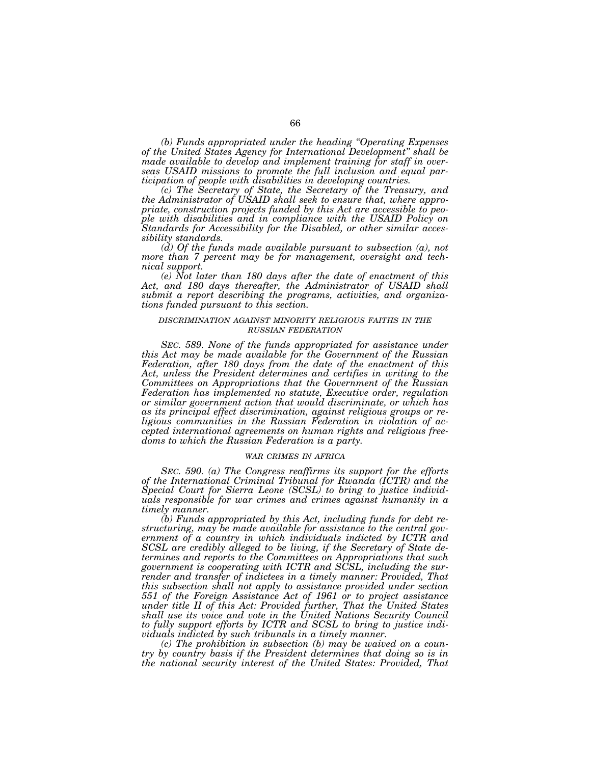*(b) Funds appropriated under the heading ''Operating Expenses of the United States Agency for International Development'' shall be made available to develop and implement training for staff in overseas USAID missions to promote the full inclusion and equal participation of people with disabilities in developing countries.* 

*(c) The Secretary of State, the Secretary of the Treasury, and the Administrator of USAID shall seek to ensure that, where appropriate, construction projects funded by this Act are accessible to people with disabilities and in compliance with the USAID Policy on Standards for Accessibility for the Disabled, or other similar accessibility standards.* 

*(d) Of the funds made available pursuant to subsection (a), not more than 7 percent may be for management, oversight and technical support.* 

*(e) Not later than 180 days after the date of enactment of this Act, and 180 days thereafter, the Administrator of USAID shall submit a report describing the programs, activities, and organizations funded pursuant to this section.* 

## *DISCRIMINATION AGAINST MINORITY RELIGIOUS FAITHS IN THE RUSSIAN FEDERATION*

*SEC. 589. None of the funds appropriated for assistance under this Act may be made available for the Government of the Russian Federation, after 180 days from the date of the enactment of this Act, unless the President determines and certifies in writing to the Committees on Appropriations that the Government of the Russian Federation has implemented no statute, Executive order, regulation or similar government action that would discriminate, or which has as its principal effect discrimination, against religious groups or religious communities in the Russian Federation in violation of accepted international agreements on human rights and religious freedoms to which the Russian Federation is a party.* 

# *WAR CRIMES IN AFRICA*

*SEC. 590. (a) The Congress reaffirms its support for the efforts of the International Criminal Tribunal for Rwanda (ICTR) and the Special Court for Sierra Leone (SCSL) to bring to justice individuals responsible for war crimes and crimes against humanity in a timely manner.* 

*(b) Funds appropriated by this Act, including funds for debt restructuring, may be made available for assistance to the central government of a country in which individuals indicted by ICTR and SCSL are credibly alleged to be living, if the Secretary of State determines and reports to the Committees on Appropriations that such government is cooperating with ICTR and SCSL, including the surrender and transfer of indictees in a timely manner: Provided, That this subsection shall not apply to assistance provided under section 551 of the Foreign Assistance Act of 1961 or to project assistance under title II of this Act: Provided further, That the United States shall use its voice and vote in the United Nations Security Council to fully support efforts by ICTR and SCSL to bring to justice individuals indicted by such tribunals in a timely manner.* 

*(c) The prohibition in subsection (b) may be waived on a country by country basis if the President determines that doing so is in the national security interest of the United States: Provided, That*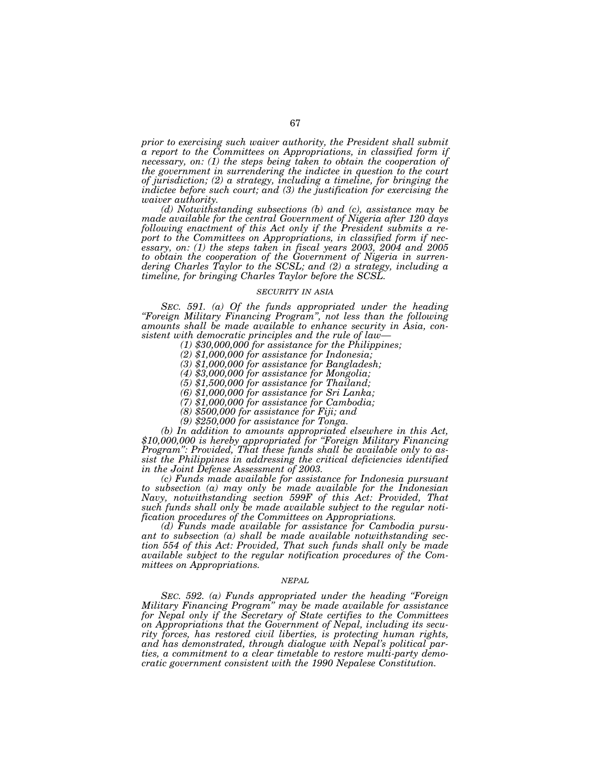*prior to exercising such waiver authority, the President shall submit a report to the Committees on Appropriations, in classified form if necessary, on: (1) the steps being taken to obtain the cooperation of the government in surrendering the indictee in question to the court of jurisdiction; (2) a strategy, including a timeline, for bringing the indictee before such court; and (3) the justification for exercising the waiver authority.* 

*(d) Notwithstanding subsections (b) and (c), assistance may be made available for the central Government of Nigeria after 120 days following enactment of this Act only if the President submits a report to the Committees on Appropriations, in classified form if necessary, on: (1) the steps taken in fiscal years 2003, 2004 and 2005 to obtain the cooperation of the Government of Nigeria in surrendering Charles Taylor to the SCSL; and (2) a strategy, including a timeline, for bringing Charles Taylor before the SCSL.* 

## *SECURITY IN ASIA*

*SEC. 591. (a) Of the funds appropriated under the heading ''Foreign Military Financing Program'', not less than the following amounts shall be made available to enhance security in Asia, consistent with democratic principles and the rule of law— (1) \$30,000,000 for assistance for the Philippines;* 

*(2) \$1,000,000 for assistance for Indonesia;* 

*(3) \$1,000,000 for assistance for Bangladesh;* 

*(4) \$3,000,000 for assistance for Mongolia;* 

*(5) \$1,500,000 for assistance for Thailand;* 

*(6) \$1,000,000 for assistance for Sri Lanka;* 

*(7) \$1,000,000 for assistance for Cambodia;* 

*(8) \$500,000 for assistance for Fiji; and* 

*(9) \$250,000 for assistance for Tonga.* 

*(b) In addition to amounts appropriated elsewhere in this Act, \$10,000,000 is hereby appropriated for ''Foreign Military Financing Program'': Provided, That these funds shall be available only to assist the Philippines in addressing the critical deficiencies identified in the Joint Defense Assessment of 2003.* 

*(c) Funds made available for assistance for Indonesia pursuant to subsection (a) may only be made available for the Indonesian Navy, notwithstanding section 599F of this Act: Provided, That such funds shall only be made available subject to the regular notification procedures of the Committees on Appropriations.* 

*(d) Funds made available for assistance for Cambodia pursuant to subsection (a) shall be made available notwithstanding section 554 of this Act: Provided, That such funds shall only be made available subject to the regular notification procedures of the Committees on Appropriations.* 

### *NEPAL*

*SEC. 592. (a) Funds appropriated under the heading ''Foreign Military Financing Program'' may be made available for assistance for Nepal only if the Secretary of State certifies to the Committees on Appropriations that the Government of Nepal, including its security forces, has restored civil liberties, is protecting human rights, and has demonstrated, through dialogue with Nepal's political parties, a commitment to a clear timetable to restore multi-party democratic government consistent with the 1990 Nepalese Constitution.*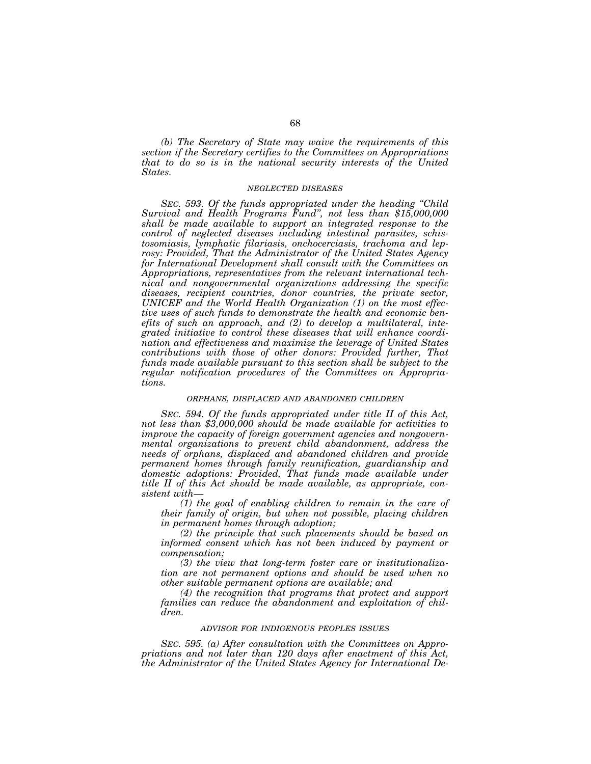*(b) The Secretary of State may waive the requirements of this section if the Secretary certifies to the Committees on Appropriations that to do so is in the national security interests of the United States.* 

#### *NEGLECTED DISEASES*

*SEC. 593. Of the funds appropriated under the heading ''Child Survival and Health Programs Fund'', not less than \$15,000,000 shall be made available to support an integrated response to the control of neglected diseases including intestinal parasites, schistosomiasis, lymphatic filariasis, onchocerciasis, trachoma and leprosy: Provided, That the Administrator of the United States Agency for International Development shall consult with the Committees on Appropriations, representatives from the relevant international technical and nongovernmental organizations addressing the specific diseases, recipient countries, donor countries, the private sector, UNICEF and the World Health Organization (1) on the most effective uses of such funds to demonstrate the health and economic benefits of such an approach, and (2) to develop a multilateral, integrated initiative to control these diseases that will enhance coordination and effectiveness and maximize the leverage of United States contributions with those of other donors: Provided further, That funds made available pursuant to this section shall be subject to the regular notification procedures of the Committees on Appropriations.* 

### *ORPHANS, DISPLACED AND ABANDONED CHILDREN*

*SEC. 594. Of the funds appropriated under title II of this Act, not less than \$3,000,000 should be made available for activities to improve the capacity of foreign government agencies and nongovernmental organizations to prevent child abandonment, address the needs of orphans, displaced and abandoned children and provide permanent homes through family reunification, guardianship and*  domestic adoptions: Provided, That funds made available under *title II of this Act should be made available, as appropriate, consistent with—*

*(1) the goal of enabling children to remain in the care of their family of origin, but when not possible, placing children in permanent homes through adoption;* 

*(2) the principle that such placements should be based on informed consent which has not been induced by payment or compensation;* 

*(3) the view that long-term foster care or institutionalization are not permanent options and should be used when no other suitable permanent options are available; and* 

*(4) the recognition that programs that protect and support families can reduce the abandonment and exploitation of children.* 

## *ADVISOR FOR INDIGENOUS PEOPLES ISSUES*

*SEC. 595. (a) After consultation with the Committees on Appropriations and not later than 120 days after enactment of this Act, the Administrator of the United States Agency for International De-*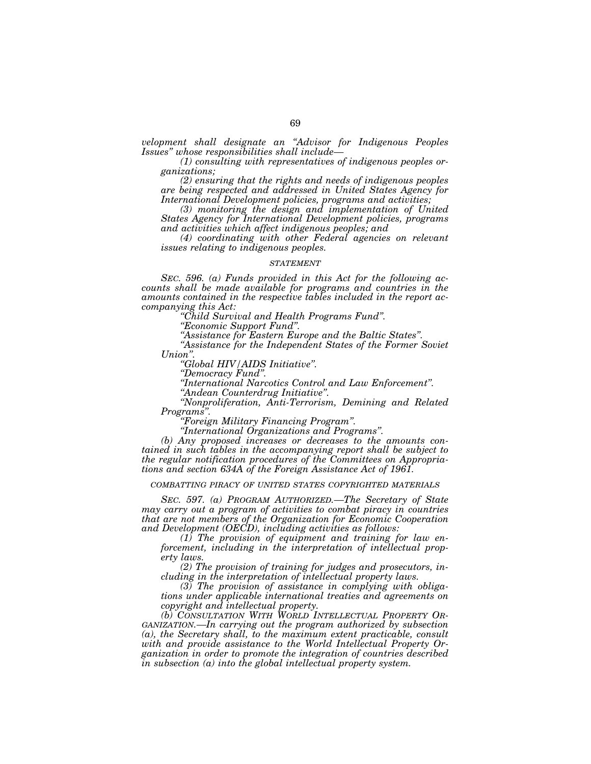*velopment shall designate an ''Advisor for Indigenous Peoples* 

*(1) consulting with representatives of indigenous peoples organizations;* 

*(2) ensuring that the rights and needs of indigenous peoples are being respected and addressed in United States Agency for International Development policies, programs and activities;* 

*(3) monitoring the design and implementation of United States Agency for International Development policies, programs and activities which affect indigenous peoples; and* 

*(4) coordinating with other Federal agencies on relevant issues relating to indigenous peoples.* 

### *STATEMENT*

*SEC. 596. (a) Funds provided in this Act for the following accounts shall be made available for programs and countries in the amounts contained in the respective tables included in the report ac-*

*companying this Act: ''Child Survival and Health Programs Fund''. ''Economic Support Fund''. ''Assistance for Eastern Europe and the Baltic States''. ''Assistance for the Independent States of the Former Soviet* 

*Union''. ''Global HIV/AIDS Initiative''. ''Democracy Fund''. ''International Narcotics Control and Law Enforcement''. ''Andean Counterdrug Initiative''. ''Nonproliferation, Anti-Terrorism, Demining and Related Programs''. ''Foreign Military Financing Program''. ''International Organizations and Programs''. (b) Any proposed increases or decreases to the amounts con-*

*tained in such tables in the accompanying report shall be subject to the regular notification procedures of the Committees on Appropriations and section 634A of the Foreign Assistance Act of 1961.* 

*COMBATTING PIRACY OF UNITED STATES COPYRIGHTED MATERIALS*

*SEC. 597. (a) PROGRAM AUTHORIZED.—The Secretary of State may carry out a program of activities to combat piracy in countries that are not members of the Organization for Economic Cooperation and Development (OECD), including activities as follows:* 

*(1) The provision of equipment and training for law enforcement, including in the interpretation of intellectual property laws.* 

*(2) The provision of training for judges and prosecutors, including in the interpretation of intellectual property laws.* 

*(3) The provision of assistance in complying with obligations under applicable international treaties and agreements on copyright and intellectual property.* 

*(b) CONSULTATION WITH WORLD INTELLECTUAL PROPERTY OR-GANIZATION.—In carrying out the program authorized by subsection (a), the Secretary shall, to the maximum extent practicable, consult with and provide assistance to the World Intellectual Property Organization in order to promote the integration of countries described in subsection (a) into the global intellectual property system.*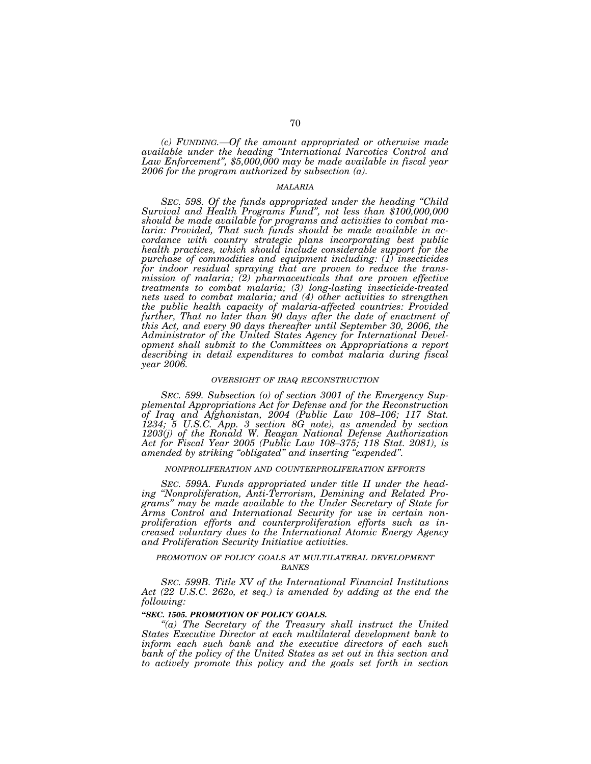*(c) FUNDING.—Of the amount appropriated or otherwise made available under the heading ''International Narcotics Control and Law Enforcement'', \$5,000,000 may be made available in fiscal year 2006 for the program authorized by subsection (a).* 

# *MALARIA*

*SEC. 598. Of the funds appropriated under the heading ''Child Survival and Health Programs Fund'', not less than \$100,000,000 should be made available for programs and activities to combat malaria: Provided, That such funds should be made available in accordance with country strategic plans incorporating best public health practices, which should include considerable support for the purchase of commodities and equipment including: (1) insecticides for indoor residual spraying that are proven to reduce the transmission of malaria; (2) pharmaceuticals that are proven effective treatments to combat malaria; (3) long-lasting insecticide-treated nets used to combat malaria; and (4) other activities to strengthen the public health capacity of malaria-affected countries: Provided*  further, That no later than 90 days after the date of enactment of *this Act, and every 90 days thereafter until September 30, 2006, the Administrator of the United States Agency for International Development shall submit to the Committees on Appropriations a report describing in detail expenditures to combat malaria during fiscal year 2006.* 

### *OVERSIGHT OF IRAQ RECONSTRUCTION*

*SEC. 599. Subsection (o) of section 3001 of the Emergency Supplemental Appropriations Act for Defense and for the Reconstruction of Iraq and Afghanistan, 2004 (Public Law 108–106; 117 Stat. 1234; 5 U.S.C. App. 3 section 8G note), as amended by section 1203(j) of the Ronald W. Reagan National Defense Authorization Act for Fiscal Year 2005 (Public Law 108–375; 118 Stat. 2081), is amended by striking ''obligated'' and inserting ''expended''.* 

## *NONPROLIFERATION AND COUNTERPROLIFERATION EFFORTS*

*SEC. 599A. Funds appropriated under title II under the heading ''Nonproliferation, Anti-Terrorism, Demining and Related Programs'' may be made available to the Under Secretary of State for Arms Control and International Security for use in certain nonproliferation efforts and counterproliferation efforts such as increased voluntary dues to the International Atomic Energy Agency and Proliferation Security Initiative activities.* 

# *PROMOTION OF POLICY GOALS AT MULTILATERAL DEVELOPMENT BANKS*

*SEC. 599B. Title XV of the International Financial Institutions*  Act (22 U.S.C. 262o, et seq.) is amended by adding at the end the *following:* 

# *''SEC. 1505. PROMOTION OF POLICY GOALS.*

*''(a) The Secretary of the Treasury shall instruct the United States Executive Director at each multilateral development bank to inform each such bank and the executive directors of each such bank of the policy of the United States as set out in this section and to actively promote this policy and the goals set forth in section*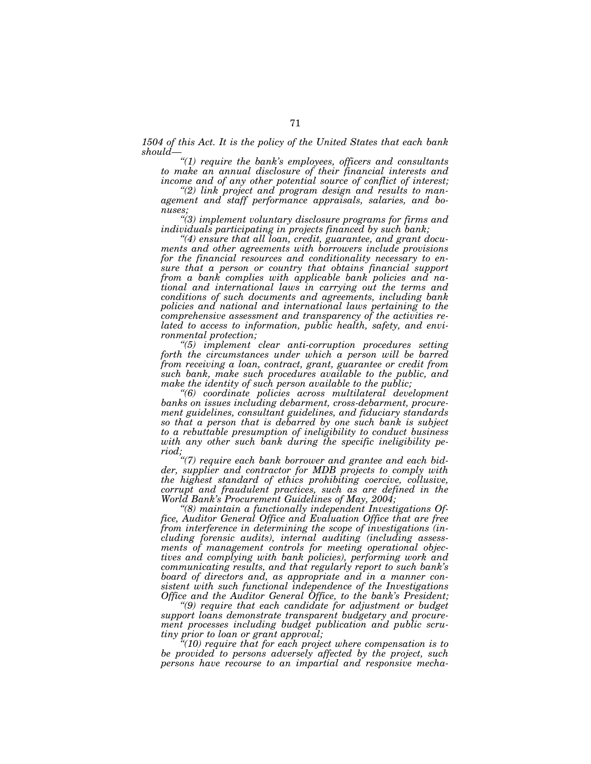*1504 of this Act. It is the policy of the United States that each bank should—*

*''(1) require the bank's employees, officers and consultants to make an annual disclosure of their financial interests and income and of any other potential source of conflict of interest; ''(2) link project and program design and results to man-*

*agement and staff performance appraisals, salaries, and bo-*

*nuses; ''(3) implement voluntary disclosure programs for firms and individuals participating in projects financed by such bank; ''(4) ensure that all loan, credit, guarantee, and grant docu-*

*ments and other agreements with borrowers include provisions for the financial resources and conditionality necessary to ensure that a person or country that obtains financial support from a bank complies with applicable bank policies and national and international laws in carrying out the terms and conditions of such documents and agreements, including bank policies and national and international laws pertaining to the comprehensive assessment and transparency of the activities related to access to information, public health, safety, and environmental protection; ''(5) implement clear anti-corruption procedures setting* 

*forth the circumstances under which a person will be barred from receiving a loan, contract, grant, guarantee or credit from such bank, make such procedures available to the public, and* 

*make the identity of such person available to the public; ''(6) coordinate policies across multilateral development banks on issues including debarment, cross-debarment, procurement guidelines, consultant guidelines, and fiduciary standards so that a person that is debarred by one such bank is subject to a rebuttable presumption of ineligibility to conduct business*  with any other such bank during the specific ineligibility pe-

riod;<br>"(7) require each bank borrower and grantee and each bid-<br>"<br>" *der, supplier and contractor for MDB projects to comply with the highest standard of ethics prohibiting coercive, collusive, corrupt and fraudulent practices, such as are defined in the World Bank's Procurement Guidelines of May, 2004;* 

*''(8) maintain a functionally independent Investigations Office, Auditor General Office and Evaluation Office that are free from interference in determining the scope of investigations (including forensic audits), internal auditing (including assessments of management controls for meeting operational objectives and complying with bank policies), performing work and communicating results, and that regularly report to such bank's board of directors and, as appropriate and in a manner consistent with such functional independence of the Investigations Office and the Auditor General Office, to the bank's President;* 

*''(9) require that each candidate for adjustment or budget support loans demonstrate transparent budgetary and procurement processes including budget publication and public scrutiny prior to loan or grant approval;* 

*''(10) require that for each project where compensation is to be provided to persons adversely affected by the project, such persons have recourse to an impartial and responsive mecha-*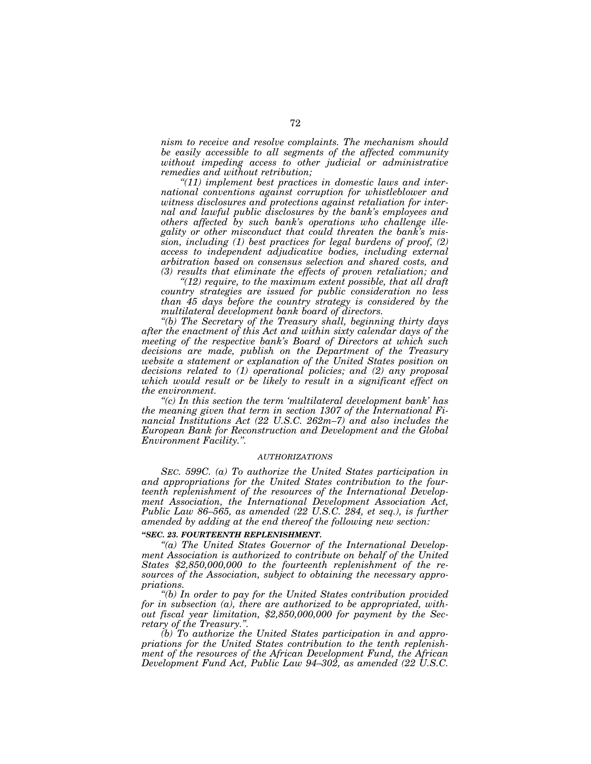*nism to receive and resolve complaints. The mechanism should be easily accessible to all segments of the affected community without impeding access to other judicial or administrative remedies and without retribution;* 

*''(11) implement best practices in domestic laws and international conventions against corruption for whistleblower and witness disclosures and protections against retaliation for internal and lawful public disclosures by the bank's employees and others affected by such bank's operations who challenge illegality or other misconduct that could threaten the bank's mission, including (1) best practices for legal burdens of proof, (2) access to independent adjudicative bodies, including external arbitration based on consensus selection and shared costs, and (3) results that eliminate the effects of proven retaliation; and* 

*''(12) require, to the maximum extent possible, that all draft country strategies are issued for public consideration no less than 45 days before the country strategy is considered by the multilateral development bank board of directors.* 

*''(b) The Secretary of the Treasury shall, beginning thirty days after the enactment of this Act and within sixty calendar days of the meeting of the respective bank's Board of Directors at which such decisions are made, publish on the Department of the Treasury website a statement or explanation of the United States position on decisions related to (1) operational policies; and (2) any proposal which would result or be likely to result in a significant effect on the environment.* 

*''(c) In this section the term 'multilateral development bank' has the meaning given that term in section 1307 of the International Financial Institutions Act (22 U.S.C. 262m–7) and also includes the European Bank for Reconstruction and Development and the Global Environment Facility.''.* 

# *AUTHORIZATIONS*

*SEC. 599C. (a) To authorize the United States participation in and appropriations for the United States contribution to the fourteenth replenishment of the resources of the International Development Association, the International Development Association Act, Public Law 86–565, as amended (22 U.S.C. 284, et seq.), is further amended by adding at the end thereof the following new section:* 

# *''SEC. 23. FOURTEENTH REPLENISHMENT.*

*''(a) The United States Governor of the International Development Association is authorized to contribute on behalf of the United States \$2,850,000,000 to the fourteenth replenishment of the resources of the Association, subject to obtaining the necessary appropriations.* 

*''(b) In order to pay for the United States contribution provided for in subsection (a), there are authorized to be appropriated, without fiscal year limitation, \$2,850,000,000 for payment by the Secretary of the Treasury.''.* 

*(b) To authorize the United States participation in and appropriations for the United States contribution to the tenth replenishment of the resources of the African Development Fund, the African Development Fund Act, Public Law 94–302, as amended (22 U.S.C.*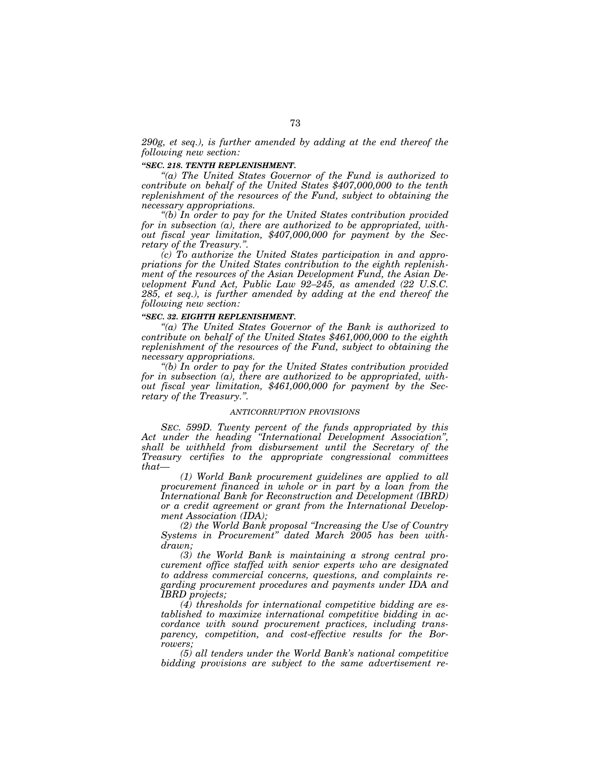*290g, et seq.), is further amended by adding at the end thereof the following new section:* 

# *''SEC. 218. TENTH REPLENISHMENT.*

*''(a) The United States Governor of the Fund is authorized to contribute on behalf of the United States \$407,000,000 to the tenth replenishment of the resources of the Fund, subject to obtaining the necessary appropriations.* 

*''(b) In order to pay for the United States contribution provided for in subsection (a), there are authorized to be appropriated, without fiscal year limitation, \$407,000,000 for payment by the Secretary of the Treasury.''.* 

*(c) To authorize the United States participation in and appropriations for the United States contribution to the eighth replenishment of the resources of the Asian Development Fund, the Asian Development Fund Act, Public Law 92–245, as amended (22 U.S.C. 285, et seq.), is further amended by adding at the end thereof the following new section:* 

# *''SEC. 32. EIGHTH REPLENISHMENT.*

*''(a) The United States Governor of the Bank is authorized to contribute on behalf of the United States \$461,000,000 to the eighth replenishment of the resources of the Fund, subject to obtaining the necessary appropriations.* 

*''(b) In order to pay for the United States contribution provided for in subsection (a), there are authorized to be appropriated, without fiscal year limitation, \$461,000,000 for payment by the Secretary of the Treasury.''.* 

# *ANTICORRUPTION PROVISIONS*

*SEC. 599D. Twenty percent of the funds appropriated by this Act under the heading ''International Development Association'', shall be withheld from disbursement until the Secretary of the Treasury certifies to the appropriate congressional committees that—*

*(1) World Bank procurement guidelines are applied to all procurement financed in whole or in part by a loan from the International Bank for Reconstruction and Development (IBRD) or a credit agreement or grant from the International Development Association (IDA);* 

*(2) the World Bank proposal ''Increasing the Use of Country Systems in Procurement'' dated March 2005 has been withdrawn;* 

*(3) the World Bank is maintaining a strong central procurement office staffed with senior experts who are designated to address commercial concerns, questions, and complaints regarding procurement procedures and payments under IDA and IBRD projects;* 

*(4) thresholds for international competitive bidding are established to maximize international competitive bidding in accordance with sound procurement practices, including transparency, competition, and cost-effective results for the Borrowers;* 

*(5) all tenders under the World Bank's national competitive bidding provisions are subject to the same advertisement re-*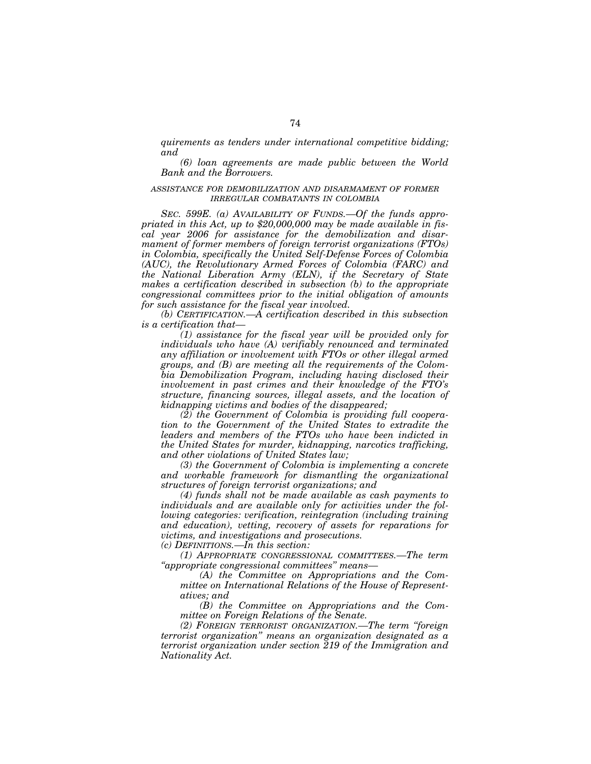*quirements as tenders under international competitive bidding; and* 

*(6) loan agreements are made public between the World Bank and the Borrowers.* 

# *ASSISTANCE FOR DEMOBILIZATION AND DISARMAMENT OF FORMER IRREGULAR COMBATANTS IN COLOMBIA*

*SEC. 599E. (a) AVAILABILITY OF FUNDS.—Of the funds appropriated in this Act, up to \$20,000,000 may be made available in fiscal year 2006 for assistance for the demobilization and disarmament of former members of foreign terrorist organizations (FTOs) in Colombia, specifically the United Self-Defense Forces of Colombia (AUC), the Revolutionary Armed Forces of Colombia (FARC) and the National Liberation Army (ELN), if the Secretary of State makes a certification described in subsection (b) to the appropriate congressional committees prior to the initial obligation of amounts for such assistance for the fiscal year involved.* 

*(b) CERTIFICATION.—A certification described in this subsection is a certification that—*

*(1) assistance for the fiscal year will be provided only for individuals who have (A) verifiably renounced and terminated any affiliation or involvement with FTOs or other illegal armed groups, and (B) are meeting all the requirements of the Colombia Demobilization Program, including having disclosed their involvement in past crimes and their knowledge of the FTO's structure, financing sources, illegal assets, and the location of kidnapping victims and bodies of the disappeared;* 

*(2) the Government of Colombia is providing full cooperation to the Government of the United States to extradite the leaders and members of the FTOs who have been indicted in the United States for murder, kidnapping, narcotics trafficking, and other violations of United States law;* 

*(3) the Government of Colombia is implementing a concrete and workable framework for dismantling the organizational structures of foreign terrorist organizations; and* 

*(4) funds shall not be made available as cash payments to individuals and are available only for activities under the following categories: verification, reintegration (including training and education), vetting, recovery of assets for reparations for victims, and investigations and prosecutions.* 

*(c) DEFINITIONS.—In this section:* 

*(1) APPROPRIATE CONGRESSIONAL COMMITTEES.—The term ''appropriate congressional committees'' means—*

*(A) the Committee on Appropriations and the Committee on International Relations of the House of Representatives; and* 

*(B) the Committee on Appropriations and the Committee on Foreign Relations of the Senate.* 

*(2) FOREIGN TERRORIST ORGANIZATION.—The term ''foreign terrorist organization'' means an organization designated as a terrorist organization under section 219 of the Immigration and Nationality Act.*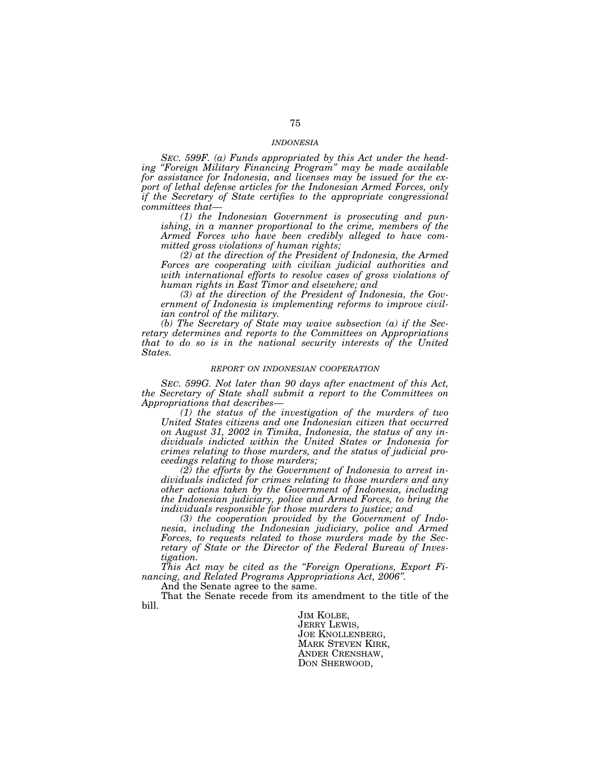#### *INDONESIA*

*SEC. 599F. (a) Funds appropriated by this Act under the heading ''Foreign Military Financing Program'' may be made available for assistance for Indonesia, and licenses may be issued for the export of lethal defense articles for the Indonesian Armed Forces, only if the Secretary of State certifies to the appropriate congressional committees that—*

*(1) the Indonesian Government is prosecuting and punishing, in a manner proportional to the crime, members of the Armed Forces who have been credibly alleged to have committed gross violations of human rights;* 

*(2) at the direction of the President of Indonesia, the Armed Forces are cooperating with civilian judicial authorities and with international efforts to resolve cases of gross violations of human rights in East Timor and elsewhere; and* 

*(3) at the direction of the President of Indonesia, the Government of Indonesia is implementing reforms to improve civilian control of the military.* 

*(b) The Secretary of State may waive subsection (a) if the Secretary determines and reports to the Committees on Appropriations that to do so is in the national security interests of the United States.* 

#### *REPORT ON INDONESIAN COOPERATION*

*SEC. 599G. Not later than 90 days after enactment of this Act, the Secretary of State shall submit a report to the Committees on Appropriations that describes—*

*(1) the status of the investigation of the murders of two United States citizens and one Indonesian citizen that occurred on August 31, 2002 in Timika, Indonesia, the status of any individuals indicted within the United States or Indonesia for crimes relating to those murders, and the status of judicial proceedings relating to those murders;* 

*(2) the efforts by the Government of Indonesia to arrest individuals indicted for crimes relating to those murders and any other actions taken by the Government of Indonesia, including the Indonesian judiciary, police and Armed Forces, to bring the individuals responsible for those murders to justice; and* 

*(3) the cooperation provided by the Government of Indonesia, including the Indonesian judiciary, police and Armed Forces, to requests related to those murders made by the Secretary of State or the Director of the Federal Bureau of Investigation.* 

*This Act may be cited as the ''Foreign Operations, Export Financing, and Related Programs Appropriations Act, 2006''.* 

And the Senate agree to the same.

That the Senate recede from its amendment to the title of the bill.

> JIM KOLBE, JERRY LEWIS, JOE KNOLLENBERG, MARK STEVEN KIRK, ANDER CRENSHAW, DON SHERWOOD,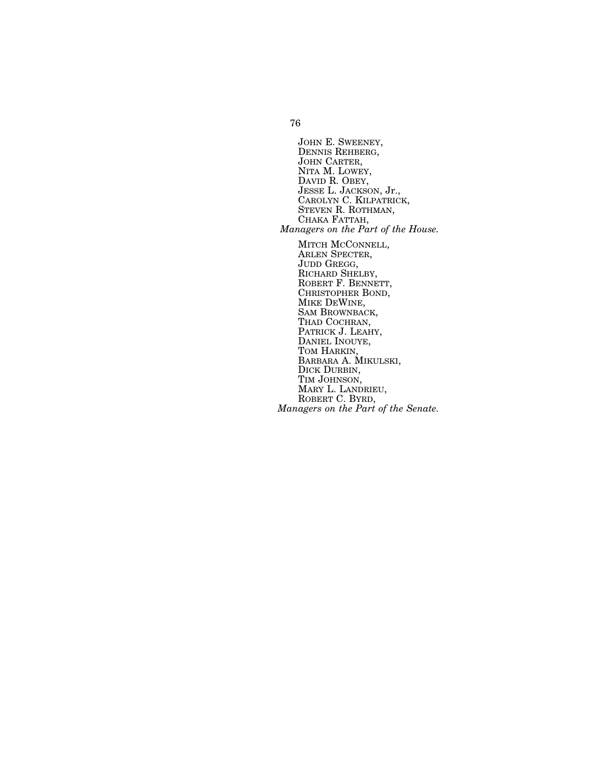JOHN E. SWEENEY,<br>DENNIS REHBERG,<br>JOHN CARTER,<br>NITA M. LOWEY,<br>DAVID R. OBEY,<br>JESSE L. JACKSON, Jr.,<br>CAROLYN C. KILPATRICK, STEVEN R. ROTHMAN,<br>CHAKA FATTAH,<br>*Managers on the Part of the House*. MITCH MCCONNELL, ARLEN SPECTER, JUDD GREGG, RICHARD SHELBY, ROBERT F. BENNETT, CHRISTOPHER BOND, MIKE DEWINE, SAM BROWNBACK, THAD COCHRAN, PATRICK J. LEAHY, DANIEL INOUYE, TOM HARKIN, BARBARA A. MIKULSKI, DICK DURBIN,

TIM JOHNSON, MARY L. LANDRIEU, ROBERT C. BYRD, *Managers on the Part of the Senate.*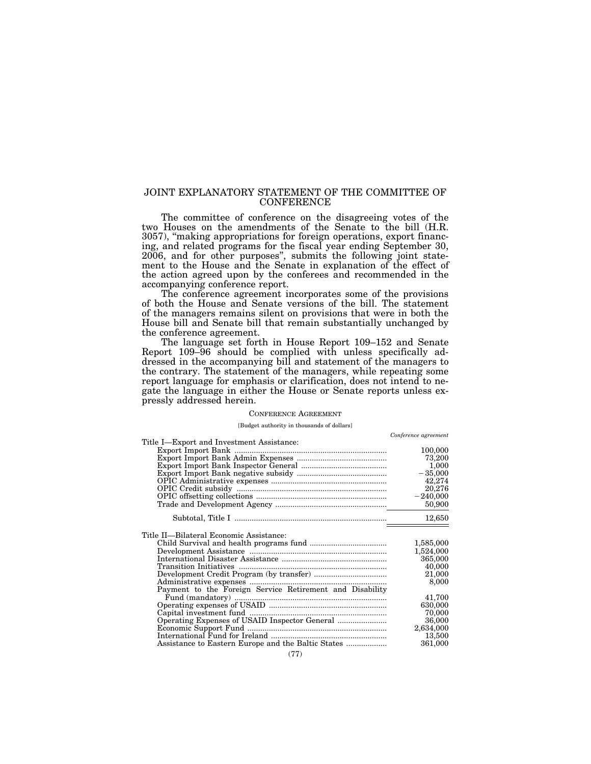# JOINT EXPLANATORY STATEMENT OF THE COMMITTEE OF **CONFERENCE**

The committee of conference on the disagreeing votes of the two Houses on the amendments of the Senate to the bill (H.R. 3057), ''making appropriations for foreign operations, export financing, and related programs for the fiscal year ending September 30, 2006, and for other purposes'', submits the following joint statement to the House and the Senate in explanation of the effect of the action agreed upon by the conferees and recommended in the accompanying conference report.

The conference agreement incorporates some of the provisions of both the House and Senate versions of the bill. The statement of the managers remains silent on provisions that were in both the House bill and Senate bill that remain substantially unchanged by the conference agreement.

The language set forth in House Report 109–152 and Senate Report 109–96 should be complied with unless specifically addressed in the accompanying bill and statement of the managers to the contrary. The statement of the managers, while repeating some report language for emphasis or clarification, does not intend to negate the language in either the House or Senate reports unless expressly addressed herein.

# CONFERENCE AGREEMENT

#### [Budget authority in thousands of dollars]

|                                                          | Conference agreement |
|----------------------------------------------------------|----------------------|
| Title I—Export and Investment Assistance:                |                      |
|                                                          | 100,000              |
|                                                          | 73,200               |
|                                                          | 1,000                |
|                                                          | $-35,000$            |
|                                                          | 42,274               |
|                                                          | 20,276               |
|                                                          | $-240,000$           |
|                                                          | 50,900               |
|                                                          |                      |
|                                                          | 12,650               |
|                                                          |                      |
| Title II—Bilateral Economic Assistance:                  |                      |
|                                                          | 1,585,000            |
|                                                          | 1,524,000            |
|                                                          | 365,000              |
|                                                          | 40,000               |
|                                                          | 21,000               |
|                                                          | 8,000                |
| Payment to the Foreign Service Retirement and Disability |                      |
|                                                          | 41,700               |
|                                                          | 630,000              |
|                                                          | 70,000               |
|                                                          | 36,000               |
|                                                          | 2,634,000            |
|                                                          | 13,500               |
|                                                          | 361,000              |
|                                                          |                      |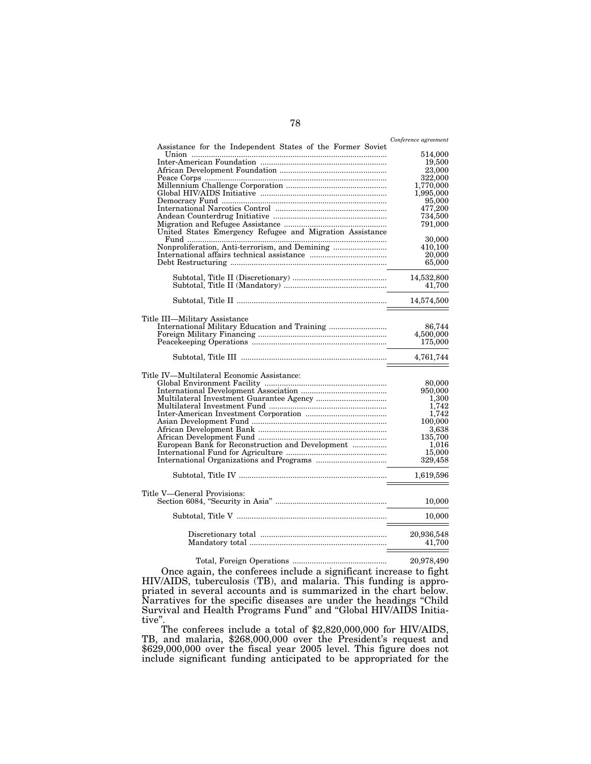|                                                            | Conference agreement |
|------------------------------------------------------------|----------------------|
| Assistance for the Independent States of the Former Soviet |                      |
| Union                                                      | 514,000              |
|                                                            | 19,500               |
|                                                            | 23,000               |
|                                                            | 322,000<br>1,770,000 |
|                                                            | 1,995,000            |
|                                                            |                      |
|                                                            | 95,000<br>477,200    |
|                                                            | 734,500              |
|                                                            | 791,000              |
|                                                            |                      |
|                                                            | 30,000               |
|                                                            | 410,100              |
|                                                            | 20,000               |
|                                                            | 65,000               |
|                                                            | 14,532,800           |
|                                                            | 41,700               |
|                                                            |                      |
|                                                            | 14,574,500           |
| Title III—Military Assistance                              |                      |
|                                                            | 86,744               |
|                                                            | 4,500,000            |
|                                                            | 175,000              |
|                                                            |                      |
|                                                            | 4,761,744            |
| Title IV—Multilateral Economic Assistance:                 |                      |
|                                                            | 80,000               |
|                                                            | 950,000              |
|                                                            | 1,300                |
|                                                            | 1,742                |
|                                                            | 1,742                |
|                                                            | 100,000              |
|                                                            | 3,638                |
|                                                            | 135,700              |
| European Bank for Reconstruction and Development           | 1.016                |
|                                                            | 15,000               |
|                                                            | 329,458              |
|                                                            | 1,619,596            |
|                                                            |                      |
| Title V—General Provisions:                                | 10,000               |
|                                                            |                      |
|                                                            | 10,000               |
|                                                            | 20,936,548           |
|                                                            | 41,700               |
|                                                            |                      |

 ${\bf Total, Foreign Operations}\,\, {............} \qquad \qquad 20{,}978{,}490$ Once again, the conferees include a significant increase to fight HIV/AIDS, tuberculosis (TB), and malaria. This funding is appropriated in several accounts and is summarized in the chart below. Narratives for the specific diseases are under the headings ''Child Survival and Health Programs Fund'' and ''Global HIV/AIDS Initiative''.

The conferees include a total of \$2,820,000,000 for HIV/AIDS, TB, and malaria, \$268,000,000 over the President's request and \$629,000,000 over the fiscal year 2005 level. This figure does not include significant funding anticipated to be appropriated for the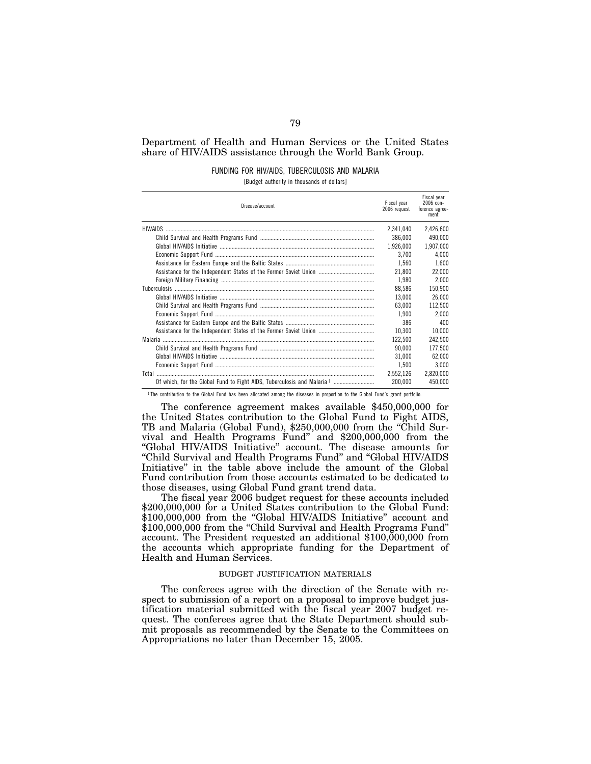# Department of Health and Human Services or the United States share of HIV/AIDS assistance through the World Bank Group.

# FUNDING FOR HIV/AIDS, TUBERCULOSIS AND MALARIA

[Budget authority in thousands of dollars]

| Disease/account                                                         | Fiscal vear<br>2006 request | Fiscal vear<br>$2006$ con-<br>ference agree-<br>ment |
|-------------------------------------------------------------------------|-----------------------------|------------------------------------------------------|
| HIV/AIDS                                                                | 2.341.040                   | 2,426,600                                            |
|                                                                         | 386.000                     | 490,000                                              |
|                                                                         | 1,926,000                   | 1,907,000                                            |
|                                                                         | 3.700                       | 4.000                                                |
|                                                                         | 1.560                       | 1.600                                                |
|                                                                         | 21.800                      | 22.000                                               |
|                                                                         | 1.980                       | 2.000                                                |
|                                                                         | 88.586                      | 150.900                                              |
|                                                                         | 13,000                      | 26,000                                               |
|                                                                         | 63.000                      | 112,500                                              |
|                                                                         | 1.900                       | 2.000                                                |
|                                                                         | 386                         | 400                                                  |
|                                                                         | 10,300                      | 10,000                                               |
|                                                                         | 122.500                     | 242.500                                              |
|                                                                         | 90.000                      | 177.500                                              |
|                                                                         | 31.000                      | 62.000                                               |
|                                                                         | 1.500                       | 3.000                                                |
|                                                                         | 2.552.126                   | 2,820,000                                            |
| Of which, for the Global Fund to Fight AIDS, Tuberculosis and Malaria 1 | 200,000                     | 450,000                                              |

1 The contribution to the Global Fund has been allocated among the diseases in proportion to the Global Fund's grant portfolio.

The conference agreement makes available \$450,000,000 for the United States contribution to the Global Fund to Fight AIDS, TB and Malaria (Global Fund), \$250,000,000 from the ''Child Survival and Health Programs Fund'' and \$200,000,000 from the "Global HIV/AIDS Initiative" account. The disease amounts for ''Child Survival and Health Programs Fund'' and ''Global HIV/AIDS Initiative'' in the table above include the amount of the Global Fund contribution from those accounts estimated to be dedicated to those diseases, using Global Fund grant trend data.

The fiscal year 2006 budget request for these accounts included \$200,000,000 for a United States contribution to the Global Fund: \$100,000,000 from the "Global HIV/AIDS Initiative" account and \$100,000,000 from the "Child Survival and Health Programs Fund" account. The President requested an additional \$100,000,000 from the accounts which appropriate funding for the Department of Health and Human Services.

# BUDGET JUSTIFICATION MATERIALS

The conferees agree with the direction of the Senate with respect to submission of a report on a proposal to improve budget justification material submitted with the fiscal year 2007 budget request. The conferees agree that the State Department should submit proposals as recommended by the Senate to the Committees on Appropriations no later than December 15, 2005.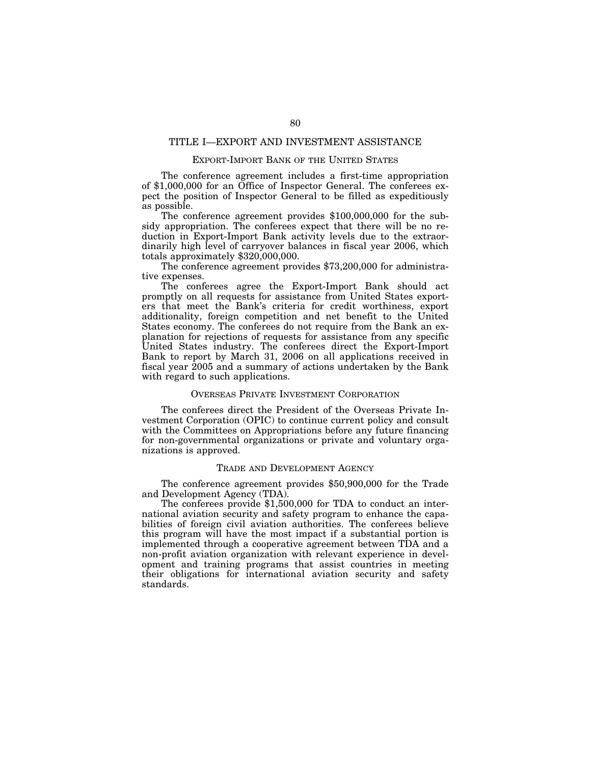# TITLE I—EXPORT AND INVESTMENT ASSISTANCE

# EXPORT-IMPORT BANK OF THE UNITED STATES

The conference agreement includes a first-time appropriation of \$1,000,000 for an Office of Inspector General. The conferees expect the position of Inspector General to be filled as expeditiously as possible.

The conference agreement provides \$100,000,000 for the subsidy appropriation. The conferees expect that there will be no reduction in Export-Import Bank activity levels due to the extraordinarily high level of carryover balances in fiscal year 2006, which totals approximately \$320,000,000.

The conference agreement provides \$73,200,000 for administrative expenses.

The conferees agree the Export-Import Bank should act promptly on all requests for assistance from United States exporters that meet the Bank's criteria for credit worthiness, export additionality, foreign competition and net benefit to the United States economy. The conferees do not require from the Bank an explanation for rejections of requests for assistance from any specific United States industry. The conferees direct the Export-Import Bank to report by March 31, 2006 on all applications received in fiscal year 2005 and a summary of actions undertaken by the Bank with regard to such applications.

# OVERSEAS PRIVATE INVESTMENT CORPORATION

The conferees direct the President of the Overseas Private Investment Corporation (OPIC) to continue current policy and consult with the Committees on Appropriations before any future financing for non-governmental organizations or private and voluntary organizations is approved.

# TRADE AND DEVELOPMENT AGENCY

The conference agreement provides \$50,900,000 for the Trade and Development Agency (TDA).

The conferees provide \$1,500,000 for TDA to conduct an international aviation security and safety program to enhance the capabilities of foreign civil aviation authorities. The conferees believe this program will have the most impact if a substantial portion is implemented through a cooperative agreement between TDA and a non-profit aviation organization with relevant experience in development and training programs that assist countries in meeting their obligations for international aviation security and safety standards.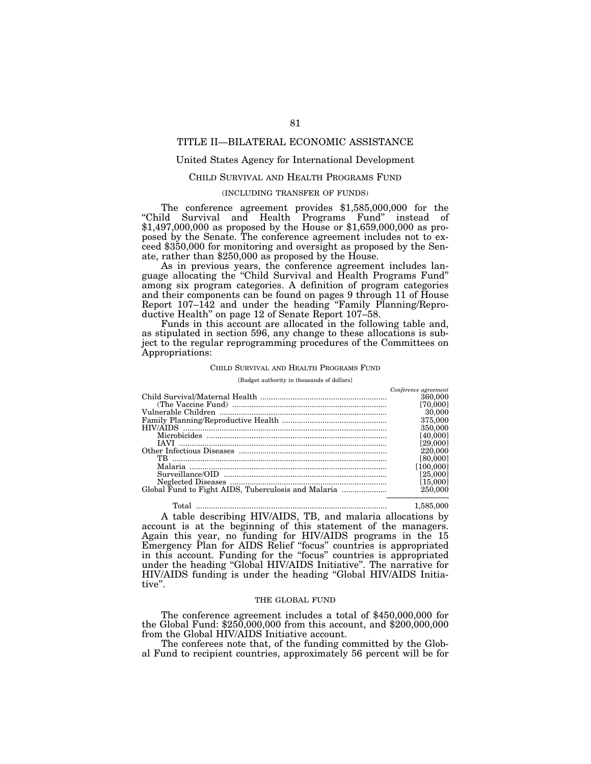# TITLE II—BILATERAL ECONOMIC ASSISTANCE

# United States Agency for International Development

# CHILD SURVIVAL AND HEALTH PROGRAMS FUND

#### (INCLUDING TRANSFER OF FUNDS)

The conference agreement provides \$1,585,000,000 for the ''Child Survival and Health Programs Fund'' instead of \$1,497,000,000 as proposed by the House or \$1,659,000,000 as proposed by the Senate. The conference agreement includes not to exceed \$350,000 for monitoring and oversight as proposed by the Senate, rather than \$250,000 as proposed by the House.

As in previous years, the conference agreement includes language allocating the ''Child Survival and Health Programs Fund'' among six program categories. A definition of program categories and their components can be found on pages 9 through 11 of House Report 107–142 and under the heading ''Family Planning/Reproductive Health'' on page 12 of Senate Report 107–58.

Funds in this account are allocated in the following table and, as stipulated in section 596, any change to these allocations is subject to the regular reprogramming procedures of the Committees on Appropriations:

# CHILD SURVIVAL AND HEALTH PROGRAMS FUND

[Budget authority in thousands of dollars]

|     | Conference agreement |
|-----|----------------------|
|     | 360,000              |
|     | [70,000]             |
|     | 30,000               |
|     | 375,000              |
|     | 350,000              |
|     | [40,000]             |
|     | [29,000]             |
|     | 220,000              |
| TB. | [80,000]             |
|     | [100,000]            |
|     | [25,000]             |
|     | [15,000]             |
|     | 250,000              |
|     |                      |

Total ......................................................................................... 1,585,000

A table describing HIV/AIDS, TB, and malaria allocations by account is at the beginning of this statement of the managers. Again this year, no funding for HIV/AIDS programs in the 15 Emergency Plan for AIDS Relief ''focus'' countries is appropriated in this account. Funding for the ''focus'' countries is appropriated under the heading ''Global HIV/AIDS Initiative''. The narrative for HIV/AIDS funding is under the heading ''Global HIV/AIDS Initiative''.

#### THE GLOBAL FUND

The conference agreement includes a total of \$450,000,000 for the Global Fund: \$250,000,000 from this account, and \$200,000,000 from the Global HIV/AIDS Initiative account.

The conferees note that, of the funding committed by the Global Fund to recipient countries, approximately 56 percent will be for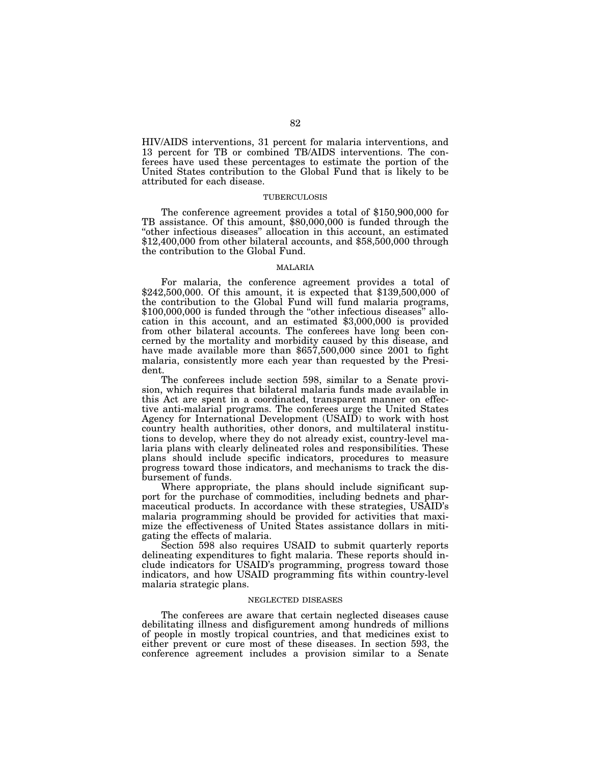HIV/AIDS interventions, 31 percent for malaria interventions, and 13 percent for TB or combined TB/AIDS interventions. The conferees have used these percentages to estimate the portion of the United States contribution to the Global Fund that is likely to be attributed for each disease.

#### TUBERCULOSIS

The conference agreement provides a total of \$150,900,000 for TB assistance. Of this amount, \$80,000,000 is funded through the "other infectious diseases" allocation in this account, an estimated \$12,400,000 from other bilateral accounts, and \$58,500,000 through the contribution to the Global Fund.

#### MALARIA

For malaria, the conference agreement provides a total of \$242,500,000. Of this amount, it is expected that \$139,500,000 of the contribution to the Global Fund will fund malaria programs, \$100,000,000 is funded through the "other infectious diseases" allocation in this account, and an estimated \$3,000,000 is provided from other bilateral accounts. The conferees have long been concerned by the mortality and morbidity caused by this disease, and have made available more than \$657,500,000 since 2001 to fight malaria, consistently more each year than requested by the President.

The conferees include section 598, similar to a Senate provision, which requires that bilateral malaria funds made available in this Act are spent in a coordinated, transparent manner on effective anti-malarial programs. The conferees urge the United States Agency for International Development (USAID) to work with host country health authorities, other donors, and multilateral institutions to develop, where they do not already exist, country-level malaria plans with clearly delineated roles and responsibilities. These plans should include specific indicators, procedures to measure progress toward those indicators, and mechanisms to track the disbursement of funds.

Where appropriate, the plans should include significant support for the purchase of commodities, including bednets and pharmaceutical products. In accordance with these strategies, USAID's malaria programming should be provided for activities that maximize the effectiveness of United States assistance dollars in mitigating the effects of malaria.

Section 598 also requires USAID to submit quarterly reports delineating expenditures to fight malaria. These reports should include indicators for USAID's programming, progress toward those indicators, and how USAID programming fits within country-level malaria strategic plans.

# NEGLECTED DISEASES

The conferees are aware that certain neglected diseases cause debilitating illness and disfigurement among hundreds of millions of people in mostly tropical countries, and that medicines exist to either prevent or cure most of these diseases. In section 593, the conference agreement includes a provision similar to a Senate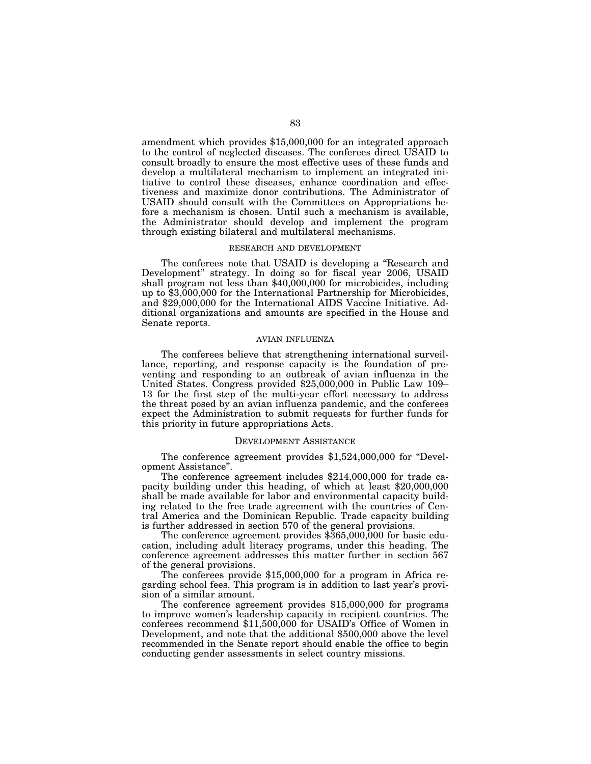amendment which provides \$15,000,000 for an integrated approach to the control of neglected diseases. The conferees direct USAID to consult broadly to ensure the most effective uses of these funds and develop a multilateral mechanism to implement an integrated initiative to control these diseases, enhance coordination and effectiveness and maximize donor contributions. The Administrator of USAID should consult with the Committees on Appropriations before a mechanism is chosen. Until such a mechanism is available, the Administrator should develop and implement the program through existing bilateral and multilateral mechanisms.

#### RESEARCH AND DEVELOPMENT

The conferees note that USAID is developing a ''Research and Development'' strategy. In doing so for fiscal year 2006, USAID shall program not less than \$40,000,000 for microbicides, including up to \$3,000,000 for the International Partnership for Microbicides, and \$29,000,000 for the International AIDS Vaccine Initiative. Additional organizations and amounts are specified in the House and Senate reports.

# AVIAN INFLUENZA

The conferees believe that strengthening international surveillance, reporting, and response capacity is the foundation of preventing and responding to an outbreak of avian influenza in the United States. Congress provided \$25,000,000 in Public Law 109– 13 for the first step of the multi-year effort necessary to address the threat posed by an avian influenza pandemic, and the conferees expect the Administration to submit requests for further funds for this priority in future appropriations Acts.

# DEVELOPMENT ASSISTANCE

The conference agreement provides \$1,524,000,000 for ''Development Assistance''.

The conference agreement includes \$214,000,000 for trade capacity building under this heading, of which at least \$20,000,000 shall be made available for labor and environmental capacity building related to the free trade agreement with the countries of Central America and the Dominican Republic. Trade capacity building is further addressed in section 570 of the general provisions.

The conference agreement provides  $$365,000,000$  for basic education, including adult literacy programs, under this heading. The conference agreement addresses this matter further in section 567 of the general provisions.

The conferees provide \$15,000,000 for a program in Africa regarding school fees. This program is in addition to last year's provision of a similar amount.

The conference agreement provides \$15,000,000 for programs to improve women's leadership capacity in recipient countries. The conferees recommend \$11,500,000 for USAID's Office of Women in Development, and note that the additional \$500,000 above the level recommended in the Senate report should enable the office to begin conducting gender assessments in select country missions.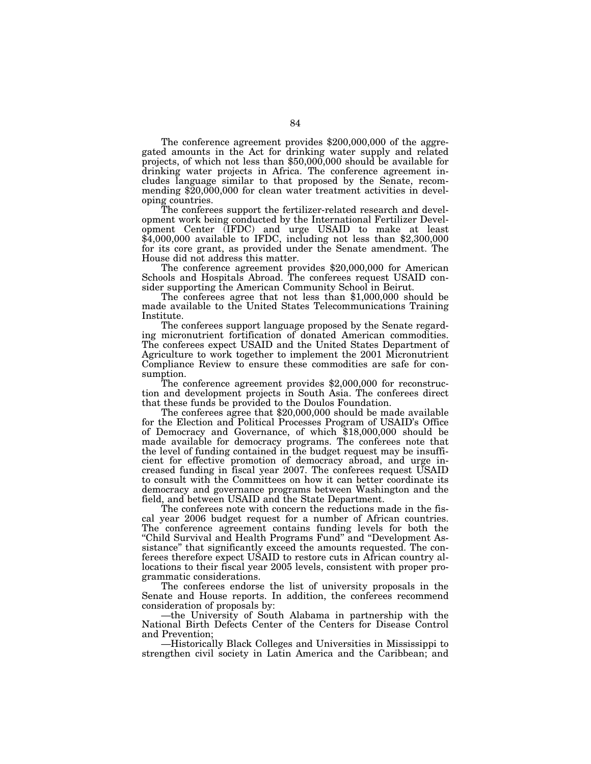The conference agreement provides \$200,000,000 of the aggregated amounts in the Act for drinking water supply and related projects, of which not less than \$50,000,000 should be available for drinking water projects in Africa. The conference agreement includes language similar to that proposed by the Senate, recommending \$20,000,000 for clean water treatment activities in developing countries.

The conferees support the fertilizer-related research and development work being conducted by the International Fertilizer Development Center (IFDC) and urge USAID to make at least \$4,000,000 available to IFDC, including not less than \$2,300,000 for its core grant, as provided under the Senate amendment. The House did not address this matter.

The conference agreement provides \$20,000,000 for American Schools and Hospitals Abroad. The conferees request USAID con-

sider supporting the American Community School in Beirut. The conferees agree that not less than \$1,000,000 should be made available to the United States Telecommunications Training Institute.

The conferees support language proposed by the Senate regarding micronutrient fortification of donated American commodities. The conferees expect USAID and the United States Department of Agriculture to work together to implement the 2001 Micronutrient Compliance Review to ensure these commodities are safe for consumption.<br>The conference agreement provides \$2,000,000 for reconstruc-

tion and development projects in South Asia. The conferees direct

The conferees agree that  $$20,000,000$  should be made available for the Election and Political Processes Program of USAID's Office of Democracy and Governance, of which \$18,000,000 should be made available for democracy programs. The conferees note that the level of funding contained in the budget request may be insufficient for effective promotion of democracy abroad, and urge increased funding in fiscal year 2007. The conferees request USAID to consult with the Committees on how it can better coordinate its democracy and governance programs between Washington and the field, and between USAID and the State Department.

The conferees note with concern the reductions made in the fiscal year 2006 budget request for a number of African countries. The conference agreement contains funding levels for both the "Child Survival and Health Programs Fund" and "Development Assistance'' that significantly exceed the amounts requested. The conferees therefore expect USAID to restore cuts in African country allocations to their fiscal year 2005 levels, consistent with proper programmatic considerations.

The conferees endorse the list of university proposals in the Senate and House reports. In addition, the conferees recommend consideration of proposals by:

—the University of South Alabama in partnership with the National Birth Defects Center of the Centers for Disease Control and Prevention;

—Historically Black Colleges and Universities in Mississippi to strengthen civil society in Latin America and the Caribbean; and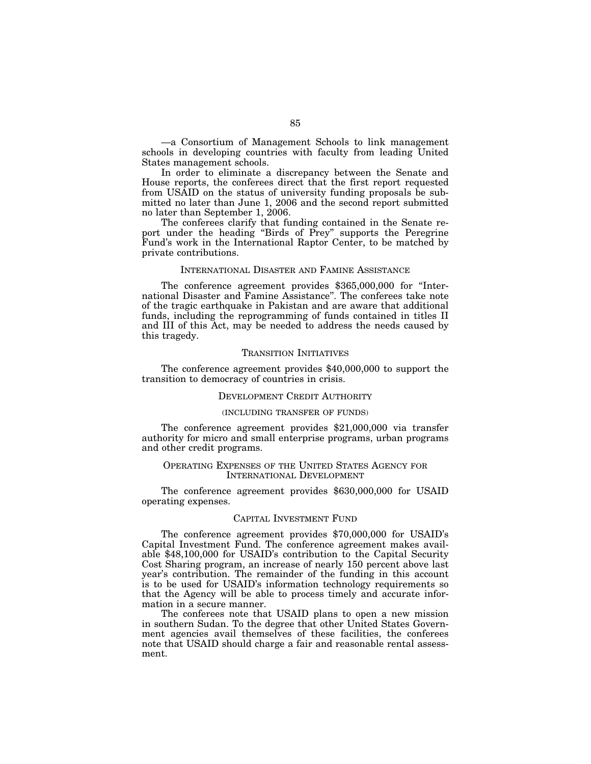—a Consortium of Management Schools to link management schools in developing countries with faculty from leading United States management schools.

In order to eliminate a discrepancy between the Senate and House reports, the conferees direct that the first report requested from USAID on the status of university funding proposals be submitted no later than June 1, 2006 and the second report submitted no later than September 1, 2006.

The conferees clarify that funding contained in the Senate report under the heading "Birds of Prey" supports the Peregrine Fund's work in the International Raptor Center, to be matched by private contributions.

# INTERNATIONAL DISASTER AND FAMINE ASSISTANCE

The conference agreement provides \$365,000,000 for ''International Disaster and Famine Assistance''. The conferees take note of the tragic earthquake in Pakistan and are aware that additional funds, including the reprogramming of funds contained in titles II and III of this Act, may be needed to address the needs caused by this tragedy.

#### TRANSITION INITIATIVES

The conference agreement provides \$40,000,000 to support the transition to democracy of countries in crisis.

#### DEVELOPMENT CREDIT AUTHORITY

#### (INCLUDING TRANSFER OF FUNDS)

The conference agreement provides \$21,000,000 via transfer authority for micro and small enterprise programs, urban programs and other credit programs.

# OPERATING EXPENSES OF THE UNITED STATES AGENCY FOR INTERNATIONAL DEVELOPMENT

The conference agreement provides \$630,000,000 for USAID operating expenses.

# CAPITAL INVESTMENT FUND

The conference agreement provides \$70,000,000 for USAID's Capital Investment Fund. The conference agreement makes available \$48,100,000 for USAID's contribution to the Capital Security Cost Sharing program, an increase of nearly 150 percent above last year's contribution. The remainder of the funding in this account is to be used for USAID's information technology requirements so that the Agency will be able to process timely and accurate information in a secure manner.

The conferees note that USAID plans to open a new mission in southern Sudan. To the degree that other United States Government agencies avail themselves of these facilities, the conferees note that USAID should charge a fair and reasonable rental assessment.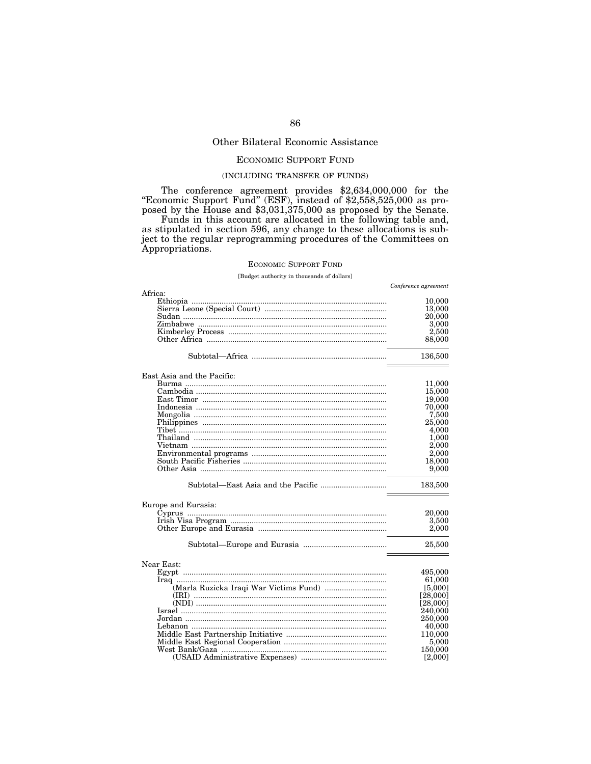# Other Bilateral Economic Assistance

# ECONOMIC SUPPORT FUND

# (INCLUDING TRANSFER OF FUNDS)

The conference agreement provides \$2,634,000,000 for the "Economic Support Fund" (ESF), instead of \$2,558,525,000 as proposed by the House and \$3,031,375,000 as proposed by the Senate. Funds in this account are allocated in the following table and, as stipulated in section 596, any change to these allocations is sub-

ject to the regular reprogramming procedures of the Committees on Appropriations.

# ECONOMIC SUPPORT FUND

[Budget authority in thousands of dollars]

| Africa:                                      | Conference agreement |
|----------------------------------------------|----------------------|
|                                              | 10,000               |
|                                              | 13,000               |
|                                              | 20,000               |
|                                              | 3,000                |
|                                              | 2,500                |
|                                              | 88,000               |
|                                              | 136,500              |
| East Asia and the Pacific:                   |                      |
| <u>Burma …………………………………………………………………………………</u> | 11,000               |
|                                              | 15,000               |
|                                              | 19,000               |
|                                              | 70,000               |
|                                              | 7,500                |
|                                              | 25,000               |
|                                              | 4,000<br>1,000       |
|                                              | 2,000                |
|                                              | 2,000                |
|                                              | 18,000               |
|                                              | 9,000                |
|                                              | 183,500              |
| Europe and Eurasia:                          |                      |
|                                              | 20,000               |
|                                              | 3,500                |
|                                              | 2,000                |
|                                              | 25,500               |
| Near East:                                   |                      |
|                                              | 495,000              |
|                                              | 61.000               |
| (Marla Ruzicka Iraqi War Victims Fund)       | [5,000]              |
|                                              | [28,000]             |
|                                              | [28,000]             |
|                                              | 240,000              |
|                                              | 250,000              |
|                                              | 40,000               |
|                                              | 110,000              |
|                                              | 5,000<br>150.000     |
|                                              | [2,000]              |
|                                              |                      |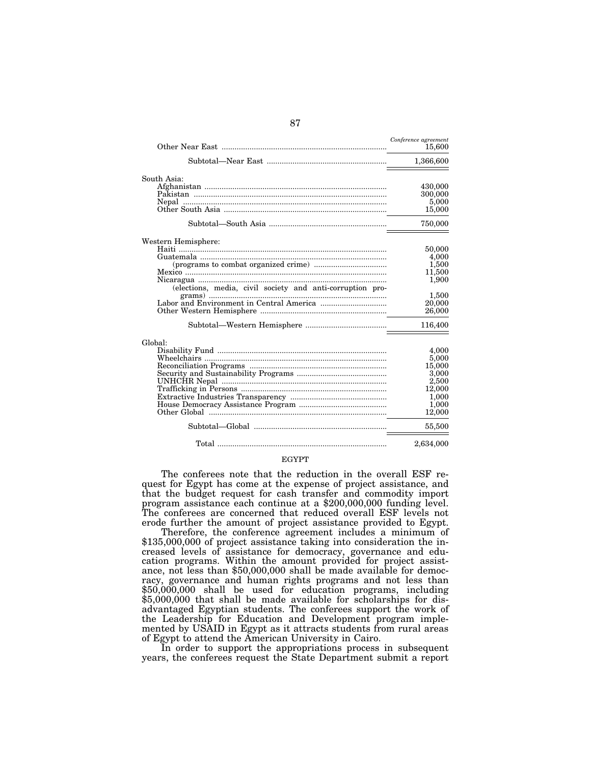|                                                           | Conference agreement<br>15,600 |
|-----------------------------------------------------------|--------------------------------|
|                                                           | 1,366,600                      |
| South Asia:                                               |                                |
|                                                           | 430,000                        |
|                                                           | 300,000                        |
| Nepal                                                     | 5,000                          |
|                                                           | 15,000                         |
|                                                           | 750,000                        |
| Western Hemisphere:                                       |                                |
|                                                           | 50,000                         |
|                                                           | 4,000                          |
|                                                           | 1,500                          |
|                                                           | 11,500                         |
|                                                           | 1,900                          |
| (elections, media, civil society and anti-corruption pro- |                                |
|                                                           | 1,500                          |
|                                                           | 20,000                         |
|                                                           | 26,000                         |
|                                                           | 116,400                        |
| Global:                                                   |                                |
|                                                           | 4.000                          |
|                                                           | 5,000                          |
|                                                           | 15,000                         |
|                                                           | 3,000                          |
|                                                           | 2,500                          |
|                                                           | 12,000                         |
|                                                           | 1,000                          |
|                                                           | 1,000                          |
| Other Global                                              | 12,000                         |
|                                                           | 55,500                         |
|                                                           | 2,634,000                      |

# EGYPT

The conferees note that the reduction in the overall ESF request for Egypt has come at the expense of project assistance, and that the budget request for cash transfer and commodity import program assistance each continue at a \$200,000,000 funding level. The conferees are concerned that reduced overall ESF levels not erode further the amount of project assistance provided to Egypt.

Therefore, the conference agreement includes a minimum of \$135,000,000 of project assistance taking into consideration the increased levels of assistance for democracy, governance and education programs. Within the amount provided for project assistance, not less than \$50,000,000 shall be made available for democracy, governance and human rights programs and not less than \$50,000,000 shall be used for education programs, including \$5,000,000 that shall be made available for scholarships for disadvantaged Egyptian students. The conferees support the work of the Leadership for Education and Development program implemented by USAID in Egypt as it attracts students from rural areas of Egypt to attend the American University in Cairo.

In order to support the appropriations process in subsequent years, the conferees request the State Department submit a report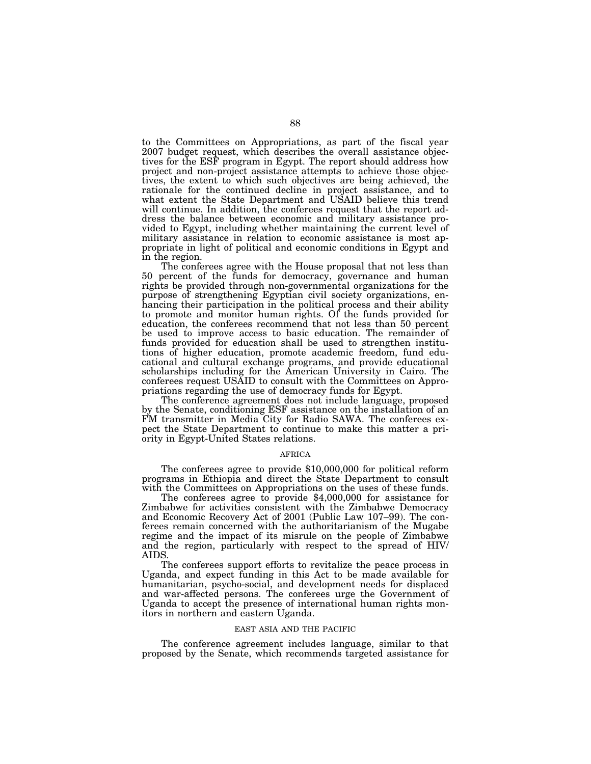to the Committees on Appropriations, as part of the fiscal year 2007 budget request, which describes the overall assistance objectives for the ESF program in Egypt. The report should address how project and non-project assistance attempts to achieve those objectives, the extent to which such objectives are being achieved, the rationale for the continued decline in project assistance, and to what extent the State Department and USAID believe this trend will continue. In addition, the conferees request that the report address the balance between economic and military assistance provided to Egypt, including whether maintaining the current level of military assistance in relation to economic assistance is most appropriate in light of political and economic conditions in Egypt and in the region.

The conferees agree with the House proposal that not less than 50 percent of the funds for democracy, governance and human rights be provided through non-governmental organizations for the purpose of strengthening Egyptian civil society organizations, enhancing their participation in the political process and their ability to promote and monitor human rights. Of the funds provided for education, the conferees recommend that not less than 50 percent be used to improve access to basic education. The remainder of funds provided for education shall be used to strengthen institutions of higher education, promote academic freedom, fund educational and cultural exchange programs, and provide educational scholarships including for the American University in Cairo. The conferees request USAID to consult with the Committees on Appropriations regarding the use of democracy funds for Egypt.

The conference agreement does not include language, proposed by the Senate, conditioning ESF assistance on the installation of an FM transmitter in Media City for Radio SAWA. The conferees expect the State Department to continue to make this matter a priority in Egypt-United States relations.

#### AFRICA

The conferees agree to provide \$10,000,000 for political reform programs in Ethiopia and direct the State Department to consult

The conferees agree to provide  $$4,000,000$  for assistance for Zimbabwe for activities consistent with the Zimbabwe Democracy and Economic Recovery Act of 2001 (Public Law 107–99). The conferees remain concerned with the authoritarianism of the Mugabe regime and the impact of its misrule on the people of Zimbabwe and the region, particularly with respect to the spread of HIV/ AIDS.

The conferees support efforts to revitalize the peace process in Uganda, and expect funding in this Act to be made available for humanitarian, psycho-social, and development needs for displaced and war-affected persons. The conferees urge the Government of Uganda to accept the presence of international human rights monitors in northern and eastern Uganda.

#### EAST ASIA AND THE PACIFIC

The conference agreement includes language, similar to that proposed by the Senate, which recommends targeted assistance for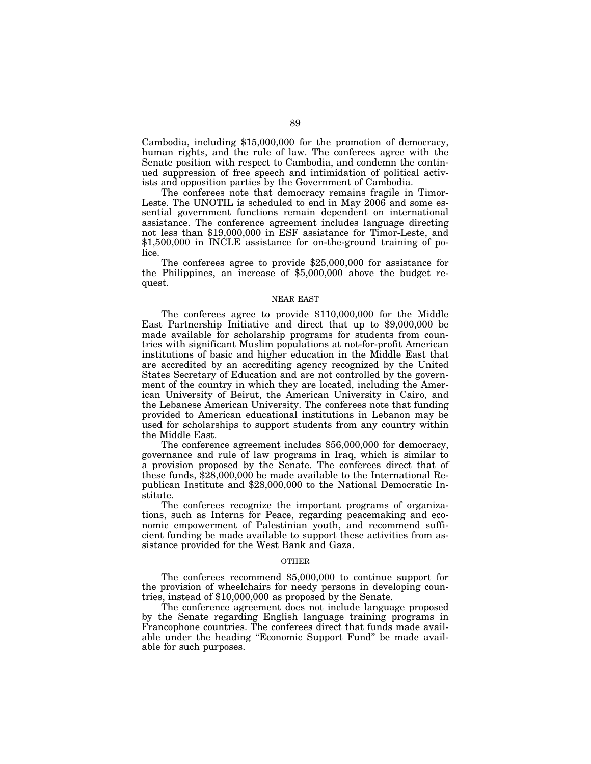Cambodia, including \$15,000,000 for the promotion of democracy, human rights, and the rule of law. The conferees agree with the Senate position with respect to Cambodia, and condemn the continued suppression of free speech and intimidation of political activists and opposition parties by the Government of Cambodia.

The conferees note that democracy remains fragile in Timor-Leste. The UNOTIL is scheduled to end in May 2006 and some essential government functions remain dependent on international assistance. The conference agreement includes language directing not less than \$19,000,000 in ESF assistance for Timor-Leste, and \$1,500,000 in INCLE assistance for on-the-ground training of police.

The conferees agree to provide \$25,000,000 for assistance for the Philippines, an increase of \$5,000,000 above the budget request.

# NEAR EAST

The conferees agree to provide \$110,000,000 for the Middle East Partnership Initiative and direct that up to \$9,000,000 be made available for scholarship programs for students from countries with significant Muslim populations at not-for-profit American institutions of basic and higher education in the Middle East that are accredited by an accrediting agency recognized by the United States Secretary of Education and are not controlled by the government of the country in which they are located, including the American University of Beirut, the American University in Cairo, and the Lebanese American University. The conferees note that funding provided to American educational institutions in Lebanon may be used for scholarships to support students from any country within the Middle East.

The conference agreement includes \$56,000,000 for democracy, governance and rule of law programs in Iraq, which is similar to a provision proposed by the Senate. The conferees direct that of these funds, \$28,000,000 be made available to the International Republican Institute and \$28,000,000 to the National Democratic Institute.

The conferees recognize the important programs of organizations, such as Interns for Peace, regarding peacemaking and economic empowerment of Palestinian youth, and recommend sufficient funding be made available to support these activities from assistance provided for the West Bank and Gaza.

#### OTHER

The conferees recommend \$5,000,000 to continue support for the provision of wheelchairs for needy persons in developing countries, instead of \$10,000,000 as proposed by the Senate.

The conference agreement does not include language proposed by the Senate regarding English language training programs in Francophone countries. The conferees direct that funds made available under the heading ''Economic Support Fund'' be made available for such purposes.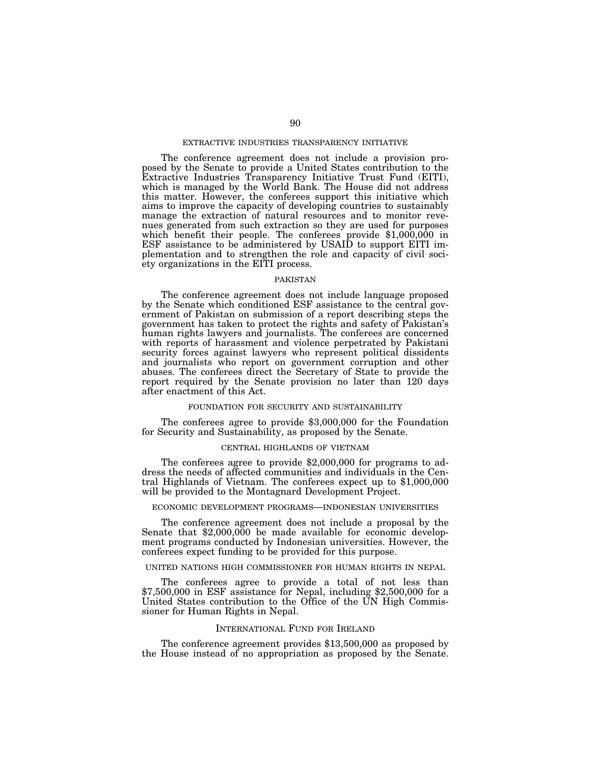# EXTRACTIVE INDUSTRIES TRANSPARENCY INITIATIVE

The conference agreement does not include a provision proposed by the Senate to provide a United States contribution to the Extractive Industries Transparency Initiative Trust Fund (EITI), which is managed by the World Bank. The House did not address this matter. However, the conferees support this initiative which aims to improve the capacity of developing countries to sustainably manage the extraction of natural resources and to monitor revenues generated from such extraction so they are used for purposes which benefit their people. The conferees provide \$1,000,000 in ESF assistance to be administered by USAID to support EITI implementation and to strengthen the role and capacity of civil society organizations in the EITI process.

#### PAKISTAN

The conference agreement does not include language proposed by the Senate which conditioned ESF assistance to the central government of Pakistan on submission of a report describing steps the government has taken to protect the rights and safety of Pakistan's human rights lawyers and journalists. The conferees are concerned with reports of harassment and violence perpetrated by Pakistani security forces against lawyers who represent political dissidents and journalists who report on government corruption and other abuses. The conferees direct the Secretary of State to provide the report required by the Senate provision no later than 120 days after enactment of this Act.

# FOUNDATION FOR SECURITY AND SUSTAINABILITY

The conferees agree to provide \$3,000,000 for the Foundation for Security and Sustainability, as proposed by the Senate.

#### CENTRAL HIGHLANDS OF VIETNAM

The conferees agree to provide \$2,000,000 for programs to address the needs of affected communities and individuals in the Central Highlands of Vietnam. The conferees expect up to \$1,000,000 will be provided to the Montagnard Development Project.

#### ECONOMIC DEVELOPMENT PROGRAMS—INDONESIAN UNIVERSITIES

The conference agreement does not include a proposal by the Senate that \$2,000,000 be made available for economic development programs conducted by Indonesian universities. However, the conferees expect funding to be provided for this purpose.

#### UNITED NATIONS HIGH COMMISSIONER FOR HUMAN RIGHTS IN NEPAL

The conferees agree to provide a total of not less than \$7,500,000 in ESF assistance for Nepal, including \$2,500,000 for a United States contribution to the Office of the UN High Commissioner for Human Rights in Nepal.

#### INTERNATIONAL FUND FOR IRELAND

The conference agreement provides \$13,500,000 as proposed by the House instead of no appropriation as proposed by the Senate.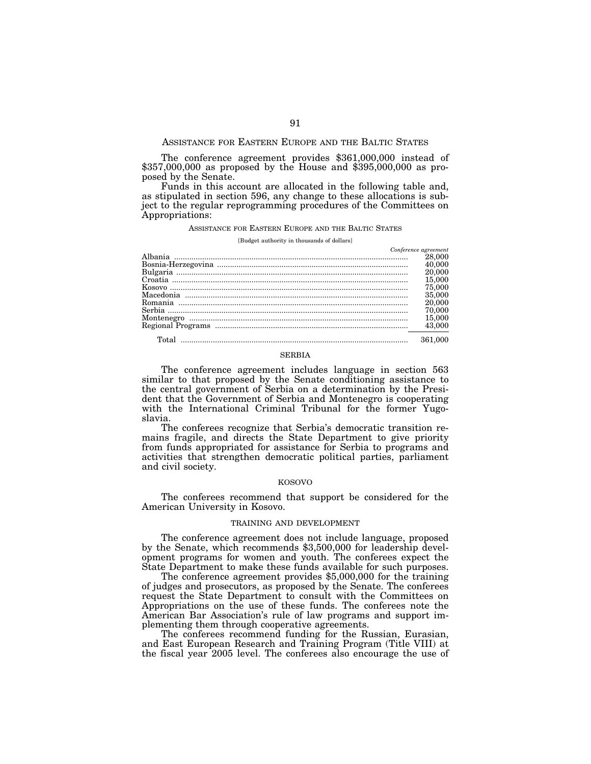#### ASSISTANCE FOR EASTERN EUROPE AND THE BALTIC STATES

The conference agreement provides \$361,000,000 instead of \$357,000,000 as proposed by the House and \$395,000,000 as proposed by the Senate.

Funds in this account are allocated in the following table and, as stipulated in section 596, any change to these allocations is subject to the regular reprogramming procedures of the Committees on Appropriations:

#### ASSISTANCE FOR EASTERN EUROPE AND THE BALTIC STATES

#### [Budget authority in thousands of dollars]

| Conference agreement |
|----------------------|
| 28,000               |
| 40,000               |
| 20,000               |
| 15,000               |
| 75,000               |
| 35,000               |
| 20,000               |
| 70,000               |
| 15,000               |
| 43,000               |
| 361.000              |

# SERBIA

The conference agreement includes language in section 563 similar to that proposed by the Senate conditioning assistance to the central government of Serbia on a determination by the President that the Government of Serbia and Montenegro is cooperating with the International Criminal Tribunal for the former Yugoslavia.

The conferees recognize that Serbia's democratic transition remains fragile, and directs the State Department to give priority from funds appropriated for assistance for Serbia to programs and activities that strengthen democratic political parties, parliament and civil society.

#### KOSOVO

The conferees recommend that support be considered for the American University in Kosovo.

# TRAINING AND DEVELOPMENT

The conference agreement does not include language, proposed by the Senate, which recommends \$3,500,000 for leadership development programs for women and youth. The conferees expect the State Department to make these funds available for such purposes.

The conference agreement provides \$5,000,000 for the training of judges and prosecutors, as proposed by the Senate. The conferees request the State Department to consult with the Committees on Appropriations on the use of these funds. The conferees note the American Bar Association's rule of law programs and support implementing them through cooperative agreements.

The conferees recommend funding for the Russian, Eurasian, and East European Research and Training Program (Title VIII) at the fiscal year 2005 level. The conferees also encourage the use of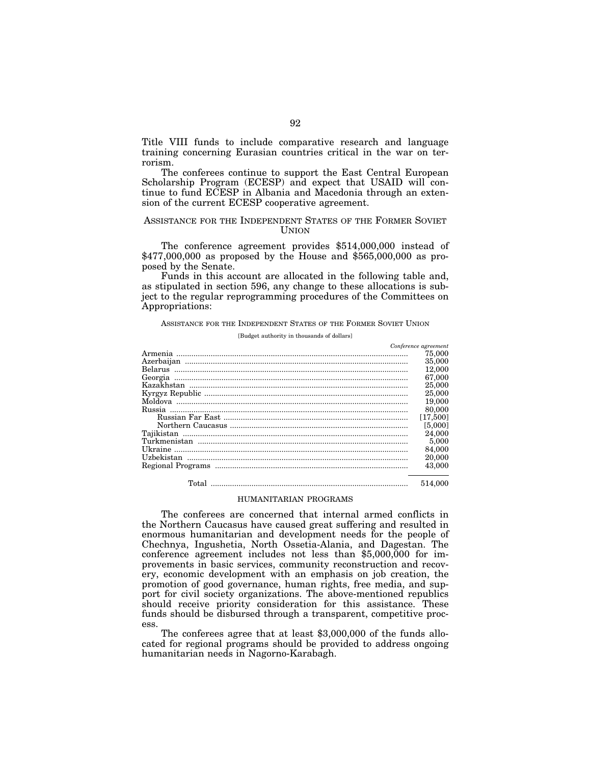Title VIII funds to include comparative research and language training concerning Eurasian countries critical in the war on terrorism.

The conferees continue to support the East Central European Scholarship Program (ECESP) and expect that USAID will continue to fund ECESP in Albania and Macedonia through an extension of the current ECESP cooperative agreement.

# ASSISTANCE FOR THE INDEPENDENT STATES OF THE FORMER SOVIET **UNION**

The conference agreement provides \$514,000,000 instead of \$477,000,000 as proposed by the House and \$565,000,000 as proposed by the Senate.

Funds in this account are allocated in the following table and, as stipulated in section 596, any change to these allocations is subject to the regular reprogramming procedures of the Committees on Appropriations:

ASSISTANCE FOR THE INDEPENDENT STATES OF THE FORMER SOVIET UNION

[Budget authority in thousands of dollars]

|        | Conference agreement |
|--------|----------------------|
|        | 75,000               |
|        | 35,000               |
|        | 12,000               |
|        | 67,000               |
|        | 25,000               |
|        | 25,000               |
|        | 19,000               |
| Russia | 80,000               |
|        | [17,500]             |
|        | [5,000]              |
|        | 24,000               |
|        | 5,000                |
|        | 84,000               |
|        | 20,000               |
|        | 43,000               |
|        | 514.000              |

# HUMANITARIAN PROGRAMS

The conferees are concerned that internal armed conflicts in the Northern Caucasus have caused great suffering and resulted in enormous humanitarian and development needs for the people of Chechnya, Ingushetia, North Ossetia-Alania, and Dagestan. The conference agreement includes not less than \$5,000,000 for improvements in basic services, community reconstruction and recovery, economic development with an emphasis on job creation, the promotion of good governance, human rights, free media, and support for civil society organizations. The above-mentioned republics should receive priority consideration for this assistance. These funds should be disbursed through a transparent, competitive process.

The conferees agree that at least \$3,000,000 of the funds allocated for regional programs should be provided to address ongoing humanitarian needs in Nagorno-Karabagh.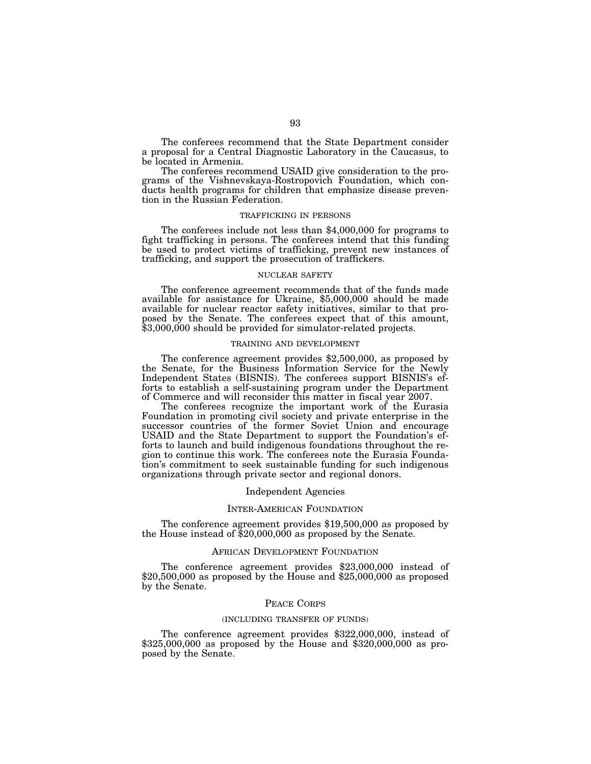The conferees recommend that the State Department consider a proposal for a Central Diagnostic Laboratory in the Caucasus, to be located in Armenia.

The conferees recommend USAID give consideration to the programs of the Vishnevskaya-Rostropovich Foundation, which conducts health programs for children that emphasize disease prevention in the Russian Federation.

#### TRAFFICKING IN PERSONS

The conferees include not less than \$4,000,000 for programs to fight trafficking in persons. The conferees intend that this funding be used to protect victims of trafficking, prevent new instances of trafficking, and support the prosecution of traffickers.

#### NUCLEAR SAFETY

The conference agreement recommends that of the funds made available for assistance for Ukraine, \$5,000,000 should be made available for nuclear reactor safety initiatives, similar to that proposed by the Senate. The conferees expect that of this amount, \$3,000,000 should be provided for simulator-related projects.

# TRAINING AND DEVELOPMENT

The conference agreement provides \$2,500,000, as proposed by the Senate, for the Business Information Service for the Newly Independent States (BISNIS). The conferees support BISNIS's efforts to establish a self-sustaining program under the Department of Commerce and will reconsider this matter in fiscal year 2007.

The conferees recognize the important work of the Eurasia Foundation in promoting civil society and private enterprise in the successor countries of the former Soviet Union and encourage USAID and the State Department to support the Foundation's efforts to launch and build indigenous foundations throughout the region to continue this work. The conferees note the Eurasia Foundation's commitment to seek sustainable funding for such indigenous organizations through private sector and regional donors.

#### Independent Agencies

#### INTER-AMERICAN FOUNDATION

The conference agreement provides \$19,500,000 as proposed by the House instead of \$20,000,000 as proposed by the Senate.

# AFRICAN DEVELOPMENT FOUNDATION

The conference agreement provides \$23,000,000 instead of  $$20,500,000$  as proposed by the House and  $$25,000,000$  as proposed by the Senate.

# PEACE CORPS

#### (INCLUDING TRANSFER OF FUNDS)

The conference agreement provides \$322,000,000, instead of \$325,000,000 as proposed by the House and \$320,000,000 as proposed by the Senate.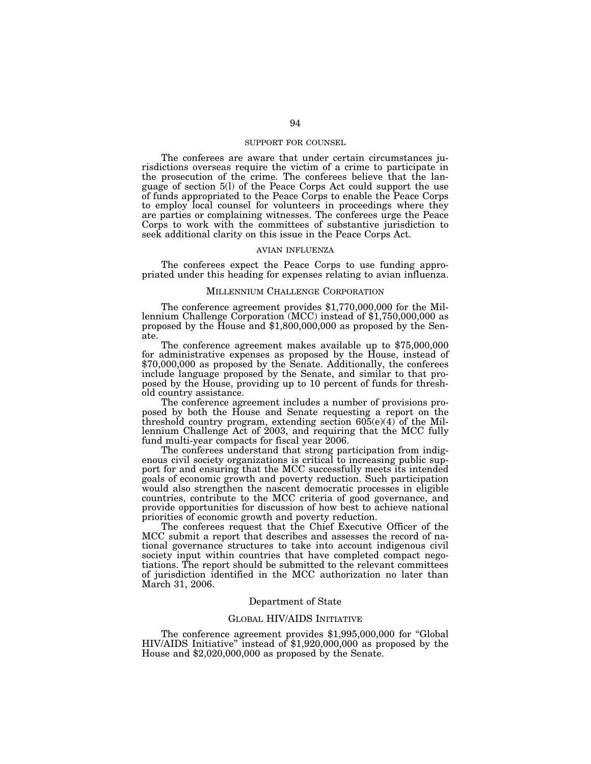# SUPPORT FOR COUNSEL

The conferees are aware that under certain circumstances jurisdictions overseas require the victim of a crime to participate in the prosecution of the crime. The conferees believe that the language of section 5(l) of the Peace Corps Act could support the use of funds appropriated to the Peace Corps to enable the Peace Corps to employ local counsel for volunteers in proceedings where they are parties or complaining witnesses. The conferees urge the Peace Corps to work with the committees of substantive jurisdiction to seek additional clarity on this issue in the Peace Corps Act.

# AVIAN INFLUENZA

The conferees expect the Peace Corps to use funding appropriated under this heading for expenses relating to avian influenza.

#### MILLENNIUM CHALLENGE CORPORATION

The conference agreement provides \$1,770,000,000 for the Mil- lennium Challenge Corporation (MCC) instead of \$1,750,000,000 as proposed by the House and \$1,800,000,000 as proposed by the Senate.

The conference agreement makes available up to \$75,000,000 for administrative expenses as proposed by the House, instead of \$70,000,000 as proposed by the Senate. Additionally, the conferees include language proposed by the Senate, and similar to that proposed by the House, providing up to 10 percent of funds for threshold country assistance.

The conference agreement includes a number of provisions proposed by both the House and Senate requesting a report on the threshold country program, extending section 605(e)(4) of the Millennium Challenge Act of 2003, and requiring that the MCC fully fund multi-year compacts for fiscal year 2006.

The conferees understand that strong participation from indigenous civil society organizations is critical to increasing public support for and ensuring that the MCC successfully meets its intended goals of economic growth and poverty reduction. Such participation would also strengthen the nascent democratic processes in eligible countries, contribute to the MCC criteria of good governance, and provide opportunities for discussion of how best to achieve national priorities of economic growth and poverty reduction.

The conferees request that the Chief Executive Officer of the MCC submit a report that describes and assesses the record of national governance structures to take into account indigenous civil society input within countries that have completed compact negotiations. The report should be submitted to the relevant committees of jurisdiction identified in the MCC authorization no later than March 31, 2006.

# Department of State

# GLOBAL HIV/AIDS INITIATIVE

The conference agreement provides \$1,995,000,000 for ''Global HIV/AIDS Initiative'' instead of \$1,920,000,000 as proposed by the House and \$2,020,000,000 as proposed by the Senate.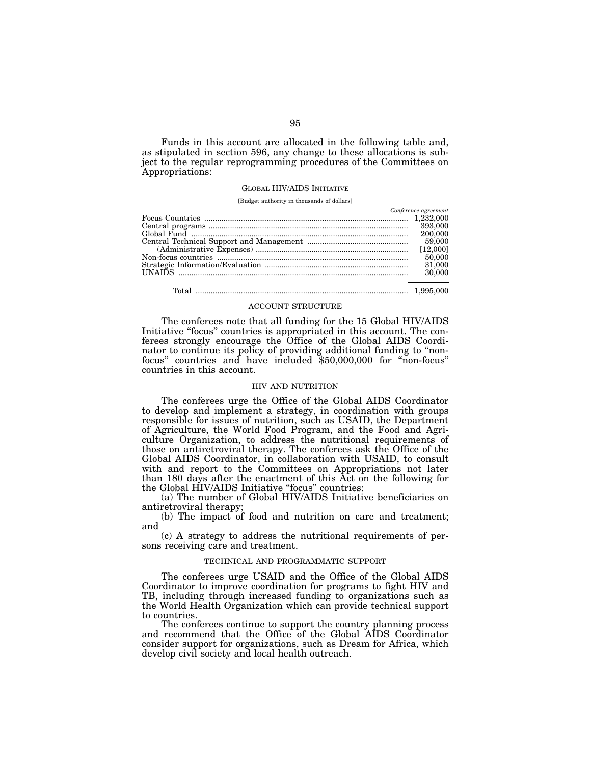Funds in this account are allocated in the following table and, as stipulated in section 596, any change to these allocations is subject to the regular reprogramming procedures of the Committees on Appropriations:

# GLOBAL HIV/AIDS INITIATIVE

[Budget authority in thousands of dollars]

| Conference agreement |
|----------------------|
|                      |
|                      |
| 200,000              |
|                      |
|                      |
| 50,000               |
|                      |
| 30,000               |
|                      |
|                      |

Total ................................................................................................... 1,995,000

#### ACCOUNT STRUCTURE

The conferees note that all funding for the 15 Global HIV/AIDS Initiative "focus" countries is appropriated in this account. The conferees strongly encourage the Office of the Global AIDS Coordinator to continue its policy of providing additional funding to ''nonfocus'' countries and have included \$50,000,000 for ''non-focus'' countries in this account.

#### HIV AND NUTRITION

The conferees urge the Office of the Global AIDS Coordinator to develop and implement a strategy, in coordination with groups responsible for issues of nutrition, such as USAID, the Department of Agriculture, the World Food Program, and the Food and Agriculture Organization, to address the nutritional requirements of those on antiretroviral therapy. The conferees ask the Office of the Global AIDS Coordinator, in collaboration with USAID, to consult with and report to the Committees on Appropriations not later than 180 days after the enactment of this Act on the following for the Global HIV/AIDS Initiative "focus" countries:

(a) The number of Global HIV/AIDS Initiative beneficiaries on antiretroviral therapy;

(b) The impact of food and nutrition on care and treatment; and

(c) A strategy to address the nutritional requirements of persons receiving care and treatment.

#### TECHNICAL AND PROGRAMMATIC SUPPORT

The conferees urge USAID and the Office of the Global AIDS Coordinator to improve coordination for programs to fight HIV and TB, including through increased funding to organizations such as the World Health Organization which can provide technical support to countries.

The conferees continue to support the country planning process and recommend that the Office of the Global AIDS Coordinator consider support for organizations, such as Dream for Africa, which develop civil society and local health outreach.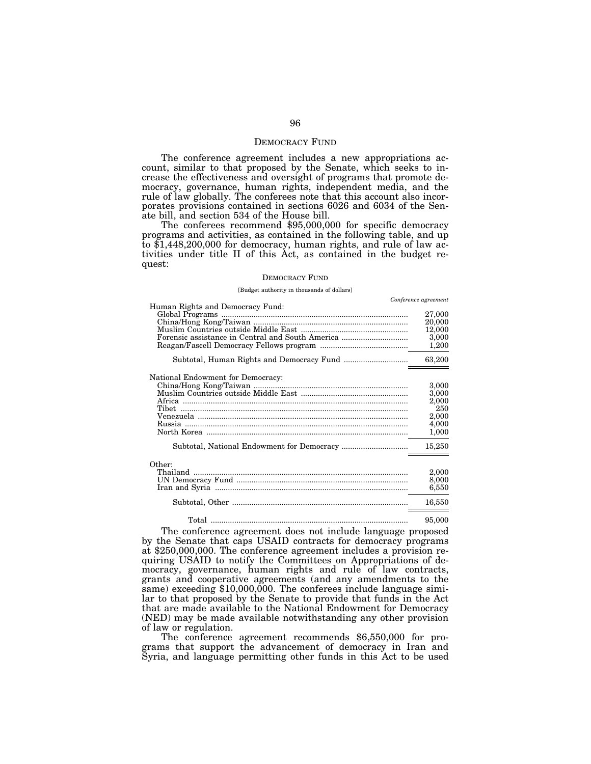# DEMOCRACY FUND

The conference agreement includes a new appropriations account, similar to that proposed by the Senate, which seeks to increase the effectiveness and oversight of programs that promote democracy, governance, human rights, independent media, and the rule of law globally. The conferees note that this account also incorporates provisions contained in sections 6026 and 6034 of the Senate bill, and section 534 of the House bill.

The conferees recommend \$95,000,000 for specific democracy programs and activities, as contained in the following table, and up to \$1,448,200,000 for democracy, human rights, and rule of law activities under title II of this Act, as contained in the budget request:

#### DEMOCRACY FUND

#### [Budget authority in thousands of dollars]

| Conference agreement<br>Human Rights and Democracy Fund:<br>27,000<br>20,000<br>12,000<br>Forensic assistance in Central and South America<br>3,000<br>1,200<br>63,200<br>National Endowment for Democracy:<br>3,000<br>3,000<br>2,000<br>250<br>Tibet<br>2,000<br>4,000<br>1,000<br>15,250<br>Other:<br>Thailand $\ldots$<br>2,000<br>8,000<br>6,550 |  |
|-------------------------------------------------------------------------------------------------------------------------------------------------------------------------------------------------------------------------------------------------------------------------------------------------------------------------------------------------------|--|
|                                                                                                                                                                                                                                                                                                                                                       |  |
|                                                                                                                                                                                                                                                                                                                                                       |  |
|                                                                                                                                                                                                                                                                                                                                                       |  |
|                                                                                                                                                                                                                                                                                                                                                       |  |
|                                                                                                                                                                                                                                                                                                                                                       |  |
|                                                                                                                                                                                                                                                                                                                                                       |  |
|                                                                                                                                                                                                                                                                                                                                                       |  |
|                                                                                                                                                                                                                                                                                                                                                       |  |
|                                                                                                                                                                                                                                                                                                                                                       |  |
|                                                                                                                                                                                                                                                                                                                                                       |  |
|                                                                                                                                                                                                                                                                                                                                                       |  |
|                                                                                                                                                                                                                                                                                                                                                       |  |
|                                                                                                                                                                                                                                                                                                                                                       |  |
|                                                                                                                                                                                                                                                                                                                                                       |  |
|                                                                                                                                                                                                                                                                                                                                                       |  |
|                                                                                                                                                                                                                                                                                                                                                       |  |
|                                                                                                                                                                                                                                                                                                                                                       |  |
|                                                                                                                                                                                                                                                                                                                                                       |  |
|                                                                                                                                                                                                                                                                                                                                                       |  |
|                                                                                                                                                                                                                                                                                                                                                       |  |
|                                                                                                                                                                                                                                                                                                                                                       |  |
|                                                                                                                                                                                                                                                                                                                                                       |  |
|                                                                                                                                                                                                                                                                                                                                                       |  |
|                                                                                                                                                                                                                                                                                                                                                       |  |
| 16,550                                                                                                                                                                                                                                                                                                                                                |  |
|                                                                                                                                                                                                                                                                                                                                                       |  |
| 95,000                                                                                                                                                                                                                                                                                                                                                |  |

The conference agreement does not include language proposed by the Senate that caps USAID contracts for democracy programs at \$250,000,000. The conference agreement includes a provision requiring USAID to notify the Committees on Appropriations of democracy, governance, human rights and rule of law contracts, grants and cooperative agreements (and any amendments to the same) exceeding \$10,000,000. The conferees include language similar to that proposed by the Senate to provide that funds in the Act that are made available to the National Endowment for Democracy (NED) may be made available notwithstanding any other provision of law or regulation.

The conference agreement recommends \$6,550,000 for programs that support the advancement of democracy in Iran and Syria, and language permitting other funds in this Act to be used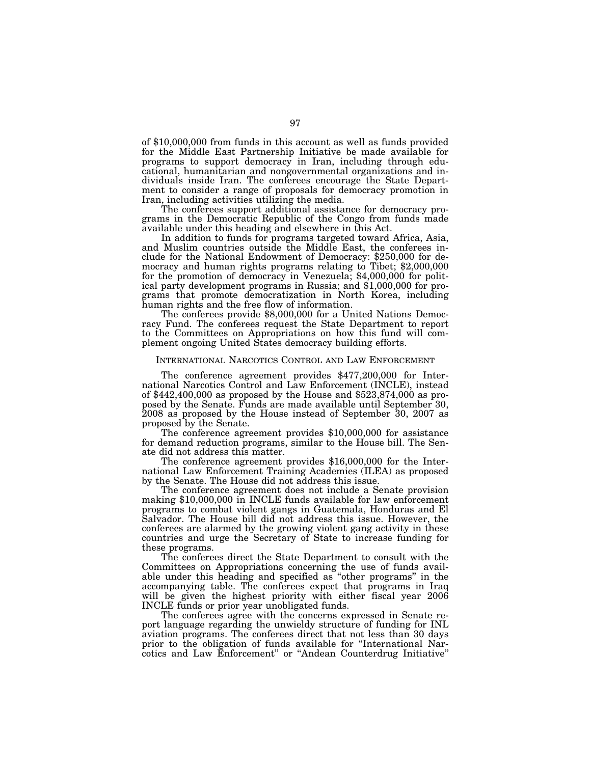of \$10,000,000 from funds in this account as well as funds provided for the Middle East Partnership Initiative be made available for programs to support democracy in Iran, including through educational, humanitarian and nongovernmental organizations and individuals inside Iran. The conferees encourage the State Department to consider a range of proposals for democracy promotion in Iran, including activities utilizing the media.

The conferees support additional assistance for democracy programs in the Democratic Republic of the Congo from funds made available under this heading and elsewhere in this Act.

In addition to funds for programs targeted toward Africa, Asia, and Muslim countries outside the Middle East, the conferees include for the National Endowment of Democracy: \$250,000 for democracy and human rights programs relating to Tibet; \$2,000,000 for the promotion of democracy in Venezuela; \$4,000,000 for political party development programs in Russia; and \$1,000,000 for programs that promote democratization in North Korea, including human rights and the free flow of information. The conferees provide \$8,000,000 for a United Nations Democ-

racy Fund. The conferees request the State Department to report to the Committees on Appropriations on how this fund will complement ongoing United States democracy building efforts.

# INTERNATIONAL NARCOTICS CONTROL AND LAW ENFORCEMENT

The conference agreement provides \$477,200,000 for International Narcotics Control and Law Enforcement (INCLE), instead of \$442,400,000 as proposed by the House and \$523,874,000 as proposed by the Senate. Funds are made available until September 30, 2008 as proposed by the House instead of September 30, 2007 as proposed by the Senate. The conference agreement provides \$10,000,000 for assistance

for demand reduction programs, similar to the House bill. The Senate did not address this matter.

The conference agreement provides \$16,000,000 for the International Law Enforcement Training Academies (ILEA) as proposed by the Senate. The House did not address this issue.

The conference agreement does not include a Senate provision making \$10,000,000 in INCLE funds available for law enforcement programs to combat violent gangs in Guatemala, Honduras and El Salvador. The House bill did not address this issue. However, the conferees are alarmed by the growing violent gang activity in these countries and urge the Secretary of State to increase funding for these programs.

The conferees direct the State Department to consult with the Committees on Appropriations concerning the use of funds available under this heading and specified as ''other programs'' in the accompanying table. The conferees expect that programs in Iraq will be given the highest priority with either fiscal year 2006 INCLE funds or prior year unobligated funds.

The conferees agree with the concerns expressed in Senate report language regarding the unwieldy structure of funding for INL aviation programs. The conferees direct that not less than 30 days prior to the obligation of funds available for "International Narcotics and Law Enforcement'' or ''Andean Counterdrug Initiative''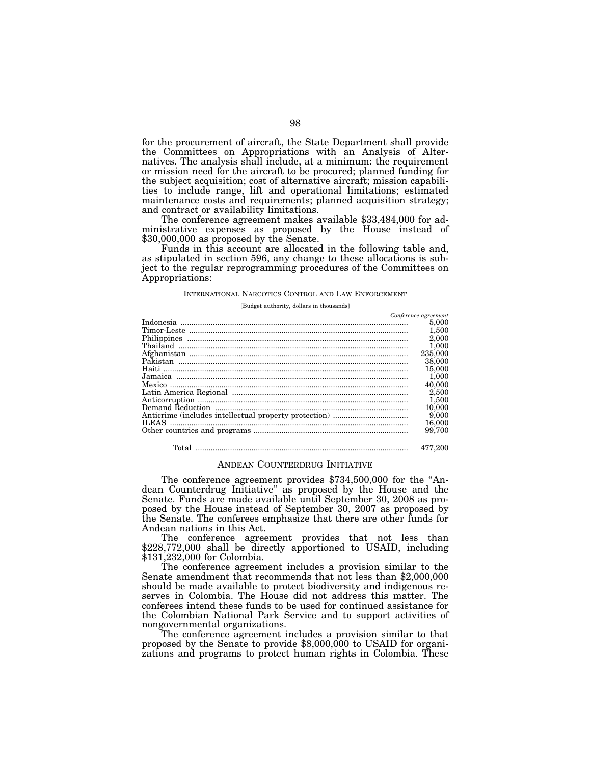for the procurement of aircraft, the State Department shall provide the Committees on Appropriations with an Analysis of Alternatives. The analysis shall include, at a minimum: the requirement or mission need for the aircraft to be procured; planned funding for the subject acquisition; cost of alternative aircraft; mission capabilities to include range, lift and operational limitations; estimated maintenance costs and requirements; planned acquisition strategy;

The conference agreement makes available \$33,484,000 for administrative expenses as proposed by the House instead of \$30,000,000 as proposed by the Senate.

Funds in this account are allocated in the following table and, as stipulated in section 596, any change to these allocations is subject to the regular reprogramming procedures of the Committees on Appropriations:

#### INTERNATIONAL NARCOTICS CONTROL AND LAW ENFORCEMENT

[Budget authority, dollars in thousands]

| Conference agreement |
|----------------------|
| 5,000                |
| 1,500                |
| 2,000                |
| 1,000                |
| 235,000              |
| 38,000               |
| 15,000               |
| 1,000                |
| 40,000               |
| 2,500                |
| 1,500                |
| 10,000               |
| 9,000                |
| 16,000               |
| 99.700               |
| 477.200              |

#### ANDEAN COUNTERDRUG INITIATIVE

The conference agreement provides \$734,500,000 for the "Andean Counterdrug Initiative'' as proposed by the House and the Senate. Funds are made available until September 30, 2008 as proposed by the House instead of September 30, 2007 as proposed by the Senate. The conferees emphasize that there are other funds for Andean nations in this Act.

The conference agreement provides that not less than \$228,772,000 shall be directly apportioned to USAID, including \$131,232,000 for Colombia.

The conference agreement includes a provision similar to the Senate amendment that recommends that not less than \$2,000,000 should be made available to protect biodiversity and indigenous reserves in Colombia. The House did not address this matter. The conferees intend these funds to be used for continued assistance for the Colombian National Park Service and to support activities of nongovernmental organizations.

The conference agreement includes a provision similar to that proposed by the Senate to provide \$8,000,000 to USAID for organizations and programs to protect human rights in Colombia. These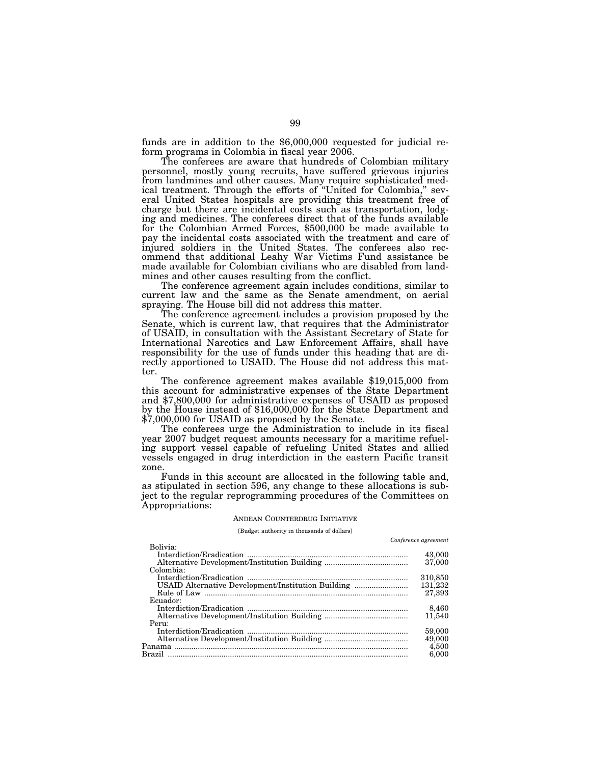funds are in addition to the \$6,000,000 requested for judicial reform programs in Colombia in fiscal year 2006.

The conferees are aware that hundreds of Colombian military personnel, mostly young recruits, have suffered grievous injuries from landmines and other causes. Many require sophisticated medical treatment. Through the efforts of ''United for Colombia,'' several United States hospitals are providing this treatment free of charge but there are incidental costs such as transportation, lodging and medicines. The conferees direct that of the funds available for the Colombian Armed Forces, \$500,000 be made available to pay the incidental costs associated with the treatment and care of injured soldiers in the United States. The conferees also recommend that additional Leahy War Victims Fund assistance be made available for Colombian civilians who are disabled from landmines and other causes resulting from the conflict.

The conference agreement again includes conditions, similar to current law and the same as the Senate amendment, on aerial spraying. The House bill did not address this matter.

The conference agreement includes a provision proposed by the Senate, which is current law, that requires that the Administrator of USAID, in consultation with the Assistant Secretary of State for International Narcotics and Law Enforcement Affairs, shall have responsibility for the use of funds under this heading that are directly apportioned to USAID. The House did not address this matter.

The conference agreement makes available \$19,015,000 from this account for administrative expenses of the State Department and \$7,800,000 for administrative expenses of USAID as proposed by the House instead of \$16,000,000 for the State Department and \$7,000,000 for USAID as proposed by the Senate.

The conferees urge the Administration to include in its fiscal year 2007 budget request amounts necessary for a maritime refueling support vessel capable of refueling United States and allied vessels engaged in drug interdiction in the eastern Pacific transit zone.

Funds in this account are allocated in the following table and, as stipulated in section 596, any change to these allocations is subject to the regular reprogramming procedures of the Committees on Appropriations:

#### ANDEAN COUNTERDRUG INITIATIVE

[Budget authority in thousands of dollars]

*Conference agreement* 

| Bolivia:                                           | Connerence derechient |
|----------------------------------------------------|-----------------------|
|                                                    | 43,000<br>37,000      |
| Colombia:                                          |                       |
|                                                    | 310,850               |
| USAID Alternative Development/Institution Building | 131,232               |
|                                                    | 27,393                |
| Ecuador:                                           |                       |
|                                                    | 8,460                 |
|                                                    | 11,540                |
| Peru:                                              |                       |
|                                                    | 59,000                |
|                                                    | 49,000                |
|                                                    | 4,500                 |
|                                                    | 6.000                 |
|                                                    |                       |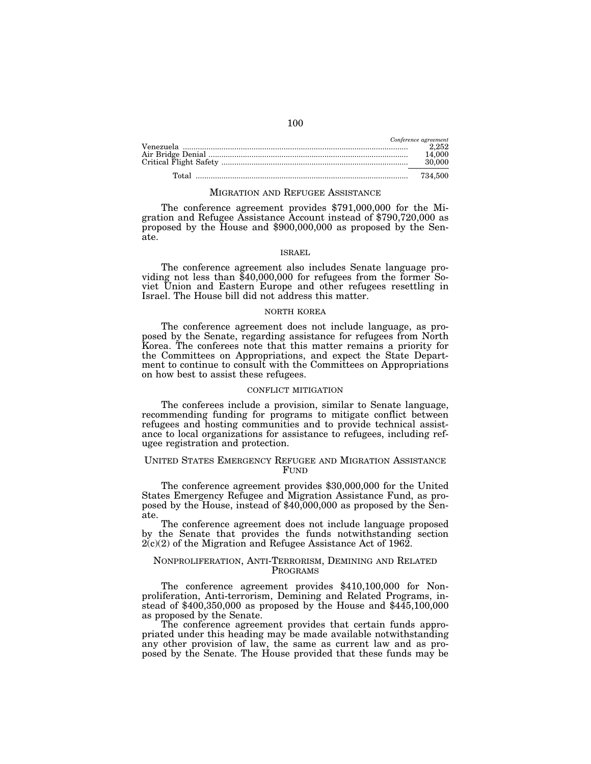|                                                                                                                                                                                                                                                                                                                                                                                                                      | Conference agreement |
|----------------------------------------------------------------------------------------------------------------------------------------------------------------------------------------------------------------------------------------------------------------------------------------------------------------------------------------------------------------------------------------------------------------------|----------------------|
| $\bf Venezuela \,\, \ldots \, \, \ldots \, \, \ldots \, \, \ldots \, \, \ldots \, \, \, \ldots \, \, \, \ldots \, \, \, \ldots \, \, \, \ldots \, \, \, \ldots \, \, \, \ldots \, \, \, \ldots \, \, \, \ldots \, \, \, \ldots \, \, \, \ldots \, \, \, \ldots \, \, \, \ldots \, \, \, \ldots \, \, \, \ldots \, \, \, \ldots \, \, \, \ldots \, \, \, \ldots \, \, \, \ldots \, \, \, \ldots \, \, \ldots \, \, \$ | 2.252                |
|                                                                                                                                                                                                                                                                                                                                                                                                                      | 14.000               |
|                                                                                                                                                                                                                                                                                                                                                                                                                      | 30.000               |
|                                                                                                                                                                                                                                                                                                                                                                                                                      |                      |
| <u>Total …………………………………………………………………………………</u>                                                                                                                                                                                                                                                                                                                                                                         | 734.500              |

#### MIGRATION AND REFUGEE ASSISTANCE

The conference agreement provides \$791,000,000 for the Migration and Refugee Assistance Account instead of \$790,720,000 as proposed by the House and \$900,000,000 as proposed by the Senate.

#### ISRAEL

The conference agreement also includes Senate language pro- viding not less than \$40,000,000 for refugees from the former Soviet Union and Eastern Europe and other refugees resettling in Israel. The House bill did not address this matter.

# NORTH KOREA

The conference agreement does not include language, as proposed by the Senate, regarding assistance for refugees from North Korea. The conferees note that this matter remains a priority for the Committees on Appropriations, and expect the State Department to continue to consult with the Committees on Appropriations on how best to assist these refugees.

#### CONFLICT MITIGATION

The conferees include a provision, similar to Senate language, recommending funding for programs to mitigate conflict between refugees and hosting communities and to provide technical assistance to local organizations for assistance to refugees, including refugee registration and protection.

# UNITED STATES EMERGENCY REFUGEE AND MIGRATION ASSISTANCE FUND

The conference agreement provides \$30,000,000 for the United States Emergency Refugee and Migration Assistance Fund, as proposed by the House, instead of \$40,000,000 as proposed by the Senate.

The conference agreement does not include language proposed by the Senate that provides the funds notwithstanding section 2(c)(2) of the Migration and Refugee Assistance Act of 1962.

# NONPROLIFERATION, ANTI-TERRORISM, DEMINING AND RELATED PROGRAMS

The conference agreement provides \$410,100,000 for Nonproliferation, Anti-terrorism, Demining and Related Programs, instead of \$400,350,000 as proposed by the House and \$445,100,000 as proposed by the Senate.

The conference agreement provides that certain funds appropriated under this heading may be made available notwithstanding any other provision of law, the same as current law and as proposed by the Senate. The House provided that these funds may be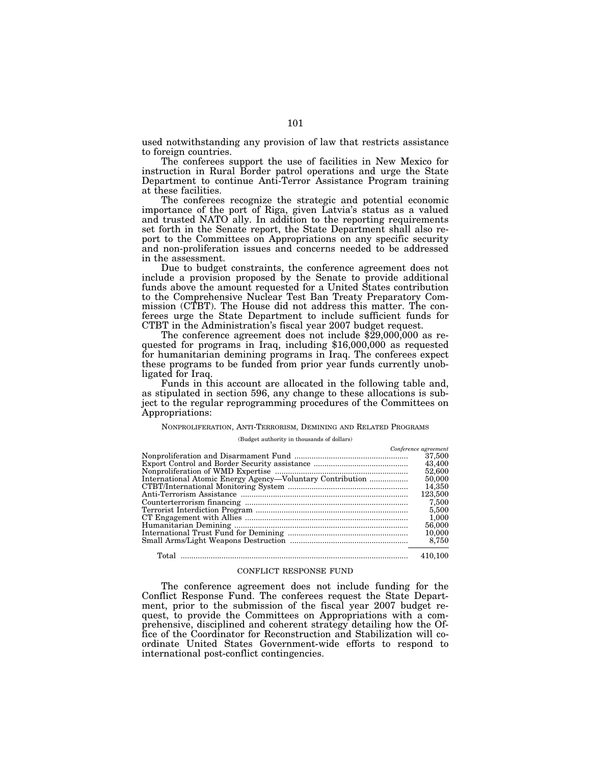used notwithstanding any provision of law that restricts assistance to foreign countries.

The conferees support the use of facilities in New Mexico for instruction in Rural Border patrol operations and urge the State Department to continue Anti-Terror Assistance Program training at these facilities.

The conferees recognize the strategic and potential economic importance of the port of Riga, given Latvia's status as a valued and trusted NATO ally. In addition to the reporting requirements set forth in the Senate report, the State Department shall also report to the Committees on Appropriations on any specific security and non-proliferation issues and concerns needed to be addressed in the assessment.

Due to budget constraints, the conference agreement does not include a provision proposed by the Senate to provide additional funds above the amount requested for a United States contribution to the Comprehensive Nuclear Test Ban Treaty Preparatory Commission (CTBT). The House did not address this matter. The conferees urge the State Department to include sufficient funds for

The conference agreement does not include  $$29,000,000$  as requested for programs in Iraq, including  $$16,000,000$  as requested for humanitarian demining programs in Iraq. The conferees expect these programs to be funded from prior year funds currently unobligated for Iraq.

Funds in this account are allocated in the following table and, as stipulated in section 596, any change to these allocations is subject to the regular reprogramming procedures of the Committees on Appropriations:

#### NONPROLIFERATION, ANTI-TERRORISM, DEMINING AND RELATED PROGRAMS

(Budget authority in thousands of dollars)

|                                                           | Conference agreement |
|-----------------------------------------------------------|----------------------|
|                                                           | 37,500               |
|                                                           | 43,400               |
|                                                           | 52,600               |
| International Atomic Energy Agency-Voluntary Contribution | 50,000               |
|                                                           | 14,350               |
|                                                           | 123,500              |
|                                                           | 7,500                |
|                                                           | 5,500                |
|                                                           | 1,000                |
|                                                           | 56,000               |
|                                                           | 10,000               |
|                                                           | 8,750                |
|                                                           | 410,100              |

#### CONFLICT RESPONSE FUND

The conference agreement does not include funding for the Conflict Response Fund. The conferees request the State Department, prior to the submission of the fiscal year 2007 budget request, to provide the Committees on Appropriations with a comprehensive, disciplined and coherent strategy detailing how the Office of the Coordinator for Reconstruction and Stabilization will coordinate United States Government-wide efforts to respond to international post-conflict contingencies.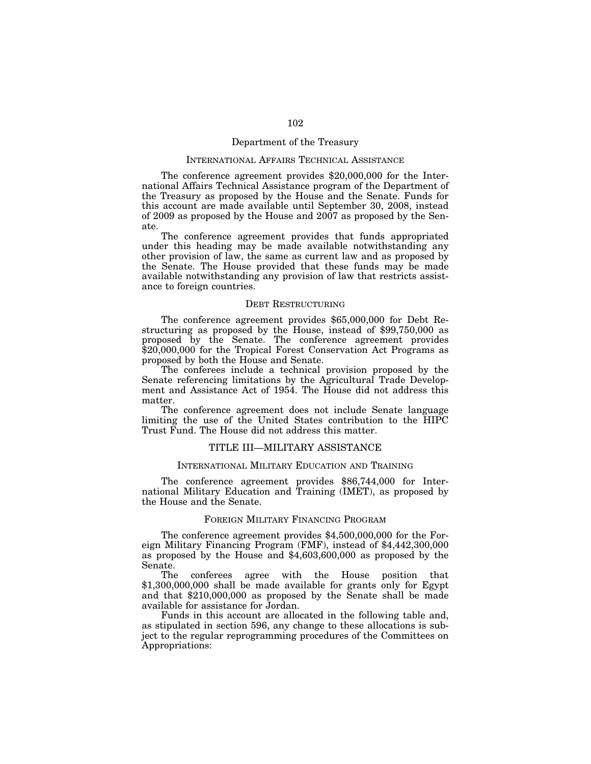# Department of the Treasury

# INTERNATIONAL AFFAIRS TECHNICAL ASSISTANCE

The conference agreement provides \$20,000,000 for the International Affairs Technical Assistance program of the Department of the Treasury as proposed by the House and the Senate. Funds for this account are made available until September 30, 2008, instead of 2009 as proposed by the House and 2007 as proposed by the Senate.

The conference agreement provides that funds appropriated under this heading may be made available notwithstanding any other provision of law, the same as current law and as proposed by the Senate. The House provided that these funds may be made available notwithstanding any provision of law that restricts assistance to foreign countries.

#### DEBT RESTRUCTURING

The conference agreement provides \$65,000,000 for Debt Restructuring as proposed by the House, instead of \$99,750,000 as proposed by the Senate. The conference agreement provides \$20,000,000 for the Tropical Forest Conservation Act Programs as proposed by both the House and Senate.

The conferees include a technical provision proposed by the Senate referencing limitations by the Agricultural Trade Development and Assistance Act of 1954. The House did not address this matter.

The conference agreement does not include Senate language limiting the use of the United States contribution to the HIPC Trust Fund. The House did not address this matter.

# TITLE III—MILITARY ASSISTANCE

# INTERNATIONAL MILITARY EDUCATION AND TRAINING

The conference agreement provides \$86,744,000 for International Military Education and Training (IMET), as proposed by the House and the Senate.

#### FOREIGN MILITARY FINANCING PROGRAM

The conference agreement provides \$4,500,000,000 for the Foreign Military Financing Program (FMF), instead of \$4,442,300,000 as proposed by the House and \$4,603,600,000 as proposed by the Senate.

The conferees agree with the House position that \$1,300,000,000 shall be made available for grants only for Egypt and that \$210,000,000 as proposed by the Senate shall be made available for assistance for Jordan.

Funds in this account are allocated in the following table and, as stipulated in section 596, any change to these allocations is subject to the regular reprogramming procedures of the Committees on Appropriations: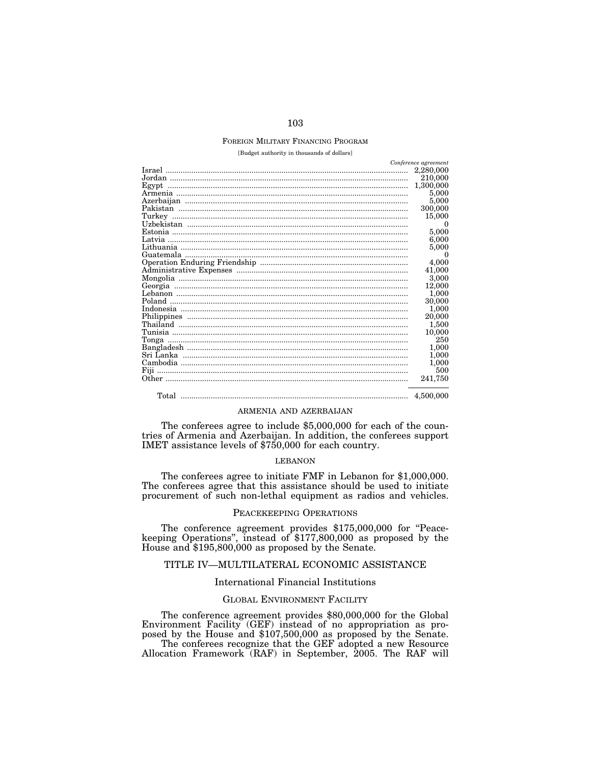#### FOREIGN MILITARY FINANCING PROGRAM

[Budget authority in thousands of dollars]

| Conference agreement                               |           |
|----------------------------------------------------|-----------|
|                                                    | 2,280,000 |
|                                                    | 210,000   |
| Egypt                                              | 1,300,000 |
|                                                    | 5,000     |
|                                                    | 5,000     |
| Pakistan                                           | 300,000   |
| Turkey                                             | 15,000    |
|                                                    | $\Omega$  |
| <u>Estonia ……………………………………………………………………………………………</u> | 5,000     |
| Latvia                                             | 6,000     |
|                                                    | 5.000     |
|                                                    | $\Omega$  |
|                                                    | 4,000     |
|                                                    | 41,000    |
|                                                    | 3,000     |
| Georgia                                            | 12,000    |
|                                                    | 1,000     |
| Poland                                             | 30,000    |
|                                                    | $1{,}000$ |
|                                                    | 20,000    |
|                                                    | $1,\!500$ |
|                                                    | 10,000    |
| Tonga                                              | 250       |
|                                                    | 1,000     |
|                                                    | 1,000     |
|                                                    | 1,000     |
| Fiji                                               | 500       |
|                                                    | 241,750   |
|                                                    | 4.500,000 |

#### ARMENIA AND AZERBAIJAN

The conferees agree to include \$5,000,000 for each of the countries of Armenia and Azerbaijan. In addition, the conferees support IMET assistance levels of \$750,000 for each country.

# LEBANON

The conferees agree to initiate FMF in Lebanon for \$1,000,000. The conferees agree that this assistance should be used to initiate procurement of such non-lethal equipment as radios and vehicles.

# PEACEKEEPING OPERATIONS

The conference agreement provides \$175,000,000 for ''Peacekeeping Operations'', instead of \$177,800,000 as proposed by the House and \$195,800,000 as proposed by the Senate.

# TITLE IV—MULTILATERAL ECONOMIC ASSISTANCE

# International Financial Institutions

# GLOBAL ENVIRONMENT FACILITY

The conference agreement provides \$80,000,000 for the Global Environment Facility (GEF) instead of no appropriation as proposed by the House and \$107,500,000 as proposed by the Senate.

The conferees recognize that the GEF adopted a new Resource Allocation Framework (RAF) in September, 2005. The RAF will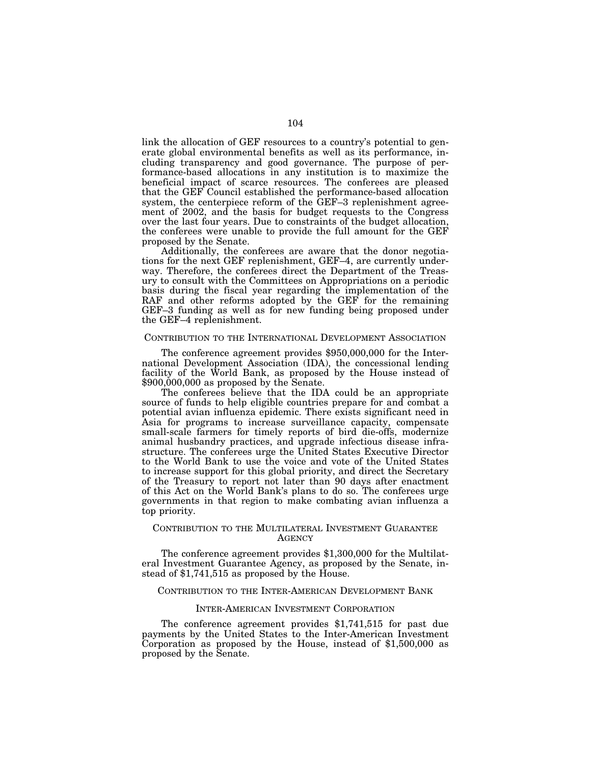link the allocation of GEF resources to a country's potential to generate global environmental benefits as well as its performance, including transparency and good governance. The purpose of performance-based allocations in any institution is to maximize the beneficial impact of scarce resources. The conferees are pleased that the GEF Council established the performance-based allocation system, the centerpiece reform of the GEF–3 replenishment agreement of 2002, and the basis for budget requests to the Congress over the last four years. Due to constraints of the budget allocation, the conferees were unable to provide the full amount for the GEF proposed by the Senate.

Additionally, the conferees are aware that the donor negotiations for the next GEF replenishment, GEF–4, are currently underway. Therefore, the conferees direct the Department of the Treasury to consult with the Committees on Appropriations on a periodic basis during the fiscal year regarding the implementation of the RAF and other reforms adopted by the GEF for the remaining GEF–3 funding as well as for new funding being proposed under the GEF–4 replenishment.

#### CONTRIBUTION TO THE INTERNATIONAL DEVELOPMENT ASSOCIATION

The conference agreement provides \$950,000,000 for the International Development Association (IDA), the concessional lending facility of the World Bank, as proposed by the House instead of \$900,000,000 as proposed by the Senate.

The conferees believe that the IDA could be an appropriate source of funds to help eligible countries prepare for and combat a potential avian influenza epidemic. There exists significant need in Asia for programs to increase surveillance capacity, compensate small-scale farmers for timely reports of bird die-offs, modernize animal husbandry practices, and upgrade infectious disease infrastructure. The conferees urge the United States Executive Director to the World Bank to use the voice and vote of the United States to increase support for this global priority, and direct the Secretary of the Treasury to report not later than 90 days after enactment of this Act on the World Bank's plans to do so. The conferees urge governments in that region to make combating avian influenza a top priority.

#### CONTRIBUTION TO THE MULTILATERAL INVESTMENT GUARANTEE **AGENCY**

The conference agreement provides \$1,300,000 for the Multilateral Investment Guarantee Agency, as proposed by the Senate, instead of \$1,741,515 as proposed by the House.

# CONTRIBUTION TO THE INTER-AMERICAN DEVELOPMENT BANK

# INTER-AMERICAN INVESTMENT CORPORATION

The conference agreement provides \$1,741,515 for past due payments by the United States to the Inter-American Investment Corporation as proposed by the House, instead of \$1,500,000 as proposed by the Senate.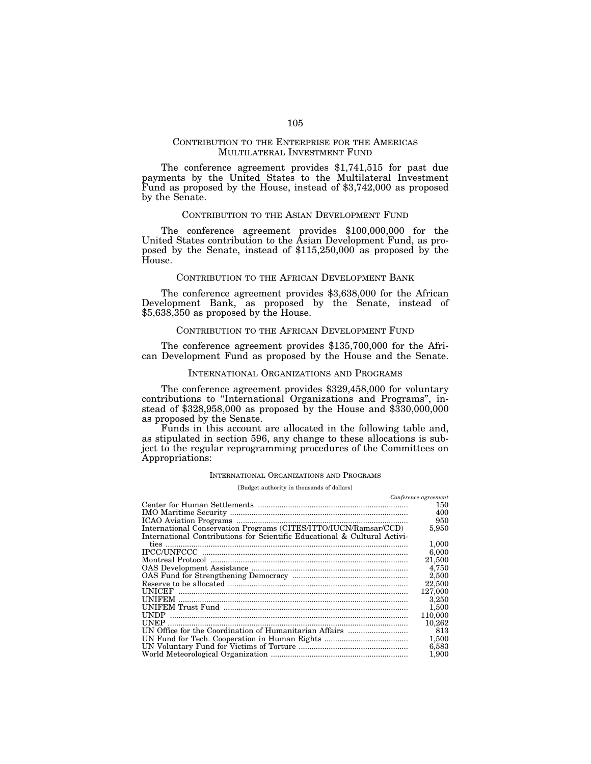# CONTRIBUTION TO THE ENTERPRISE FOR THE AMERICAS MULTILATERAL INVESTMENT FUND

The conference agreement provides \$1,741,515 for past due payments by the United States to the Multilateral Investment Fund as proposed by the House, instead of \$3,742,000 as proposed by the Senate.

# CONTRIBUTION TO THE ASIAN DEVELOPMENT FUND

The conference agreement provides \$100,000,000 for the United States contribution to the Asian Development Fund, as proposed by the Senate, instead of \$115,250,000 as proposed by the House.

#### CONTRIBUTION TO THE AFRICAN DEVELOPMENT BANK

The conference agreement provides \$3,638,000 for the African Development Bank, as proposed by the Senate, instead of \$5,638,350 as proposed by the House.

#### CONTRIBUTION TO THE AFRICAN DEVELOPMENT FUND

The conference agreement provides \$135,700,000 for the African Development Fund as proposed by the House and the Senate.

#### INTERNATIONAL ORGANIZATIONS AND PROGRAMS

The conference agreement provides \$329,458,000 for voluntary contributions to ''International Organizations and Programs'', instead of \$328,958,000 as proposed by the House and \$330,000,000 as proposed by the Senate.

Funds in this account are allocated in the following table and, as stipulated in section 596, any change to these allocations is subject to the regular reprogramming procedures of the Committees on Appropriations:

#### INTERNATIONAL ORGANIZATIONS AND PROGRAMS

[Budget authority in thousands of dollars]

|                                                                           | Conference agreement |
|---------------------------------------------------------------------------|----------------------|
|                                                                           | 150                  |
|                                                                           | 400                  |
|                                                                           | 950                  |
| International Conservation Programs (CITES/ITTO/IUCN/Ramsar/CCD)          | 5,950                |
| International Contributions for Scientific Educational & Cultural Activi- |                      |
|                                                                           | 1,000                |
|                                                                           | 6,000                |
|                                                                           | 21,500               |
|                                                                           | 4,750                |
|                                                                           | 2,500                |
|                                                                           | 22,500               |
|                                                                           | 127.000              |
|                                                                           | 3,250                |
|                                                                           | 1,500                |
|                                                                           | 110,000              |
| <b>UNEP</b>                                                               | 10,262               |
|                                                                           | 813                  |
|                                                                           | 1,500                |
|                                                                           | 6,583                |
|                                                                           | 1,900                |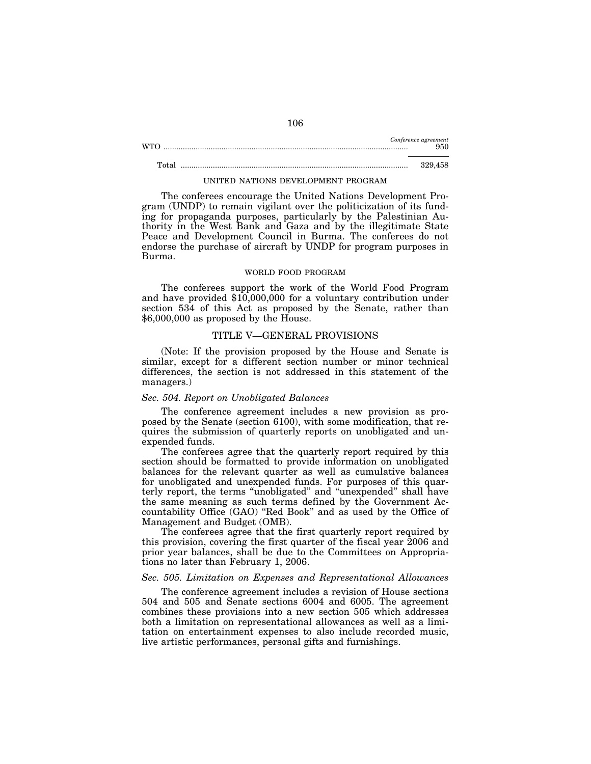|     | Conference agreement |
|-----|----------------------|
| WTO | 950                  |
|     |                      |

# Total .......................................................................................................... 329,458

UNITED NATIONS DEVELOPMENT PROGRAM

The conferees encourage the United Nations Development Program (UNDP) to remain vigilant over the politicization of its funding for propaganda purposes, particularly by the Palestinian Authority in the West Bank and Gaza and by the illegitimate State Peace and Development Council in Burma. The conferees do not endorse the purchase of aircraft by UNDP for program purposes in Burma.

#### WORLD FOOD PROGRAM

The conferees support the work of the World Food Program and have provided \$10,000,000 for a voluntary contribution under section 534 of this Act as proposed by the Senate, rather than \$6,000,000 as proposed by the House.

### TITLE V—GENERAL PROVISIONS

(Note: If the provision proposed by the House and Senate is similar, except for a different section number or minor technical differences, the section is not addressed in this statement of the managers.)

# *Sec. 504. Report on Unobligated Balances*

The conference agreement includes a new provision as proposed by the Senate (section 6100), with some modification, that requires the submission of quarterly reports on unobligated and unexpended funds.

The conferees agree that the quarterly report required by this section should be formatted to provide information on unobligated balances for the relevant quarter as well as cumulative balances for unobligated and unexpended funds. For purposes of this quarterly report, the terms ''unobligated'' and ''unexpended'' shall have the same meaning as such terms defined by the Government Accountability Office (GAO) ''Red Book'' and as used by the Office of Management and Budget (OMB).

The conferees agree that the first quarterly report required by this provision, covering the first quarter of the fiscal year 2006 and prior year balances, shall be due to the Committees on Appropriations no later than February 1, 2006.

# *Sec. 505. Limitation on Expenses and Representational Allowances*

The conference agreement includes a revision of House sections 504 and 505 and Senate sections 6004 and 6005. The agreement combines these provisions into a new section 505 which addresses both a limitation on representational allowances as well as a limitation on entertainment expenses to also include recorded music, live artistic performances, personal gifts and furnishings.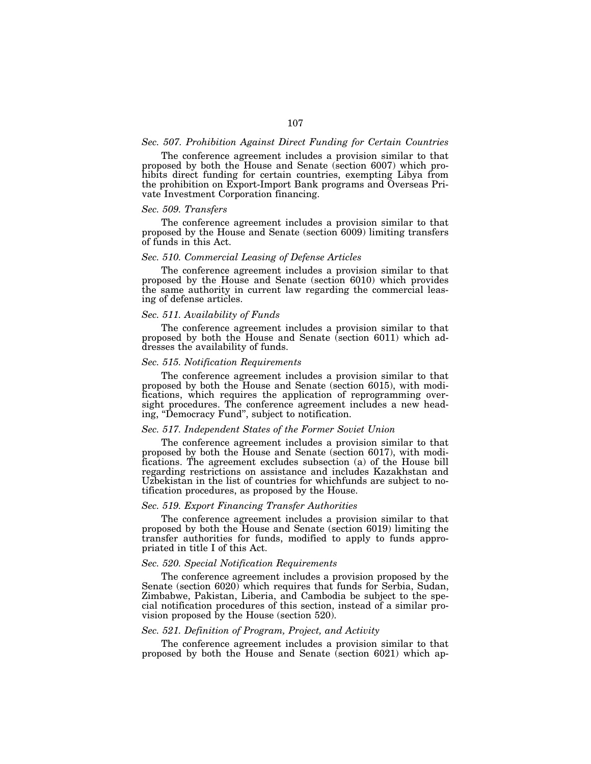# *Sec. 507. Prohibition Against Direct Funding for Certain Countries*

The conference agreement includes a provision similar to that proposed by both the House and Senate (section 6007) which prohibits direct funding for certain countries, exempting Libya from the prohibition on Export-Import Bank programs and Overseas Private Investment Corporation financing.

# *Sec. 509. Transfers*

The conference agreement includes a provision similar to that proposed by the House and Senate (section 6009) limiting transfers of funds in this Act.

# *Sec. 510. Commercial Leasing of Defense Articles*

The conference agreement includes a provision similar to that proposed by the House and Senate (section 6010) which provides the same authority in current law regarding the commercial leasing of defense articles.

#### *Sec. 511. Availability of Funds*

The conference agreement includes a provision similar to that proposed by both the House and Senate (section 6011) which addresses the availability of funds.

# *Sec. 515. Notification Requirements*

The conference agreement includes a provision similar to that proposed by both the House and Senate (section 6015), with modifications, which requires the application of reprogramming oversight procedures. The conference agreement includes a new heading, ''Democracy Fund'', subject to notification.

# *Sec. 517. Independent States of the Former Soviet Union*

The conference agreement includes a provision similar to that proposed by both the House and Senate (section 6017), with modifications. The agreement excludes subsection (a) of the House bill regarding restrictions on assistance and includes Kazakhstan and Uzbekistan in the list of countries for whichfunds are subject to notification procedures, as proposed by the House.

#### *Sec. 519. Export Financing Transfer Authorities*

The conference agreement includes a provision similar to that proposed by both the House and Senate (section 6019) limiting the transfer authorities for funds, modified to apply to funds appropriated in title I of this Act.

# *Sec. 520. Special Notification Requirements*

The conference agreement includes a provision proposed by the Senate (section 6020) which requires that funds for Serbia, Sudan, Zimbabwe, Pakistan, Liberia, and Cambodia be subject to the special notification procedures of this section, instead of a similar provision proposed by the House (section 520).

# *Sec. 521. Definition of Program, Project, and Activity*

The conference agreement includes a provision similar to that proposed by both the House and Senate (section 6021) which ap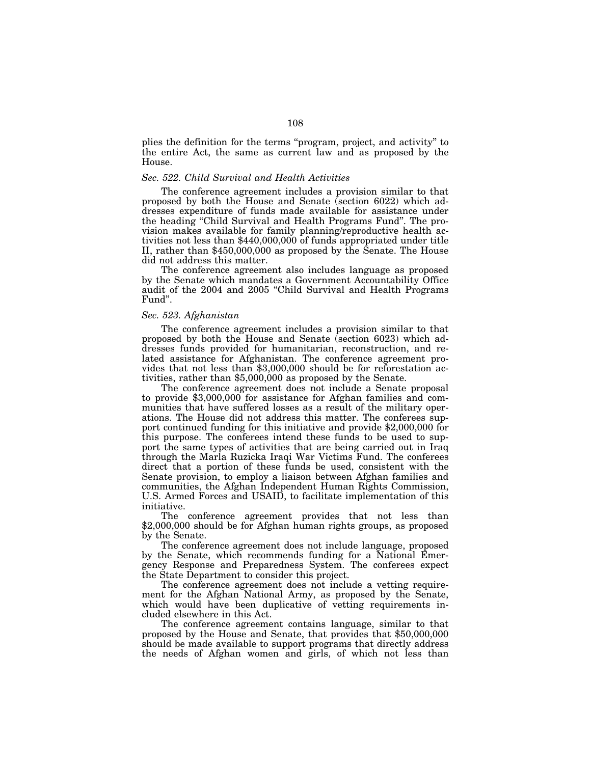plies the definition for the terms ''program, project, and activity'' to the entire Act, the same as current law and as proposed by the House.

#### *Sec. 522. Child Survival and Health Activities*

The conference agreement includes a provision similar to that proposed by both the House and Senate (section 6022) which addresses expenditure of funds made available for assistance under the heading ''Child Survival and Health Programs Fund''. The provision makes available for family planning/reproductive health activities not less than \$440,000,000 of funds appropriated under title II, rather than \$450,000,000 as proposed by the Senate. The House did not address this matter.

The conference agreement also includes language as proposed by the Senate which mandates a Government Accountability Office audit of the 2004 and 2005 ''Child Survival and Health Programs Fund''.

# *Sec. 523. Afghanistan*

The conference agreement includes a provision similar to that proposed by both the House and Senate (section 6023) which addresses funds provided for humanitarian, reconstruction, and related assistance for Afghanistan. The conference agreement provides that not less than \$3,000,000 should be for reforestation activities, rather than \$5,000,000 as proposed by the Senate.

The conference agreement does not include a Senate proposal to provide \$3,000,000 for assistance for Afghan families and communities that have suffered losses as a result of the military operations. The House did not address this matter. The conferees support continued funding for this initiative and provide \$2,000,000 for this purpose. The conferees intend these funds to be used to support the same types of activities that are being carried out in Iraq through the Marla Ruzicka Iraqi War Victims Fund. The conferees direct that a portion of these funds be used, consistent with the Senate provision, to employ a liaison between Afghan families and communities, the Afghan Independent Human Rights Commission, U.S. Armed Forces and USAID, to facilitate implementation of this initiative.

The conference agreement provides that not less than \$2,000,000 should be for Afghan human rights groups, as proposed by the Senate.

The conference agreement does not include language, proposed by the Senate, which recommends funding for a National Emergency Response and Preparedness System. The conferees expect the State Department to consider this project.

The conference agreement does not include a vetting requirement for the Afghan National Army, as proposed by the Senate, which would have been duplicative of vetting requirements included elsewhere in this Act.

The conference agreement contains language, similar to that proposed by the House and Senate, that provides that \$50,000,000 should be made available to support programs that directly address the needs of Afghan women and girls, of which not less than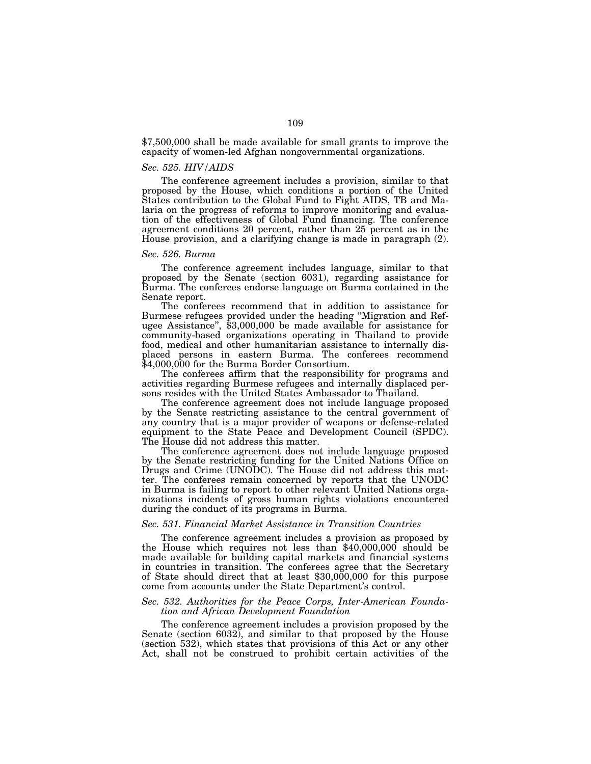\$7,500,000 shall be made available for small grants to improve the capacity of women-led Afghan nongovernmental organizations.

# *Sec. 525. HIV/AIDS*

The conference agreement includes a provision, similar to that proposed by the House, which conditions a portion of the United States contribution to the Global Fund to Fight AIDS, TB and Malaria on the progress of reforms to improve monitoring and evaluation of the effectiveness of Global Fund financing. The conference agreement conditions 20 percent, rather than 25 percent as in the House provision, and a clarifying change is made in paragraph (2).

# *Sec. 526. Burma*

The conference agreement includes language, similar to that proposed by the Senate (section 6031), regarding assistance for Burma. The conferees endorse language on Burma contained in the Senate report.

The conferees recommend that in addition to assistance for Burmese refugees provided under the heading ''Migration and Refugee Assistance'', \$3,000,000 be made available for assistance for community-based organizations operating in Thailand to provide food, medical and other humanitarian assistance to internally displaced persons in eastern Burma. The conferees recommend \$4,000,000 for the Burma Border Consortium.

The conferees affirm that the responsibility for programs and activities regarding Burmese refugees and internally displaced persons resides with the United States Ambassador to Thailand.

The conference agreement does not include language proposed by the Senate restricting assistance to the central government of any country that is a major provider of weapons or defense-related equipment to the State Peace and Development Council (SPDC). The House did not address this matter.

The conference agreement does not include language proposed by the Senate restricting funding for the United Nations Office on Drugs and Crime (UNODC). The House did not address this matter. The conferees remain concerned by reports that the UNODC in Burma is failing to report to other relevant United Nations organizations incidents of gross human rights violations encountered during the conduct of its programs in Burma.

### *Sec. 531. Financial Market Assistance in Transition Countries*

The conference agreement includes a provision as proposed by the House which requires not less than \$40,000,000 should be made available for building capital markets and financial systems in countries in transition. The conferees agree that the Secretary of State should direct that at least \$30,000,000 for this purpose come from accounts under the State Department's control.

# *Sec. 532. Authorities for the Peace Corps, Inter-American Foundation and African Development Foundation*

The conference agreement includes a provision proposed by the Senate (section 6032), and similar to that proposed by the House (section 532), which states that provisions of this Act or any other Act, shall not be construed to prohibit certain activities of the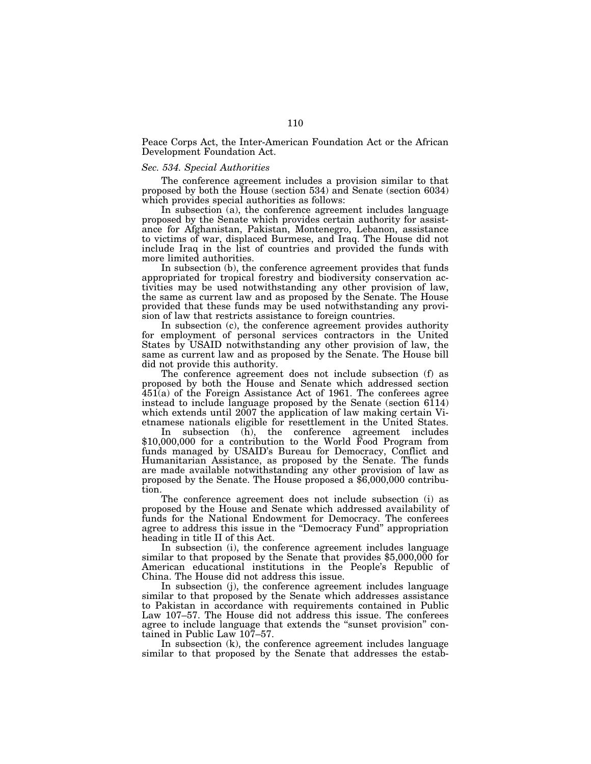Peace Corps Act, the Inter-American Foundation Act or the African Development Foundation Act.

### *Sec. 534. Special Authorities*

The conference agreement includes a provision similar to that proposed by both the House (section 534) and Senate (section 6034) which provides special authorities as follows:

In subsection (a), the conference agreement includes language proposed by the Senate which provides certain authority for assistance for Afghanistan, Pakistan, Montenegro, Lebanon, assistance to victims of war, displaced Burmese, and Iraq. The House did not include Iraq in the list of countries and provided the funds with more limited authorities.

In subsection (b), the conference agreement provides that funds appropriated for tropical forestry and biodiversity conservation activities may be used notwithstanding any other provision of law, the same as current law and as proposed by the Senate. The House provided that these funds may be used notwithstanding any provision of law that restricts assistance to foreign countries.

In subsection (c), the conference agreement provides authority for employment of personal services contractors in the United States by USAID notwithstanding any other provision of law, the same as current law and as proposed by the Senate. The House bill did not provide this authority.

The conference agreement does not include subsection (f) as proposed by both the House and Senate which addressed section  $451(a)$  of the Foreign Assistance Act of 1961. The conferees agree instead to include language proposed by the Senate (section  $6\overline{1}14$ ) which extends until 2007 the application of law making certain Vietnamese nationals eligible for resettlement in the United States.

In subsection (h), the conference agreement includes \$10,000,000 for a contribution to the World Food Program from funds managed by USAID's Bureau for Democracy, Conflict and Humanitarian Assistance, as proposed by the Senate. The funds are made available notwithstanding any other provision of law as proposed by the Senate. The House proposed a \$6,000,000 contribution.

The conference agreement does not include subsection (i) as proposed by the House and Senate which addressed availability of funds for the National Endowment for Democracy. The conferees agree to address this issue in the ''Democracy Fund'' appropriation heading in title II of this Act.

In subsection (i), the conference agreement includes language similar to that proposed by the Senate that provides \$5,000,000 for American educational institutions in the People's Republic of China. The House did not address this issue.

In subsection (j), the conference agreement includes language similar to that proposed by the Senate which addresses assistance to Pakistan in accordance with requirements contained in Public Law 107–57. The House did not address this issue. The conferees agree to include language that extends the ''sunset provision'' contained in Public Law 107–57.

In subsection (k), the conference agreement includes language similar to that proposed by the Senate that addresses the estab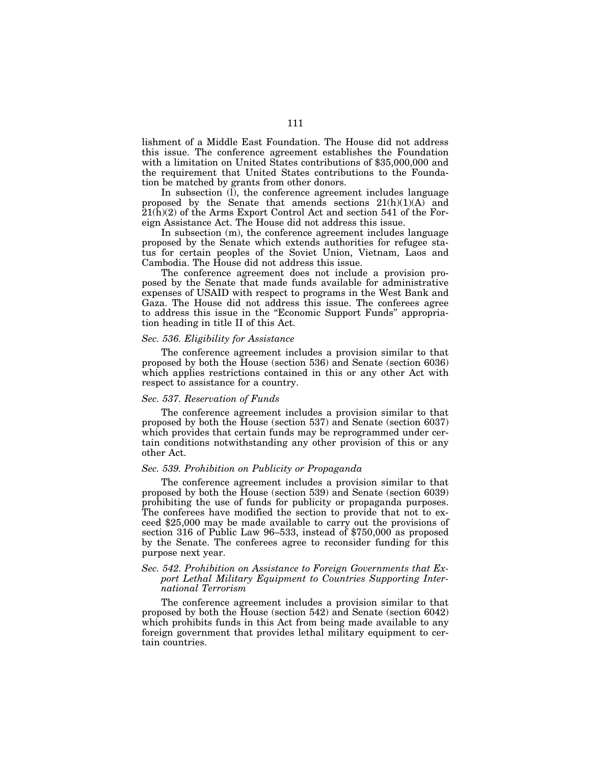lishment of a Middle East Foundation. The House did not address this issue. The conference agreement establishes the Foundation with a limitation on United States contributions of \$35,000,000 and the requirement that United States contributions to the Foundation be matched by grants from other donors.

In subsection (l), the conference agreement includes language proposed by the Senate that amends sections 21(h)(1)(A) and 21(h)(2) of the Arms Export Control Act and section 541 of the Foreign Assistance Act. The House did not address this issue.

In subsection (m), the conference agreement includes language proposed by the Senate which extends authorities for refugee status for certain peoples of the Soviet Union, Vietnam, Laos and Cambodia. The House did not address this issue.

The conference agreement does not include a provision proposed by the Senate that made funds available for administrative expenses of USAID with respect to programs in the West Bank and Gaza. The House did not address this issue. The conferees agree to address this issue in the ''Economic Support Funds'' appropriation heading in title II of this Act.

# *Sec. 536. Eligibility for Assistance*

The conference agreement includes a provision similar to that proposed by both the House (section 536) and Senate (section 6036) which applies restrictions contained in this or any other Act with respect to assistance for a country.

# *Sec. 537. Reservation of Funds*

The conference agreement includes a provision similar to that proposed by both the House (section 537) and Senate (section 6037) which provides that certain funds may be reprogrammed under certain conditions notwithstanding any other provision of this or any other Act.

### *Sec. 539. Prohibition on Publicity or Propaganda*

The conference agreement includes a provision similar to that proposed by both the House (section 539) and Senate (section 6039) prohibiting the use of funds for publicity or propaganda purposes. The conferees have modified the section to provide that not to exceed \$25,000 may be made available to carry out the provisions of section 316 of Public Law 96–533, instead of \$750,000 as proposed by the Senate. The conferees agree to reconsider funding for this purpose next year.

# *Sec. 542. Prohibition on Assistance to Foreign Governments that Export Lethal Military Equipment to Countries Supporting International Terrorism*

The conference agreement includes a provision similar to that proposed by both the House (section 542) and Senate (section 6042) which prohibits funds in this Act from being made available to any foreign government that provides lethal military equipment to certain countries.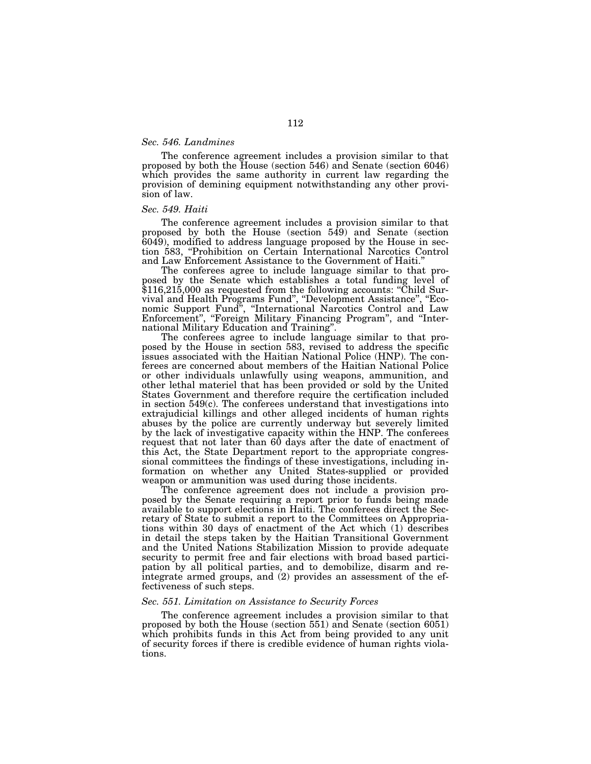# *Sec. 546. Landmines*

The conference agreement includes a provision similar to that proposed by both the House (section 546) and Senate (section 6046) which provides the same authority in current law regarding the provision of demining equipment notwithstanding any other provision of law.

# *Sec. 549. Haiti*

The conference agreement includes a provision similar to that proposed by both the House (section 549) and Senate (section 6049), modified to address language proposed by the House in section 583, ''Prohibition on Certain International Narcotics Control

The conferees agree to include language similar to that proposed by the Senate which establishes a total funding level of \$116,215,000 as requested from the following accounts: ''Child Survival and Health Programs Fund'', ''Development Assistance'', ''Economic Support Fund'', ''International Narcotics Control and Law Enforcement", "Foreign Military Financing Program", and "International Military Education and Training''. The conferees agree to include language similar to that pro-

posed by the House in section 583, revised to address the specific issues associated with the Haitian National Police (HNP). The conferees are concerned about members of the Haitian National Police or other individuals unlawfully using weapons, ammunition, and other lethal materiel that has been provided or sold by the United States Government and therefore require the certification included in section 549(c). The conferees understand that investigations into extrajudicial killings and other alleged incidents of human rights abuses by the police are currently underway but severely limited by the lack of investigative capacity within the HNP. The conferees request that not later than 60 days after the date of enactment of this Act, the State Department report to the appropriate congressional committees the findings of these investigations, including information on whether any United States-supplied or provided weapon or ammunition was used during those incidents.

The conference agreement does not include a provision proposed by the Senate requiring a report prior to funds being made available to support elections in Haiti. The conferees direct the Secretary of State to submit a report to the Committees on Appropriations within 30 days of enactment of the Act which (1) describes in detail the steps taken by the Haitian Transitional Government and the United Nations Stabilization Mission to provide adequate security to permit free and fair elections with broad based participation by all political parties, and to demobilize, disarm and reintegrate armed groups, and (2) provides an assessment of the effectiveness of such steps.

#### *Sec. 551. Limitation on Assistance to Security Forces*

The conference agreement includes a provision similar to that proposed by both the House (section 551) and Senate (section 6051) which prohibits funds in this Act from being provided to any unit of security forces if there is credible evidence of human rights violations.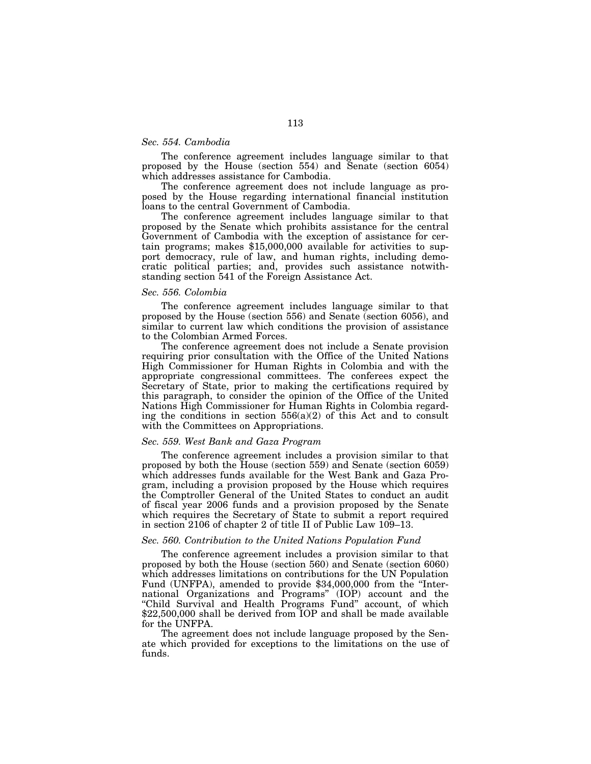# *Sec. 554. Cambodia*

The conference agreement includes language similar to that proposed by the House (section 554) and Senate (section 6054) which addresses assistance for Cambodia.

The conference agreement does not include language as proposed by the House regarding international financial institution loans to the central Government of Cambodia.

The conference agreement includes language similar to that proposed by the Senate which prohibits assistance for the central Government of Cambodia with the exception of assistance for certain programs; makes \$15,000,000 available for activities to support democracy, rule of law, and human rights, including democratic political parties; and, provides such assistance notwithstanding section 541 of the Foreign Assistance Act.

# *Sec. 556. Colombia*

The conference agreement includes language similar to that proposed by the House (section 556) and Senate (section 6056), and similar to current law which conditions the provision of assistance to the Colombian Armed Forces.

The conference agreement does not include a Senate provision requiring prior consultation with the Office of the United Nations High Commissioner for Human Rights in Colombia and with the appropriate congressional committees. The conferees expect the Secretary of State, prior to making the certifications required by this paragraph, to consider the opinion of the Office of the United Nations High Commissioner for Human Rights in Colombia regarding the conditions in section  $556(a)(2)$  of this Act and to consult with the Committees on Appropriations.

# *Sec. 559. West Bank and Gaza Program*

The conference agreement includes a provision similar to that proposed by both the House (section 559) and Senate (section 6059) which addresses funds available for the West Bank and Gaza Program, including a provision proposed by the House which requires the Comptroller General of the United States to conduct an audit of fiscal year 2006 funds and a provision proposed by the Senate which requires the Secretary of State to submit a report required in section 2106 of chapter 2 of title II of Public Law 109–13.

# *Sec. 560. Contribution to the United Nations Population Fund*

The conference agreement includes a provision similar to that proposed by both the House (section 560) and Senate (section 6060) which addresses limitations on contributions for the UN Population Fund (UNFPA), amended to provide \$34,000,000 from the "International Organizations and Programs'' (IOP) account and the "Child Survival and Health Programs Fund" account, of which \$22,500,000 shall be derived from IOP and shall be made available for the UNFPA.

The agreement does not include language proposed by the Senate which provided for exceptions to the limitations on the use of funds.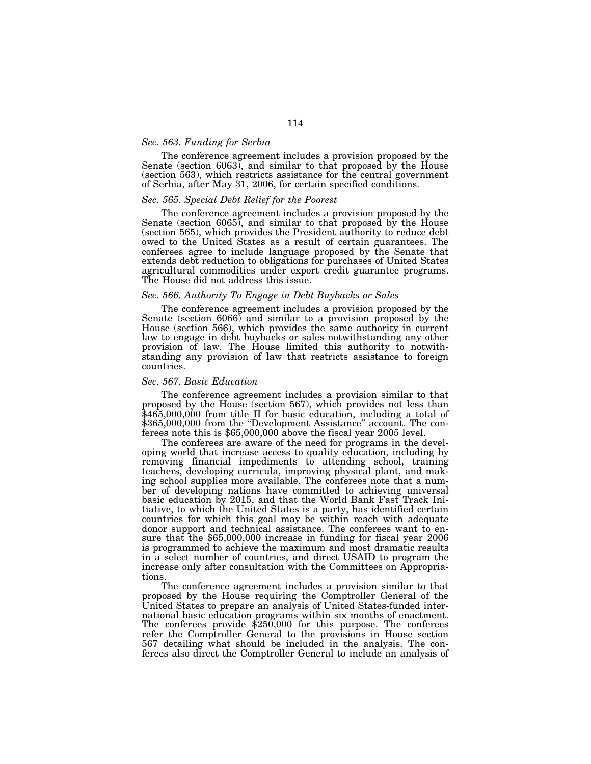# *Sec. 563. Funding for Serbia*

The conference agreement includes a provision proposed by the Senate (section 6063), and similar to that proposed by the House (section 563), which restricts assistance for the central government of Serbia, after May 31, 2006, for certain specified conditions.

# *Sec. 565. Special Debt Relief for the Poorest*

The conference agreement includes a provision proposed by the Senate (section 6065), and similar to that proposed by the House (section 565), which provides the President authority to reduce debt owed to the United States as a result of certain guarantees. The conferees agree to include language proposed by the Senate that extends debt reduction to obligations for purchases of United States agricultural commodities under export credit guarantee programs. The House did not address this issue.

# *Sec. 566. Authority To Engage in Debt Buybacks or Sales*

The conference agreement includes a provision proposed by the Senate (section 6066) and similar to a provision proposed by the House (section 566), which provides the same authority in current law to engage in debt buybacks or sales notwithstanding any other provision of law. The House limited this authority to notwithstanding any provision of law that restricts assistance to foreign countries.

### *Sec. 567. Basic Education*

The conference agreement includes a provision similar to that proposed by the House (section 567), which provides not less than \$465,000,000 from title II for basic education, including a total of \$365,000,000 from the "Development Assistance" account. The conferees note this is \$65,000,000 above the fiscal year 2005 level.

The conferees are aware of the need for programs in the developing world that increase access to quality education, including by removing financial impediments to attending school, training teachers, developing curricula, improving physical plant, and making school supplies more available. The conferees note that a number of developing nations have committed to achieving universal basic education by 2015, and that the World Bank Fast Track Initiative, to which the United States is a party, has identified certain countries for which this goal may be within reach with adequate donor support and technical assistance. The conferees want to ensure that the \$65,000,000 increase in funding for fiscal year 2006 is programmed to achieve the maximum and most dramatic results in a select number of countries, and direct USAID to program the increase only after consultation with the Committees on Appropriations.

The conference agreement includes a provision similar to that proposed by the House requiring the Comptroller General of the United States to prepare an analysis of United States-funded international basic education programs within six months of enactment. The conferees provide \$250,000 for this purpose. The conferees refer the Comptroller General to the provisions in House section 567 detailing what should be included in the analysis. The conferees also direct the Comptroller General to include an analysis of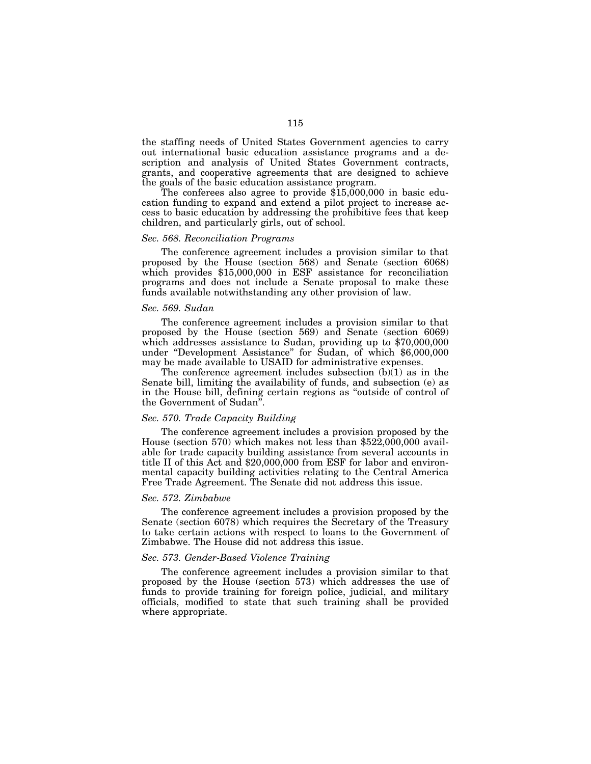the staffing needs of United States Government agencies to carry out international basic education assistance programs and a description and analysis of United States Government contracts, grants, and cooperative agreements that are designed to achieve the goals of the basic education assistance program.

The conferees also agree to provide \$15,000,000 in basic education funding to expand and extend a pilot project to increase access to basic education by addressing the prohibitive fees that keep children, and particularly girls, out of school.

# *Sec. 568. Reconciliation Programs*

The conference agreement includes a provision similar to that proposed by the House (section 568) and Senate (section 6068) which provides \$15,000,000 in ESF assistance for reconciliation programs and does not include a Senate proposal to make these funds available notwithstanding any other provision of law.

### *Sec. 569. Sudan*

The conference agreement includes a provision similar to that proposed by the House (section 569) and Senate (section 6069) which addresses assistance to Sudan, providing up to \$70,000,000 under ''Development Assistance'' for Sudan, of which \$6,000,000 may be made available to USAID for administrative expenses.

The conference agreement includes subsection  $(b)$ (1) as in the Senate bill, limiting the availability of funds, and subsection (e) as in the House bill, defining certain regions as ''outside of control of the Government of Sudan''.

# *Sec. 570. Trade Capacity Building*

The conference agreement includes a provision proposed by the House (section 570) which makes not less than \$522,000,000 available for trade capacity building assistance from several accounts in title II of this Act and \$20,000,000 from ESF for labor and environmental capacity building activities relating to the Central America Free Trade Agreement. The Senate did not address this issue.

### *Sec. 572. Zimbabwe*

The conference agreement includes a provision proposed by the Senate (section 6078) which requires the Secretary of the Treasury to take certain actions with respect to loans to the Government of Zimbabwe. The House did not address this issue.

# *Sec. 573. Gender-Based Violence Training*

The conference agreement includes a provision similar to that proposed by the House (section 573) which addresses the use of funds to provide training for foreign police, judicial, and military officials, modified to state that such training shall be provided where appropriate.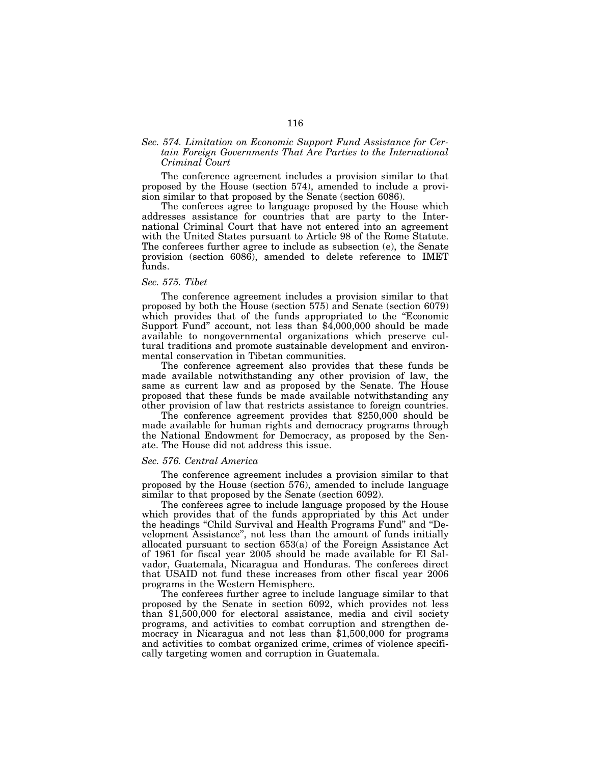# *Sec. 574. Limitation on Economic Support Fund Assistance for Certain Foreign Governments That Are Parties to the International Criminal Court*

The conference agreement includes a provision similar to that proposed by the House (section 574), amended to include a provision similar to that proposed by the Senate (section 6086).

The conferees agree to language proposed by the House which addresses assistance for countries that are party to the International Criminal Court that have not entered into an agreement with the United States pursuant to Article 98 of the Rome Statute. The conferees further agree to include as subsection (e), the Senate provision (section 6086), amended to delete reference to IMET funds.

### *Sec. 575. Tibet*

The conference agreement includes a provision similar to that proposed by both the House (section 575) and Senate (section 6079) which provides that of the funds appropriated to the "Economic Support Fund'' account, not less than \$4,000,000 should be made available to nongovernmental organizations which preserve cultural traditions and promote sustainable development and environmental conservation in Tibetan communities.

The conference agreement also provides that these funds be made available notwithstanding any other provision of law, the same as current law and as proposed by the Senate. The House proposed that these funds be made available notwithstanding any other provision of law that restricts assistance to foreign countries.

The conference agreement provides that \$250,000 should be made available for human rights and democracy programs through the National Endowment for Democracy, as proposed by the Senate. The House did not address this issue.

#### *Sec. 576. Central America*

The conference agreement includes a provision similar to that proposed by the House (section 576), amended to include language similar to that proposed by the Senate (section 6092).

The conferees agree to include language proposed by the House which provides that of the funds appropriated by this Act under the headings ''Child Survival and Health Programs Fund'' and ''Development Assistance'', not less than the amount of funds initially allocated pursuant to section 653(a) of the Foreign Assistance Act of 1961 for fiscal year 2005 should be made available for El Salvador, Guatemala, Nicaragua and Honduras. The conferees direct that USAID not fund these increases from other fiscal year 2006 programs in the Western Hemisphere.

The conferees further agree to include language similar to that proposed by the Senate in section 6092, which provides not less than \$1,500,000 for electoral assistance, media and civil society programs, and activities to combat corruption and strengthen democracy in Nicaragua and not less than \$1,500,000 for programs and activities to combat organized crime, crimes of violence specifically targeting women and corruption in Guatemala.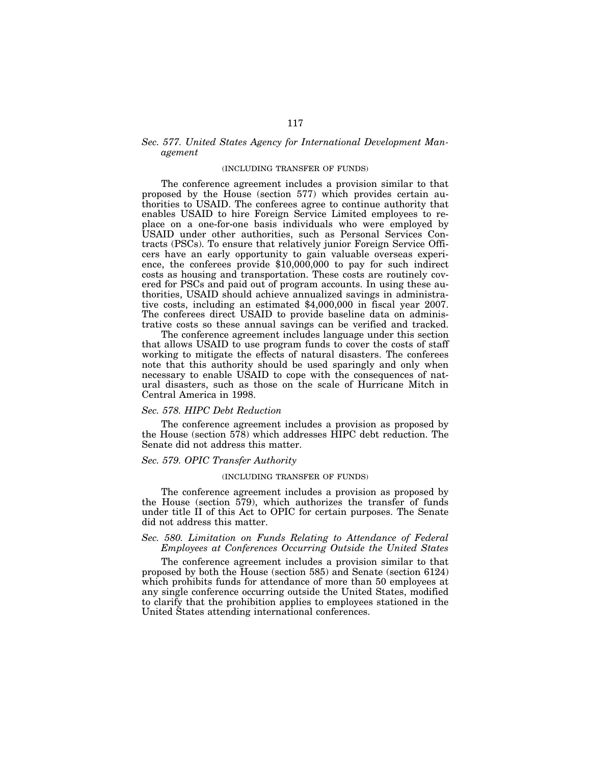# *Sec. 577. United States Agency for International Development Management*

# (INCLUDING TRANSFER OF FUNDS)

The conference agreement includes a provision similar to that proposed by the House (section 577) which provides certain authorities to USAID. The conferees agree to continue authority that enables USAID to hire Foreign Service Limited employees to replace on a one-for-one basis individuals who were employed by USAID under other authorities, such as Personal Services Contracts (PSCs). To ensure that relatively junior Foreign Service Officers have an early opportunity to gain valuable overseas experience, the conferees provide \$10,000,000 to pay for such indirect costs as housing and transportation. These costs are routinely covered for PSCs and paid out of program accounts. In using these authorities, USAID should achieve annualized savings in administrative costs, including an estimated \$4,000,000 in fiscal year 2007. The conferees direct USAID to provide baseline data on administrative costs so these annual savings can be verified and tracked.

The conference agreement includes language under this section that allows USAID to use program funds to cover the costs of staff working to mitigate the effects of natural disasters. The conferees note that this authority should be used sparingly and only when necessary to enable USAID to cope with the consequences of natural disasters, such as those on the scale of Hurricane Mitch in Central America in 1998.

# *Sec. 578. HIPC Debt Reduction*

The conference agreement includes a provision as proposed by the House (section 578) which addresses HIPC debt reduction. The Senate did not address this matter.

# *Sec. 579. OPIC Transfer Authority*

### (INCLUDING TRANSFER OF FUNDS)

The conference agreement includes a provision as proposed by the House (section 579), which authorizes the transfer of funds under title II of this Act to OPIC for certain purposes. The Senate did not address this matter.

# *Sec. 580. Limitation on Funds Relating to Attendance of Federal Employees at Conferences Occurring Outside the United States*

The conference agreement includes a provision similar to that proposed by both the House (section 585) and Senate (section 6124) which prohibits funds for attendance of more than 50 employees at any single conference occurring outside the United States, modified to clarify that the prohibition applies to employees stationed in the United States attending international conferences.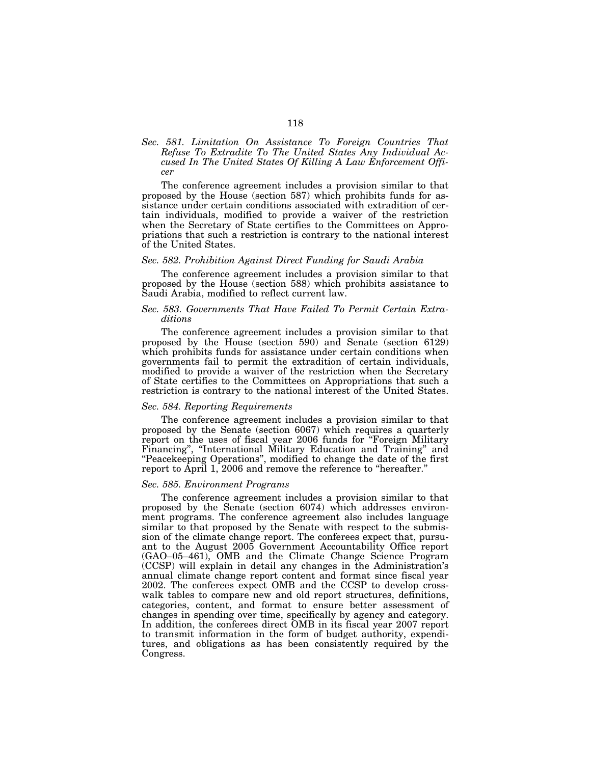# *Sec. 581. Limitation On Assistance To Foreign Countries That Refuse To Extradite To The United States Any Individual Accused In The United States Of Killing A Law Enforcement Officer*

The conference agreement includes a provision similar to that proposed by the House (section 587) which prohibits funds for assistance under certain conditions associated with extradition of certain individuals, modified to provide a waiver of the restriction when the Secretary of State certifies to the Committees on Appropriations that such a restriction is contrary to the national interest of the United States.

# *Sec. 582. Prohibition Against Direct Funding for Saudi Arabia*

The conference agreement includes a provision similar to that proposed by the House (section 588) which prohibits assistance to Saudi Arabia, modified to reflect current law.

# *Sec. 583. Governments That Have Failed To Permit Certain Extraditions*

The conference agreement includes a provision similar to that proposed by the House (section 590) and Senate (section 6129) which prohibits funds for assistance under certain conditions when governments fail to permit the extradition of certain individuals, modified to provide a waiver of the restriction when the Secretary of State certifies to the Committees on Appropriations that such a restriction is contrary to the national interest of the United States.

### *Sec. 584. Reporting Requirements*

The conference agreement includes a provision similar to that proposed by the Senate (section 6067) which requires a quarterly report on the uses of fiscal year 2006 funds for ''Foreign Military Financing", "International Military Education and Training" and ''Peacekeeping Operations'', modified to change the date of the first report to April 1, 2006 and remove the reference to "hereafter."

# *Sec. 585. Environment Programs*

The conference agreement includes a provision similar to that proposed by the Senate (section 6074) which addresses environment programs. The conference agreement also includes language similar to that proposed by the Senate with respect to the submission of the climate change report. The conferees expect that, pursuant to the August 2005 Government Accountability Office report (GAO–05–461), OMB and the Climate Change Science Program (CCSP) will explain in detail any changes in the Administration's annual climate change report content and format since fiscal year 2002. The conferees expect OMB and the CCSP to develop crosswalk tables to compare new and old report structures, definitions, categories, content, and format to ensure better assessment of changes in spending over time, specifically by agency and category. In addition, the conferees direct OMB in its fiscal year 2007 report to transmit information in the form of budget authority, expenditures, and obligations as has been consistently required by the Congress.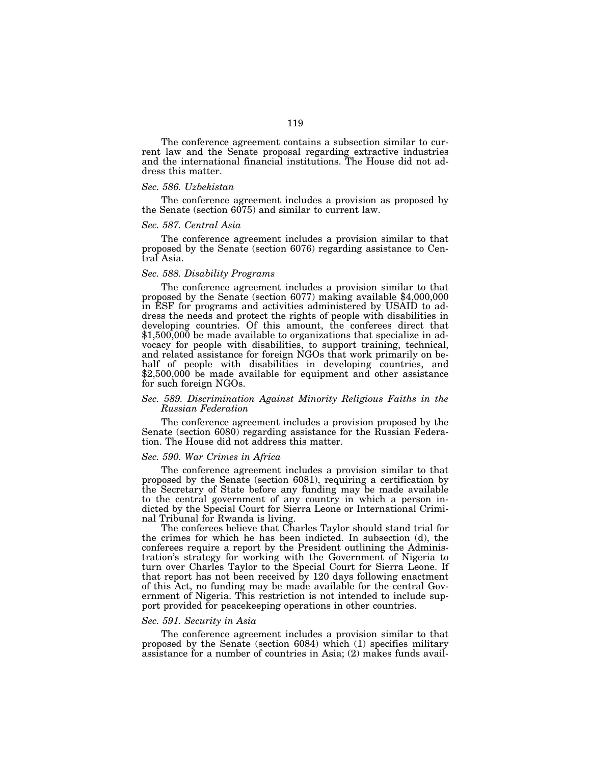The conference agreement contains a subsection similar to current law and the Senate proposal regarding extractive industries and the international financial institutions. The House did not address this matter.

# *Sec. 586. Uzbekistan*

The conference agreement includes a provision as proposed by the Senate (section 6075) and similar to current law.

#### *Sec. 587. Central Asia*

The conference agreement includes a provision similar to that proposed by the Senate (section 6076) regarding assistance to Central Asia.

#### *Sec. 588. Disability Programs*

The conference agreement includes a provision similar to that proposed by the Senate (section 6077) making available \$4,000,000 in ESF for programs and activities administered by USAID to address the needs and protect the rights of people with disabilities in developing countries. Of this amount, the conferees direct that \$1,500,000 be made available to organizations that specialize in advocacy for people with disabilities, to support training, technical, and related assistance for foreign NGOs that work primarily on behalf of people with disabilities in developing countries, and \$2,500,000 be made available for equipment and other assistance for such foreign NGOs.

### *Sec. 589. Discrimination Against Minority Religious Faiths in the Russian Federation*

The conference agreement includes a provision proposed by the Senate (section 6080) regarding assistance for the Russian Federation. The House did not address this matter.

# *Sec. 590. War Crimes in Africa*

The conference agreement includes a provision similar to that proposed by the Senate (section 6081), requiring a certification by the Secretary of State before any funding may be made available to the central government of any country in which a person indicted by the Special Court for Sierra Leone or International Criminal Tribunal for Rwanda is living.

The conferees believe that Charles Taylor should stand trial for the crimes for which he has been indicted. In subsection (d), the conferees require a report by the President outlining the Administration's strategy for working with the Government of Nigeria to turn over Charles Taylor to the Special Court for Sierra Leone. If that report has not been received by 120 days following enactment of this Act, no funding may be made available for the central Government of Nigeria. This restriction is not intended to include support provided for peacekeeping operations in other countries.

#### *Sec. 591. Security in Asia*

The conference agreement includes a provision similar to that proposed by the Senate (section 6084) which (1) specifies military assistance for a number of countries in Asia; (2) makes funds avail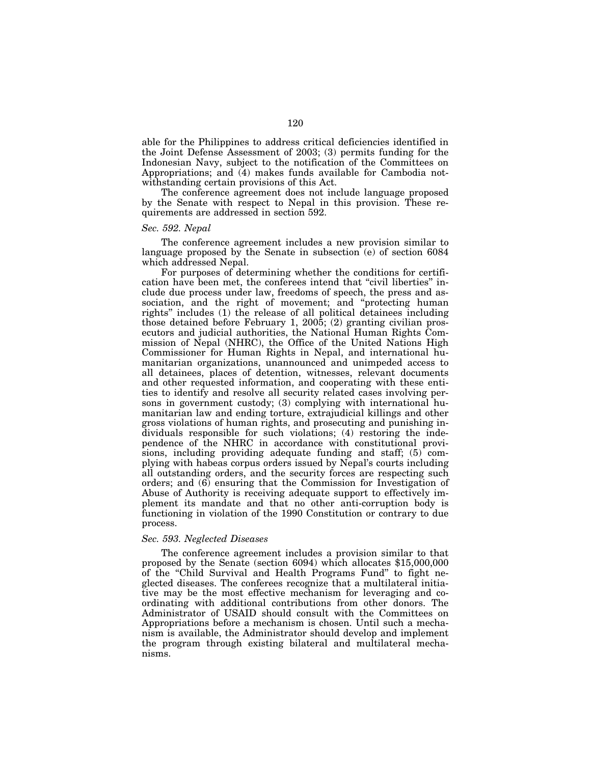able for the Philippines to address critical deficiencies identified in the Joint Defense Assessment of 2003; (3) permits funding for the Indonesian Navy, subject to the notification of the Committees on Appropriations; and (4) makes funds available for Cambodia notwithstanding certain provisions of this Act.

The conference agreement does not include language proposed by the Senate with respect to Nepal in this provision. These requirements are addressed in section 592.

# *Sec. 592. Nepal*

The conference agreement includes a new provision similar to language proposed by the Senate in subsection (e) of section 6084 which addressed Nepal.

For purposes of determining whether the conditions for certification have been met, the conferees intend that ''civil liberties'' include due process under law, freedoms of speech, the press and association, and the right of movement; and "protecting human rights'' includes (1) the release of all political detainees including those detained before February 1, 2005; (2) granting civilian prosecutors and judicial authorities, the National Human Rights Commission of Nepal (NHRC), the Office of the United Nations High Commissioner for Human Rights in Nepal, and international humanitarian organizations, unannounced and unimpeded access to all detainees, places of detention, witnesses, relevant documents and other requested information, and cooperating with these entities to identify and resolve all security related cases involving persons in government custody; (3) complying with international humanitarian law and ending torture, extrajudicial killings and other gross violations of human rights, and prosecuting and punishing individuals responsible for such violations; (4) restoring the independence of the NHRC in accordance with constitutional provisions, including providing adequate funding and staff; (5) complying with habeas corpus orders issued by Nepal's courts including all outstanding orders, and the security forces are respecting such orders; and (6) ensuring that the Commission for Investigation of Abuse of Authority is receiving adequate support to effectively implement its mandate and that no other anti-corruption body is functioning in violation of the 1990 Constitution or contrary to due process.

### *Sec. 593. Neglected Diseases*

The conference agreement includes a provision similar to that proposed by the Senate (section 6094) which allocates \$15,000,000 of the "Child Survival and Health Programs Fund" to fight neglected diseases. The conferees recognize that a multilateral initiative may be the most effective mechanism for leveraging and coordinating with additional contributions from other donors. The Administrator of USAID should consult with the Committees on Appropriations before a mechanism is chosen. Until such a mechanism is available, the Administrator should develop and implement the program through existing bilateral and multilateral mechanisms.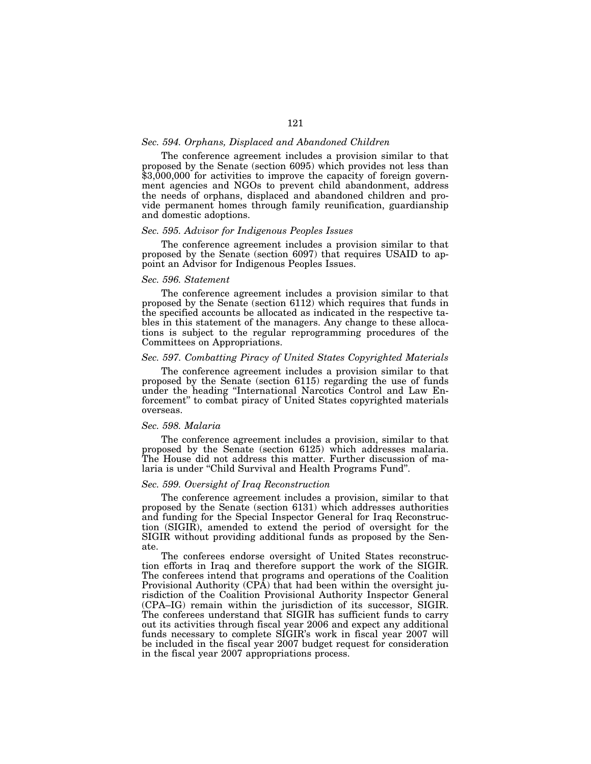# *Sec. 594. Orphans, Displaced and Abandoned Children*

The conference agreement includes a provision similar to that proposed by the Senate (section 6095) which provides not less than \$3,000,000 for activities to improve the capacity of foreign government agencies and NGOs to prevent child abandonment, address the needs of orphans, displaced and abandoned children and provide permanent homes through family reunification, guardianship and domestic adoptions.

# *Sec. 595. Advisor for Indigenous Peoples Issues*

The conference agreement includes a provision similar to that proposed by the Senate (section 6097) that requires USAID to appoint an Advisor for Indigenous Peoples Issues.

# *Sec. 596. Statement*

The conference agreement includes a provision similar to that proposed by the Senate (section 6112) which requires that funds in the specified accounts be allocated as indicated in the respective tables in this statement of the managers. Any change to these allocations is subject to the regular reprogramming procedures of the Committees on Appropriations.

#### *Sec. 597. Combatting Piracy of United States Copyrighted Materials*

The conference agreement includes a provision similar to that proposed by the Senate (section 6115) regarding the use of funds under the heading ''International Narcotics Control and Law Enforcement'' to combat piracy of United States copyrighted materials overseas.

# *Sec. 598. Malaria*

The conference agreement includes a provision, similar to that proposed by the Senate (section 6125) which addresses malaria. The House did not address this matter. Further discussion of malaria is under ''Child Survival and Health Programs Fund''.

# *Sec. 599. Oversight of Iraq Reconstruction*

The conference agreement includes a provision, similar to that proposed by the Senate (section 6131) which addresses authorities and funding for the Special Inspector General for Iraq Reconstruction (SIGIR), amended to extend the period of oversight for the SIGIR without providing additional funds as proposed by the Senate.

The conferees endorse oversight of United States reconstruction efforts in Iraq and therefore support the work of the SIGIR. The conferees intend that programs and operations of the Coalition Provisional Authority (CPA) that had been within the oversight jurisdiction of the Coalition Provisional Authority Inspector General (CPA–IG) remain within the jurisdiction of its successor, SIGIR. The conferees understand that SIGIR has sufficient funds to carry out its activities through fiscal year 2006 and expect any additional funds necessary to complete SIGIR's work in fiscal year 2007 will be included in the fiscal year 2007 budget request for consideration in the fiscal year 2007 appropriations process.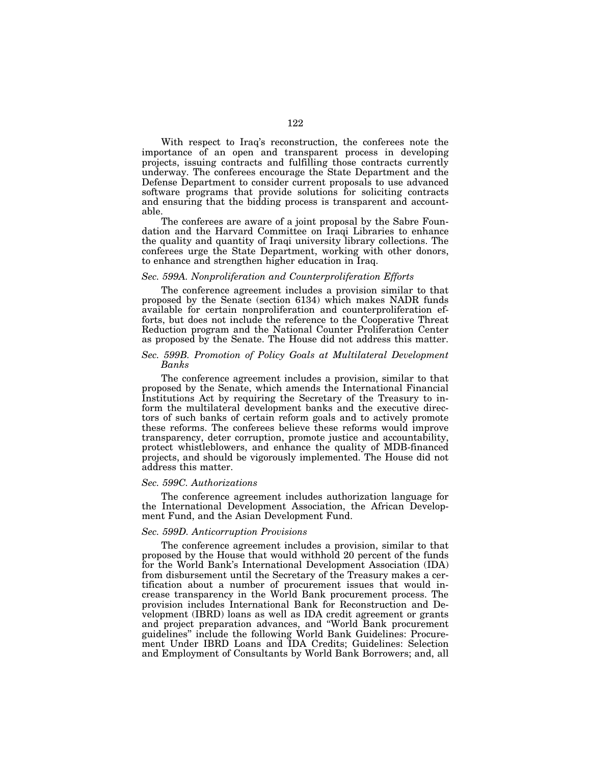With respect to Iraq's reconstruction, the conferees note the importance of an open and transparent process in developing projects, issuing contracts and fulfilling those contracts currently underway. The conferees encourage the State Department and the Defense Department to consider current proposals to use advanced software programs that provide solutions for soliciting contracts and ensuring that the bidding process is transparent and accountable.

The conferees are aware of a joint proposal by the Sabre Foundation and the Harvard Committee on Iraqi Libraries to enhance the quality and quantity of Iraqi university library collections. The conferees urge the State Department, working with other donors, to enhance and strengthen higher education in Iraq.

#### *Sec. 599A. Nonproliferation and Counterproliferation Efforts*

The conference agreement includes a provision similar to that proposed by the Senate (section 6134) which makes NADR funds available for certain nonproliferation and counterproliferation efforts, but does not include the reference to the Cooperative Threat Reduction program and the National Counter Proliferation Center as proposed by the Senate. The House did not address this matter.

# *Sec. 599B. Promotion of Policy Goals at Multilateral Development Banks*

The conference agreement includes a provision, similar to that proposed by the Senate, which amends the International Financial Institutions Act by requiring the Secretary of the Treasury to inform the multilateral development banks and the executive directors of such banks of certain reform goals and to actively promote these reforms. The conferees believe these reforms would improve transparency, deter corruption, promote justice and accountability, protect whistleblowers, and enhance the quality of MDB-financed projects, and should be vigorously implemented. The House did not address this matter.

# *Sec. 599C. Authorizations*

The conference agreement includes authorization language for the International Development Association, the African Development Fund, and the Asian Development Fund.

### *Sec. 599D. Anticorruption Provisions*

The conference agreement includes a provision, similar to that proposed by the House that would withhold 20 percent of the funds for the World Bank's International Development Association (IDA) from disbursement until the Secretary of the Treasury makes a certification about a number of procurement issues that would increase transparency in the World Bank procurement process. The provision includes International Bank for Reconstruction and Development (IBRD) loans as well as IDA credit agreement or grants and project preparation advances, and ''World Bank procurement guidelines'' include the following World Bank Guidelines: Procurement Under IBRD Loans and IDA Credits; Guidelines: Selection and Employment of Consultants by World Bank Borrowers; and, all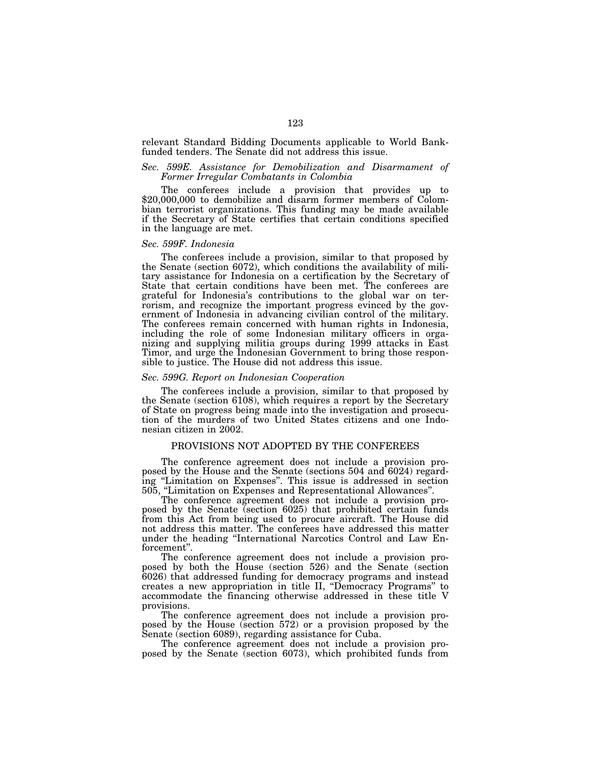relevant Standard Bidding Documents applicable to World Bankfunded tenders. The Senate did not address this issue.

# *Sec. 599E. Assistance for Demobilization and Disarmament of Former Irregular Combatants in Colombia*

The conferees include a provision that provides up to \$20,000,000 to demobilize and disarm former members of Colombian terrorist organizations. This funding may be made available if the Secretary of State certifies that certain conditions specified in the language are met.

### *Sec. 599F. Indonesia*

The conferees include a provision, similar to that proposed by the Senate (section 6072), which conditions the availability of military assistance for Indonesia on a certification by the Secretary of State that certain conditions have been met. The conferees are grateful for Indonesia's contributions to the global war on terrorism, and recognize the important progress evinced by the government of Indonesia in advancing civilian control of the military. The conferees remain concerned with human rights in Indonesia, including the role of some Indonesian military officers in organizing and supplying militia groups during 1999 attacks in East Timor, and urge the Indonesian Government to bring those responsible to justice. The House did not address this issue.

# *Sec. 599G. Report on Indonesian Cooperation*

The conferees include a provision, similar to that proposed by the Senate (section 6108), which requires a report by the Secretary of State on progress being made into the investigation and prosecution of the murders of two United States citizens and one Indonesian citizen in 2002.

# PROVISIONS NOT ADOPTED BY THE CONFEREES

The conference agreement does not include a provision proposed by the House and the Senate (sections 504 and 6024) regarding "Limitation on Expenses". This issue is addressed in section 505, "Limitation on Expenses and Representational Allowances".

The conference agreement does not include a provision proposed by the Senate (section 6025) that prohibited certain funds from this Act from being used to procure aircraft. The House did not address this matter. The conferees have addressed this matter under the heading ''International Narcotics Control and Law En-

The conference agreement does not include a provision proposed by both the House (section 526) and the Senate (section 6026) that addressed funding for democracy programs and instead creates a new appropriation in title II, ''Democracy Programs'' to accommodate the financing otherwise addressed in these title V provisions.

The conference agreement does not include a provision proposed by the House (section 572) or a provision proposed by the Senate (section 6089), regarding assistance for Cuba.

The conference agreement does not include a provision proposed by the Senate (section 6073), which prohibited funds from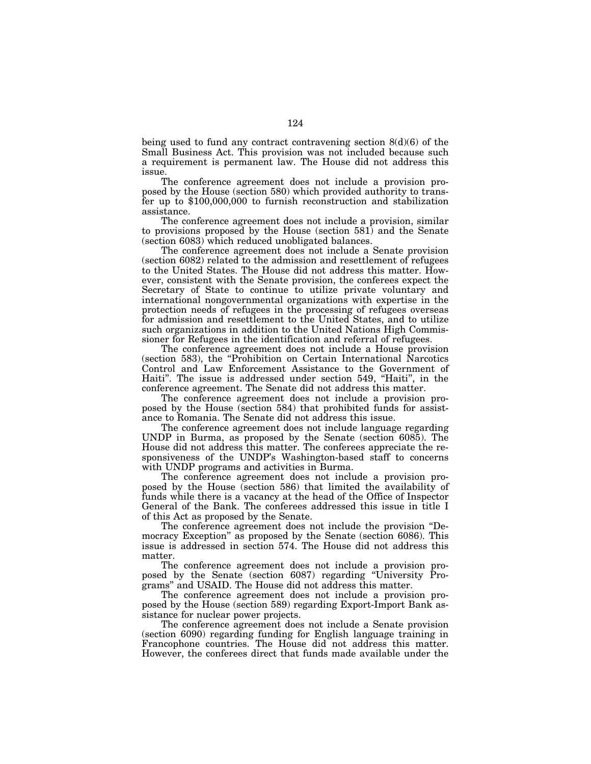being used to fund any contract contravening section  $8(d)(6)$  of the Small Business Act. This provision was not included because such a requirement is permanent law. The House did not address this issue.

The conference agreement does not include a provision proposed by the House (section 580) which provided authority to transfer up to \$100,000,000 to furnish reconstruction and stabilization assistance.

The conference agreement does not include a provision, similar to provisions proposed by the House (section 581) and the Senate (section 6083) which reduced unobligated balances.

The conference agreement does not include a Senate provision (section 6082) related to the admission and resettlement of refugees to the United States. The House did not address this matter. However, consistent with the Senate provision, the conferees expect the Secretary of State to continue to utilize private voluntary and international nongovernmental organizations with expertise in the protection needs of refugees in the processing of refugees overseas for admission and resettlement to the United States, and to utilize such organizations in addition to the United Nations High Commissioner for Refugees in the identification and referral of refugees.

The conference agreement does not include a House provision (section 583), the ''Prohibition on Certain International Narcotics Control and Law Enforcement Assistance to the Government of Haiti''. The issue is addressed under section 549, ''Haiti'', in the conference agreement. The Senate did not address this matter.

The conference agreement does not include a provision proposed by the House (section 584) that prohibited funds for assistance to Romania. The Senate did not address this issue.

The conference agreement does not include language regarding UNDP in Burma, as proposed by the Senate (section 6085). The House did not address this matter. The conferees appreciate the responsiveness of the UNDP's Washington-based staff to concerns with UNDP programs and activities in Burma.

The conference agreement does not include a provision proposed by the House (section 586) that limited the availability of funds while there is a vacancy at the head of the Office of Inspector General of the Bank. The conferees addressed this issue in title I of this Act as proposed by the Senate.

The conference agreement does not include the provision ''Democracy Exception'' as proposed by the Senate (section 6086). This issue is addressed in section 574. The House did not address this matter.

The conference agreement does not include a provision proposed by the Senate (section 6087) regarding ''University Programs'' and USAID. The House did not address this matter.

The conference agreement does not include a provision proposed by the House (section 589) regarding Export-Import Bank assistance for nuclear power projects.

The conference agreement does not include a Senate provision (section 6090) regarding funding for English language training in Francophone countries. The House did not address this matter. However, the conferees direct that funds made available under the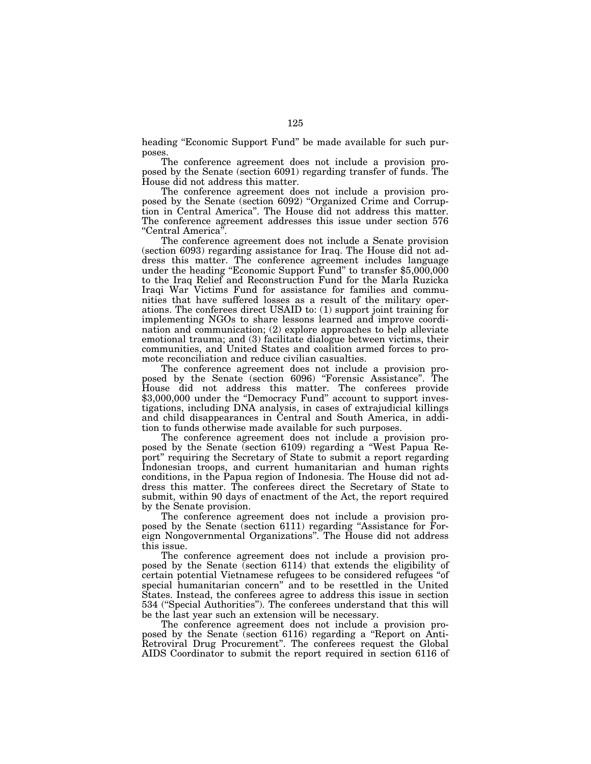heading "Economic Support Fund" be made available for such purposes.

The conference agreement does not include a provision proposed by the Senate (section 6091) regarding transfer of funds. The House did not address this matter.

The conference agreement does not include a provision proposed by the Senate (section 6092) ''Organized Crime and Corruption in Central America''. The House did not address this matter. The conference agreement addresses this issue under section 576 ''Central America''.

The conference agreement does not include a Senate provision (section 6093) regarding assistance for Iraq. The House did not address this matter. The conference agreement includes language under the heading ''Economic Support Fund'' to transfer \$5,000,000 to the Iraq Relief and Reconstruction Fund for the Marla Ruzicka Iraqi War Victims Fund for assistance for families and communities that have suffered losses as a result of the military operations. The conferees direct USAID to: (1) support joint training for implementing NGOs to share lessons learned and improve coordination and communication; (2) explore approaches to help alleviate emotional trauma; and (3) facilitate dialogue between victims, their communities, and United States and coalition armed forces to promote reconciliation and reduce civilian casualties.

The conference agreement does not include a provision proposed by the Senate (section 6096) ''Forensic Assistance''. The House did not address this matter. The conferees provide \$3,000,000 under the "Democracy Fund" account to support investigations, including DNA analysis, in cases of extrajudicial killings and child disappearances in Central and South America, in addition to funds otherwise made available for such purposes.

The conference agreement does not include a provision proposed by the Senate (section 6109) regarding a ''West Papua Report'' requiring the Secretary of State to submit a report regarding Indonesian troops, and current humanitarian and human rights conditions, in the Papua region of Indonesia. The House did not address this matter. The conferees direct the Secretary of State to submit, within 90 days of enactment of the Act, the report required by the Senate provision.

The conference agreement does not include a provision proposed by the Senate (section 6111) regarding ''Assistance for Foreign Nongovernmental Organizations''. The House did not address this issue.

The conference agreement does not include a provision proposed by the Senate (section 6114) that extends the eligibility of certain potential Vietnamese refugees to be considered refugees ''of special humanitarian concern'' and to be resettled in the United States. Instead, the conferees agree to address this issue in section 534 (''Special Authorities''). The conferees understand that this will be the last year such an extension will be necessary.

The conference agreement does not include a provision proposed by the Senate (section 6116) regarding a ''Report on Anti-Retroviral Drug Procurement''. The conferees request the Global AIDS Coordinator to submit the report required in section 6116 of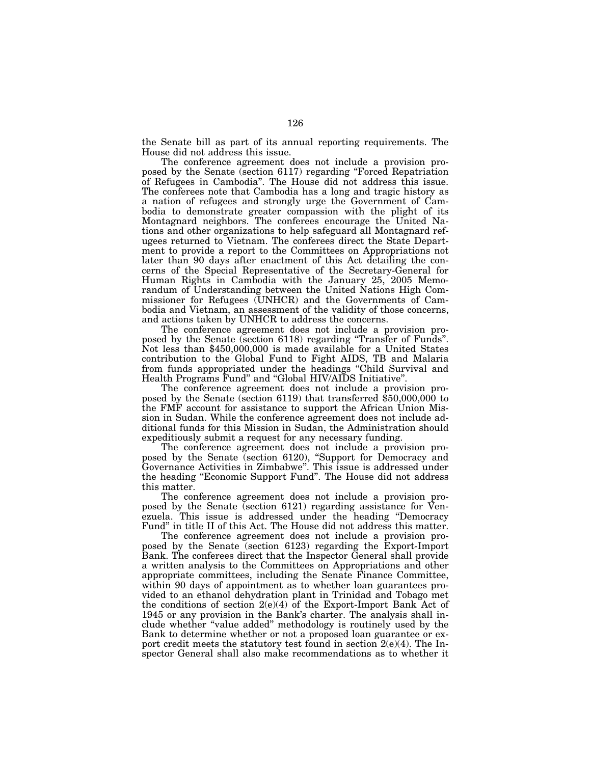the Senate bill as part of its annual reporting requirements. The House did not address this issue.

The conference agreement does not include a provision proposed by the Senate (section 6117) regarding ''Forced Repatriation of Refugees in Cambodia''. The House did not address this issue. The conferees note that Cambodia has a long and tragic history as a nation of refugees and strongly urge the Government of Cambodia to demonstrate greater compassion with the plight of its Montagnard neighbors. The conferees encourage the United Nations and other organizations to help safeguard all Montagnard refugees returned to Vietnam. The conferees direct the State Department to provide a report to the Committees on Appropriations not later than 90 days after enactment of this Act detailing the concerns of the Special Representative of the Secretary-General for Human Rights in Cambodia with the January 25, 2005 Memorandum of Understanding between the United Nations High Commissioner for Refugees (UNHCR) and the Governments of Cambodia and Vietnam, an assessment of the validity of those concerns, and actions taken by UNHCR to address the concerns.

The conference agreement does not include a provision proposed by the Senate (section 6118) regarding ''Transfer of Funds''. Not less than \$450,000,000 is made available for a United States contribution to the Global Fund to Fight AIDS, TB and Malaria from funds appropriated under the headings ''Child Survival and Health Programs Fund'' and ''Global HIV/AIDS Initiative''.

The conference agreement does not include a provision proposed by the Senate (section 6119) that transferred \$50,000,000 to the FMF account for assistance to support the African Union Mission in Sudan. While the conference agreement does not include additional funds for this Mission in Sudan, the Administration should expeditiously submit a request for any necessary funding.

The conference agreement does not include a provision proposed by the Senate (section 6120), ''Support for Democracy and Governance Activities in Zimbabwe''. This issue is addressed under the heading "Economic Support Fund". The House did not address this matter.

The conference agreement does not include a provision proposed by the Senate (section 6121) regarding assistance for Venezuela. This issue is addressed under the heading ''Democracy Fund'' in title II of this Act. The House did not address this matter.

The conference agreement does not include a provision proposed by the Senate (section 6123) regarding the Export-Import Bank. The conferees direct that the Inspector General shall provide a written analysis to the Committees on Appropriations and other appropriate committees, including the Senate Finance Committee, within 90 days of appointment as to whether loan guarantees provided to an ethanol dehydration plant in Trinidad and Tobago met the conditions of section 2(e)(4) of the Export-Import Bank Act of 1945 or any provision in the Bank's charter. The analysis shall include whether ''value added'' methodology is routinely used by the Bank to determine whether or not a proposed loan guarantee or export credit meets the statutory test found in section 2(e)(4). The Inspector General shall also make recommendations as to whether it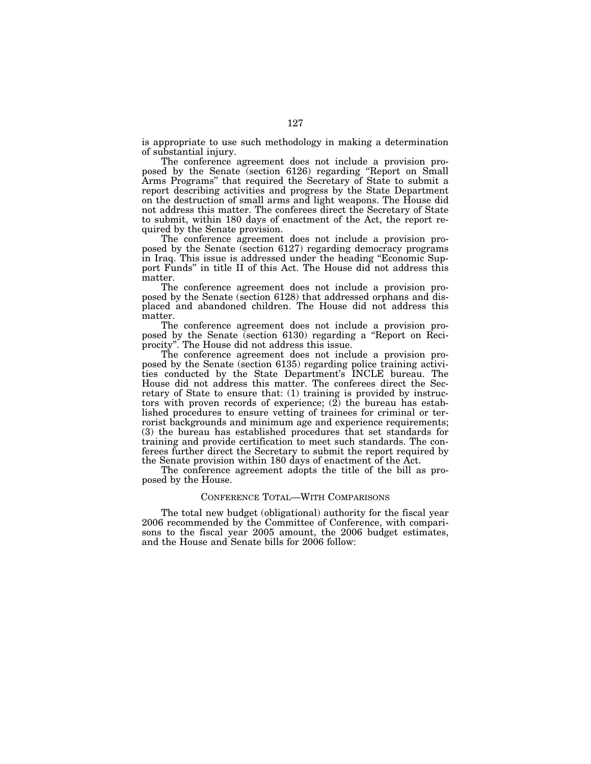is appropriate to use such methodology in making a determination of substantial injury.

The conference agreement does not include a provision proposed by the Senate (section 6126) regarding ''Report on Small Arms Programs'' that required the Secretary of State to submit a report describing activities and progress by the State Department on the destruction of small arms and light weapons. The House did not address this matter. The conferees direct the Secretary of State to submit, within 180 days of enactment of the Act, the report required by the Senate provision.

The conference agreement does not include a provision proposed by the Senate (section 6127) regarding democracy programs in Iraq. This issue is addressed under the heading ''Economic Support Funds'' in title II of this Act. The House did not address this matter.

The conference agreement does not include a provision proposed by the Senate (section 6128) that addressed orphans and displaced and abandoned children. The House did not address this matter.

The conference agreement does not include a provision proposed by the Senate (section 6130) regarding a ''Report on Reciprocity''. The House did not address this issue.

The conference agreement does not include a provision proposed by the Senate (section 6135) regarding police training activities conducted by the State Department's INCLE bureau. The House did not address this matter. The conferees direct the Secretary of State to ensure that: (1) training is provided by instructors with proven records of experience;  $(2)$  the bureau has established procedures to ensure vetting of trainees for criminal or terrorist backgrounds and minimum age and experience requirements; (3) the bureau has established procedures that set standards for training and provide certification to meet such standards. The conferees further direct the Secretary to submit the report required by the Senate provision within 180 days of enactment of the Act.

The conference agreement adopts the title of the bill as proposed by the House.

### CONFERENCE TOTAL—WITH COMPARISONS

The total new budget (obligational) authority for the fiscal year 2006 recommended by the Committee of Conference, with comparisons to the fiscal year 2005 amount, the 2006 budget estimates, and the House and Senate bills for 2006 follow: